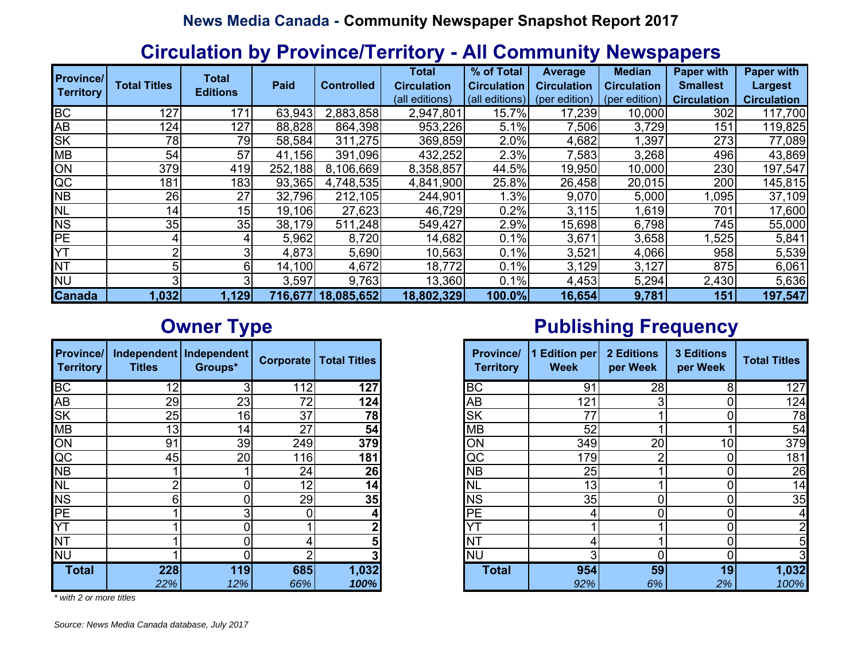#### **Circulation by Province/Territory - All Community Newspapers**

| <b>Province/</b> |                     | <b>Total</b>    |         |                    | <b>Total</b>       | % of Total         | Average            | <b>Median</b>      | <b>Paper with</b>  | <b>Paper with</b>  |
|------------------|---------------------|-----------------|---------|--------------------|--------------------|--------------------|--------------------|--------------------|--------------------|--------------------|
| <b>Territory</b> | <b>Total Titles</b> | <b>Editions</b> | Paid    | <b>Controlled</b>  | <b>Circulation</b> | <b>Circulation</b> | <b>Circulation</b> | <b>Circulation</b> | <b>Smallest</b>    | <b>Largest</b>     |
|                  |                     |                 |         |                    | (all editions)     | (all editions)     | (per edition)      | edition<br>(per    | <b>Circulation</b> | <b>Circulation</b> |
| <b>BC</b>        | 127                 | 17 <sup>′</sup> | 63,943  | 2,883,858          | 2,947,801          | 15.7%              | 17,239             | 10,000             | 302                | 117,700            |
| AB               | 124                 | 127             | 88,828  | 864,398            | 953,226            | 5.1%               | 7,506              | 3,729              | 151                | 119,825            |
| <b>SK</b>        | 78                  | 79              | 58,584  | 311,275            | 369,859            | 2.0%               | 4,682              | 1,397              | 273                | 77,089             |
| <b>MB</b>        | 54                  | 57              | 41,156  | 391,096            | 432,252            | 2.3%               | 7,583              | 3,268              | 496                | 43,869             |
| ON               | 379                 | 419             | 252,188 | 8,106,669          | 8,358,857          | 44.5%              | 19,950             | 10,000             | 230                | 197,547            |
| $\overline{QC}$  | 181                 | 183             | 93,365  | 4,748,535          | 4,841,900          | 25.8%              | 26,458             | 20,015             | 200                | 145,815            |
| <b>NB</b>        | 26                  | 27              | 32,796  | 212,105            | 244,901            | .3%                | 9,070              | 5,000              | ,095               | 37,109             |
| <b>NL</b>        | 14 <sub>1</sub>     | 15 <sup>1</sup> | 19,106  | 27,623             | 46,729             | 0.2%               | 3,115              | 1,619              | 701                | 17,600             |
| <b>NS</b>        | 35                  | 35              | 38,179  | 511,248            | 549,427            | 2.9%               | 15,698             | 6,798              | 745                | 55,000             |
| <b>PE</b>        |                     |                 | 5,962   | 8,720              | 14,682             | 0.1%               | 3,671              | 3,658              | ,525               | 5,841              |
| <b>YT</b>        |                     |                 | 4,873   | 5,690              | 10,563             | 0.1%               | 3,521              | 4,066              | 958                | 5,539              |
| <b>NT</b>        | 51                  | 61              | 14,100  | 4,672              | 18,772             | 0.1%               | 3,129              | 3,127              | 875                | 6,061              |
| <b>NU</b>        |                     |                 | 3,597   | 9,763              | 13,360             | 0.1%               | 4,453              | 5,294              | 2,430              | 5,636              |
| <b>Canada</b>    | 1,032               | 1,129           |         | 716,677 18,085,652 | 18,802,329         | 100.0%             | 16,654             | 9,781              | 151                | 197,547            |

| <b>Province/</b><br><b>Territory</b> | <b>Titles</b> | Independent   Independent<br>Groups* | Corporate | <b>Total Titles</b>     |
|--------------------------------------|---------------|--------------------------------------|-----------|-------------------------|
| <b>BC</b>                            | 12            | 3                                    | 112       | 127                     |
| AB                                   | 29            | 23                                   | 72        | 124                     |
| <b>SK</b>                            | 25            | 16                                   | 37        | 78                      |
| <b>MB</b>                            | 13            | 14                                   | 27        | 54                      |
| ON                                   | 91            | 39                                   | 249       | 379                     |
| QC                                   | 45            | 20                                   | 116       | 181                     |
| <b>NB</b>                            |               |                                      | 24        | 26                      |
| <b>NL</b>                            | 2             | Ω                                    | 12        | 14                      |
| <b>NS</b>                            | 6             |                                      | 29        | 35                      |
| PE                                   |               | 3                                    | 0         | 4                       |
|                                      |               | 0                                    |           | $\overline{\mathbf{c}}$ |
|                                      |               | ი                                    | 4         | 5                       |
| <b>NU</b>                            |               |                                      | າ         | 3                       |
| <b>Total</b>                         | 228           | 119                                  | 685       | 1,032                   |
|                                      | 22%           | 12%                                  | 66%       | 100%                    |

*\* with 2 or more titles*

# **Owner Type Publishing Frequency**

| <b>Province/</b><br><b>Territory</b> | <b>Titles</b> | Independent   Independent  <br>Groups* |     | <b>Corporate   Total Titles</b> | <b>Province/</b><br><b>Territory</b> | <b>Edition per</b><br><b>Week</b> | 2 Editions<br>per Week | <b>3 Editions</b><br>per Week | <b>Total Titles</b> |
|--------------------------------------|---------------|----------------------------------------|-----|---------------------------------|--------------------------------------|-----------------------------------|------------------------|-------------------------------|---------------------|
| $\overline{BC}$                      | 19            |                                        | 112 | 127                             | <b>BC</b>                            | 91                                | 28                     |                               | 127                 |
| $\overline{AB}$                      | 29            | 23                                     | 72  | 124                             | AB                                   | 121                               | 3                      |                               | 124                 |
| $\overline{\mathsf{SK}}$             | 25            | 16                                     | 37  | 78                              | <b>SK</b>                            | 77                                |                        |                               | 78                  |
| $\overline{\mathsf{MB}}$             | 13            | 14 <sub>1</sub>                        | 27  | 54                              | MВ                                   | 52                                |                        |                               | 54                  |
| $\overline{ON}$                      | 91            | 39                                     | 249 | 379                             | ON                                   | 349                               | 20                     | 10 <sub>1</sub>               | 379                 |
| $\overline{\text{QC}}$               | 45            | 20 <sub>l</sub>                        | 116 | 181                             | QC                                   | 179                               | ∩                      |                               | 181                 |
| NΒ                                   |               |                                        | 24  | 26                              | <b>NB</b>                            | 25                                |                        |                               | 26                  |
| $\overline{\text{NL}}$               |               |                                        | 12  | 14                              | <b>NL</b>                            | 13 <sub>l</sub>                   |                        |                               | 14                  |
| $\overline{\text{NS}}$               |               |                                        | 29  | 35                              | <b>NS</b>                            | 35                                | 0                      |                               | 35                  |
| PЕ                                   |               |                                        |     |                                 | PE                                   |                                   | 0                      |                               |                     |
| ΥT                                   |               |                                        |     |                                 | YΤ                                   |                                   |                        |                               |                     |
| NΤ                                   |               |                                        |     |                                 | <b>NT</b>                            |                                   |                        |                               |                     |
| <b>NU</b>                            |               |                                        |     |                                 | <b>NU</b>                            |                                   | 0                      |                               |                     |
| <b>Total</b>                         | 228           | <b>119</b>                             | 685 | 1,032                           | <b>Total</b>                         | 954                               | 59                     | 19                            | 1,032               |
|                                      | 22%           | 12%                                    | 66% | 100%                            |                                      | 92%                               | 6%                     | 2%                            | 100%                |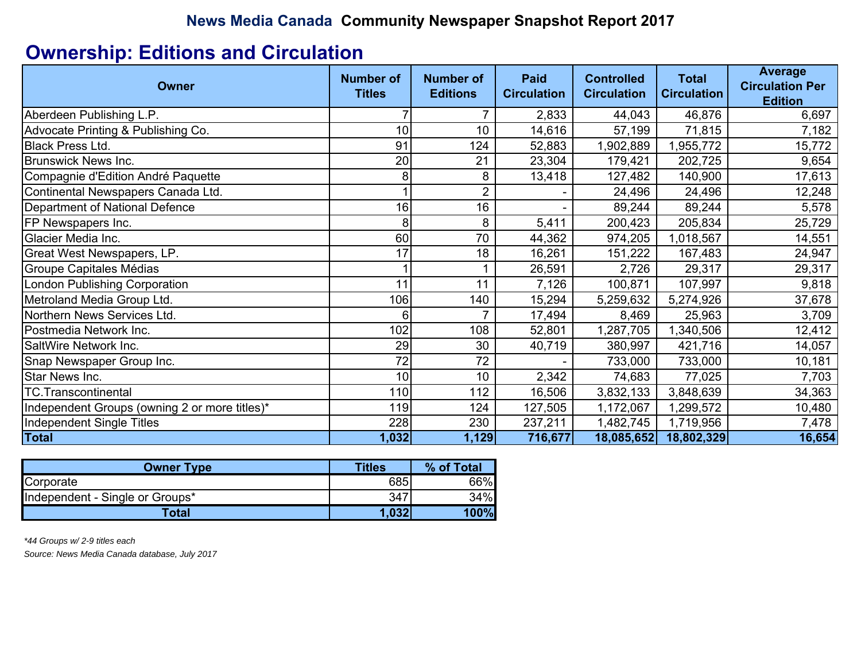# **Ownership: Editions and Circulation**

| Owner                                         | <b>Number of</b><br><b>Titles</b> | <b>Number of</b><br><b>Editions</b> | <b>Paid</b><br><b>Circulation</b> | <b>Controlled</b><br><b>Circulation</b> | <b>Total</b><br><b>Circulation</b> | <b>Average</b><br><b>Circulation Per</b><br><b>Edition</b> |
|-----------------------------------------------|-----------------------------------|-------------------------------------|-----------------------------------|-----------------------------------------|------------------------------------|------------------------------------------------------------|
| Aberdeen Publishing L.P.                      |                                   | 7                                   | 2,833                             | 44,043                                  | 46,876                             | 6,697                                                      |
| Advocate Printing & Publishing Co.            | 10                                | 10                                  | 14,616                            | 57,199                                  | 71,815                             | 7,182                                                      |
| <b>Black Press Ltd.</b>                       | 91                                | 124                                 | 52,883                            | 1,902,889                               | 1,955,772                          | 15,772                                                     |
| <b>Brunswick News Inc.</b>                    | 20                                | 21                                  | 23,304                            | 179,421                                 | 202,725                            | 9,654                                                      |
| Compagnie d'Edition André Paquette            | 8                                 | 8                                   | 13,418                            | 127,482                                 | 140,900                            | 17,613                                                     |
| Continental Newspapers Canada Ltd.            |                                   | $\overline{2}$                      |                                   | 24,496                                  | 24,496                             | 12,248                                                     |
| <b>Department of National Defence</b>         | 16                                | 16                                  |                                   | 89,244                                  | 89,244                             | 5,578                                                      |
| FP Newspapers Inc.                            | 8                                 | 8                                   | 5,411                             | 200,423                                 | 205,834                            | 25,729                                                     |
| Glacier Media Inc.                            | 60                                | 70                                  | 44,362                            | 974,205                                 | 1,018,567                          | 14,551                                                     |
| Great West Newspapers, LP.                    | 17                                | 18                                  | 16,261                            | 151,222                                 | 167,483                            | 24,947                                                     |
| Groupe Capitales Médias                       |                                   |                                     | 26,591                            | 2,726                                   | 29,317                             | 29,317                                                     |
| <b>London Publishing Corporation</b>          | 11                                | 11                                  | 7,126                             | 100,871                                 | 107,997                            | 9,818                                                      |
| Metroland Media Group Ltd.                    | 106                               | 140                                 | 15,294                            | 5,259,632                               | 5,274,926                          | 37,678                                                     |
| Northern News Services Ltd.                   | 6                                 | 7                                   | 17,494                            | 8,469                                   | 25,963                             | 3,709                                                      |
| Postmedia Network Inc.                        | 102                               | 108                                 | 52,801                            | 1,287,705                               | 1,340,506                          | 12,412                                                     |
| SaltWire Network Inc.                         | 29                                | 30                                  | 40,719                            | 380,997                                 | 421,716                            | 14,057                                                     |
| Snap Newspaper Group Inc.                     | 72                                | 72                                  |                                   | 733,000                                 | 733,000                            | 10,181                                                     |
| Star News Inc.                                | 10                                | 10                                  | 2,342                             | 74,683                                  | 77,025                             | 7,703                                                      |
| <b>TC.Transcontinental</b>                    | 110                               | 112                                 | 16,506                            | 3,832,133                               | 3,848,639                          | 34,363                                                     |
| Independent Groups (owning 2 or more titles)* | 119                               | 124                                 | 127,505                           | 1,172,067                               | 1,299,572                          | 10,480                                                     |
| Independent Single Titles                     | 228                               | 230                                 | 237,211                           | 1,482,745                               | 1,719,956                          | 7,478                                                      |
| <b>Total</b>                                  | 1,032                             | 1,129                               | 716,677                           | 18,085,652                              | 18,802,329                         | 16,654                                                     |

| Owner Type                      | <b>Titles</b> | % of Total |
|---------------------------------|---------------|------------|
| Corporate                       | 685           | 66%        |
| Independent - Single or Groups* | 347           | 34%        |
| Total                           | .032          | 100%       |

*\*44 Groups w/ 2-9 titles each*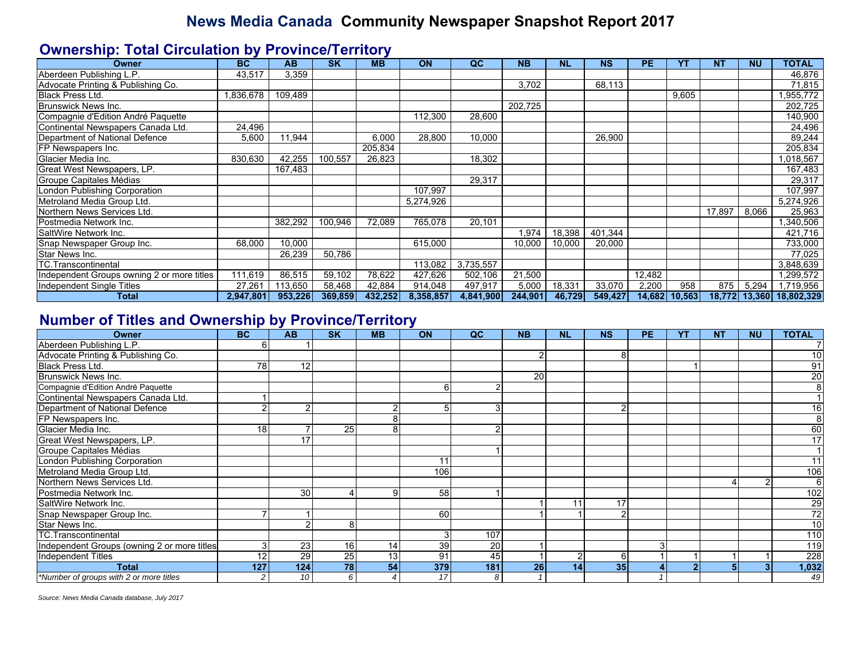#### **Ownership: Total Circulation by Province/Territory**

| Owner                                      | <b>BC</b> | <b>AB</b> | <b>SK</b> | <b>MB</b> | ON        | QC        | <b>NB</b> | <b>NL</b> | <b>NS</b> | <b>PE</b> | YΤ     | <b>NT</b> | <b>NU</b> | <b>TOTAL</b> |
|--------------------------------------------|-----------|-----------|-----------|-----------|-----------|-----------|-----------|-----------|-----------|-----------|--------|-----------|-----------|--------------|
| Aberdeen Publishing L.P.                   | 43,517    | 3,359     |           |           |           |           |           |           |           |           |        |           |           | 46,876       |
| Advocate Printing & Publishing Co.         |           |           |           |           |           |           | 3,702     |           | 68,113    |           |        |           |           | 71,815       |
| <b>Black Press Ltd.</b>                    | .836,678  | 109,489   |           |           |           |           |           |           |           |           | 9,605  |           |           | .955,772     |
| <b>Brunswick News Inc.</b>                 |           |           |           |           |           |           | 202,725   |           |           |           |        |           |           | 202,725      |
| Compagnie d'Edition André Paquette         |           |           |           |           | 112,300   | 28,600    |           |           |           |           |        |           |           | 140,900      |
| Continental Newspapers Canada Ltd.         | 24.496    |           |           |           |           |           |           |           |           |           |        |           |           | 24,496       |
| Department of National Defence             | 5,600     | 11,944    |           | 6,000     | 28,800    | 10,000    |           |           | 26,900    |           |        |           |           | 89,244       |
| FP Newspapers Inc.                         |           |           |           | 205,834   |           |           |           |           |           |           |        |           |           | 205,834      |
| lGlacier Media Inc.                        | 830,630   | 42,255    | 100,557   | 26,823    |           | 18,302    |           |           |           |           |        |           |           | 1,018,567    |
| Great West Newspapers, LP.                 |           | 167,483   |           |           |           |           |           |           |           |           |        |           |           | 167,483      |
| Groupe Capitales Médias                    |           |           |           |           |           | 29,317    |           |           |           |           |        |           |           | 29,317       |
| <b>London Publishing Corporation</b>       |           |           |           |           | 107,997   |           |           |           |           |           |        |           |           | 107,997      |
| Metroland Media Group Ltd.                 |           |           |           |           | 5,274,926 |           |           |           |           |           |        |           |           | 5,274,926    |
| Northern News Services Ltd.                |           |           |           |           |           |           |           |           |           |           |        | 17,897    | 8,066     | 25,963       |
| Postmedia Network Inc.                     |           | 382,292   | 100,946   | 72.089    | 765.078   | 20.101    |           |           |           |           |        |           |           | ,340,506     |
| <b>SaltWire Network Inc.</b>               |           |           |           |           |           |           | 1,974     | 18,398    | 401,344   |           |        |           |           | 421,716      |
| Snap Newspaper Group Inc.                  | 68,000    | 10,000    |           |           | 615,000   |           | 10,000    | 10,000    | 20,000    |           |        |           |           | 733,000      |
| Star News Inc.                             |           | 26,239    | 50,786    |           |           |           |           |           |           |           |        |           |           | 77,025       |
| <b>TC.Transcontinental</b>                 |           |           |           |           | 113.082   | 3,735,557 |           |           |           |           |        |           |           | 3,848,639    |
| Independent Groups owning 2 or more titles | 111,619   | 86,515    | 59,102    | 78,622    | 427,626   | 502,106   | 21,500    |           |           | 12,482    |        |           |           | 1,299,572    |
| Independent Single Titles                  | 27,261    | 113,650   | 58,468    | 42,884    | 914,048   | 497,917   | 5,000     | 18,331    | 33,070    | 2,200     | 958    | 875       | 5,294     | 1,719,956    |
| Total                                      | 2,947,801 | 953,226   | 369,859   | 432,252   | 8,358,857 | 4,841,900 | 244,901   | 46,729    | 549,427   | 14,682    | 10,563 | 18,772    | 13,360    | 18,802,329   |

#### **Number of Titles and Ownership by Province/Territory**

| <b>Owner</b>                                | <b>BC</b>      | <b>AB</b> | <b>SK</b>       | <b>MB</b>       | ON  | QC  | <b>NB</b> | <b>NL</b> | <b>NS</b> | <b>PE</b> | YT             | <b>NT</b> | <b>NU</b> | <b>TOTAL</b>    |
|---------------------------------------------|----------------|-----------|-----------------|-----------------|-----|-----|-----------|-----------|-----------|-----------|----------------|-----------|-----------|-----------------|
| Aberdeen Publishing L.P.                    |                |           |                 |                 |     |     |           |           |           |           |                |           |           |                 |
| Advocate Printing & Publishing Co.          |                |           |                 |                 |     |     |           |           | 8         |           |                |           |           | 10              |
| Black Press Ltd.                            | 78             | 12        |                 |                 |     |     |           |           |           |           |                |           |           | 91              |
| Brunswick News Inc.                         |                |           |                 |                 |     |     | <b>20</b> |           |           |           |                |           |           | 20              |
| Compagnie d'Edition André Paquette          |                |           |                 |                 | 6   |     |           |           |           |           |                |           |           |                 |
| Continental Newspapers Canada Ltd.          |                |           |                 |                 |     |     |           |           |           |           |                |           |           |                 |
| Department of National Defence              |                |           |                 | $\overline{2}$  |     |     |           |           | $\sim$    |           |                |           |           | 16              |
| FP Newspapers Inc.                          |                |           |                 | 8               |     |     |           |           |           |           |                |           |           | 8               |
| Glacier Media Inc.                          | 18             |           | 25              | 8               |     |     |           |           |           |           |                |           |           | 60              |
| Great West Newspapers, LP.                  |                | 17        |                 |                 |     |     |           |           |           |           |                |           |           | 17              |
| Groupe Capitales Médias                     |                |           |                 |                 |     |     |           |           |           |           |                |           |           |                 |
| London Publishing Corporation               |                |           |                 |                 | 11  |     |           |           |           |           |                |           |           | 11              |
| Metroland Media Group Ltd.                  |                |           |                 |                 | 106 |     |           |           |           |           |                |           |           | 106             |
| Northern News Services Ltd.                 |                |           |                 |                 |     |     |           |           |           |           |                |           |           | 6               |
| Postmedia Network Inc.                      |                | 30        |                 | 9               | 58  |     |           |           |           |           |                |           |           | 102             |
| SaltWire Network Inc.                       |                |           |                 |                 |     |     |           | 11        | 17        |           |                |           |           | $\frac{29}{72}$ |
| Snap Newspaper Group Inc.                   |                |           |                 |                 | 60  |     |           |           | $\sim$    |           |                |           |           |                 |
| Star News Inc.                              |                |           | 8               |                 |     |     |           |           |           |           |                |           |           | 10              |
| <b>TC.Transcontinental</b>                  |                |           |                 |                 |     | 107 |           |           |           |           |                |           |           | 110             |
| Independent Groups (owning 2 or more titles |                | 23        | 16              | 14              | 39  | 20  |           |           |           |           |                |           |           | 119             |
| Independent Titles                          | 12             | 29        | $\overline{25}$ | 13 <sup>1</sup> | 91  | 45  |           | 2         | 6         |           |                |           |           | 228             |
| <b>Total</b>                                | 127            | 124       | 78              | 54              | 379 | 181 | 26        | 14        | 35        |           | $\overline{2}$ | 5         |           | 1,032           |
| *Number of groups with 2 or more titles     | $\overline{c}$ | 10        |                 |                 | 17  | 8   |           |           |           |           |                |           |           | 49              |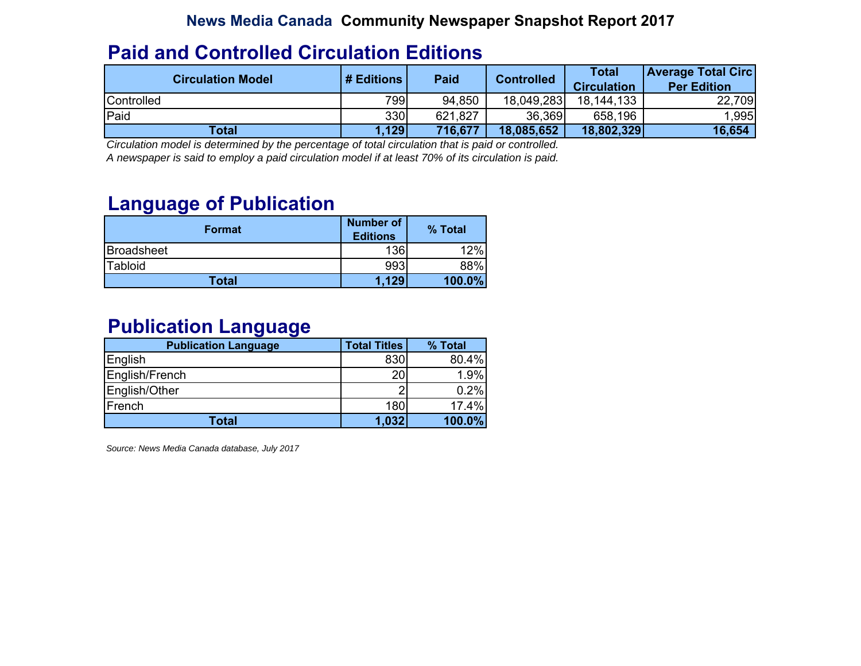#### **Paid and Controlled Circulation Editions**

| <b>Circulation Model</b> | # Editions | <b>Paid</b> | <b>Controlled</b> | <b>Total</b><br><b>Circulation</b> | <b>Average Total Circ</b><br><b>Per Edition</b> |
|--------------------------|------------|-------------|-------------------|------------------------------------|-------------------------------------------------|
| Controlled               | 799        | 94,850      | 18,049,283        | 18,144,133                         | 22,709                                          |
| Paid                     | 330        | 621,827     | 36,369            | 658,196                            | 1,995                                           |
| Total                    | 1,129      | 716,677     | 18,085,652        | 18,802,329                         | 16,654                                          |

*Circulation model is determined by the percentage of total circulation that is paid or controlled. A newspaper is said to employ a paid circulation model if at least 70% of its circulation is paid.*

#### **Language of Publication**

| Format       | Number of<br><b>Editions</b> | % Total |
|--------------|------------------------------|---------|
| Broadsheet   | 136                          | 12%     |
| Tabloid      | 993                          | 88%     |
| <b>Total</b> | 1.129                        | 100.0%  |

#### **Publication Language**

| <b>Publication Language</b> | <b>Total Titles</b> | % Total |
|-----------------------------|---------------------|---------|
| English                     | 830                 | 80.4%   |
| English/French              | 20                  | 1.9%    |
| English/Other               | റ                   | 0.2%    |
| French                      | 180                 | 17.4%   |
| <b>Total</b>                | 1,032               | 100.0%  |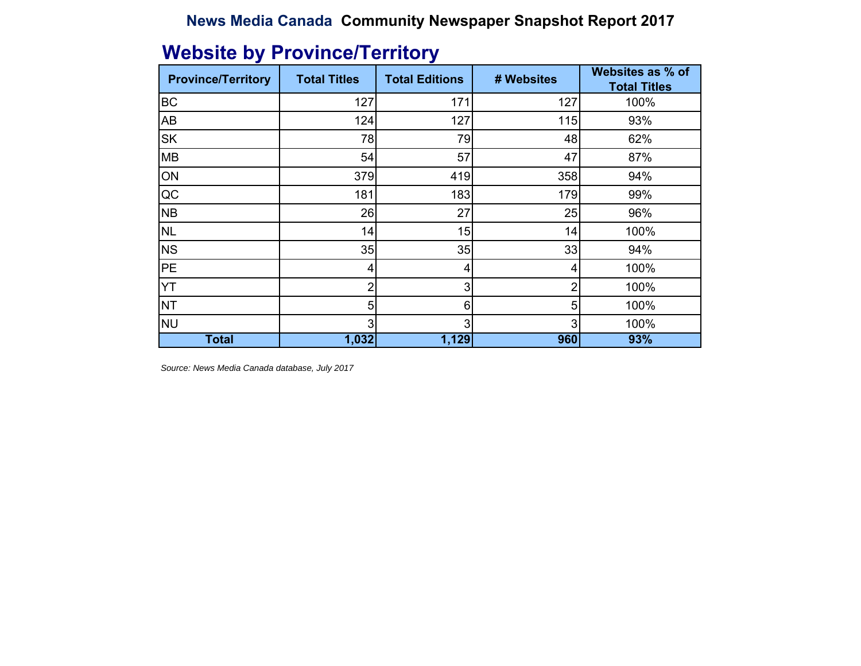| ◢<br><b>Province/Territory</b> | <b>Total Titles</b> | J<br><b>Total Editions</b> | # Websites | Websites as % of<br><b>Total Titles</b> |
|--------------------------------|---------------------|----------------------------|------------|-----------------------------------------|
| <b>BC</b>                      | 127                 | 171                        | 127        | 100%                                    |
| <b>AB</b>                      | 124                 | 127                        | 115        | 93%                                     |
| <b>SK</b>                      | 78                  | 79                         | 48         | 62%                                     |
| <b>MB</b>                      | 54                  | 57                         | 47         | 87%                                     |
| ON                             | 379                 | 419                        | 358        | 94%                                     |
| $\overline{QC}$                | 181                 | 183                        | 179        | 99%                                     |
| <b>NB</b>                      | 26                  | 27                         | 25         | 96%                                     |
| <b>NL</b>                      | 14                  | 15                         | 14         | 100%                                    |
| <b>NS</b>                      | 35                  | 35                         | 33         | 94%                                     |
| PE                             | 4                   | 4                          |            | 100%                                    |
| <b>YT</b>                      | 2                   | 3                          | 2          | 100%                                    |
| <b>NT</b>                      | 5                   | 6                          | 5          | 100%                                    |
| <b>NU</b>                      | 3                   | 3                          | 3          | 100%                                    |
| <b>Total</b>                   | 1,032               | 1,129                      | 960        | 93%                                     |

# **Website by Province/Territory**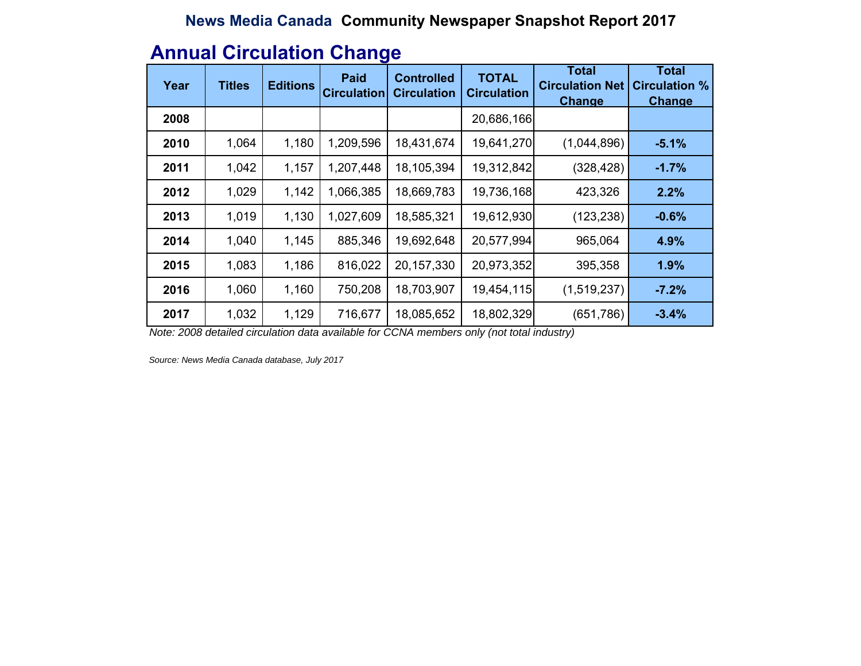#### **Annual Circulation Change**

| Year | <b>Titles</b> | <b>Editions</b> | <b>Paid</b><br><b>Circulation</b> | <b>Controlled</b><br><b>Circulation</b> | <b>TOTAL</b><br><b>Circulation</b> | Total<br><b>Circulation Net</b><br><b>Change</b> | <b>Total</b><br><b>Circulation %</b><br><b>Change</b> |
|------|---------------|-----------------|-----------------------------------|-----------------------------------------|------------------------------------|--------------------------------------------------|-------------------------------------------------------|
| 2008 |               |                 |                                   |                                         | 20,686,166                         |                                                  |                                                       |
| 2010 | 1,064         | 1,180           | 1,209,596                         | 18,431,674                              | 19,641,270                         | (1,044,896)                                      | $-5.1%$                                               |
| 2011 | 1,042         | 1,157           | 1,207,448                         | 18,105,394                              | 19,312,842                         | (328, 428)                                       | $-1.7%$                                               |
| 2012 | 1,029         | 1,142           | 1,066,385                         | 18,669,783                              | 19,736,168                         | 423,326                                          | 2.2%                                                  |
| 2013 | 1,019         | 1,130           | 1,027,609                         | 18,585,321                              | 19,612,930                         | (123, 238)                                       | $-0.6%$                                               |
| 2014 | 1,040         | 1,145           | 885,346                           | 19,692,648                              | 20,577,994                         | 965,064                                          | 4.9%                                                  |
| 2015 | 1,083         | 1,186           | 816,022                           | 20,157,330                              | 20,973,352                         | 395,358                                          | 1.9%                                                  |
| 2016 | 1,060         | 1,160           | 750,208                           | 18,703,907                              | 19,454,115                         | (1,519,237)                                      | $-7.2%$                                               |
| 2017 | 1,032         | 1,129           | 716,677                           | 18,085,652                              | 18,802,329                         | (651, 786)                                       | $-3.4%$                                               |

*Note: 2008 detailed circulation data available for CCNA members only (not total industry)*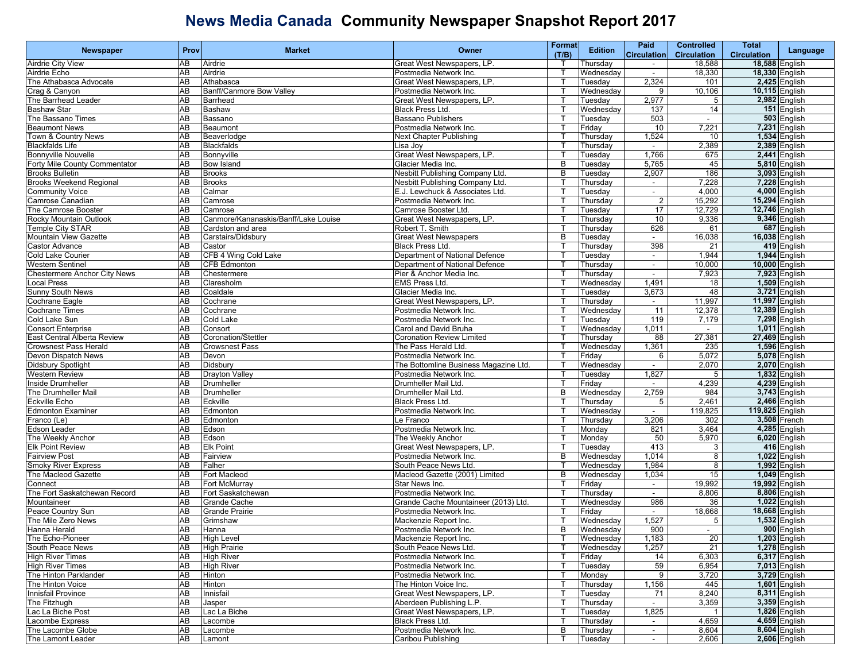| <b>Newspaper</b>                    | Prov      | <b>Market</b>                        | Owner                                 | Format       | <b>Edition</b> | Paid                     | <b>Controlled</b>  | Total                 | Language             |
|-------------------------------------|-----------|--------------------------------------|---------------------------------------|--------------|----------------|--------------------------|--------------------|-----------------------|----------------------|
|                                     |           |                                      |                                       | (T/B)        |                | <b>Circulation</b>       | <b>Circulation</b> | <b>Circulation</b>    |                      |
| <b>Airdrie City View</b>            | AB        | Airdrie                              | Great West Newspapers, LP.            |              | Thursday       |                          | 18,588             |                       | 18,588 English       |
| Airdrie Echo                        | AB        | Airdrie                              | Postmedia Network Inc.                | Т            | Wednesday      | $\sim$                   | 18,330             | 18,330 English        |                      |
| The Athabasca Advocate              | AB        | Athabasca                            | Great West Newspapers, LP.            | т            | Tuesday        | 2,324                    | 101                |                       | 2,425 English        |
| Crag & Canyon                       | AB        | Banff/Canmore Bow Valley             | Postmedia Network Inc.                |              | Wednesday      | 9                        | 10,106             | 10,115 English        |                      |
| The Barrhead Leader                 | AB        | Barrhead                             | Great West Newspapers, LP.            |              | Tuesday        | 2,977                    | 5                  |                       | 2,982 English        |
| <b>Bashaw Star</b>                  | AB        | Bashaw                               | Black Press Ltd.                      | $\mathsf{T}$ | Wednesdav      | 137                      | 14                 |                       | 151 English          |
| The Bassano Times                   | AB        | Bassano                              | <b>Bassano Publishers</b>             |              | Tuesdav        | 503                      | $\sim$             |                       | 503 English          |
| <b>Beaumont News</b>                | AB        | Beaumont                             | Postmedia Network Inc.                | т            | Friday         | 10                       | 7,221              |                       | 7,231 English        |
| Town & Country News                 | AB        | Beaverlodge                          | Next Chapter Publishing               |              | Thursday       | 1,524                    | 10                 |                       | 1,534 English        |
| <b>Blackfalds Life</b>              | AB        | <b>Blackfalds</b>                    | Lisa Joy                              |              | Thursdav       |                          | 2,389              |                       | 2,389 English        |
| <b>Bonnyville Nouvelle</b>          | AB        | Bonnyville                           | Great West Newspapers, LP.            |              | Tuesday        | 1,766                    | 675                |                       | 2,441 English        |
| Forty Mile County Commentator       | AB        | <b>Bow Island</b>                    | Glacier Media Inc.                    | B            | Tuesday        | 5,765                    | 45                 |                       | 5,810 English        |
| <b>Brooks Bulletin</b>              | AB        | <b>Brooks</b>                        | Nesbitt Publishing Company Ltd.       | B            | Tuesday        | 2,907                    | 186                |                       | 3,093 English        |
| <b>Brooks Weekend Regional</b>      | AB        | <b>Brooks</b>                        | Nesbitt Publishing Company Ltd.       |              | Thursday       | $\sim$                   | 7,228              |                       | $7,228$ English      |
| <b>Community Voice</b>              | AB        | Calmar                               | E.J. Lewchuck & Associates Ltd.       |              | Tuesday        | $\overline{\phantom{a}}$ | 4,000              |                       | 4,000 English        |
| Camrose Canadian                    | AB        | Camrose                              | Postmedia Network Inc.                | $\mathsf{T}$ | Thursday       | $\overline{2}$           | 15,292             | 15,294 English        |                      |
| The Camrose Booster                 | AB        | Camrose                              | Camrose Booster Ltd.                  | Τ            | Tuesdav        | 17                       | 12,729             | 12,746 English        |                      |
| Rocky Mountain Outlook              | AB        | Canmore/Kananaskis/Banff/Lake Louise | Great West Newspapers, LP.            | т            | Thursday       | 10                       | 9,336              |                       | 9,346 English        |
| Temple City STAR                    | AB        | Cardston and area                    | Robert T. Smith                       |              | Thursday       | 626                      | 61                 |                       | 687 English          |
| Mountain View Gazette               | AB        | Carstairs/Didsbury                   | <b>Great West Newspapers</b>          | B            | Tuesday        |                          | 16,038             | 16,038 English        |                      |
| <b>Castor Advance</b>               | AB        | Castor                               | <b>Black Press Ltd.</b>               |              | Thursday       | 398                      | 21                 |                       | 419 English          |
| <b>Cold Lake Courier</b>            | AB        | CFB 4 Wing Cold Lake                 | Department of National Defence        | ा            | Tuesdav        | $\sim$                   | 1,944              |                       | 1,944 English        |
| <b>Western Sentinel</b>             | AB        | <b>CFB Edmonton</b>                  | Department of National Defence        | т            | Thursday       | $\sim$                   | 10,000             |                       | 10,000 English       |
| <b>Chestermere Anchor City News</b> | AB        | Chestermere                          | Pier & Anchor Media Inc.              |              | Thursday       | $\sim$                   | 7,923              |                       | 7,923 English        |
| ocal Press                          | AB        | Claresholm                           | <b>EMS Press Ltd.</b>                 | ा            | Wednesday      | 1,491                    | 18                 |                       | 1,509 English        |
| <b>Sunny South News</b>             | AB        | Coaldale                             | Glacier Media Inc.                    | $\mathsf{T}$ | Tuesday        | 3,673                    | 48                 |                       | 3,721 English        |
| Cochrane Eagle                      | AB        | Cochrane                             | Great West Newspapers, LP.            | П            | Thursday       | $\sim$                   | 11,997             | 11,997 English        |                      |
| <b>Cochrane Times</b>               | AB        | Cochrane                             | Postmedia Network Inc.                | т            | Wednesday      | 11                       | 12,378             | <b>12,389 English</b> |                      |
| Cold Lake Sun                       | AB        | Cold Lake                            | Postmedia Network Inc.                |              | Tuesday        | 119                      | 7,179              |                       | 7,298 English        |
| <b>Consort Enterprise</b>           | AB        | Consort                              | Carol and David Bruha                 |              | Wednesday      | 1,011                    |                    |                       | 1,011 English        |
| East Central Alberta Review         | AB        | <b>Coronation/Stettler</b>           | <b>Coronation Review Limited</b>      |              | Thursday       | 88                       | 27,381             | 27,469 English        |                      |
| <b>Crowsnest Pass Herald</b>        | AB        | <b>Crowsnest Pass</b>                | The Pass Herald Ltd.                  | ा            | Wednesday      | 1,361                    | 235                |                       | 1,596 English        |
| Devon Dispatch News                 | AB        | Devon                                | Postmedia Network Inc.                | т            | Friday         | 6                        | 5,072              |                       | 5,078 English        |
| <b>Didsbury Spotlight</b>           | AB        | Didsbury                             | The Bottomline Business Magazine Ltd. |              | Wednesday      | $\sim$                   | 2,070              |                       | 2,070 English        |
| <b>Western Review</b>               | AB        | <b>Drayton Valley</b>                | Postmedia Network Inc.                |              | Tuesday        | 1,827                    | 5                  |                       | 1,832 English        |
| Inside Drumheller                   | AB        | Drumheller                           | Drumheller Mail Ltd.                  | $\mathsf{T}$ | Friday         | $\blacksquare$           | 4,239              |                       | 4,239 English        |
| The Drumheller Mail                 | AB        | Drumheller                           | Drumheller Mail Ltd.                  | B            | Wednesday      | 2,759                    | 984                |                       | 3,743 English        |
| Eckville Echo                       | AB        | Eckville                             | Black Press Ltd.                      |              | Thursday       | 5                        | 2,461              |                       | 2,466 English        |
| <b>Edmonton Examiner</b>            | AB        | Edmonton                             | Postmedia Network Inc.                |              | Wednesday      | $\sim$                   | 119,825            | 119,825 English       |                      |
| Franco (Le)                         | AB        | Edmonton                             | Le Franco                             |              | Thursdav       | 3,206                    | 302                |                       | 3,508 French         |
| <b>Edson Leader</b>                 | AB        | Edson                                | Postmedia Network Inc.                |              | Monday         | 821                      | 3,464              |                       | 4,285 English        |
| The Weekly Anchor                   | AB        | Edson                                | The Weekly Anchor                     | ा            | Monday         | 50                       | 5,970              |                       | 6,020 English        |
| <b>Elk Point Review</b>             | AB        | <b>Elk Point</b>                     | Great West Newspapers, LP.            |              | Tuesday        | 413                      | 3                  |                       | 416 English          |
| <b>Fairview Post</b>                | AB        | Fairview                             | Postmedia Network Inc.                | B            | Wednesday      | 1,014                    | 8                  |                       | 1,022 English        |
| <b>Smoky River Express</b>          | AB        | Falher                               | South Peace News Ltd.                 |              | Wednesday      | 1,984                    | 8                  |                       | 1,992 English        |
| The Macleod Gazette                 | AB        | Fort Macleod                         | Macleod Gazette (2001) Limited        | B            | Wednesday      | 1,034                    | 15                 |                       | <b>1,049</b> English |
| Connect                             | AB        | Fort McMurray                        | Star News Inc.                        | ℸ            | Friday         | $\sim$                   | 19,992             | 19,992 English        |                      |
| The Fort Saskatchewan Record        | AB        | Fort Saskatchewan                    | Postmedia Network Inc.                |              | Thursday       | $\sim$                   | 8,806              |                       | 8,806 English        |
| Mountaineer                         | AB        | Grande Cache                         | Grande Cache Mountaineer (2013) Ltd.  |              | Wednesday      | 986                      | 36                 |                       | 1,022 English        |
| Peace Country Sun                   | AB        | <b>Grande Prairie</b>                | Postmedia Network Inc.                |              | Friday         |                          | 18,668             | 18,668 English        |                      |
| The Mile Zero News                  | AB        | Grimshaw                             | Mackenzie Report Inc.                 |              | Wednesdav      | 1,527                    | 5                  |                       | 1,532 English        |
| Hanna Herald                        | AB        | Hanna                                | Postmedia Network Inc.                | B            | Wednesday      | 900                      |                    |                       | 900 English          |
| The Echo-Pioneer                    | AB        | <b>High Level</b>                    | Mackenzie Report Inc.                 | $\mathsf{T}$ | Wednesdav      | 1,183                    | $\overline{20}$    |                       | 1,203 English        |
| South Peace News                    | AB        | <b>High Prairie</b>                  | South Peace News Ltd.                 |              | Wednesday      | 1,257                    | 21                 |                       | <b>1,278</b> English |
| <b>High River Times</b>             | AB        | <b>High River</b>                    | Postmedia Network Inc.                |              | Friday         | 14                       | 6,303              |                       | 6,317 English        |
| <b>High River Times</b>             | AB        | <b>High River</b>                    | Postmedia Network Inc.                | т            | Tuesday        | 59                       | 6,954              |                       | 7,013 English        |
| The Hinton Parklander               | AB        | Hinton                               | Postmedia Network Inc.                | Т            | Monday         | 9                        | 3,720              |                       | 3,729 English        |
| The Hinton Voice                    | AB        | Hinton                               | The Hinton Voice Inc.                 | т            | Thursday       | 1,156                    | 445                |                       | 1,601 English        |
| Innisfail Province                  | <b>AB</b> | Innisfail                            | Great West Newspapers, LP.            |              | Tuesday        | 71                       | 8,240              |                       | 8,311 English        |
| The Fitzhugh                        | AB        | Jasper                               | Aberdeen Publishing L.P.              |              | Thursday       |                          | 3,359              |                       | 3,359 English        |
| Lac La Biche Post                   | AB        | Lac La Biche                         | Great West Newspapers, LP.            |              | Tuesday        | 1,825                    |                    |                       | 1,826 English        |
| Lacombe Express                     | AB        | Lacombe                              | Black Press Ltd.                      |              | Thursday       | $\sim$                   | 4,659              |                       | 4,659 English        |
| The Lacombe Globe                   | AB        | Lacombe                              | Postmedia Network Inc.                | В            | Thursday       | $\sim$                   | 8,604              |                       | 8,604 English        |
| The Lamont Leader                   | AB        | Lamont                               | Caribou Publishing                    |              | Tuesday        | $\sim$                   | 2,606              |                       | 2,606 English        |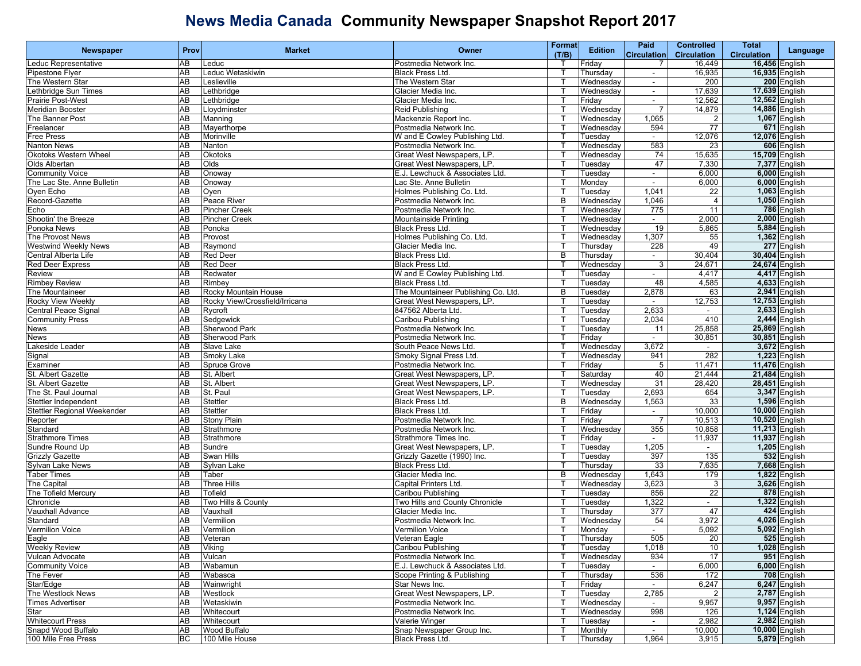| Newspaper                                 | Prov                  | <b>Market</b>                  | Owner                                                     | <b>Format</b> | <b>Edition</b>                   | Paid                     | <b>Controlled</b>        | <b>Total</b>       |                                  |
|-------------------------------------------|-----------------------|--------------------------------|-----------------------------------------------------------|---------------|----------------------------------|--------------------------|--------------------------|--------------------|----------------------------------|
|                                           |                       |                                |                                                           | (T/B)         |                                  | <b>Circulation</b>       | <b>Circulation</b>       | <b>Circulation</b> | Language                         |
| educ Representative                       | AВ                    | _educ                          | Postmedia Network Inc.                                    |               | Friday                           | $\overline{7}$           | 16,449                   |                    | 16,456 English                   |
| Pipestone Flyer                           | AB                    | educ Wetaskiwin                | Black Press Ltd.                                          |               | Thursday                         | $\overline{\phantom{a}}$ | 16,935                   |                    | 16,935 English                   |
| The Western Star                          | AB                    | _eslieville                    | The Western Star                                          |               | Wednesday                        | $\sim$                   | 200                      |                    | 200 English                      |
| Lethbridge Sun Times                      | AB                    | _ethbridge                     | Glacier Media Inc.                                        | т             | Wednesday                        | $\sim$                   | 17,639                   |                    | 17,639 English                   |
| <b>Prairie Post-West</b>                  | $\overline{AB}$       | Lethbridge                     | Glacier Media Inc.                                        |               | Friday                           | $\blacksquare$           | 12,562                   |                    | <b>12,562 English</b>            |
| <b>Meridian Booster</b>                   | AB                    | _loydminster                   | Reid Publishing                                           |               | Wednesday                        | $\overline{7}$           | 14,879                   | 14,886 English     |                                  |
| The Banner Post                           | AB                    | Manning                        | Mackenzie Report Inc.                                     |               | Wednesday                        | 1,065                    |                          |                    | 1,067 English                    |
| Freelancer                                | $\overline{AB}$       | Mayerthorpe                    | Postmedia Network Inc.                                    |               | Wednesday                        | 594                      | 77                       |                    | 671 English                      |
| Free Press                                | AB                    | Morinville                     | W and E Cowley Publishing Ltd.                            | т             | Tuesday                          | $\sim$                   | 12,076                   |                    | 12,076 English                   |
| <b>Nanton News</b>                        | AB                    | Nanton                         | Postmedia Network Inc.                                    |               | Wednesday                        | 583                      | 23                       |                    | 606 English                      |
| Okotoks Western Wheel                     | AB                    | Okotoks                        | Great West Newspapers, LP.                                |               | Wednesday                        | 74                       | 15,635                   | 15,709 English     |                                  |
| Olds Albertan                             | AB                    | Olds                           | Great West Newspapers, LP.                                |               | Tuesday                          | 47                       | 7,330                    |                    | 7,377 English                    |
| <b>Community Voice</b>                    | $\overline{AB}$       | Onoway                         | E.J. Lewchuck & Associates Ltd.                           |               | Tuesday                          | $\sim$                   | 6,000                    |                    | 6,000 English                    |
| The Lac Ste. Anne Bulletin                | AB                    | Onoway                         | Lac Ste. Anne Bulletin                                    | т             | Monday                           | $\blacksquare$           | 6,000                    |                    | 6,000 English                    |
| Oyen Echo                                 | AB                    | Oyen                           | Holmes Publishing Co. Ltd.                                |               | Tuesday                          | 1,041                    | 22                       |                    | 1,063 English                    |
| Record-Gazette                            | AB                    | Peace River                    | Postmedia Network Inc.                                    | B             | $\overline{\mathsf{W}}$ ednesday | 1,046                    | $\overline{4}$           |                    | 1,050 English                    |
| Echo                                      | AВ                    | Pincher Creek                  | Postmedia Network Inc.                                    |               | Wednesday                        | 775                      | 11                       |                    | 786 English                      |
| Shootin' the Breeze                       | $\overline{AB}$       | <b>Pincher Creek</b>           | Mountainside Printing                                     |               | Wednesday                        | $\sim$                   | 2,000                    |                    | 2,000 English                    |
| Ponoka News                               | AB                    | Ponoka                         | Black Press Ltd.                                          | т             | $\overline{\mathsf{W}}$ ednesday | 19                       | 5,865                    |                    | 5,884 English                    |
| The Provost News                          | AB                    | Provost                        | Holmes Publishing Co. Ltd.                                |               | Wednesday                        | 1,307                    | 55                       |                    | 1,362 English                    |
| <b>Westwind Weekly News</b>               | AB                    | Raymond                        | Glacier Media Inc.                                        |               | Thursday                         | 228                      | 49                       |                    | 277 English                      |
| Central Alberta Life                      | AB                    | <b>Red Deer</b>                | Black Press Ltd.                                          | B             | Thursday                         | $\overline{\phantom{a}}$ | 30,404                   |                    | 30,404 English                   |
| <b>Red Deer Express</b>                   | AB                    | <b>Red Deer</b>                | Black Press Ltd.                                          | ा             | Wednesday                        | 3                        | 24,671                   |                    | 24,674 English                   |
| Review                                    | AB                    | Redwater                       | W and E Cowley Publishing Ltd.                            | т             | Tuesday                          | $\sim$                   | 4,417                    |                    | 4,417 English                    |
| <b>Rimbey Review</b>                      | AB                    | Rimbey                         | <b>Black Press Ltd.</b>                                   |               | Tuesday                          | 48                       | 4,585                    |                    | 4,633 English                    |
| The Mountaineer                           | AB                    | Rocky Mountain House           | The Mountaineer Publishing Co. Ltd.                       | B             | Tuesdav                          | 2,878                    | 63                       |                    | 2,941 English                    |
| Rocky View Weekly                         | AB                    | Rocky View/Crossfield/Irricana | Great West Newspapers, LP.                                |               | Tuesdav                          |                          | 12,753                   |                    | 12,753 English                   |
| <b>Central Peace Signal</b>               | $\overline{AB}$       | Rycroft                        | 847562 Alberta Ltd.                                       |               | Tuesday                          | 2,633                    | $\sim$                   |                    | 2,633 English                    |
| <b>Community Press</b>                    | AB                    | Sedgewick                      | Caribou Publishing                                        |               | Tuesday                          | 2,034                    | 410                      |                    | 2,444 English                    |
| News                                      | AB                    | <b>Sherwood Park</b>           | Postmedia Network Inc.                                    |               | Tuesday                          | 11                       | 25,858                   |                    | 25,869 English                   |
| News                                      | AB                    | Sherwood Park                  | Postmedia Network Inc.                                    |               | Friday                           | $\blacksquare$           | 30,851                   |                    | 30,851 English                   |
| akeside Leader                            | AB                    | Slave Lake                     | South Peace News Ltd.                                     |               | Wednesday                        | 3,672                    | $\overline{\phantom{a}}$ |                    | 3,672 English                    |
| Signal                                    | AB                    | Smoky Lake                     | Smoky Signal Press Ltd                                    |               | Wednesday                        | 941                      | 282                      |                    | 1,223 English                    |
| Examiner                                  | AB                    | Spruce Grove                   | Postmedia Network Inc.                                    | т             | Friday                           | 5                        | 11,471                   |                    | 11,476 English                   |
| St. Albert Gazette                        | AB                    | St. Albert                     | Great West Newspapers, LP.                                |               | Saturday                         | 40                       | 21,444                   | 21,484 English     |                                  |
| St. Albert Gazette                        | AB                    | St. Albert                     | Great West Newspapers, LP.                                |               | Wednesday                        | 31                       | 28,420                   | 28,451 English     |                                  |
| The St. Paul Journal                      | AB                    | St. Paul                       | Great West Newspapers, LP.                                |               | Tuesday                          | 2,693                    | 654                      |                    | 3,347 English                    |
| Stettler Independent                      | $\overline{AB}$       | Stettler                       | Black Press Ltd.                                          | B             | Wednesday                        | 1,563                    | 33                       |                    | 1,596 English                    |
| Stettler Regional Weekender               | AB                    | Stettler                       | Black Press Ltd.                                          |               | Friday                           | $\sim$                   | 10,000                   |                    | 10,000 English                   |
|                                           | AB                    | <b>Stony Plain</b>             | Postmedia Network Inc.                                    |               | Friday                           | $\overline{7}$           | 10,513                   | 10,520 English     |                                  |
| Reporter<br>Standard                      | AB                    | Strathmore                     | Postmedia Network Inc.                                    |               | Wednesday                        | 355                      | 10,858                   | 11,213 English     |                                  |
| <b>Strathmore Times</b>                   | AB                    | Strathmore                     | Strathmore Times Inc.                                     |               | Friday                           | $\blacksquare$           | 11,937                   | 11,937 English     |                                  |
|                                           | AB                    |                                |                                                           |               |                                  | 1,205                    |                          |                    | 1,205 English                    |
| Sundre Round Up<br><b>Grizzly Gazette</b> | AB                    | Sundre<br>Swan Hills           | Great West Newspapers, LP.<br>Grizzly Gazette (1990) Inc. | т             | Tuesday<br>Tuesday               | 397                      | $\sim$<br>135            |                    | 532 English                      |
|                                           | AB                    |                                |                                                           |               |                                  | 33                       |                          |                    |                                  |
| Sylvan Lake News<br>Taber Times           | AB                    | Sylvan Lake                    | Black Press Ltd.                                          | B             | Thursday                         |                          | 7,635                    |                    | 7,668 English<br>$1,822$ English |
|                                           | AB                    | Taber<br><b>Three Hills</b>    | Glacier Media Inc.                                        |               | Wednesday                        | 1,643                    | 179                      |                    | 3,626 English                    |
| The Capital                               |                       |                                | <b>Capital Printers Ltd</b>                               |               | Wednesday                        | 3,623                    | 3                        |                    |                                  |
| The Tofield Mercury                       | $\overline{AB}$<br>AB | Tofield                        | Caribou Publishing                                        |               | Tuesday                          | 856                      | 22                       |                    | 878 English<br>1,322 English     |
| Chronicle                                 |                       | Two Hills & County             | Two Hills and County Chronicle                            | т             | Tuesday                          | 1,322                    | $\sim$                   |                    |                                  |
| Vauxhall Advance                          | AB                    | Vauxhall                       | Glacier Media Inc.                                        |               | Thursday                         | 377                      | 47                       |                    | 424 English                      |
| Standard                                  | AB<br>AB              | Vermilion                      | Postmedia Network Inc.                                    |               | Wednesday                        | 54                       | 3,972                    |                    | 4,026 English                    |
| <b>Vermilion Voice</b>                    |                       | Vermilion                      | Vermilion Voice                                           | T.            | Monday                           |                          | 5,092                    |                    | 5,092 English                    |
| Eagle                                     | AB                    | Veteran                        | Veteran Eagle                                             | $\mathsf{T}$  | Thursday                         | 505                      | 20                       |                    | 525 English                      |
| <b>Weekly Review</b>                      | AB                    | Viking                         | Caribou Publishing                                        | $\mathsf{T}$  | Tuesday                          | 1,018                    | 10                       |                    | 1,028 English                    |
| Vulcan Advocate                           | AB                    | Vulcan                         | Postmedia Network Inc.                                    |               | Wednesday                        | 934                      | 17                       |                    | 951 English                      |
| <b>Community Voice</b>                    | AB                    | Wabamun                        | E.J. Lewchuck & Associates Ltd.                           |               | Tuesday                          | $\sim$                   | 6,000                    |                    | 6,000 English                    |
| The Fever                                 | AB                    | Wabasca                        | Scope Printing & Publishing                               |               | Thursday                         | 536                      | 172                      |                    | 708 English                      |
| Star/Edge                                 | AB                    | Wainwright                     | Star News Inc.                                            |               | Friday                           | $\sim$                   | 6,247                    |                    | 6,247 English                    |
| The Westlock News                         | AB                    | Westlock                       | Great West Newspapers, LP.                                | т             | Tuesday                          | 2,785                    | $\overline{2}$           |                    | 2,787 English                    |
| <b>Times Advertiser</b>                   | AB                    | Wetaskiwin                     | Postmedia Network Inc.                                    |               | Wednesday                        | $\sim$                   | 9,957                    |                    | 9,957 English                    |
| Star                                      | AB                    | Whitecourt                     | Postmedia Network Inc.                                    |               | Wednesday                        | 998                      | 126                      |                    | 1,124 English                    |
| <b>Whitecourt Press</b>                   | AB                    | Whitecourt                     | Valerie Winger                                            |               | Tuesday                          | $\sim$                   | 2,982                    |                    | 2,982 English                    |
| Snapd Wood Buffalo                        | AB                    | Wood Buffalo                   | Snap Newspaper Group Inc.                                 | Т             | Monthly                          | $\sim$                   | 10,000                   |                    | 10,000 English                   |
| 100 Mile Free Press                       | ВC                    | 100 Mile House                 | Black Press Ltd.                                          | Т             | Thursday                         | 1,964                    | 3,915                    |                    | 5,879 English                    |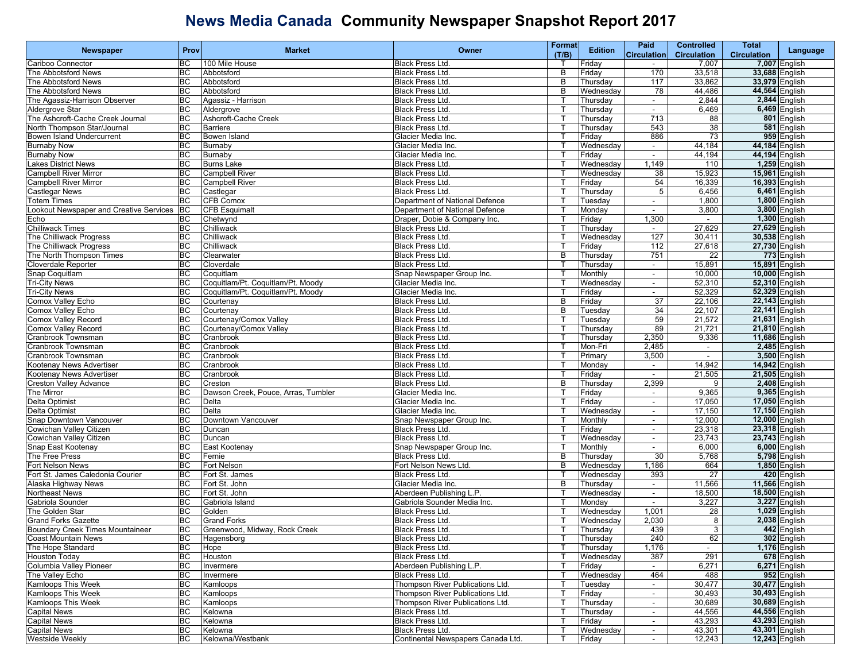|                                                         |           |                                     |                                    | Format       |                | Paid                     | <b>Controlled</b>  | Total              |                      |
|---------------------------------------------------------|-----------|-------------------------------------|------------------------------------|--------------|----------------|--------------------------|--------------------|--------------------|----------------------|
| <b>Newspaper</b>                                        | Prov      | <b>Market</b>                       | Owner                              | (T/B)        | <b>Edition</b> | <b>Circulation</b>       | <b>Circulation</b> | <b>Circulation</b> | Language             |
| Cariboo Connector                                       | BC        | 100 Mile House                      | <b>Black Press Ltd.</b>            |              | Friday         |                          | 7,007              |                    | 7,007 English        |
| The Abbotsford News                                     | BC        | Abbotsford                          | <b>Black Press Ltd.</b>            | В            | Friday         | 170                      | 33,518             |                    | 33,688 English       |
| The Abbotsford News                                     | <b>BC</b> | Abbotsford                          | Black Press Ltd.                   | B            | Thursday       | 117                      | 33,862             | 33,979 English     |                      |
| The Abbotsford News                                     | <b>BC</b> | Abbotsford                          | <b>Black Press Ltd.</b>            | B            |                | 78                       | 44,486             | 44,564 English     |                      |
|                                                         |           |                                     |                                    |              | Wednesday      |                          |                    |                    |                      |
| The Agassiz-Harrison Observer                           | <b>BC</b> | Agassiz - Harrison                  | Black Press Ltd.                   |              | Thursday       | $\sim$                   | 2,844              |                    | 2,844 English        |
| Aldergrove Star                                         | <b>BC</b> | Aldergrove                          | <b>Black Press Ltd.</b>            |              | Thursday       | $\overline{\phantom{a}}$ | 6,469              |                    | $6,469$ English      |
| The Ashcroft-Cache Creek Journal                        | <b>BC</b> | Ashcroft-Cache Creek                | Black Press Ltd.                   |              | Thursday       | 713                      | 88                 |                    | 801 English          |
| North Thompson Star/Journal                             | <b>BC</b> | <b>Barriere</b>                     | Black Press Ltd.                   | т            | Thursday       | 543                      | 38                 |                    | 581 English          |
| Bowen Island Undercurrent                               | <b>BC</b> | Bowen Island                        | Glacier Media Inc.                 | Т            | Friday         | 886                      | 73                 |                    | 959 English          |
| <b>Burnaby Now</b>                                      | <b>BC</b> | Burnaby                             | Glacier Media Inc.                 |              | Wednesday      | $\overline{\phantom{a}}$ | 44,184             | 44,184 English     |                      |
| <b>Burnaby Now</b>                                      | <b>BC</b> | Burnaby                             | Glacier Media Inc.                 | $\mathsf{T}$ | Friday         | $\blacksquare$           | 44,194             | 44,194 English     |                      |
| Lakes District News                                     | <b>BC</b> | <b>Burns Lake</b>                   | <b>Black Press Ltd.</b>            |              | Wednesday      | 1,149                    | 110                |                    | 1,259 English        |
| <b>Campbell River Mirror</b>                            | <b>BC</b> | <b>Campbell River</b>               | Black Press Ltd.                   | т            | Wednesday      | 38                       | 15,923             | 15,961 English     |                      |
| <b>Campbell River Mirror</b>                            | <b>BC</b> | <b>Campbell River</b>               | Black Press Ltd.                   | ा            | Friday         | 54                       | 16,339             | 16,393 English     |                      |
| <b>Castlegar News</b>                                   | <b>BC</b> | Castlegar                           | Black Press Ltd.                   |              | Thursday       | $\overline{5}$           | 6,456              |                    | 6,461 English        |
| <b>Totem Times</b>                                      | <b>BC</b> | <b>CFB Comox</b>                    | Department of National Defence     |              | Tuesday        | $\overline{\phantom{a}}$ | 1,800              |                    | <b>1,800 English</b> |
| Lookout Newspaper and Creative Services                 | <b>BC</b> | <b>CFB Esquimalt</b>                | Department of National Defence     | Т            | Monday         | $\sim$                   | 3,800              |                    | 3,800 English        |
|                                                         |           |                                     |                                    |              |                |                          |                    |                    |                      |
| Echo                                                    | BC        | Chetwynd                            | Draper, Dobie & Company Inc.       | т            | Friday         | 1,300                    | $\sim$             |                    | 1,300 English        |
| <b>Chilliwack Times</b>                                 | <b>BC</b> | Chilliwack                          | Black Press Ltd.                   | ा            | Thursday       | $\sim$                   | 27,629             | 27,629 English     |                      |
| The Chilliwack Progress                                 | <b>BC</b> | Chilliwack                          | Black Press Ltd.                   |              | Wednesday      | 127                      | 30,411             | 30,538 English     |                      |
| The Chilliwack Progress                                 | <b>BC</b> | Chilliwack                          | <b>Black Press Ltd.</b>            | $\mathsf{T}$ | Friday         | 112                      | 27,618             | 27,730 English     |                      |
| The North Thompson Times                                | <b>BC</b> | Clearwater                          | <b>Black Press Ltd.</b>            | B            | Thursday       | 751                      | 22                 |                    | 773 English          |
| Cloverdale Reporter                                     | <b>BC</b> | Cloverdale                          | <b>Black Press Ltd.</b>            | т            | Thursday       | $\sim$                   | 15,891             | 15,891 English     |                      |
| Snap Coquitlam                                          | <b>BC</b> | Coquitlam                           | Snap Newspaper Group Inc.          |              | Monthly        | $\sim$                   | 10,000             | 10,000 English     |                      |
| <b>Tri-City News</b>                                    | <b>BC</b> | Coquitlam/Pt. Coquitlam/Pt. Moody   | Glacier Media Inc.                 |              | Wednesday      | $\sim$                   | 52,310             | 52,310 English     |                      |
| <b>Tri-City News</b>                                    | <b>BC</b> | Coquitlam/Pt. Coquitlam/Pt. Moody   | Glacier Media Inc.                 |              | Friday         | $\blacksquare$           | 52,329             | 52,329 English     |                      |
| Comox Valley Echo                                       | <b>BC</b> | Courtenay                           | <b>Black Press Ltd.</b>            | в            | Friday         | 37                       | 22,106             | 22,143 English     |                      |
| Comox Valley Echo                                       | <b>BC</b> | Courtenay                           | <b>Black Press Ltd.</b>            | В            | Tuesday        | 34                       | 22,107             | 22,141 English     |                      |
| Comox Valley Record                                     | <b>BC</b> | Courtenay/Comox Valley              | <b>Black Press Ltd.</b>            |              | Tuesdav        | 59                       | 21,572             | 21,631 English     |                      |
| <b>Comox Valley Record</b>                              | BC        | Courtenay/Comox Valley              | Black Press Ltd.                   |              | Thursdav       | 89                       | 21,721             | 21,810 English     |                      |
| Cranbrook Townsman                                      | <b>BC</b> | Cranbrook                           | Black Press Ltd.                   | $\mathsf{T}$ | Thursda∖       | 2,350                    | 9,336              | 11,686 English     |                      |
|                                                         | BC        |                                     | <b>Black Press Ltd.</b>            | т            | Mon-Fri        | 2,485                    |                    |                    |                      |
| Cranbrook Townsman                                      |           | Cranbrook                           |                                    |              |                |                          | $\blacksquare$     |                    | 2,485 English        |
| Cranbrook Townsman                                      | <b>BC</b> | Cranbrook                           | Black Press Ltd.                   | т            | Primary        | 3,500                    | $\sim$             |                    | 3,500 English        |
| Kootenay News Advertiser                                | <b>BC</b> | Cranbrook                           | Black Press Ltd.                   | П            | Monday         | $\sim$                   | 14,942             | 14,942 English     |                      |
| Kootenay News Advertiser                                | <b>BC</b> | Cranbrook                           | Black Press Ltd.                   |              | Friday         | $\sim$                   | 21,505             | 21,505 English     |                      |
| <b>Creston Valley Advance</b>                           | <b>BC</b> | Creston                             | <b>Black Press Ltd.</b>            | B            | Thursday       | 2,399                    | 9                  |                    | 2,408 English        |
| The Mirror                                              | BC        | Dawson Creek, Pouce, Arras, Tumbler | Glacier Media Inc.                 |              | Friday         | $\sim$                   | 9,365              |                    | 9,365 English        |
| Delta Optimist                                          | <b>BC</b> | Delta                               | Glacier Media Inc.                 | Т            | Friday         | $\sim$                   | 17,050             | 17,050 English     |                      |
| Delta Optimist                                          | <b>BC</b> | Delta                               | Glacier Media Inc.                 | П            | Wednesday      | $\blacksquare$           | 17,150             | 17,150 English     |                      |
| Snap Downtown Vancouver                                 | BC        | Downtown Vancouver                  | Snap Newspaper Group Inc.          |              | Monthly        | $\overline{\phantom{a}}$ | 12,000             | 12,000 English     |                      |
| Cowichan Valley Citizen                                 | <b>BC</b> | Duncan                              | <b>Black Press Ltd.</b>            | $\mathsf{T}$ | Friday         |                          | 23,318             | 23,318 English     |                      |
| Cowichan Valley Citizen                                 | BC        | Duncan                              | Black Press Ltd.                   | т            | Wednesday      | $\sim$                   | 23,743             | 23,743 English     |                      |
| Snap East Kootenay                                      | <b>BC</b> | East Kootenay                       | Snap Newspaper Group Inc.          | т            | Monthly        | $\sim$                   | 6,000              |                    | 6,000 English        |
| The Free Press                                          | <b>BC</b> | Fernie                              | Black Press Ltd.                   | В            | Thursday       | 30                       | 5,768              |                    | 5,798 English        |
| Fort Nelson News                                        | <b>BC</b> | Fort Nelson                         | Fort Nelson News Ltd               | B            | Wednesday      | 1,186                    | 664                |                    | 1,850 English        |
| Fort St. James Caledonia Courier                        | <b>BC</b> | Fort St. James                      | Black Press Ltd.                   |              | Wednesday      | 393                      | 27                 |                    | 420 English          |
| Alaska Highway News                                     | <b>BC</b> | Fort St. John                       | Glacier Media Inc.                 | B            | Thursday       | $\sim$                   | 11,566             | 11,566 English     |                      |
| <b>Northeast News</b>                                   | <b>BC</b> | Fort St. John                       | Aberdeen Publishing L.P.           |              | Wednesday      | $\sim$                   | 18,500             | 18,500 English     |                      |
| Gabriola Sounder                                        | <b>BC</b> | Gabriola Island                     | Gabriola Sounder Media Inc.        | П            | Monday         | $\sim$                   | 3,227              |                    | 3,227 English        |
|                                                         |           |                                     |                                    |              |                |                          |                    |                    |                      |
| The Golden Star                                         | <b>BC</b> | Golden                              | Black Press Ltd.                   |              | Wednesday      | 1,001                    | 28                 |                    | 1,029 English        |
| Grand Forks Gazette<br>Boundary Creek Times Mountaineer | <b>BC</b> | <b>Grand Forks</b>                  | <b>Black Press Ltd.</b>            |              | Wednesday      | 2,030                    | 8                  |                    | 2,038 English        |
|                                                         | BC        | Greenwood, Midway, Rock Creek       | <b>Black Press Ltd.</b>            | T            | Thursday       | 439                      | دن                 |                    | 442 English          |
| <b>Coast Mountain News</b>                              | BC        | Hagensborg                          | <b>Black Press Ltd.</b>            | $\mathsf{T}$ | Thursday       | 240                      | 62                 |                    | 302 English          |
| The Hope Standard                                       | <b>BC</b> | Hope                                | Black Press Ltd.                   | т            | Thursday       | 1,176                    | $\sim$             |                    | 1,176 English        |
| <b>Houston Today</b>                                    | <b>BC</b> | Houston                             | Black Press Ltd.                   |              | Wednesday      | 387                      | 291                |                    | 678 English          |
| Columbia Valley Pioneer                                 | <b>BC</b> | Invermere                           | Aberdeen Publishing L.P.           |              | Friday         | $\blacksquare$           | 6,271              |                    | 6,271 English        |
| The Valley Echo                                         | BC        | Invermere                           | Black Press Ltd.                   | т            | Wednesday      | 464                      | 488                |                    | 952 English          |
| <b>Kamloops This Week</b>                               | <b>BC</b> | Kamloops                            | Thompson River Publications Ltd.   | т            | Tuesday        | $\sim$                   | 30,477             | 30,477 English     |                      |
| Kamloops This Week                                      | <b>BC</b> | Kamloops                            | Thompson River Publications Ltd.   | Т            | Friday         | $\sim$                   | 30,493             |                    | 30,493 English       |
| Kamloops This Week                                      | BC        | Kamloops                            | Thompson River Publications Ltd.   |              | Thursday       | $\sim$                   | 30,689             |                    | 30,689 English       |
| <b>Capital News</b>                                     | <b>BC</b> | Kelowna                             | Black Press Ltd.                   | $\mathsf{T}$ | Thursday       | $\blacksquare$           | 44,556             | 44,556 English     |                      |
| <b>Capital News</b>                                     | BC        | Kelowna                             | Black Press Ltd.                   | Т            | Friday         | $\sim$                   | 43,293             |                    | 43,293 English       |
| <b>Capital News</b>                                     | BC        | Kelowna                             | Black Press Ltd.                   | Т            | Wednesday      | $\sim$                   | 43,301             |                    | 43,301 English       |
| <b>Westside Weekly</b>                                  | BC        | Kelowna/Westbank                    | Continental Newspapers Canada Ltd. | т            | Friday         | $\sim$                   | 12,243             |                    | 12,243 English       |
|                                                         |           |                                     |                                    |              |                |                          |                    |                    |                      |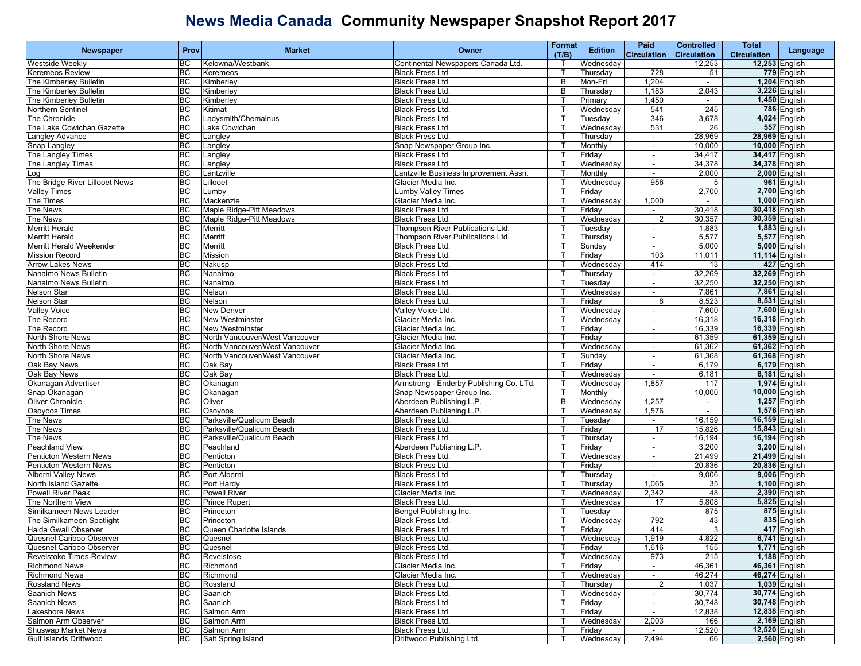|                                | Prov            | <b>Market</b>                  | Owner                                   | Format | <b>Edition</b> | Paid                     | <b>Controlled</b>  | Total              |                      |
|--------------------------------|-----------------|--------------------------------|-----------------------------------------|--------|----------------|--------------------------|--------------------|--------------------|----------------------|
| Newspaper                      |                 |                                |                                         | (T/B)  |                | <b>Circulation</b>       | <b>Circulation</b> | <b>Circulation</b> | Language             |
| Westside Weekly                | BC              | Kelowna/Westbank               | Continental Newspapers Canada Ltd.      |        | Wednesday      | $\sim$                   | 12,253             | 12,253 English     |                      |
| <b>Keremeos Review</b>         | BC              | Keremeos                       | Black Press Ltd.                        |        | Thursdav       | 728                      | 51                 |                    | 779 English          |
| The Kimberley Bulletin         | <b>BC</b>       | Kimberley                      | Black Press Ltd.                        | B      | Mon-Fri        | 1,204                    | $\sim$             |                    | 1,204 English        |
| The Kimberley Bulletin         | <b>BC</b>       | Kimberley                      | Black Press Ltd.                        | B      | Thursday       | 1,183                    | 2,043              |                    | 3,226 English        |
| The Kimberley Bulletin         | <b>BC</b>       | Kimberley                      | Black Press Ltd.                        |        | Primary        | 1,450                    | $\blacksquare$     |                    | 1,450 English        |
| Northern Sentinel              | <b>BC</b>       | Kitimat                        | <b>Black Press Ltd</b>                  |        | Wednesday      | 541                      | 245                |                    | 786 English          |
| The Chronicle                  | BC              | Ladysmith/Chemainus            | Black Press Ltd.                        |        | Tuesday        | 346                      | 3,678              |                    | 4,024 English        |
| The Lake Cowichan Gazette      | <b>BC</b>       | Lake Cowichan                  | <b>Black Press Ltd</b>                  |        | Wednesday      | 531                      | 26                 |                    | 557 English          |
| Langley Advance                | <b>BC</b>       | Langley                        | Black Press Ltd.                        |        | Thursday       | $\sim$                   | 28,969             | 28,969 English     |                      |
| Snap Langley                   | <b>BC</b>       | Langley                        | Snap Newspaper Group Inc.               |        | Monthly        | $\overline{\phantom{a}}$ | 10,000             | 10,000 English     |                      |
| The Langley Times              | BC              | Langley                        | <b>Black Press Ltd.</b>                 |        | Friday         | $\blacksquare$           | 34,417             | 34,417 English     |                      |
| The Langley Times              | BC              | Langley                        | <b>Black Press Ltd.</b>                 |        | Wednesday      | $\blacksquare$           | 34,378             | 34,378 English     |                      |
| po_                            | <b>BC</b>       | Lantzville                     | Lantzville Business Improvement Assn.   |        | Monthly        | $\sim$                   | 2,000              |                    | 2,000 English        |
| The Bridge River Lillooet News | <b>BC</b>       | Lillooet                       | Glacier Media Inc.                      |        | Wednesday      | 956                      | 5                  |                    | 961 English          |
| <b>Valley Times</b>            | <b>BC</b>       | Lumby                          | <b>Lumby Valley Times</b>               |        | Friday         | $\sim$                   | 2,700              |                    | 2,700 English        |
| The Times                      | BC              | Mackenzie                      | Glacier Media Inc.                      |        | Wednesday      | 1,000                    | $\sim$             |                    | 1,000 English        |
| The News                       | BC              | Maple Ridge-Pitt Meadows       | Black Press Ltd.                        |        | Friday         | $\blacksquare$           | 30,418             | 30,418 English     |                      |
| The News                       | <b>BC</b>       | Maple Ridge-Pitt Meadows       | Black Press Ltd.                        |        | Wednesday      | $\overline{2}$           | 30,357             | 30,359 English     |                      |
| <b>Merritt Herald</b>          | <b>BC</b>       | Merritt                        | Thompson River Publications Ltd.        |        | Tuesday        | $\sim$                   | 1,883              |                    | 1,883 English        |
| Merritt Herald                 | <b>BC</b>       | Merritt                        | Thompson River Publications Ltd.        |        | Thursday       | $\overline{\phantom{a}}$ | 5,577              |                    | 5,577 English        |
| Merritt Herald Weekender       | <b>BC</b>       | <b>Merritt</b>                 | Black Press Ltd.                        |        | Sunday         | $\blacksquare$           | 5,000              |                    | 5,000 English        |
| <b>Mission Record</b>          | BC              | Mission                        | Black Press Ltd.                        |        | Friday         | 103                      | 11,011             | 11,114 English     |                      |
| <b>Arrow Lakes News</b>        | <b>BC</b>       | Nakusp                         | <b>Black Press Ltd</b>                  |        | Wednesday      | 414                      | 13                 |                    | 427 English          |
| Nanaimo News Bulletin          | <b>BC</b>       | Nanaimo                        | Black Press Ltd.                        |        | Thursday       | $\sim$                   | 32,269             | 32,269 English     |                      |
| Nanaimo News Bulletin          | <b>BC</b>       | Nanaimo                        | Black Press Ltd.                        |        | Tuesday        | $\blacksquare$           | 32,250             | 32,250 English     |                      |
| Nelson Star                    | $\overline{BC}$ | Nelson                         | <b>Black Press Ltd</b>                  |        | Wednesday      | $\sim$                   | 7,861              |                    | 7,861 English        |
| Nelson Star                    | BC              | Nelson                         | Black Press Ltd.                        |        | Friday         | 8                        | 8,523              |                    | 8,531 English        |
| <b>Valley Voice</b>            | <b>BC</b>       | <b>New Denver</b>              | Valley Voice Ltd                        |        | Wednesday      | $\sim$                   | 7,600              |                    | 7,600 English        |
| The Record                     | <b>BC</b>       | <b>New Westminster</b>         | Glacier Media Inc.                      |        | Wednesday      | $\sim$                   | 16,318             | 16,318 English     |                      |
| The Record                     | <b>BC</b>       | <b>New Westminster</b>         | Glacier Media Inc.                      |        | Friday         | $\sim$                   | 16,339             | 16,339 English     |                      |
| North Shore News               | <b>BC</b>       | North Vancouver/West Vancouver | Glacier Media Inc.                      |        | Friday         | $\blacksquare$           | 61,359             | 61,359 English     |                      |
| <b>North Shore News</b>        | BC              | North Vancouver/West Vancouver | Glacier Media Inc.                      |        | Wednesday      | $\blacksquare$           | 61,362             | 61,362 English     |                      |
| North Shore News               | <b>BC</b>       | North Vancouver/West Vancouver | Glacier Media Inc.                      |        | Sunday         | $\blacksquare$           | 61,368             | 61,368 English     |                      |
| Oak Bay News                   | <b>BC</b>       | Oak Bay                        | Black Press Ltd.                        |        | Friday         | $\sim$                   | 6,179              |                    | 6,179 English        |
| Oak Bay News                   | <b>BC</b>       | Oak Bay                        | Black Press Ltd.                        |        | Wednesday      | $\overline{\phantom{a}}$ | 6,181              |                    | 6,181 English        |
| Okanagan Advertiser            | BC              | Okanagan                       | Armstrong - Enderby Publishing Co. LTd. |        | Wednesday      | 1,857                    | 117                |                    | 1,974 English        |
| Snap Okanagan                  | BC              | Okanagan                       | Snap Newspaper Group Inc.               |        | Monthly        | $\blacksquare$           | 10,000             | 10,000 English     |                      |
| Oliver Chronicle               | <b>BC</b>       | Oliver                         | Aberdeen Publishing L.P.                | B      | Wednesday      | 1,257                    | $\sim$             |                    | 1,257 English        |
| Osoyoos Times                  | <b>BC</b>       | Osoyoos                        | Aberdeen Publishing L.P.                |        | Wednesday      | 1,576                    | $\sim$             |                    | <b>1,576</b> English |
| The News                       | BC              | Parksville/Qualicum Beach      | Black Press Ltd.                        |        | Tuesday        | $\blacksquare$           | 16,159             | 16,159 English     |                      |
| <b>The News</b>                | <b>BC</b>       | Parksville/Qualicum Beach      | <b>Black Press Ltd.</b>                 |        | Friday         | 17                       | 15,826             | 15,843 English     |                      |
| <b>The News</b>                | BC              | Parksville/Qualicum Beach      | Black Press Ltd.                        |        | Thursday       | $\overline{\phantom{a}}$ | 16,194             | 16,194 English     |                      |
| <b>Peachland View</b>          | <b>BC</b>       | Peachland                      | Aberdeen Publishing L.P.                |        | Friday         | $\sim$                   | 3,200              | 3,200 English      |                      |
| Penticton Western News         | <b>BC</b>       | Penticton                      | Black Press Ltd.                        |        | Wednesday      | $\sim$                   | 21,499             | 21,499 English     |                      |
| Penticton Western News         | <b>BC</b>       | Penticton                      | Black Press Ltd.                        |        | Friday         | $\overline{\phantom{a}}$ | 20,836             | 20,836 English     |                      |
| <b>Alberni Valley News</b>     | <b>BC</b>       | Port Alberni                   | Black Press Ltd.                        |        | Thursday       | $\sim$                   | 9,006              |                    | 9,006 English        |
| North Island Gazette           | BC              | Port Hardy                     | <b>Black Press Ltd.</b>                 |        | Thursday       | 1,065                    | 35                 |                    | 1,100 English        |
| Powell River Peak              | <b>BC</b>       | <b>Powell River</b>            | Glacier Media Inc.                      |        | Wednesday      | 2,342                    | 48                 |                    | 2,390 English        |
| The Northern View              | <b>BC</b>       | <b>Prince Rupert</b>           | <b>Black Press Ltd.</b>                 |        | Wednesday      | 17                       | 5,808              |                    | 5,825 English        |
| Similkameen News Leader        | <b>BC</b>       | Princeton                      | Bengel Publishing Inc.                  |        | Tuesday        | $\sim$                   | 875                |                    | 875 English          |
| The Similkameen Spotlight      | <b>BC</b>       | Princeton                      | Black Press Ltd.                        |        | Wednesday      | 792                      | 43                 |                    | 835 English          |
| Haida Gwaii Observer           | <b>BC</b>       | Queen Charlotte Islands        | Black Press Ltd.                        |        | Friday         | 414                      | $\mathbf{3}$       |                    | 417 English          |
| Quesnel Cariboo Observer       | <b>BC</b>       | Quesnel                        | Black Press Ltd.                        | T      | Wednesday      | 1,919                    | 4,822              |                    | 6,741 English        |
| Quesnel Cariboo Observer       | BC              | Quesnel                        | <b>Black Press Ltd.</b>                 | т      | Friday         | 1,616                    | 155                |                    | 1,771 English        |
| Revelstoke Times-Review        | BC              | Revelstoke                     | Black Press Ltd.                        |        | Wednesday      | 973                      | 215                |                    | 1,188 English        |
| <b>Richmond News</b>           | BC              | Richmond                       | Glacier Media Inc.                      |        | Friday         | $\sim$                   | 46,361             | 46,361 English     |                      |
| <b>Richmond News</b>           | BC              | Richmond                       | Glacier Media Inc.                      |        | Wednesday      |                          | 46,274             | 46,274 English     |                      |
| <b>Rossland News</b>           | <b>BC</b>       | Rossland                       | Black Press Ltd.                        |        | Thursday       | $\overline{2}$           | 1,037              |                    | 1,039 English        |
| Saanich News                   | BC              | Saanich                        | Black Press Ltd.                        |        | Wednesday      | $\sim$                   | 30,774             | 30,774 English     |                      |
| Saanich News                   | BC              | Saanich                        | Black Press Ltd.                        |        | Friday         | $\sim$                   | 30,748             | 30,748 English     |                      |
| Lakeshore News                 | BC              | Salmon Arm                     | Black Press Ltd.                        |        | Friday         | $\sim$                   | 12,838             | 12,838 English     |                      |
| Salmon Arm Observer            | BC              | Salmon Arm                     | Black Press Ltd.                        |        | Wednesday      | 2,003                    | 166                |                    | 2,169 English        |
| Shuswap Market News            | BC              | Salmon Arm                     | Black Press Ltd.                        |        | Friday         |                          | 12,520             | 12,520 English     |                      |
| Gulf Islands Driftwood         |                 | <b>BC</b> Salt Spring Island   | Driftwood Publishing Ltd.               |        | Wednesday      | 2,494                    | 66                 |                    | 2,560 English        |
|                                |                 |                                |                                         |        |                |                          |                    |                    |                      |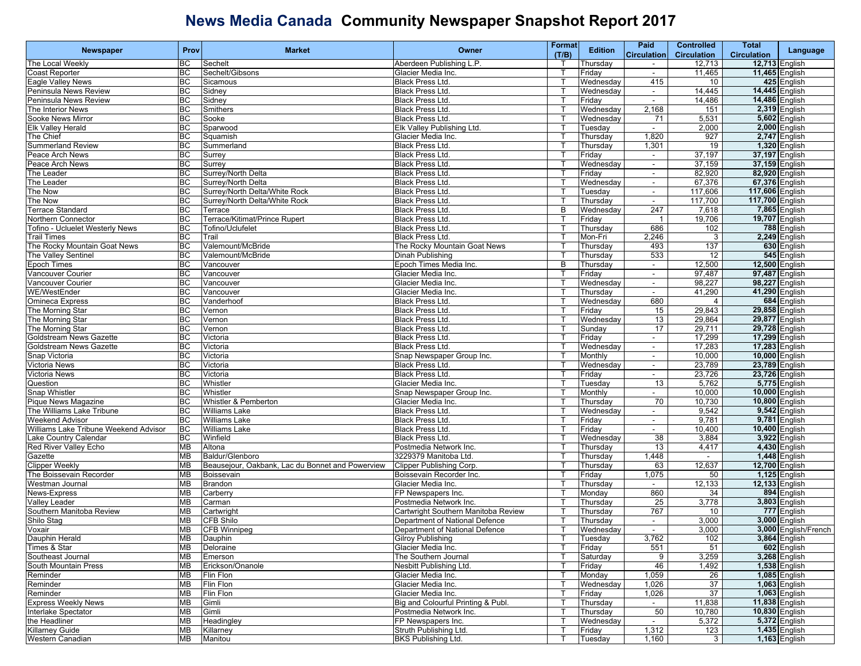|                                       |                 |                                                  |                                     | Format       |                | Paid                     | <b>Controlled</b>  | Total              |                              |
|---------------------------------------|-----------------|--------------------------------------------------|-------------------------------------|--------------|----------------|--------------------------|--------------------|--------------------|------------------------------|
| Newspaper                             | Prov            | <b>Market</b>                                    | Owner                               | (T/B)        | <b>Edition</b> | <b>Circulation</b>       | <b>Circulation</b> | <b>Circulation</b> | Language                     |
| The Local Weekly                      | <b>BC</b>       | Sechelt                                          | Aberdeen Publishing L.P.            |              | Thursday       | $\sim$                   | 12,713             |                    | <b>12,713 English</b>        |
| <b>Coast Reporter</b>                 | BC              | Sechelt/Gibsons                                  | Glacier Media Inc.                  |              | Friday         | $\frac{1}{2}$            | 11,465             | 11,465 English     |                              |
| Eagle Valley News                     | <b>BC</b>       | Sicamous                                         | <b>Black Press Ltd.</b>             |              | Wednesday      | 415                      | 10                 |                    | 425 English                  |
| Peninsula News Review                 | <b>BC</b>       | Sidney                                           | <b>Black Press Ltd.</b>             |              | Wednesday      | $\sim$                   | 14,445             | 14,445 English     |                              |
| Peninsula News Review                 | <b>BC</b>       | Sidney                                           | Black Press Ltd.                    |              | Friday         | $\sim$                   | 14,486             | 14,486 English     |                              |
| The Interior News                     | <b>BC</b>       | Smithers                                         | Black Press Ltd.                    |              | Wednesday      | 2,168                    | 151                |                    | 2,319 English                |
| Sooke News Mirror                     | BC              | Sooke                                            | Black Press Ltd.                    |              | Wednesdav      | 71                       | 5,531              |                    | 5,602 English                |
| <b>Elk Valley Herald</b>              | <b>BC</b>       | Sparwood                                         | Elk Valley Publishing Ltd.          |              | Tuesday        | $\sim$                   | 2,000              |                    | 2,000 English                |
| The Chief                             | <b>BC</b>       | Squamish                                         | Glacier Media Inc.                  |              | Thursday       | 1,820                    | 927                |                    | 2,747 English                |
| Summerland Review                     | <b>BC</b>       | Summerland                                       | Black Press Ltd.                    |              | Thursday       | 1,301                    | 19                 |                    | 1,320 English                |
| Peace Arch News                       | BC              | Surrey                                           | <b>Black Press Ltd.</b>             |              | Friday         | $\overline{\phantom{a}}$ | 37,197             | 37,197 English     |                              |
| Peace Arch News                       | BC              | Surrey                                           | <b>Black Press Ltd.</b>             |              | Wednesday      | $\blacksquare$           | 37,159             | 37,159 English     |                              |
| The Leader                            | <b>BC</b>       | Surrey/North Delta                               | <b>Black Press Ltd.</b>             |              | Friday         | $\blacksquare$           | 82,920             | 82,920 English     |                              |
| The Leader                            | <b>BC</b>       | Surrey/North Delta                               | <b>Black Press Ltd.</b>             | Т            | Wednesday      | $\sim$                   | 67,376             | 67,376 English     |                              |
| The Now                               | <b>BC</b>       | Surrey/North Delta/White Rock                    | Black Press Ltd.                    |              | Tuesday        | $\sim$                   | 117,606            | 117,606 English    |                              |
| The Now                               | <b>BC</b>       | Surrev/North Delta/White Rock                    | Black Press Ltd.                    |              | Thursday       | $\sim$                   | 117,700            | 117,700 English    |                              |
| Terrace Standard                      | BC              | Terrace                                          | <b>Black Press Ltd.</b>             | B            | Wednesday      | 247                      | 7,618              |                    | 7,865 English                |
|                                       | <b>BC</b>       | Terrace/Kitimat/Prince Rupert                    |                                     |              |                |                          | 19,706             | 19,707 English     |                              |
| Northern Connector                    |                 |                                                  | Black Press Ltd.                    |              | Friday         | $\overline{1}$           |                    |                    |                              |
| Tofino - Ucluelet Westerly News       | <b>BC</b>       | Tofino/Uclufelet                                 | <b>Black Press Ltd.</b>             |              | Thursday       | 686                      | 102                |                    | 788 English                  |
| Trail Times                           | <b>BC</b>       | Trail                                            | Black Press Ltd.                    |              | Mon-Fri        | 2,246                    | 3                  |                    | 2,249 English                |
| The Rocky Mountain Goat News          | $\overline{BC}$ | Valemount/McBride                                | The Rocky Mountain Goat News        |              | Thursday       | 493                      | 137                |                    | 630 English                  |
| The Valley Sentinel                   | BC              | Valemount/McBride                                | Dinah Publishing                    |              | Thursday       | 533                      | 12                 |                    | 545 English                  |
| <b>Epoch Times</b>                    | <b>BC</b>       | Vancouver                                        | Epoch Times Media Inc.              | B            | Thursday       | $\sim$                   | 12,500             | 12,500 English     |                              |
| Vancouver Courier                     | <b>BC</b>       | Vancouver                                        | Glacier Media Inc.                  |              | Friday         | $\sim$                   | 97,487             | 97,487 English     |                              |
| Vancouver Courier                     | <b>BC</b>       | Vancouver                                        | Glacier Media Inc.                  |              | Wednesday      | $\sim$                   | 98,227             | 98,227 English     |                              |
| <b>WE/WestEnder</b>                   | BC              | Vancouver                                        | Glacier Media Inc.                  |              | Thursday       | $\sim$                   | 41,290             | 41,290 English     |                              |
| <b>Omineca Express</b>                | BC              | Vanderhoof                                       | <b>Black Press Ltd.</b>             |              | Wednesday      | 680                      | 4                  |                    | 684 English                  |
| The Morning Star                      | <b>BC</b>       | Vernon                                           | <b>Black Press Ltd.</b>             |              | Friday         | 15                       | 29,843             | 29,858 English     |                              |
| The Morning Star                      | <b>BC</b>       | Vernon                                           | <b>Black Press Ltd.</b>             |              | Wednesday      | 13                       | 29,864             | 29,877 English     |                              |
| The Morning Star                      | <b>BC</b>       | Vernon                                           | Black Press Ltd.                    |              | Sunday         | 17                       | 29,711             | 29,728 English     |                              |
| Goldstream News Gazette               | <b>BC</b>       | Victoria                                         | Black Press Ltd.                    |              | Friday         | $\frac{1}{2}$            | 17,299             | 17,299 English     |                              |
| Goldstream News Gazette               | BC              | Victoria                                         | Black Press Ltd.                    |              | Wednesday      | $\blacksquare$           | 17,283             | 17,283 English     |                              |
| Snap Victoria                         | <b>BC</b>       | Victoria                                         | Snap Newspaper Group Inc.           |              | Monthly        | $\sim$                   | 10,000             | 10,000 English     |                              |
| Victoria News                         | <b>BC</b>       | Victoria                                         | <b>Black Press Ltd.</b>             |              | Wednesday      | $\sim$                   | 23,789             | 23,789 English     |                              |
| Victoria News                         | <b>BC</b>       | Victoria                                         | Black Press Ltd.                    |              | Friday         | $\sim$                   | 23,726             | 23,726 English     |                              |
| Question                              | $\overline{BC}$ | Whistler                                         | Glacier Media Inc.                  |              | Tuesday        | 13                       | 5,762              |                    | 5,775 English                |
| Snap Whistler                         | BC              | Whistler                                         | Snap Newspaper Group Inc.           |              | Monthly        | $\blacksquare$           | 10,000             | 10,000 English     |                              |
| Pique News Magazine                   | <b>BC</b>       | Whistler & Pemberton                             | Glacier Media Inc.                  |              | Thursday       | 70                       | 10,730             | 10,800 English     |                              |
| The Williams Lake Tribune             | <b>BC</b>       | <b>Williams Lake</b>                             | Black Press Ltd.                    |              | Wednesday      | $\sim$                   | 9,542              |                    | 9,542 English                |
| Weekend Advisor                       | <b>BC</b>       | <b>Williams Lake</b>                             | Black Press Ltd.                    |              | Friday         | $\sim$                   | 9,781              |                    | 9,781 English                |
| Williams Lake Tribune Weekend Advisor | BC              | <b>Williams Lake</b>                             | <b>Black Press Ltd.</b>             |              | Friday         | $\blacksquare$           | 10,400             | 10,400 English     |                              |
| ake Country Calendar                  | BC              | Winfield                                         | <b>Black Press Ltd.</b>             |              | Wednesday      | 38                       | 3,884              |                    | 3,922 English                |
| Red River Valley Echo                 | <b>MB</b>       | Altona                                           | Postmedia Network Inc.              |              | Thursday       | 13                       | 4,417              |                    | 4,430 English                |
| Gazette                               | <b>MB</b>       | Baldur/Glenboro                                  | 3229379 Manitoba Ltd.               |              | Thursday       | 1,448                    | $\sim$             |                    | 1,448 English                |
| <b>Clipper Weekly</b>                 | <b>MB</b>       | Beausejour, Oakbank, Lac du Bonnet and Powerview | <b>Clipper Publishing Corp.</b>     |              | Thursday       | 63                       | 12,637             | 12,700 English     |                              |
| The Boissevain Recorder               | <b>MB</b>       | Boissevain                                       | Boissevain Recorder Inc.            |              | Friday         | 1,075                    | 50                 |                    | 1,125 English                |
| Westman Journal                       | <b>MB</b>       | <b>Brandon</b>                                   | Glacier Media Inc.                  |              | Thursday       |                          | 12,133             | 12,133 English     |                              |
| News-Express                          | <b>MB</b>       | Carberry                                         | FP Newspapers Inc.                  |              | Monday         | 860                      | 34                 |                    | 894 English                  |
| Valley Leader                         | <b>MB</b>       | Carman                                           | Postmedia Network Inc.              |              | Thursday       | 25                       | 3,778              |                    | 3,803 English                |
| Southern Manitoba Review              | <b>MB</b>       | Cartwright                                       | Cartwright Southern Manitoba Review |              | Thursday       | 767                      | 10                 |                    | 777 English                  |
| Shilo Stag                            | <b>MB</b>       | <b>CFB Shilo</b>                                 | Department of National Defence      |              | Thursday       | $\sim$                   | 3,000              |                    | 3,000 English                |
| Voxair                                |                 | MB CFB Winnipeg                                  | Department of National Defence      | T.           | Wednesday      |                          | 3,000              |                    | 3,000 English/French         |
| Dauphin Herald                        | MB              |                                                  |                                     | $\mathsf{T}$ |                | 3,762                    | 102                |                    | 3,864 English                |
|                                       |                 | Dauphin                                          | Gilroy Publishing                   |              | Tuesday        |                          |                    |                    |                              |
| Times & Star                          | MВ              | Deloraine                                        | Glacier Media Inc.                  | Т            | Friday         | 551                      | 51                 |                    | 602 English<br>3,268 English |
| Southeast Journal                     | MB              | Emerson                                          | The Southern Journal                |              | Saturday       | 9                        | 3,259              |                    |                              |
| South Mountain Press                  | <b>MB</b>       | Erickson/Onanole                                 | Nesbitt Publishing Ltd.             |              | Friday         | 46                       | 1,492              |                    | 1,538 English                |
| Reminder                              | MB              | Flin Flon                                        | Glacier Media Inc.                  |              | Monday         | 1,059                    | 26                 |                    | 1,085 English                |
| Reminder                              | <b>MB</b>       | Flin Flon                                        | Glacier Media Inc.                  |              | Wednesday      | 1,026                    | 37                 |                    | 1,063 English                |
| Reminder                              | MB              | Flin Flon                                        | Glacier Media Inc.                  |              | Friday         | 1,026                    | 37                 |                    | 1,063 English                |
| <b>Express Weekly News</b>            | MВ              | Gimli                                            | Big and Colourful Printing & Publ.  |              | Thursday       | $\sim$                   | 11,838             | 11,838 English     |                              |
| Interlake Spectator                   | <b>MB</b>       | Gimli                                            | Postmedia Network Inc.              |              | Thursday       | 50                       | 10,780             | 10,830 English     |                              |
| the Headliner                         | MB              | Headingley                                       | FP Newspapers Inc.                  |              | Wednesday      |                          | 5,372              |                    | 5,372 English                |
| <b>Killarney Guide</b>                | MB              | Killarney                                        | Struth Publishing Ltd.              |              | Friday         | 1,312                    | 123                |                    | 1,435 English                |
| Western Canadian                      | MB              | Manitou                                          | <b>BKS Publishing Ltd.</b>          | т            | Tuesday        | 1,160                    | 3                  |                    | <b>1,163 English</b>         |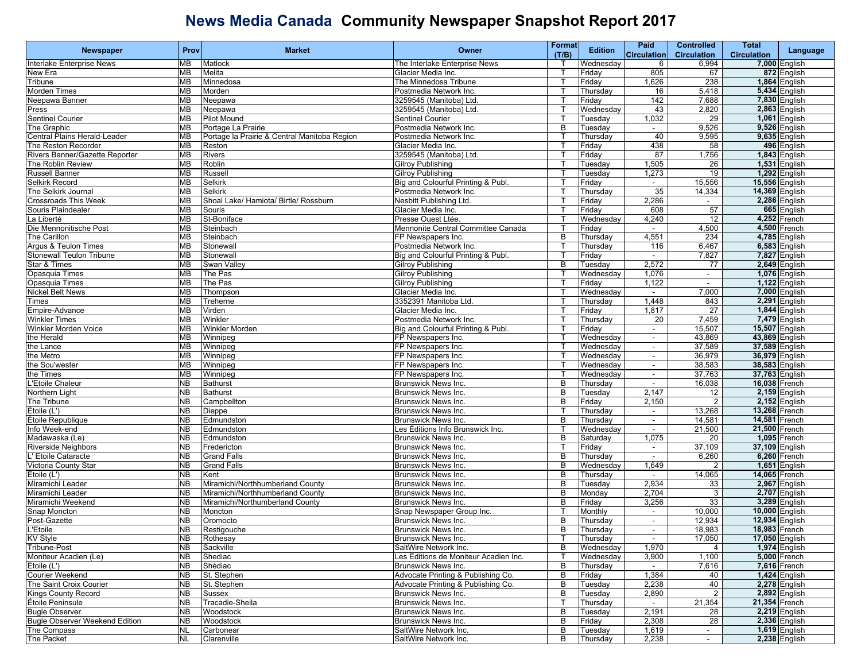| <b>Newspaper</b>                      | Prov      | <b>Market</b>                                | Owner                                 | Format       | <b>Edition</b> | Paid                     | <b>Controlled</b>        | Total                 |                      |
|---------------------------------------|-----------|----------------------------------------------|---------------------------------------|--------------|----------------|--------------------------|--------------------------|-----------------------|----------------------|
|                                       |           |                                              |                                       | (T/B)        |                | <b>Circulation</b>       | <b>Circulation</b>       | <b>Circulation</b>    | Language             |
| Interlake Enterprise News             | <b>MB</b> | Matlock                                      | The Interlake Enterprise News         |              | Wednesdav      | 6                        | 6,994                    |                       | 7,000 English        |
| New Era                               | <b>MB</b> | <b>Melita</b>                                | Glacier Media Inc.                    |              | Friday         | 805                      | 67                       |                       | 872 English          |
| Tribune                               | <b>MB</b> | Minnedosa                                    | The Minnedosa Tribune                 |              | Friday         | 1,626                    | 238                      |                       | 1,864 English        |
| Morden Times                          | <b>MB</b> | Morden                                       | Postmedia Network Inc.                |              | Thursday       | 16                       | 5,418                    |                       | 5,434 English        |
| <b>Jeepawa Banner</b>                 | <b>MB</b> | Neepawa                                      | 3259545 (Manitoba) Ltd.               |              | Friday         | 142                      | 7,688                    |                       | 7,830 English        |
|                                       | <b>MB</b> |                                              | 3259545 (Manitoba) Ltd.               |              |                | 43                       | 2,820                    |                       | 2,863 English        |
| Press                                 |           | Neepawa                                      |                                       |              | Wednesday      |                          |                          |                       |                      |
| Sentinel Courier                      | <b>MB</b> | <b>Pilot Mound</b>                           | <b>Sentinel Courier</b>               |              | Tuesday        | 1,032                    | 29                       |                       | 1,061 English        |
| The Graphic                           | <b>MB</b> | Portage La Prairie                           | Postmedia Network Inc.                | B            | Tuesday        | $\sim$                   | 9,526                    |                       | 9,526 English        |
| Central Plains Herald-Leader          | <b>MB</b> | Portage la Prairie & Central Manitoba Region | Postmedia Network Inc.                |              | Thursday       | 40                       | 9,595                    |                       | 9,635 English        |
| The Reston Recorder                   | <b>MB</b> | Reston                                       | Glacier Media Inc.                    |              | Friday         | 438                      | 58                       |                       | 496 English          |
| Rivers Banner/Gazette Reporter        | <b>MB</b> | <b>Rivers</b>                                | 3259545 (Manitoba) Ltd.               |              | Friday         | 87                       | 1,756                    |                       | <b>1,843</b> English |
| The Roblin Review                     | <b>MB</b> | Roblin                                       | <b>Gilroy Publishing</b>              |              | Tuesday        | 1,505                    | 26                       |                       | 1,531 English        |
| Russell Banner                        | <b>MB</b> | Russell                                      | <b>Gilroy Publishing</b>              |              | Tuesday        | 1,273                    | 19                       |                       | 1,292 English        |
| Selkirk Record                        | <b>MB</b> | Selkirk                                      | Big and Colourful Printing & Publ.    |              | Friday         | $\sim$                   | 15,556                   | 15,556 English        |                      |
| The Selkirk Journal                   | MB        | <b>Selkirk</b>                               | Postmedia Network Inc.                |              | Thursday       | 35                       | 14,334                   | 14,369 English        |                      |
| <b>Crossroads This Week</b>           | <b>MB</b> | Shoal Lake/ Hamiota/ Birtle/ Rossburn        | Nesbitt Publishing Ltd.               |              | Friday         | 2,286                    |                          |                       | 2,286 English        |
|                                       | <b>MB</b> |                                              |                                       |              |                | 608                      | 57                       |                       | 665 English          |
| Souris Plaindealer                    |           | Souris                                       | Glacier Media Inc.                    |              | Friday         |                          |                          |                       |                      |
| a Liberté                             | <b>MB</b> | St-Boniface                                  | Presse Ouest Ltée.                    |              | Wednesday      | 4,240                    | 12                       |                       | 4,252 French         |
| Die Mennonitische Post                | <b>MB</b> | Steinbach                                    | Mennonite Central Committee Canada    |              | Friday         | $\sim$                   | 4,500                    |                       | 4,500 French         |
| The Carillon                          | <b>MB</b> | Steinbach                                    | FP Newspapers Inc.                    | B            | Thursday       | 4,551                    | 234                      |                       | 4,785 English        |
| Argus & Teulon Times                  | <b>MB</b> | Stonewall                                    | Postmedia Network Inc.                |              | Thursday       | 116                      | 6,467                    |                       | $6,583$ English      |
| Stonewall Teulon Tribune              | <b>MB</b> | Stonewall                                    | Big and Colourful Printing & Publ.    |              | Friday         | $\sim$                   | 7,827                    |                       | 7,827 English        |
| Star & Times                          | <b>MB</b> | <b>Swan Vallev</b>                           | <b>Gilroy Publishing</b>              | B            | Tuesday        | 2,572                    | 77                       |                       | 2,649 English        |
| Opasquia Times                        | <b>MB</b> | The Pas                                      | <b>Gilroy Publishing</b>              |              | Wednesday      | 1,076                    | $\overline{\phantom{a}}$ |                       | <b>1,076</b> English |
| Opasquia Times                        | MВ        | The Pas                                      | <b>Gilroy Publishing</b>              |              | Friday         | 1,122                    | $\blacksquare$           |                       | 1,122 English        |
| <b>Nickel Belt News</b>               | <b>MB</b> | Thompson                                     | Glacier Media Inc.                    |              | Wednesday      | $\blacksquare$           | 7,000                    |                       | 7,000 English        |
| Times                                 | <b>MB</b> | Treherne                                     | 3352391 Manitoba Ltd.                 |              | Thursday       | 1,448                    | 843                      |                       | 2,291 English        |
|                                       |           |                                              |                                       |              |                |                          |                          |                       |                      |
| Empire-Advance                        | <b>MB</b> | Virden                                       | Glacier Media Inc.                    |              | Friday         | 1,817                    | 27                       |                       | 1,844 English        |
| <b>Winkler Times</b>                  | <b>MB</b> | Winkler                                      | Postmedia Network Inc.                |              | Thursday       | 20                       | 7,459                    |                       | 7,479 English        |
| Winkler Morden Voice                  | <b>MB</b> | <b>Winkler Morden</b>                        | Big and Colourful Printing & Publ.    |              | Friday         | $\overline{\phantom{a}}$ | 15,507                   | 15,507 English        |                      |
| the Herald                            | <b>MB</b> | Winnipeg                                     | FP Newspapers Inc.                    |              | Wednesday      | ÷.                       | 43,869                   | 43,869 English        |                      |
| the Lance                             | <b>MB</b> | Winnipeg                                     | FP Newspapers Inc.                    |              | Wednesday      | $\sim$                   | 37,589                   | 37,589 English        |                      |
| the Metro                             | <b>MB</b> | Winnipeg                                     | FP Newspapers Inc.                    |              | Wednesday      | $\sim$                   | 36,979                   | 36,979 English        |                      |
| the Sou'wester                        | <b>MB</b> | Winnipeg                                     | FP Newspapers Inc.                    |              | Wednesday      | $\sim$                   | 38,583                   | 38,583 English        |                      |
| he Times:                             | MВ        | Winnipeg                                     | FP Newspapers Inc.                    |              | Wednesday      |                          | 37,763                   | 37,763 English        |                      |
| Etoile Chaleur!                       | <b>NB</b> | <b>Bathurst</b>                              | <b>Brunswick News Inc.</b>            | B            | Thursday       | $\blacksquare$           | 16,038                   | 16,038 French         |                      |
| Northern Light                        | <b>NB</b> | <b>Bathurst</b>                              | <b>Brunswick News Inc.</b>            | В            | Tuesday        | 2,147                    | 12                       |                       | 2,159 English        |
| The Tribune                           | <b>NB</b> | Campbellton                                  | <b>Brunswick News Inc.</b>            | B            | Friday         | 2,150                    | 2                        |                       | 2,152 English        |
| Étoile (L')                           | <b>NB</b> |                                              | <b>Brunswick News Inc.</b>            |              |                |                          | 13,268                   | 13,268 French         |                      |
|                                       |           | Dieppe                                       |                                       | B            | Thursday       | $\overline{\phantom{a}}$ |                          |                       |                      |
| Étoile Republique                     | <b>NB</b> | Edmundston                                   | Brunswick News Inc.                   |              | Thursday       | $\overline{\phantom{a}}$ | 14,581                   | 14,581 French         |                      |
| Info Week-end                         | <b>NB</b> | Edmundston                                   | Les Éditions Info Brunswick Inc.      |              | Wednesday      | $\blacksquare$           | 21,500                   | 21,500 French         |                      |
| Madawaska (Le)                        | <b>NB</b> | Edmundston                                   | <b>Brunswick News Inc.</b>            | B            | Saturday       | 1,075                    | 20                       |                       | 1,095 French         |
| <b>Riverside Neighbors</b>            | <b>NB</b> | Fredericton                                  | <b>Brunswick News Inc.</b>            |              | Friday         | $\sim$                   | 37,109                   | 37,109 English        |                      |
| ' Etoile Cataracte                    | <b>NB</b> | <b>Grand Falls</b>                           | Brunswick News Inc.                   | B            | Thursday       | $\sim$                   | 6,260                    |                       | $6,260$ French       |
| /ictoria County Star                  | <b>NB</b> | <b>Grand Falls</b>                           | <b>Brunswick News Inc.</b>            | B            | Wednesday      | 1,649                    | $\overline{2}$           |                       | 1,651 English        |
| Étoile (L')                           | <b>NB</b> | Kent                                         | <b>Brunswick News Inc.</b>            | B            | Thursday       |                          | 14,065                   | 14,065 French         |                      |
| Miramichi Leader                      | <b>NB</b> | Miramichi/Northhumberland County             | <b>Brunswick News Inc.</b>            | B            | Tuesday        | 2,934                    | 33                       |                       | 2,967 English        |
| Miramichi Leader                      | <b>NB</b> | Miramichi/Northhumberland County             | <b>Brunswick News Inc.</b>            | В            | Monday         | 2,704                    | 3                        |                       | 2,707 English        |
| Miramichi Weekend                     | <b>NB</b> | Miramichi/Northumberland County              | <b>Brunswick News Inc.</b>            | B            | Friday         | 3,256                    | 33                       |                       | 3,289 English        |
| Snap Moncton                          | <b>NB</b> | Moncton                                      | Snap Newspaper Group Inc.             |              | Monthly        |                          | 10,000                   | 10,000 English        |                      |
| Post-Gazette                          | <b>NB</b> | Oromocto                                     | <b>Brunswick News Inc.</b>            | B            | Thursday       | $\blacksquare$           | 12,934                   | <b>12,934 English</b> |                      |
|                                       | NB        |                                              |                                       | B            |                |                          |                          | 18,983 French         |                      |
| <b>L'Etoile</b>                       |           | Restigouche                                  | <b>Brunswick News Inc.</b>            |              | Thursday       |                          | 18,983                   |                       |                      |
| KV Style                              | <b>NB</b> | Rothesay                                     | Brunswick News Inc.                   | $\mathsf{T}$ | Thursday       |                          | 17,050                   | 17,050 English        |                      |
| Tribune-Post                          | <b>NB</b> | Sackville                                    | SaltWire Network Inc.                 | B            | Wednesday      | 1,970                    | 4                        |                       | 1,974 English        |
| Moniteur Acadien (Le)                 | <b>NB</b> | Shediac                                      | Les Editions de Moniteur Acadien Inc. |              | Wednesday      | 3,900                    | 1,100                    |                       | 5,000 French         |
| Étoile (L')                           | <b>NB</b> | Shédiac                                      | Brunswick News Inc.                   | B            | Thursday       | $\sim$                   | 7,616                    |                       | 7,616 French         |
| Courier Weekend                       | <b>NB</b> | St. Stephen                                  | Advocate Printing & Publishing Co.    | B            | Friday         | 1,384                    | 40                       |                       | 1,424 English        |
| The Saint Croix Courier               | <b>NB</b> | St. Stephen                                  | Advocate Printing & Publishing Co.    | B            | Tuesday        | 2,238                    | 40                       |                       | 2,278 English        |
| <b>Kings County Record</b>            | <b>NB</b> | Sussex                                       | Brunswick News Inc.                   | В            | Tuesday        | 2,890                    | 2                        |                       | 2,892 English        |
| Etoile Peninsule                      | <b>NB</b> | Tracadie-Sheila                              | Brunswick News Inc.                   |              | Thursday       |                          | 21,354                   | 21,354 French         |                      |
| <b>Bugle Observer</b>                 | <b>NB</b> | Woodstock                                    | Brunswick News Inc.                   | В            | Tuesday        | 2,191                    | 28                       |                       | 2.219 English        |
| <b>Bugle Observer Weekend Edition</b> | <b>NB</b> | Woodstock                                    | Brunswick News Inc.                   | В            | Friday         | 2,308                    | 28                       |                       | 2,336 English        |
| The Compass                           | <b>NL</b> | Carbonear                                    | SaltWire Network Inc.                 | B            |                |                          |                          |                       | 1,619 English        |
|                                       |           |                                              |                                       |              | Tuesday        | 1,619                    | $\sim$                   |                       |                      |
| The Packet                            | <b>NL</b> | Clarenville                                  | SaltWire Network Inc.                 | в            | Thursday       | 2,238                    | $\sim$                   |                       | 2,238 English        |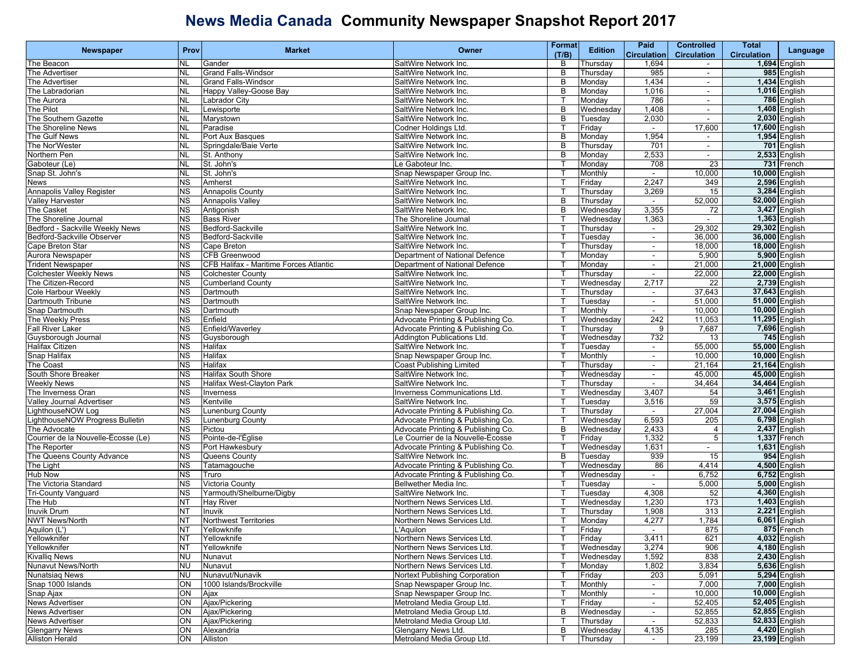|                                     | Prov      | <b>Market</b>                          | Owner                              | Format       | <b>Edition</b> | Paid                     | <b>Controlled</b>        | Total              |                      |
|-------------------------------------|-----------|----------------------------------------|------------------------------------|--------------|----------------|--------------------------|--------------------------|--------------------|----------------------|
| Newspaper                           |           |                                        |                                    | (T/B)        |                | <b>Circulation</b>       | <b>Circulation</b>       | <b>Circulation</b> | Language             |
| The Beacon                          | <b>NL</b> | Gander                                 | SaltWire Network Inc.              | B            | Thursday       | 1,694                    | $\sim$                   |                    | 1,694 English        |
| The Advertiser                      | <b>NL</b> | <b>Grand Falls-Windsor</b>             | SaltWire Network Inc.              | В            | Thursday       | 985                      | $\overline{\phantom{a}}$ |                    | 985 English          |
| The Advertiser                      | <b>NL</b> | <b>Grand Falls-Windsor</b>             | SaltWire Network Inc.              | B            | Monday         | 1,434                    | $\sim$                   |                    | 1,434 English        |
| The Labradorian                     | <b>NL</b> | Happy Valley-Goose Bay                 | SaltWire Network Inc.              | В            | Monday         | 1,016                    | $\sim$                   |                    | <b>1,016</b> English |
| The Aurora                          | <b>NL</b> | Labrador City                          | SaltWire Network Inc.              |              | Monday         | 786                      | $\overline{\phantom{a}}$ |                    | 786 English          |
| The Pilot                           | <b>NL</b> | Lewisporte                             | SaltWire Network Inc.              | B            | Wednesday      | 1,408                    | $\blacksquare$           | 1,408 English      |                      |
| The Southern Gazette                | <b>NL</b> | Marystown                              | SaltWire Network Inc.              | B            | Tuesday        | 2,030                    | $\blacksquare$           | 2,030 English      |                      |
| The Shoreline News                  | <b>NL</b> | Paradise                               | Codner Holdings Ltd.               |              | Friday         | $\sim$                   | 17,600                   | 17,600 English     |                      |
| The Gulf News                       | <b>NL</b> | Port Aux Basques                       | SaltWire Network Inc.              | B            | Monday         | 1,954                    | $\sim$                   | 1,954 English      |                      |
| The Nor'Wester                      | <b>NL</b> | Springdale/Baie Verte                  | SaltWire Network Inc.              | в            | Thursday       | 701                      | $\blacksquare$           |                    | 701 English          |
| Northern Pen                        | <b>NL</b> | St. Anthony                            | SaltWire Network Inc.              | B            | Monday         | 2,533                    | $\sim$                   | 2,533 English      |                      |
| Gaboteur (Le)                       | <b>NL</b> | St. John's                             | Le Gaboteur Inc.                   |              | Monday         | 708                      | 23                       |                    | 731 French           |
| Snap St. John's                     | <b>NL</b> | St. John's                             | Snap Newspaper Group Inc.          |              | Monthly        | $\sim$                   | 10,000                   | 10,000 English     |                      |
| News                                | <b>NS</b> | Amherst                                | SaltWire Network Inc.              | т            | Friday         | 2,247                    | 349                      | 2,596 English      |                      |
| <b>Annapolis Valley Register</b>    | <b>NS</b> | Annapolis County                       | SaltWire Network Inc.              |              | Thursday       | 3,269                    | 15                       | 3,284 English      |                      |
| <b>Valley Harvester</b>             | <b>NS</b> |                                        | SaltWire Network Inc.              | B            | Thursday       | $\sim$                   | 52,000                   | 52,000 English     |                      |
|                                     |           | <b>Annapolis Valley</b>                |                                    | B            |                |                          |                          |                    |                      |
| <b>The Casket</b>                   | <b>NS</b> | Antigonish                             | SaltWire Network Inc.              |              | Wednesday      | 3,355                    | 72                       | 3,427 English      |                      |
| The Shoreline Journal               | <b>NS</b> | <b>Bass River</b>                      | The Shoreline Journal              | Т            | Wednesday      | 1,363                    | $\sim$                   | 1,363 English      |                      |
| Bedford - Sackville Weekly News     | <b>NS</b> | Bedford-Sackville                      | SaltWire Network Inc.              |              | Thursday       | $\sim$                   | 29,302                   | 29,302 English     |                      |
| Bedford-Sackville Observer          | <b>NS</b> | Bedford-Sackville                      | SaltWire Network Inc.              |              | Tuesday        | $\overline{\phantom{a}}$ | 36,000                   | 36,000 English     |                      |
| Cape Breton Star                    | <b>NS</b> | Cape Breton                            | SaltWire Network Inc.              |              | Thursday       | $\blacksquare$           | 18,000                   | 18,000 English     |                      |
| Aurora Newspaper                    | <b>NS</b> | <b>CFB Greenwood</b>                   | Department of National Defence     |              | Monday         | $\blacksquare$           | 5,900                    | 5,900 English      |                      |
| <b>Trident Newspaper</b>            | <b>NS</b> | CFB Halifax - Maritime Forces Atlantic | Department of National Defence     |              | Monday         | $\blacksquare$           | 21,000                   | 21,000 English     |                      |
| <b>Colchester Weekly News</b>       | <b>NS</b> | <b>Colchester County</b>               | SaltWire Network Inc.              |              | Thursday       | $\sim$                   | 22,000                   | 22,000 English     |                      |
| The Citizen-Record                  | <b>NS</b> | <b>Cumberland County</b>               | SaltWire Network Inc.              |              | Wednesday      | 2,717                    | 22                       | 2,739 English      |                      |
| Cole Harbour Weekly                 | <b>NS</b> | Dartmouth                              | SaltWire Network Inc.              |              | Thursday       | $\overline{\phantom{a}}$ | 37,643                   | 37,643 English     |                      |
| Dartmouth Tribune                   | <b>NS</b> | Dartmouth                              | SaltWire Network Inc.              |              | Tuesday        | $\blacksquare$           | 51,000                   | 51,000 English     |                      |
| Snap Dartmouth                      | <b>NS</b> | Dartmouth                              | Snap Newspaper Group Inc.          |              | Monthly        | $\sim$                   | 10,000                   | 10,000 English     |                      |
| The Weekly Press                    | <b>NS</b> | Enfield                                | Advocate Printing & Publishing Co. |              | Wednesday      | 242                      | 11,053                   | 11,295 English     |                      |
| <b>Fall River Laker</b>             | <b>NS</b> | Enfield/Waverley                       | Advocate Printing & Publishing Co. |              | Thursday       | 9                        | 7,687                    |                    | 7,696 English        |
| Guysborough Journal                 | <b>NS</b> | Guysborough                            | Addington Publications Ltd.        |              | Wednesday      | 732                      | 13                       |                    | 745 English          |
| <b>Halifax Citizen</b>              | <b>NS</b> | Halifax                                | SaltWire Network Inc.              |              | Tuesday        | $\blacksquare$           | 55,000                   | 55,000 English     |                      |
| Snap Halifax                        | <b>NS</b> | Halifax                                | Snap Newspaper Group Inc.          |              | Monthly        | $\sim$                   | 10,000                   | 10,000 English     |                      |
| The Coast                           | <b>NS</b> | Halifax                                | Coast Publishing Limited           |              | Thursday       | $\sim$                   | 21,164                   | 21,164 English     |                      |
| South Shore Breaker                 | <b>NS</b> | <b>Halifax South Shore</b>             | SaltWire Network Inc.              |              | Wednesday      | $\overline{\phantom{a}}$ | 45,000                   | 45,000 English     |                      |
| <b>Weekly News</b>                  | <b>NS</b> | Halifax West-Clayton Park              | SaltWire Network Inc.              |              | Thursday       | $\sim$                   | 34,464                   | 34,464 English     |                      |
| The Inverness Oran                  | <b>NS</b> | Inverness                              | Inverness Communications Ltd.      |              | Wednesday      | 3,407                    | 54                       | 3,461 English      |                      |
| Valley Journal Advertiser           | <b>NS</b> | Kentville                              | SaltWire Network Inc.              |              | Tuesday        | 3,516                    | 59                       | 3,575 English      |                      |
| LighthouseNOW Log                   | <b>NS</b> | Lunenburg County                       | Advocate Printing & Publishing Co. |              | Thursday       | $\sim$                   | 27,004                   | 27,004 English     |                      |
| ighthouseNOW Progress Bulletin      |           |                                        |                                    |              |                | 6,593                    | 205                      |                    | 6,798 English        |
|                                     | <b>NS</b> | Lunenburg County                       | Advocate Printing & Publishing Co. | B            | Wednesday      |                          |                          |                    |                      |
| The Advocate                        | <b>NS</b> | Pictou                                 | Advocate Printing & Publishing Co. |              | Wednesday      | 2,433                    | 4                        | 2,437 English      |                      |
| Courrier de la Nouvelle-Écosse (Le) | <b>NS</b> | Pointe-de-l'Église                     | Le Courrier de la Nouvelle-Écosse  |              | Friday         | 1,332                    | 5                        | 1,337 French       |                      |
| The Reporter                        | <b>NS</b> | Port Hawkesbury                        | Advocate Printing & Publishing Co. |              | Wednesday      | 1,631                    | $\blacksquare$           | 1,631 English      |                      |
| The Queens County Advance           | <b>NS</b> | Queens County                          | SaltWire Network Inc.              | B            | Tuesday        | 939                      | 15                       |                    | 954 English          |
| The Light                           | <b>NS</b> | Tatamagouche                           | Advocate Printing & Publishing Co. |              | Wednesday      | 86                       | 4,414                    |                    | 4,500 English        |
| Hub Now                             | <b>NS</b> | Truro                                  | Advocate Printing & Publishing Co. |              | Wednesday      | $\blacksquare$           | 6,752                    | 6,752 English      |                      |
| The Victoria Standard               | <b>NS</b> | Victoria County                        | Bellwether Media Inc.              |              | Tuesday        | $\blacksquare$           | 5,000                    |                    | 5,000 English        |
| <b>Tri-County Vanguard</b>          | <b>NS</b> | Yarmouth/Shelburne/Digby               | SaltWire Network Inc.              |              | Tuesday        | 4,308                    | 52                       | 4,360 English      |                      |
| The Hub                             | <b>NT</b> | <b>Hav River</b>                       | Northern News Services Ltd.        |              | Wednesday      | 1,230                    | 173                      | 1,403 English      |                      |
| <b>Inuvik Drum</b>                  | <b>NT</b> | Inuvik                                 | Northern News Services Ltd.        |              | Thursday       | 1,908                    | 313                      |                    | 2,221 English        |
| <b>NWT News/North</b>               | <b>NT</b> | <b>Northwest Territories</b>           | Northern News Services Ltd.        |              | Monday         | 4,277                    | .784                     | 6,061 English      |                      |
| Aquilon (L')                        |           | NT Yellowknife                         | L'Aquilon                          |              | Friday         |                          | 875                      |                    | 875 French           |
| Yellowknifer                        | <b>NT</b> | Yellowknife                            | Northern News Services Ltd.        | $\mathsf{T}$ | Friday         | 3,411                    | 621                      |                    | 4,032 English        |
| Yellowknifer                        | NT        | Yellowknife                            | Northern News Services Ltd.        | т            | Wednesday      | 3,274                    | 906                      |                    | 4,180 English        |
| <b>Kivallig News</b>                | NU        | Nunavut                                | Northern News Services Ltd.        |              | Wednesday      | 1,592                    | 838                      |                    | 2,430 English        |
| Nunavut News/North                  | NU        | Nunavut                                | Northern News Services Ltd.        |              | Monday         | 1,802                    | 3,834                    | 5,636 English      |                      |
| <b>Nunatsiag News</b>               | <b>NU</b> | Nunavut/Nunavik                        | Nortext Publishing Corporation     |              | Friday         | 203                      | 5,091                    |                    | 5,294 English        |
| Snap 1000 Islands                   | ON        | 1000 Islands/Brockville                | Snap Newspaper Group Inc.          |              | Monthly        | $\sim$                   | 7,000                    | 7,000 English      |                      |
| Snap Ajax                           | ON        | Ajax                                   | Snap Newspaper Group Inc.          |              | Monthly        | $\sim$                   | 10,000                   | 10,000 English     |                      |
| <b>News Advertiser</b>              | ON        | Ajax/Pickering                         | Metroland Media Group Ltd.         |              | Friday         | $\sim$                   | 52,405                   | 52,405 English     |                      |
| <b>News Advertiser</b>              | ON        | Ajax/Pickering                         | Metroland Media Group Ltd.         | B            | Wednesday      | $\sim$                   | 52,855                   | 52,855 English     |                      |
| <b>News Advertiser</b>              | ON        | Ajax/Pickering                         | Metroland Media Group Ltd.         |              | Thursday       |                          | 52,833                   | 52,833 English     |                      |
|                                     |           | Alexandria                             |                                    |              |                |                          |                          | 4,420 English      |                      |
| <b>Glengarry News</b>               | ON        |                                        | Glengarry News Ltd.                | B            | Wednesday      | 4,135                    | 285                      |                    |                      |
| <b>Alliston Herald</b>              |           | ON Alliston                            | Metroland Media Group Ltd.         |              | Thursday       | $\sim$                   | 23,199                   | 23,199 English     |                      |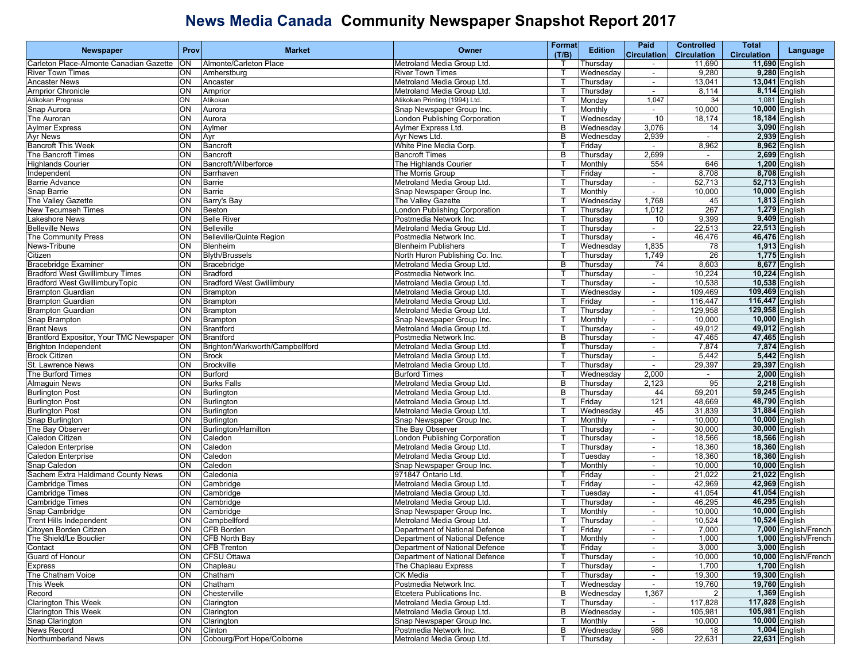| (T/B)<br><b>Circulation</b><br><b>Circulation</b><br><b>Circulation</b><br>11,690 English<br>Carleton Place-Almonte Canadian Gazette<br>ON<br>Metroland Media Group Ltd.<br>11,690<br>Almonte/Carleton Place<br>Thursday<br>$\sim$<br>9,280 English<br>ON<br><b>River Town Times</b><br>9,280<br><b>River Town Times</b><br>Amherstburg<br>Wednesday<br>$\overline{\phantom{a}}$<br>ON<br>13,041 English<br><b>Ancaster News</b><br>Ancaster<br>Metroland Media Group Ltd.<br>Thursday<br>13,041<br>$\blacksquare$<br>ON<br>8,114 English<br><b>Arnprior Chronicle</b><br>Arnprior<br>Metroland Media Group Ltd.<br>8.114<br>Thursday<br>Т<br>$\sim$<br>Atikokan Printing (1994) Ltd.<br>1,047<br>1,081 English<br>Atikokan Progress<br>ON<br>Atikokan<br>Monday<br>34<br>$\mathsf{T}$<br>ON<br>Snap Aurora<br>10,000<br>10,000 English<br>Aurora<br>Snap Newspaper Group Inc.<br>Monthly<br>$\sim$<br>The Auroran<br>ON<br>Aurora<br>London Publishing Corporation<br>10<br>18,174<br>18,184 English<br>Wednesdav<br>ON<br>3,076<br>3,090 English<br><b>Aylmer Express</b><br>Aylmer<br>Aylmer Express Ltd.<br>B<br>Wednesday<br>14<br><b>Ayr News</b><br>ON<br>B<br>2,939<br>2,939 English<br>Ayr<br>Ayr News Ltd.<br>Wednesday<br>$\sim$<br><b>Bancroft This Week</b><br>ON<br>Bancroft<br>White Pine Media Corp.<br>8,962<br>8,962 English<br>Friday<br>$\sim$<br>2,699<br>2,699 English<br>The Bancroft Times<br>ON<br>B<br>Bancroft<br><b>Bancroft Times</b><br>Thursday<br>$\blacksquare$<br>646<br><b>Highlands Courier</b><br>ON<br>Bancroft/Wilberforce<br>The Highlands Courier<br>554<br>1,200 English<br>Monthly<br>ON<br>8,708<br>8,708 English<br>Independent<br>Barrhaven<br>The Morris Group<br>Friday<br>$\blacksquare$<br>ON<br>52,713 English<br><b>Barrie Advance</b><br>Barrie<br>Metroland Media Group Ltd.<br>52,713<br>Thursday<br>$\blacksquare$<br>Т<br>ON<br>Barrie<br>Snap Newspaper Group Inc.<br>10,000<br>10,000 English<br>Snap Barrie<br>Monthly<br>$\sim$<br>1,813 English<br>ON<br>1,768<br>The Valley Gazette<br>Barry's Bay<br>The Valley Gazette<br>Wednesday<br>45<br><b>New Tecumseh Times</b><br>ON<br>London Publishing Corporation<br>1,012<br>267<br>1,279 English<br>Beeton<br>Thursday<br>ON<br><b>Belle River</b><br>9,409 English<br>Lakeshore News<br>Postmedia Network Inc.<br>Thursday<br>10<br>9,399<br>$\mathsf{T}$<br><b>Belleville News</b><br>ON<br>22,513 English<br><b>Belleville</b><br>Metroland Media Group Ltd.<br>22,513<br>Т<br>Thursday<br>$\sim$<br>The Community Press<br>ON<br><b>Belleville/Quinte Region</b><br>Postmedia Network Inc.<br>46,476<br>46,476 English<br>Thursday<br>$\overline{\phantom{a}}$<br>1,913 English<br>News-Tribune<br>ON<br>1,835<br><b>Blenheim Publishers</b><br>78<br>Blenheim<br>Wednesday<br>ON<br><b>Blyth/Brussels</b><br>North Huron Publishing Co. Inc.<br>1,749<br>26<br>1,775 English<br>Citizen<br>Thursday<br>ON<br>8,603<br>8,677 English<br><b>Bracebridge Examiner</b><br>Bracebridge<br>Metroland Media Group Ltd.<br>B<br>Thursday<br>74<br><b>Bradford West Gwillimbury Times</b><br>ON<br>10,224 English<br><b>Bradford</b><br>Postmedia Network Inc.<br>10,224<br>Thursday<br>т<br>$\sim$<br>10,538 English<br>Bradford West GwillimburyTopic<br>ON<br><b>Bradford West Gwillimbury</b><br>Metroland Media Group Ltd.<br>10,538<br>Thursday<br>$\sim$<br>109,469 English<br><b>Brampton Guardian</b><br>Q<br>Metroland Media Group Ltd.<br>Wednesday<br>109,469<br>Brampton<br>$\sim$<br><b>Brampton Guardian</b><br>ON<br>Metroland Media Group Ltd.<br>116,447<br>116,447 English<br>Brampton<br>Friday<br>т<br>$\blacksquare$<br>129,958 English<br><b>Brampton Guardian</b><br>ON<br>129,958<br><b>Brampton</b><br>Metroland Media Group Ltd.<br>Thursday<br>$\mathsf{T}$<br>$\blacksquare$<br>Snap Brampton<br>ON<br>10,000 English<br>Snap Newspaper Group Inc.<br>Monthly<br>10,000<br>Brampton<br>$\blacksquare$<br>т<br><b>Brant News</b><br>ON<br><b>Brantford</b><br>Metroland Media Group Ltd.<br>49,012<br>49,012 English<br>Thursday<br>$\overline{\phantom{a}}$<br>Brantford Expositor, Your TMC Newspaper<br>47,465 English<br>ON<br>B<br>47,465<br><b>Brantford</b><br>Postmedia Network Inc.<br>Thursday<br>$\blacksquare$<br><b>Brighton Independent</b><br>ON<br>Brighton/Warkworth/Campbellford<br>Metroland Media Group Ltd.<br>7,874<br>7,874 English<br>Thursdav<br>$\overline{\phantom{a}}$<br><b>Brock Citizen</b><br>ON<br>5,442 English<br><b>Brock</b><br>Metroland Media Group Ltd.<br>Thursday<br>5,442<br>$\blacksquare$<br>St. Lawrence News<br>29,397<br>29,397 English<br>ON<br><b>Brockville</b><br>Metroland Media Group Ltd.<br>Thursday<br>Т<br>$\sim$<br>The Burford Times<br>ON<br><b>Burford Times</b><br>2,000<br>2,000 English<br>Burford<br>Wednesday<br>$\sim$<br>2,218 English<br><b>Almaguin News</b><br>ON<br>Metroland Media Group Ltd.<br>B<br>2,123<br>95<br><b>Burks Falls</b><br>Thursday<br><b>Burlington Post</b><br>ON<br>Metroland Media Group Ltd.<br>B<br>44<br>59,201<br>59,245 English<br>Burlington<br>Thursday<br><b>Burlington Post</b><br>ON<br>121<br>48,669<br>48,790 English<br>Burlington<br>Metroland Media Group Ltd.<br>Friday<br>т<br><b>Burlington Post</b><br>ON<br>45<br>31,884 English<br>Burlington<br>Metroland Media Group Ltd.<br>Wednesday<br>31,839<br>Т<br>ON<br>Snap Newspaper Group Inc.<br>10,000<br>10,000 English<br>Snap Burlington<br>Burlington<br>Monthly<br>$\overline{\phantom{a}}$<br>The Bay Observer<br>ON<br>30,000<br>30,000 English<br>Burlington/Hamilton<br>The Bay Observer<br>Thursday<br>$\blacksquare$<br>Caledon Citizen<br>ON<br>Caledon<br>London Publishing Corporation<br>18,566<br>18,566 English<br>Thursdav<br>$\overline{\phantom{a}}$<br>ON<br>Caledon<br>18,360<br>18,360 English<br>Caledon Enterprise<br>Metroland Media Group Ltd.<br>Thursday<br>$\blacksquare$<br>ON<br>18,360 English<br>Caledon Enterprise<br>Caledon<br>Metroland Media Group Ltd.<br>18,360<br>Tuesday<br>Т<br>$\sim$<br>ON<br>Caledon<br>Snap Newspaper Group Inc.<br>10,000<br>10,000 English<br>Snap Caledon<br>Monthly<br>$\sim$<br>21,022 English<br>Sachem Extra Haldimand County News<br>Q<br>971847 Ontario Ltd.<br>Caledonia<br>21,022<br>Friday<br>$\blacksquare$<br>ON<br>Metroland Media Group Ltd.<br>42,969<br>42,969 English<br>Cambridge Times<br>Cambridge<br>Friday<br>ा<br>$\blacksquare$<br>ON<br>41,054 English<br><b>Cambridge Times</b><br>Cambridge<br>Metroland Media Group Ltd.<br>Tuesday<br>41,054<br>$\mathsf{T}$<br>$\blacksquare$<br>ON<br>46,295 English<br><b>Cambridge Times</b><br>Cambridge<br>Metroland Media Group Ltd.<br>46,295<br>т<br>Thursday<br>$\sim$<br>ON<br>Snap Newspaper Group Inc.<br>10,000 English<br>Snap Cambridge<br>Cambridge<br>Monthly<br>10,000<br>$\overline{\phantom{a}}$<br>10,524 English<br>ON<br>Metroland Media Group Ltd.<br><b>Trent Hills Independent</b><br>Campbellford<br>10,524<br>Thursday<br>$\blacksquare$<br>Citoyen Borden Citizen<br>ON CFB Borden<br>Department of National Defence<br>Friday<br>7,000<br>The Shield/Le Bouclier<br>T<br>ON<br>CFB North Bay<br>Department of National Defence<br>Monthly<br>1,000<br>1,000 English/French<br>Contact<br>3,000 English<br>ON<br><b>CFB Trenton</b><br>Department of National Defence<br>Friday<br>3,000<br>$\mathsf{T}$<br>$\sim$<br>10,000 English/French<br>Guard of Honour<br>ON<br><b>CFSU Ottawa</b><br>Department of National Defence<br>10,000<br>Thursday<br>$\sim$<br><b>Express</b><br>1,700 English<br>ON<br>The Chapleau Express<br>1,700<br>Chapleau<br>Thursday<br>$\sim$<br>The Chatham Voice<br>ON<br>Chatham<br>19,300<br>19,300 English<br><b>CK Media</b><br>т<br>Thursday<br>This Week<br>Postmedia Network Inc.<br>19,760 English<br>ON<br>Chatham<br>Wednesday<br>19,760<br>$\mathsf{T}$<br>Record<br>B<br>1,367<br>1,369 English<br>ON<br>Chesterville<br>Etcetera Publications Inc.<br>Wednesday<br>117,828 English<br><b>Clarington This Week</b><br>Metroland Media Group Ltd.<br>117,828<br>ON<br>Clarington<br>Thursday<br>$\sim$<br><b>Clarington This Week</b><br>B<br>105,981 English<br>ON<br>Metroland Media Group Ltd.<br>Wednesday<br>105,981<br>Clarington<br>$\sim$<br>Snap Clarington<br>ON<br>Snap Newspaper Group Inc.<br>10,000<br>10,000 English<br>Clarington<br>Monthly<br><b>News Record</b><br>1,004 English<br>ON<br>Postmedia Network Inc.<br>B<br>Wednesdav<br>986<br>18<br>Clinton<br>Cobourg/Port Hope/Colborne<br>22,631<br>22,631 English<br>Northumberland News<br>ON<br>Metroland Media Group Ltd.<br>Thursday<br>Т | <b>Newspaper</b> | Prov | <b>Market</b> | Owner | <b>Format</b> | <b>Edition</b> | Paid | <b>Controlled</b> | <b>Total</b> | Language |
|----------------------------------------------------------------------------------------------------------------------------------------------------------------------------------------------------------------------------------------------------------------------------------------------------------------------------------------------------------------------------------------------------------------------------------------------------------------------------------------------------------------------------------------------------------------------------------------------------------------------------------------------------------------------------------------------------------------------------------------------------------------------------------------------------------------------------------------------------------------------------------------------------------------------------------------------------------------------------------------------------------------------------------------------------------------------------------------------------------------------------------------------------------------------------------------------------------------------------------------------------------------------------------------------------------------------------------------------------------------------------------------------------------------------------------------------------------------------------------------------------------------------------------------------------------------------------------------------------------------------------------------------------------------------------------------------------------------------------------------------------------------------------------------------------------------------------------------------------------------------------------------------------------------------------------------------------------------------------------------------------------------------------------------------------------------------------------------------------------------------------------------------------------------------------------------------------------------------------------------------------------------------------------------------------------------------------------------------------------------------------------------------------------------------------------------------------------------------------------------------------------------------------------------------------------------------------------------------------------------------------------------------------------------------------------------------------------------------------------------------------------------------------------------------------------------------------------------------------------------------------------------------------------------------------------------------------------------------------------------------------------------------------------------------------------------------------------------------------------------------------------------------------------------------------------------------------------------------------------------------------------------------------------------------------------------------------------------------------------------------------------------------------------------------------------------------------------------------------------------------------------------------------------------------------------------------------------------------------------------------------------------------------------------------------------------------------------------------------------------------------------------------------------------------------------------------------------------------------------------------------------------------------------------------------------------------------------------------------------------------------------------------------------------------------------------------------------------------------------------------------------------------------------------------------------------------------------------------------------------------------------------------------------------------------------------------------------------------------------------------------------------------------------------------------------------------------------------------------------------------------------------------------------------------------------------------------------------------------------------------------------------------------------------------------------------------------------------------------------------------------------------------------------------------------------------------------------------------------------------------------------------------------------------------------------------------------------------------------------------------------------------------------------------------------------------------------------------------------------------------------------------------------------------------------------------------------------------------------------------------------------------------------------------------------------------------------------------------------------------------------------------------------------------------------------------------------------------------------------------------------------------------------------------------------------------------------------------------------------------------------------------------------------------------------------------------------------------------------------------------------------------------------------------------------------------------------------------------------------------------------------------------------------------------------------------------------------------------------------------------------------------------------------------------------------------------------------------------------------------------------------------------------------------------------------------------------------------------------------------------------------------------------------------------------------------------------------------------------------------------------------------------------------------------------------------------------------------------------------------------------------------------------------------------------------------------------------------------------------------------------------------------------------------------------------------------------------------------------------------------------------------------------------------------------------------------------------------------------------------------------------------------------------------------------------------------------------------------------------------------------------------------------------------------------------------------------------------------------------------------------------------------------------------------------------------------------------------------------------------------------------------------------------------------------------------------------------------------------------------------------------------------------------------------------------------------------------------------------------------------------------------------------------------------------------------------------------------------------------------------------------------------------------------------------------------------------------------------------------------------------------------------------------------------------------------------------------------------------------------------------------------------------------------------------------------------------------------------------------------------------------------------------------------------------------------------------------------------------------------------------------------------------------------------------------------------------------------------------------------------------------------------------------------------------------------------------------------------------------------------------------------------------------------------------------------------------------------------------------------------------------------------------------------------------------------------------------------------------------------------------------|------------------|------|---------------|-------|---------------|----------------|------|-------------------|--------------|----------|
|                                                                                                                                                                                                                                                                                                                                                                                                                                                                                                                                                                                                                                                                                                                                                                                                                                                                                                                                                                                                                                                                                                                                                                                                                                                                                                                                                                                                                                                                                                                                                                                                                                                                                                                                                                                                                                                                                                                                                                                                                                                                                                                                                                                                                                                                                                                                                                                                                                                                                                                                                                                                                                                                                                                                                                                                                                                                                                                                                                                                                                                                                                                                                                                                                                                                                                                                                                                                                                                                                                                                                                                                                                                                                                                                                                                                                                                                                                                                                                                                                                                                                                                                                                                                                                                                                                                                                                                                                                                                                                                                                                                                                                                                                                                                                                                                                                                                                                                                                                                                                                                                                                                                                                                                                                                                                                                                                                                                                                                                                                                                                                                                                                                                                                                                                                                                                                                                                                                                                                                                                                                                                                                                                                                                                                                                                                                                                                                                                                                                                                                                                                                                                                                                                                                                                                                                                                                                                                                                                                                                                                                                                                                                                                                                                                                                                                                                                                                                                                                                                                                                                                                                                                                                                                                                                                                                                                                                                                                                                                                                                                                                                                                                                                                                                                                                                                                                                                                                                                                                                                                                                                                                                                  |                  |      |               |       |               |                |      |                   |              |          |
|                                                                                                                                                                                                                                                                                                                                                                                                                                                                                                                                                                                                                                                                                                                                                                                                                                                                                                                                                                                                                                                                                                                                                                                                                                                                                                                                                                                                                                                                                                                                                                                                                                                                                                                                                                                                                                                                                                                                                                                                                                                                                                                                                                                                                                                                                                                                                                                                                                                                                                                                                                                                                                                                                                                                                                                                                                                                                                                                                                                                                                                                                                                                                                                                                                                                                                                                                                                                                                                                                                                                                                                                                                                                                                                                                                                                                                                                                                                                                                                                                                                                                                                                                                                                                                                                                                                                                                                                                                                                                                                                                                                                                                                                                                                                                                                                                                                                                                                                                                                                                                                                                                                                                                                                                                                                                                                                                                                                                                                                                                                                                                                                                                                                                                                                                                                                                                                                                                                                                                                                                                                                                                                                                                                                                                                                                                                                                                                                                                                                                                                                                                                                                                                                                                                                                                                                                                                                                                                                                                                                                                                                                                                                                                                                                                                                                                                                                                                                                                                                                                                                                                                                                                                                                                                                                                                                                                                                                                                                                                                                                                                                                                                                                                                                                                                                                                                                                                                                                                                                                                                                                                                                                                  |                  |      |               |       |               |                |      |                   |              |          |
|                                                                                                                                                                                                                                                                                                                                                                                                                                                                                                                                                                                                                                                                                                                                                                                                                                                                                                                                                                                                                                                                                                                                                                                                                                                                                                                                                                                                                                                                                                                                                                                                                                                                                                                                                                                                                                                                                                                                                                                                                                                                                                                                                                                                                                                                                                                                                                                                                                                                                                                                                                                                                                                                                                                                                                                                                                                                                                                                                                                                                                                                                                                                                                                                                                                                                                                                                                                                                                                                                                                                                                                                                                                                                                                                                                                                                                                                                                                                                                                                                                                                                                                                                                                                                                                                                                                                                                                                                                                                                                                                                                                                                                                                                                                                                                                                                                                                                                                                                                                                                                                                                                                                                                                                                                                                                                                                                                                                                                                                                                                                                                                                                                                                                                                                                                                                                                                                                                                                                                                                                                                                                                                                                                                                                                                                                                                                                                                                                                                                                                                                                                                                                                                                                                                                                                                                                                                                                                                                                                                                                                                                                                                                                                                                                                                                                                                                                                                                                                                                                                                                                                                                                                                                                                                                                                                                                                                                                                                                                                                                                                                                                                                                                                                                                                                                                                                                                                                                                                                                                                                                                                                                                                  |                  |      |               |       |               |                |      |                   |              |          |
|                                                                                                                                                                                                                                                                                                                                                                                                                                                                                                                                                                                                                                                                                                                                                                                                                                                                                                                                                                                                                                                                                                                                                                                                                                                                                                                                                                                                                                                                                                                                                                                                                                                                                                                                                                                                                                                                                                                                                                                                                                                                                                                                                                                                                                                                                                                                                                                                                                                                                                                                                                                                                                                                                                                                                                                                                                                                                                                                                                                                                                                                                                                                                                                                                                                                                                                                                                                                                                                                                                                                                                                                                                                                                                                                                                                                                                                                                                                                                                                                                                                                                                                                                                                                                                                                                                                                                                                                                                                                                                                                                                                                                                                                                                                                                                                                                                                                                                                                                                                                                                                                                                                                                                                                                                                                                                                                                                                                                                                                                                                                                                                                                                                                                                                                                                                                                                                                                                                                                                                                                                                                                                                                                                                                                                                                                                                                                                                                                                                                                                                                                                                                                                                                                                                                                                                                                                                                                                                                                                                                                                                                                                                                                                                                                                                                                                                                                                                                                                                                                                                                                                                                                                                                                                                                                                                                                                                                                                                                                                                                                                                                                                                                                                                                                                                                                                                                                                                                                                                                                                                                                                                                                                  |                  |      |               |       |               |                |      |                   |              |          |
|                                                                                                                                                                                                                                                                                                                                                                                                                                                                                                                                                                                                                                                                                                                                                                                                                                                                                                                                                                                                                                                                                                                                                                                                                                                                                                                                                                                                                                                                                                                                                                                                                                                                                                                                                                                                                                                                                                                                                                                                                                                                                                                                                                                                                                                                                                                                                                                                                                                                                                                                                                                                                                                                                                                                                                                                                                                                                                                                                                                                                                                                                                                                                                                                                                                                                                                                                                                                                                                                                                                                                                                                                                                                                                                                                                                                                                                                                                                                                                                                                                                                                                                                                                                                                                                                                                                                                                                                                                                                                                                                                                                                                                                                                                                                                                                                                                                                                                                                                                                                                                                                                                                                                                                                                                                                                                                                                                                                                                                                                                                                                                                                                                                                                                                                                                                                                                                                                                                                                                                                                                                                                                                                                                                                                                                                                                                                                                                                                                                                                                                                                                                                                                                                                                                                                                                                                                                                                                                                                                                                                                                                                                                                                                                                                                                                                                                                                                                                                                                                                                                                                                                                                                                                                                                                                                                                                                                                                                                                                                                                                                                                                                                                                                                                                                                                                                                                                                                                                                                                                                                                                                                                                                  |                  |      |               |       |               |                |      |                   |              |          |
|                                                                                                                                                                                                                                                                                                                                                                                                                                                                                                                                                                                                                                                                                                                                                                                                                                                                                                                                                                                                                                                                                                                                                                                                                                                                                                                                                                                                                                                                                                                                                                                                                                                                                                                                                                                                                                                                                                                                                                                                                                                                                                                                                                                                                                                                                                                                                                                                                                                                                                                                                                                                                                                                                                                                                                                                                                                                                                                                                                                                                                                                                                                                                                                                                                                                                                                                                                                                                                                                                                                                                                                                                                                                                                                                                                                                                                                                                                                                                                                                                                                                                                                                                                                                                                                                                                                                                                                                                                                                                                                                                                                                                                                                                                                                                                                                                                                                                                                                                                                                                                                                                                                                                                                                                                                                                                                                                                                                                                                                                                                                                                                                                                                                                                                                                                                                                                                                                                                                                                                                                                                                                                                                                                                                                                                                                                                                                                                                                                                                                                                                                                                                                                                                                                                                                                                                                                                                                                                                                                                                                                                                                                                                                                                                                                                                                                                                                                                                                                                                                                                                                                                                                                                                                                                                                                                                                                                                                                                                                                                                                                                                                                                                                                                                                                                                                                                                                                                                                                                                                                                                                                                                                                  |                  |      |               |       |               |                |      |                   |              |          |
|                                                                                                                                                                                                                                                                                                                                                                                                                                                                                                                                                                                                                                                                                                                                                                                                                                                                                                                                                                                                                                                                                                                                                                                                                                                                                                                                                                                                                                                                                                                                                                                                                                                                                                                                                                                                                                                                                                                                                                                                                                                                                                                                                                                                                                                                                                                                                                                                                                                                                                                                                                                                                                                                                                                                                                                                                                                                                                                                                                                                                                                                                                                                                                                                                                                                                                                                                                                                                                                                                                                                                                                                                                                                                                                                                                                                                                                                                                                                                                                                                                                                                                                                                                                                                                                                                                                                                                                                                                                                                                                                                                                                                                                                                                                                                                                                                                                                                                                                                                                                                                                                                                                                                                                                                                                                                                                                                                                                                                                                                                                                                                                                                                                                                                                                                                                                                                                                                                                                                                                                                                                                                                                                                                                                                                                                                                                                                                                                                                                                                                                                                                                                                                                                                                                                                                                                                                                                                                                                                                                                                                                                                                                                                                                                                                                                                                                                                                                                                                                                                                                                                                                                                                                                                                                                                                                                                                                                                                                                                                                                                                                                                                                                                                                                                                                                                                                                                                                                                                                                                                                                                                                                                                  |                  |      |               |       |               |                |      |                   |              |          |
|                                                                                                                                                                                                                                                                                                                                                                                                                                                                                                                                                                                                                                                                                                                                                                                                                                                                                                                                                                                                                                                                                                                                                                                                                                                                                                                                                                                                                                                                                                                                                                                                                                                                                                                                                                                                                                                                                                                                                                                                                                                                                                                                                                                                                                                                                                                                                                                                                                                                                                                                                                                                                                                                                                                                                                                                                                                                                                                                                                                                                                                                                                                                                                                                                                                                                                                                                                                                                                                                                                                                                                                                                                                                                                                                                                                                                                                                                                                                                                                                                                                                                                                                                                                                                                                                                                                                                                                                                                                                                                                                                                                                                                                                                                                                                                                                                                                                                                                                                                                                                                                                                                                                                                                                                                                                                                                                                                                                                                                                                                                                                                                                                                                                                                                                                                                                                                                                                                                                                                                                                                                                                                                                                                                                                                                                                                                                                                                                                                                                                                                                                                                                                                                                                                                                                                                                                                                                                                                                                                                                                                                                                                                                                                                                                                                                                                                                                                                                                                                                                                                                                                                                                                                                                                                                                                                                                                                                                                                                                                                                                                                                                                                                                                                                                                                                                                                                                                                                                                                                                                                                                                                                                                  |                  |      |               |       |               |                |      |                   |              |          |
|                                                                                                                                                                                                                                                                                                                                                                                                                                                                                                                                                                                                                                                                                                                                                                                                                                                                                                                                                                                                                                                                                                                                                                                                                                                                                                                                                                                                                                                                                                                                                                                                                                                                                                                                                                                                                                                                                                                                                                                                                                                                                                                                                                                                                                                                                                                                                                                                                                                                                                                                                                                                                                                                                                                                                                                                                                                                                                                                                                                                                                                                                                                                                                                                                                                                                                                                                                                                                                                                                                                                                                                                                                                                                                                                                                                                                                                                                                                                                                                                                                                                                                                                                                                                                                                                                                                                                                                                                                                                                                                                                                                                                                                                                                                                                                                                                                                                                                                                                                                                                                                                                                                                                                                                                                                                                                                                                                                                                                                                                                                                                                                                                                                                                                                                                                                                                                                                                                                                                                                                                                                                                                                                                                                                                                                                                                                                                                                                                                                                                                                                                                                                                                                                                                                                                                                                                                                                                                                                                                                                                                                                                                                                                                                                                                                                                                                                                                                                                                                                                                                                                                                                                                                                                                                                                                                                                                                                                                                                                                                                                                                                                                                                                                                                                                                                                                                                                                                                                                                                                                                                                                                                                                  |                  |      |               |       |               |                |      |                   |              |          |
|                                                                                                                                                                                                                                                                                                                                                                                                                                                                                                                                                                                                                                                                                                                                                                                                                                                                                                                                                                                                                                                                                                                                                                                                                                                                                                                                                                                                                                                                                                                                                                                                                                                                                                                                                                                                                                                                                                                                                                                                                                                                                                                                                                                                                                                                                                                                                                                                                                                                                                                                                                                                                                                                                                                                                                                                                                                                                                                                                                                                                                                                                                                                                                                                                                                                                                                                                                                                                                                                                                                                                                                                                                                                                                                                                                                                                                                                                                                                                                                                                                                                                                                                                                                                                                                                                                                                                                                                                                                                                                                                                                                                                                                                                                                                                                                                                                                                                                                                                                                                                                                                                                                                                                                                                                                                                                                                                                                                                                                                                                                                                                                                                                                                                                                                                                                                                                                                                                                                                                                                                                                                                                                                                                                                                                                                                                                                                                                                                                                                                                                                                                                                                                                                                                                                                                                                                                                                                                                                                                                                                                                                                                                                                                                                                                                                                                                                                                                                                                                                                                                                                                                                                                                                                                                                                                                                                                                                                                                                                                                                                                                                                                                                                                                                                                                                                                                                                                                                                                                                                                                                                                                                                                  |                  |      |               |       |               |                |      |                   |              |          |
|                                                                                                                                                                                                                                                                                                                                                                                                                                                                                                                                                                                                                                                                                                                                                                                                                                                                                                                                                                                                                                                                                                                                                                                                                                                                                                                                                                                                                                                                                                                                                                                                                                                                                                                                                                                                                                                                                                                                                                                                                                                                                                                                                                                                                                                                                                                                                                                                                                                                                                                                                                                                                                                                                                                                                                                                                                                                                                                                                                                                                                                                                                                                                                                                                                                                                                                                                                                                                                                                                                                                                                                                                                                                                                                                                                                                                                                                                                                                                                                                                                                                                                                                                                                                                                                                                                                                                                                                                                                                                                                                                                                                                                                                                                                                                                                                                                                                                                                                                                                                                                                                                                                                                                                                                                                                                                                                                                                                                                                                                                                                                                                                                                                                                                                                                                                                                                                                                                                                                                                                                                                                                                                                                                                                                                                                                                                                                                                                                                                                                                                                                                                                                                                                                                                                                                                                                                                                                                                                                                                                                                                                                                                                                                                                                                                                                                                                                                                                                                                                                                                                                                                                                                                                                                                                                                                                                                                                                                                                                                                                                                                                                                                                                                                                                                                                                                                                                                                                                                                                                                                                                                                                                                  |                  |      |               |       |               |                |      |                   |              |          |
|                                                                                                                                                                                                                                                                                                                                                                                                                                                                                                                                                                                                                                                                                                                                                                                                                                                                                                                                                                                                                                                                                                                                                                                                                                                                                                                                                                                                                                                                                                                                                                                                                                                                                                                                                                                                                                                                                                                                                                                                                                                                                                                                                                                                                                                                                                                                                                                                                                                                                                                                                                                                                                                                                                                                                                                                                                                                                                                                                                                                                                                                                                                                                                                                                                                                                                                                                                                                                                                                                                                                                                                                                                                                                                                                                                                                                                                                                                                                                                                                                                                                                                                                                                                                                                                                                                                                                                                                                                                                                                                                                                                                                                                                                                                                                                                                                                                                                                                                                                                                                                                                                                                                                                                                                                                                                                                                                                                                                                                                                                                                                                                                                                                                                                                                                                                                                                                                                                                                                                                                                                                                                                                                                                                                                                                                                                                                                                                                                                                                                                                                                                                                                                                                                                                                                                                                                                                                                                                                                                                                                                                                                                                                                                                                                                                                                                                                                                                                                                                                                                                                                                                                                                                                                                                                                                                                                                                                                                                                                                                                                                                                                                                                                                                                                                                                                                                                                                                                                                                                                                                                                                                                                                  |                  |      |               |       |               |                |      |                   |              |          |
| 7,000 English/French                                                                                                                                                                                                                                                                                                                                                                                                                                                                                                                                                                                                                                                                                                                                                                                                                                                                                                                                                                                                                                                                                                                                                                                                                                                                                                                                                                                                                                                                                                                                                                                                                                                                                                                                                                                                                                                                                                                                                                                                                                                                                                                                                                                                                                                                                                                                                                                                                                                                                                                                                                                                                                                                                                                                                                                                                                                                                                                                                                                                                                                                                                                                                                                                                                                                                                                                                                                                                                                                                                                                                                                                                                                                                                                                                                                                                                                                                                                                                                                                                                                                                                                                                                                                                                                                                                                                                                                                                                                                                                                                                                                                                                                                                                                                                                                                                                                                                                                                                                                                                                                                                                                                                                                                                                                                                                                                                                                                                                                                                                                                                                                                                                                                                                                                                                                                                                                                                                                                                                                                                                                                                                                                                                                                                                                                                                                                                                                                                                                                                                                                                                                                                                                                                                                                                                                                                                                                                                                                                                                                                                                                                                                                                                                                                                                                                                                                                                                                                                                                                                                                                                                                                                                                                                                                                                                                                                                                                                                                                                                                                                                                                                                                                                                                                                                                                                                                                                                                                                                                                                                                                                                                             |                  |      |               |       |               |                |      |                   |              |          |
|                                                                                                                                                                                                                                                                                                                                                                                                                                                                                                                                                                                                                                                                                                                                                                                                                                                                                                                                                                                                                                                                                                                                                                                                                                                                                                                                                                                                                                                                                                                                                                                                                                                                                                                                                                                                                                                                                                                                                                                                                                                                                                                                                                                                                                                                                                                                                                                                                                                                                                                                                                                                                                                                                                                                                                                                                                                                                                                                                                                                                                                                                                                                                                                                                                                                                                                                                                                                                                                                                                                                                                                                                                                                                                                                                                                                                                                                                                                                                                                                                                                                                                                                                                                                                                                                                                                                                                                                                                                                                                                                                                                                                                                                                                                                                                                                                                                                                                                                                                                                                                                                                                                                                                                                                                                                                                                                                                                                                                                                                                                                                                                                                                                                                                                                                                                                                                                                                                                                                                                                                                                                                                                                                                                                                                                                                                                                                                                                                                                                                                                                                                                                                                                                                                                                                                                                                                                                                                                                                                                                                                                                                                                                                                                                                                                                                                                                                                                                                                                                                                                                                                                                                                                                                                                                                                                                                                                                                                                                                                                                                                                                                                                                                                                                                                                                                                                                                                                                                                                                                                                                                                                                                                  |                  |      |               |       |               |                |      |                   |              |          |
|                                                                                                                                                                                                                                                                                                                                                                                                                                                                                                                                                                                                                                                                                                                                                                                                                                                                                                                                                                                                                                                                                                                                                                                                                                                                                                                                                                                                                                                                                                                                                                                                                                                                                                                                                                                                                                                                                                                                                                                                                                                                                                                                                                                                                                                                                                                                                                                                                                                                                                                                                                                                                                                                                                                                                                                                                                                                                                                                                                                                                                                                                                                                                                                                                                                                                                                                                                                                                                                                                                                                                                                                                                                                                                                                                                                                                                                                                                                                                                                                                                                                                                                                                                                                                                                                                                                                                                                                                                                                                                                                                                                                                                                                                                                                                                                                                                                                                                                                                                                                                                                                                                                                                                                                                                                                                                                                                                                                                                                                                                                                                                                                                                                                                                                                                                                                                                                                                                                                                                                                                                                                                                                                                                                                                                                                                                                                                                                                                                                                                                                                                                                                                                                                                                                                                                                                                                                                                                                                                                                                                                                                                                                                                                                                                                                                                                                                                                                                                                                                                                                                                                                                                                                                                                                                                                                                                                                                                                                                                                                                                                                                                                                                                                                                                                                                                                                                                                                                                                                                                                                                                                                                                                  |                  |      |               |       |               |                |      |                   |              |          |
|                                                                                                                                                                                                                                                                                                                                                                                                                                                                                                                                                                                                                                                                                                                                                                                                                                                                                                                                                                                                                                                                                                                                                                                                                                                                                                                                                                                                                                                                                                                                                                                                                                                                                                                                                                                                                                                                                                                                                                                                                                                                                                                                                                                                                                                                                                                                                                                                                                                                                                                                                                                                                                                                                                                                                                                                                                                                                                                                                                                                                                                                                                                                                                                                                                                                                                                                                                                                                                                                                                                                                                                                                                                                                                                                                                                                                                                                                                                                                                                                                                                                                                                                                                                                                                                                                                                                                                                                                                                                                                                                                                                                                                                                                                                                                                                                                                                                                                                                                                                                                                                                                                                                                                                                                                                                                                                                                                                                                                                                                                                                                                                                                                                                                                                                                                                                                                                                                                                                                                                                                                                                                                                                                                                                                                                                                                                                                                                                                                                                                                                                                                                                                                                                                                                                                                                                                                                                                                                                                                                                                                                                                                                                                                                                                                                                                                                                                                                                                                                                                                                                                                                                                                                                                                                                                                                                                                                                                                                                                                                                                                                                                                                                                                                                                                                                                                                                                                                                                                                                                                                                                                                                                                  |                  |      |               |       |               |                |      |                   |              |          |
|                                                                                                                                                                                                                                                                                                                                                                                                                                                                                                                                                                                                                                                                                                                                                                                                                                                                                                                                                                                                                                                                                                                                                                                                                                                                                                                                                                                                                                                                                                                                                                                                                                                                                                                                                                                                                                                                                                                                                                                                                                                                                                                                                                                                                                                                                                                                                                                                                                                                                                                                                                                                                                                                                                                                                                                                                                                                                                                                                                                                                                                                                                                                                                                                                                                                                                                                                                                                                                                                                                                                                                                                                                                                                                                                                                                                                                                                                                                                                                                                                                                                                                                                                                                                                                                                                                                                                                                                                                                                                                                                                                                                                                                                                                                                                                                                                                                                                                                                                                                                                                                                                                                                                                                                                                                                                                                                                                                                                                                                                                                                                                                                                                                                                                                                                                                                                                                                                                                                                                                                                                                                                                                                                                                                                                                                                                                                                                                                                                                                                                                                                                                                                                                                                                                                                                                                                                                                                                                                                                                                                                                                                                                                                                                                                                                                                                                                                                                                                                                                                                                                                                                                                                                                                                                                                                                                                                                                                                                                                                                                                                                                                                                                                                                                                                                                                                                                                                                                                                                                                                                                                                                                                                  |                  |      |               |       |               |                |      |                   |              |          |
|                                                                                                                                                                                                                                                                                                                                                                                                                                                                                                                                                                                                                                                                                                                                                                                                                                                                                                                                                                                                                                                                                                                                                                                                                                                                                                                                                                                                                                                                                                                                                                                                                                                                                                                                                                                                                                                                                                                                                                                                                                                                                                                                                                                                                                                                                                                                                                                                                                                                                                                                                                                                                                                                                                                                                                                                                                                                                                                                                                                                                                                                                                                                                                                                                                                                                                                                                                                                                                                                                                                                                                                                                                                                                                                                                                                                                                                                                                                                                                                                                                                                                                                                                                                                                                                                                                                                                                                                                                                                                                                                                                                                                                                                                                                                                                                                                                                                                                                                                                                                                                                                                                                                                                                                                                                                                                                                                                                                                                                                                                                                                                                                                                                                                                                                                                                                                                                                                                                                                                                                                                                                                                                                                                                                                                                                                                                                                                                                                                                                                                                                                                                                                                                                                                                                                                                                                                                                                                                                                                                                                                                                                                                                                                                                                                                                                                                                                                                                                                                                                                                                                                                                                                                                                                                                                                                                                                                                                                                                                                                                                                                                                                                                                                                                                                                                                                                                                                                                                                                                                                                                                                                                                                  |                  |      |               |       |               |                |      |                   |              |          |
|                                                                                                                                                                                                                                                                                                                                                                                                                                                                                                                                                                                                                                                                                                                                                                                                                                                                                                                                                                                                                                                                                                                                                                                                                                                                                                                                                                                                                                                                                                                                                                                                                                                                                                                                                                                                                                                                                                                                                                                                                                                                                                                                                                                                                                                                                                                                                                                                                                                                                                                                                                                                                                                                                                                                                                                                                                                                                                                                                                                                                                                                                                                                                                                                                                                                                                                                                                                                                                                                                                                                                                                                                                                                                                                                                                                                                                                                                                                                                                                                                                                                                                                                                                                                                                                                                                                                                                                                                                                                                                                                                                                                                                                                                                                                                                                                                                                                                                                                                                                                                                                                                                                                                                                                                                                                                                                                                                                                                                                                                                                                                                                                                                                                                                                                                                                                                                                                                                                                                                                                                                                                                                                                                                                                                                                                                                                                                                                                                                                                                                                                                                                                                                                                                                                                                                                                                                                                                                                                                                                                                                                                                                                                                                                                                                                                                                                                                                                                                                                                                                                                                                                                                                                                                                                                                                                                                                                                                                                                                                                                                                                                                                                                                                                                                                                                                                                                                                                                                                                                                                                                                                                                                                  |                  |      |               |       |               |                |      |                   |              |          |
|                                                                                                                                                                                                                                                                                                                                                                                                                                                                                                                                                                                                                                                                                                                                                                                                                                                                                                                                                                                                                                                                                                                                                                                                                                                                                                                                                                                                                                                                                                                                                                                                                                                                                                                                                                                                                                                                                                                                                                                                                                                                                                                                                                                                                                                                                                                                                                                                                                                                                                                                                                                                                                                                                                                                                                                                                                                                                                                                                                                                                                                                                                                                                                                                                                                                                                                                                                                                                                                                                                                                                                                                                                                                                                                                                                                                                                                                                                                                                                                                                                                                                                                                                                                                                                                                                                                                                                                                                                                                                                                                                                                                                                                                                                                                                                                                                                                                                                                                                                                                                                                                                                                                                                                                                                                                                                                                                                                                                                                                                                                                                                                                                                                                                                                                                                                                                                                                                                                                                                                                                                                                                                                                                                                                                                                                                                                                                                                                                                                                                                                                                                                                                                                                                                                                                                                                                                                                                                                                                                                                                                                                                                                                                                                                                                                                                                                                                                                                                                                                                                                                                                                                                                                                                                                                                                                                                                                                                                                                                                                                                                                                                                                                                                                                                                                                                                                                                                                                                                                                                                                                                                                                                                  |                  |      |               |       |               |                |      |                   |              |          |
|                                                                                                                                                                                                                                                                                                                                                                                                                                                                                                                                                                                                                                                                                                                                                                                                                                                                                                                                                                                                                                                                                                                                                                                                                                                                                                                                                                                                                                                                                                                                                                                                                                                                                                                                                                                                                                                                                                                                                                                                                                                                                                                                                                                                                                                                                                                                                                                                                                                                                                                                                                                                                                                                                                                                                                                                                                                                                                                                                                                                                                                                                                                                                                                                                                                                                                                                                                                                                                                                                                                                                                                                                                                                                                                                                                                                                                                                                                                                                                                                                                                                                                                                                                                                                                                                                                                                                                                                                                                                                                                                                                                                                                                                                                                                                                                                                                                                                                                                                                                                                                                                                                                                                                                                                                                                                                                                                                                                                                                                                                                                                                                                                                                                                                                                                                                                                                                                                                                                                                                                                                                                                                                                                                                                                                                                                                                                                                                                                                                                                                                                                                                                                                                                                                                                                                                                                                                                                                                                                                                                                                                                                                                                                                                                                                                                                                                                                                                                                                                                                                                                                                                                                                                                                                                                                                                                                                                                                                                                                                                                                                                                                                                                                                                                                                                                                                                                                                                                                                                                                                                                                                                                                                  |                  |      |               |       |               |                |      |                   |              |          |
|                                                                                                                                                                                                                                                                                                                                                                                                                                                                                                                                                                                                                                                                                                                                                                                                                                                                                                                                                                                                                                                                                                                                                                                                                                                                                                                                                                                                                                                                                                                                                                                                                                                                                                                                                                                                                                                                                                                                                                                                                                                                                                                                                                                                                                                                                                                                                                                                                                                                                                                                                                                                                                                                                                                                                                                                                                                                                                                                                                                                                                                                                                                                                                                                                                                                                                                                                                                                                                                                                                                                                                                                                                                                                                                                                                                                                                                                                                                                                                                                                                                                                                                                                                                                                                                                                                                                                                                                                                                                                                                                                                                                                                                                                                                                                                                                                                                                                                                                                                                                                                                                                                                                                                                                                                                                                                                                                                                                                                                                                                                                                                                                                                                                                                                                                                                                                                                                                                                                                                                                                                                                                                                                                                                                                                                                                                                                                                                                                                                                                                                                                                                                                                                                                                                                                                                                                                                                                                                                                                                                                                                                                                                                                                                                                                                                                                                                                                                                                                                                                                                                                                                                                                                                                                                                                                                                                                                                                                                                                                                                                                                                                                                                                                                                                                                                                                                                                                                                                                                                                                                                                                                                                                  |                  |      |               |       |               |                |      |                   |              |          |
|                                                                                                                                                                                                                                                                                                                                                                                                                                                                                                                                                                                                                                                                                                                                                                                                                                                                                                                                                                                                                                                                                                                                                                                                                                                                                                                                                                                                                                                                                                                                                                                                                                                                                                                                                                                                                                                                                                                                                                                                                                                                                                                                                                                                                                                                                                                                                                                                                                                                                                                                                                                                                                                                                                                                                                                                                                                                                                                                                                                                                                                                                                                                                                                                                                                                                                                                                                                                                                                                                                                                                                                                                                                                                                                                                                                                                                                                                                                                                                                                                                                                                                                                                                                                                                                                                                                                                                                                                                                                                                                                                                                                                                                                                                                                                                                                                                                                                                                                                                                                                                                                                                                                                                                                                                                                                                                                                                                                                                                                                                                                                                                                                                                                                                                                                                                                                                                                                                                                                                                                                                                                                                                                                                                                                                                                                                                                                                                                                                                                                                                                                                                                                                                                                                                                                                                                                                                                                                                                                                                                                                                                                                                                                                                                                                                                                                                                                                                                                                                                                                                                                                                                                                                                                                                                                                                                                                                                                                                                                                                                                                                                                                                                                                                                                                                                                                                                                                                                                                                                                                                                                                                                                                  |                  |      |               |       |               |                |      |                   |              |          |
|                                                                                                                                                                                                                                                                                                                                                                                                                                                                                                                                                                                                                                                                                                                                                                                                                                                                                                                                                                                                                                                                                                                                                                                                                                                                                                                                                                                                                                                                                                                                                                                                                                                                                                                                                                                                                                                                                                                                                                                                                                                                                                                                                                                                                                                                                                                                                                                                                                                                                                                                                                                                                                                                                                                                                                                                                                                                                                                                                                                                                                                                                                                                                                                                                                                                                                                                                                                                                                                                                                                                                                                                                                                                                                                                                                                                                                                                                                                                                                                                                                                                                                                                                                                                                                                                                                                                                                                                                                                                                                                                                                                                                                                                                                                                                                                                                                                                                                                                                                                                                                                                                                                                                                                                                                                                                                                                                                                                                                                                                                                                                                                                                                                                                                                                                                                                                                                                                                                                                                                                                                                                                                                                                                                                                                                                                                                                                                                                                                                                                                                                                                                                                                                                                                                                                                                                                                                                                                                                                                                                                                                                                                                                                                                                                                                                                                                                                                                                                                                                                                                                                                                                                                                                                                                                                                                                                                                                                                                                                                                                                                                                                                                                                                                                                                                                                                                                                                                                                                                                                                                                                                                                                                  |                  |      |               |       |               |                |      |                   |              |          |
|                                                                                                                                                                                                                                                                                                                                                                                                                                                                                                                                                                                                                                                                                                                                                                                                                                                                                                                                                                                                                                                                                                                                                                                                                                                                                                                                                                                                                                                                                                                                                                                                                                                                                                                                                                                                                                                                                                                                                                                                                                                                                                                                                                                                                                                                                                                                                                                                                                                                                                                                                                                                                                                                                                                                                                                                                                                                                                                                                                                                                                                                                                                                                                                                                                                                                                                                                                                                                                                                                                                                                                                                                                                                                                                                                                                                                                                                                                                                                                                                                                                                                                                                                                                                                                                                                                                                                                                                                                                                                                                                                                                                                                                                                                                                                                                                                                                                                                                                                                                                                                                                                                                                                                                                                                                                                                                                                                                                                                                                                                                                                                                                                                                                                                                                                                                                                                                                                                                                                                                                                                                                                                                                                                                                                                                                                                                                                                                                                                                                                                                                                                                                                                                                                                                                                                                                                                                                                                                                                                                                                                                                                                                                                                                                                                                                                                                                                                                                                                                                                                                                                                                                                                                                                                                                                                                                                                                                                                                                                                                                                                                                                                                                                                                                                                                                                                                                                                                                                                                                                                                                                                                                                                  |                  |      |               |       |               |                |      |                   |              |          |
|                                                                                                                                                                                                                                                                                                                                                                                                                                                                                                                                                                                                                                                                                                                                                                                                                                                                                                                                                                                                                                                                                                                                                                                                                                                                                                                                                                                                                                                                                                                                                                                                                                                                                                                                                                                                                                                                                                                                                                                                                                                                                                                                                                                                                                                                                                                                                                                                                                                                                                                                                                                                                                                                                                                                                                                                                                                                                                                                                                                                                                                                                                                                                                                                                                                                                                                                                                                                                                                                                                                                                                                                                                                                                                                                                                                                                                                                                                                                                                                                                                                                                                                                                                                                                                                                                                                                                                                                                                                                                                                                                                                                                                                                                                                                                                                                                                                                                                                                                                                                                                                                                                                                                                                                                                                                                                                                                                                                                                                                                                                                                                                                                                                                                                                                                                                                                                                                                                                                                                                                                                                                                                                                                                                                                                                                                                                                                                                                                                                                                                                                                                                                                                                                                                                                                                                                                                                                                                                                                                                                                                                                                                                                                                                                                                                                                                                                                                                                                                                                                                                                                                                                                                                                                                                                                                                                                                                                                                                                                                                                                                                                                                                                                                                                                                                                                                                                                                                                                                                                                                                                                                                                                                  |                  |      |               |       |               |                |      |                   |              |          |
|                                                                                                                                                                                                                                                                                                                                                                                                                                                                                                                                                                                                                                                                                                                                                                                                                                                                                                                                                                                                                                                                                                                                                                                                                                                                                                                                                                                                                                                                                                                                                                                                                                                                                                                                                                                                                                                                                                                                                                                                                                                                                                                                                                                                                                                                                                                                                                                                                                                                                                                                                                                                                                                                                                                                                                                                                                                                                                                                                                                                                                                                                                                                                                                                                                                                                                                                                                                                                                                                                                                                                                                                                                                                                                                                                                                                                                                                                                                                                                                                                                                                                                                                                                                                                                                                                                                                                                                                                                                                                                                                                                                                                                                                                                                                                                                                                                                                                                                                                                                                                                                                                                                                                                                                                                                                                                                                                                                                                                                                                                                                                                                                                                                                                                                                                                                                                                                                                                                                                                                                                                                                                                                                                                                                                                                                                                                                                                                                                                                                                                                                                                                                                                                                                                                                                                                                                                                                                                                                                                                                                                                                                                                                                                                                                                                                                                                                                                                                                                                                                                                                                                                                                                                                                                                                                                                                                                                                                                                                                                                                                                                                                                                                                                                                                                                                                                                                                                                                                                                                                                                                                                                                                                  |                  |      |               |       |               |                |      |                   |              |          |
|                                                                                                                                                                                                                                                                                                                                                                                                                                                                                                                                                                                                                                                                                                                                                                                                                                                                                                                                                                                                                                                                                                                                                                                                                                                                                                                                                                                                                                                                                                                                                                                                                                                                                                                                                                                                                                                                                                                                                                                                                                                                                                                                                                                                                                                                                                                                                                                                                                                                                                                                                                                                                                                                                                                                                                                                                                                                                                                                                                                                                                                                                                                                                                                                                                                                                                                                                                                                                                                                                                                                                                                                                                                                                                                                                                                                                                                                                                                                                                                                                                                                                                                                                                                                                                                                                                                                                                                                                                                                                                                                                                                                                                                                                                                                                                                                                                                                                                                                                                                                                                                                                                                                                                                                                                                                                                                                                                                                                                                                                                                                                                                                                                                                                                                                                                                                                                                                                                                                                                                                                                                                                                                                                                                                                                                                                                                                                                                                                                                                                                                                                                                                                                                                                                                                                                                                                                                                                                                                                                                                                                                                                                                                                                                                                                                                                                                                                                                                                                                                                                                                                                                                                                                                                                                                                                                                                                                                                                                                                                                                                                                                                                                                                                                                                                                                                                                                                                                                                                                                                                                                                                                                                                  |                  |      |               |       |               |                |      |                   |              |          |
|                                                                                                                                                                                                                                                                                                                                                                                                                                                                                                                                                                                                                                                                                                                                                                                                                                                                                                                                                                                                                                                                                                                                                                                                                                                                                                                                                                                                                                                                                                                                                                                                                                                                                                                                                                                                                                                                                                                                                                                                                                                                                                                                                                                                                                                                                                                                                                                                                                                                                                                                                                                                                                                                                                                                                                                                                                                                                                                                                                                                                                                                                                                                                                                                                                                                                                                                                                                                                                                                                                                                                                                                                                                                                                                                                                                                                                                                                                                                                                                                                                                                                                                                                                                                                                                                                                                                                                                                                                                                                                                                                                                                                                                                                                                                                                                                                                                                                                                                                                                                                                                                                                                                                                                                                                                                                                                                                                                                                                                                                                                                                                                                                                                                                                                                                                                                                                                                                                                                                                                                                                                                                                                                                                                                                                                                                                                                                                                                                                                                                                                                                                                                                                                                                                                                                                                                                                                                                                                                                                                                                                                                                                                                                                                                                                                                                                                                                                                                                                                                                                                                                                                                                                                                                                                                                                                                                                                                                                                                                                                                                                                                                                                                                                                                                                                                                                                                                                                                                                                                                                                                                                                                                                  |                  |      |               |       |               |                |      |                   |              |          |
|                                                                                                                                                                                                                                                                                                                                                                                                                                                                                                                                                                                                                                                                                                                                                                                                                                                                                                                                                                                                                                                                                                                                                                                                                                                                                                                                                                                                                                                                                                                                                                                                                                                                                                                                                                                                                                                                                                                                                                                                                                                                                                                                                                                                                                                                                                                                                                                                                                                                                                                                                                                                                                                                                                                                                                                                                                                                                                                                                                                                                                                                                                                                                                                                                                                                                                                                                                                                                                                                                                                                                                                                                                                                                                                                                                                                                                                                                                                                                                                                                                                                                                                                                                                                                                                                                                                                                                                                                                                                                                                                                                                                                                                                                                                                                                                                                                                                                                                                                                                                                                                                                                                                                                                                                                                                                                                                                                                                                                                                                                                                                                                                                                                                                                                                                                                                                                                                                                                                                                                                                                                                                                                                                                                                                                                                                                                                                                                                                                                                                                                                                                                                                                                                                                                                                                                                                                                                                                                                                                                                                                                                                                                                                                                                                                                                                                                                                                                                                                                                                                                                                                                                                                                                                                                                                                                                                                                                                                                                                                                                                                                                                                                                                                                                                                                                                                                                                                                                                                                                                                                                                                                                                                  |                  |      |               |       |               |                |      |                   |              |          |
|                                                                                                                                                                                                                                                                                                                                                                                                                                                                                                                                                                                                                                                                                                                                                                                                                                                                                                                                                                                                                                                                                                                                                                                                                                                                                                                                                                                                                                                                                                                                                                                                                                                                                                                                                                                                                                                                                                                                                                                                                                                                                                                                                                                                                                                                                                                                                                                                                                                                                                                                                                                                                                                                                                                                                                                                                                                                                                                                                                                                                                                                                                                                                                                                                                                                                                                                                                                                                                                                                                                                                                                                                                                                                                                                                                                                                                                                                                                                                                                                                                                                                                                                                                                                                                                                                                                                                                                                                                                                                                                                                                                                                                                                                                                                                                                                                                                                                                                                                                                                                                                                                                                                                                                                                                                                                                                                                                                                                                                                                                                                                                                                                                                                                                                                                                                                                                                                                                                                                                                                                                                                                                                                                                                                                                                                                                                                                                                                                                                                                                                                                                                                                                                                                                                                                                                                                                                                                                                                                                                                                                                                                                                                                                                                                                                                                                                                                                                                                                                                                                                                                                                                                                                                                                                                                                                                                                                                                                                                                                                                                                                                                                                                                                                                                                                                                                                                                                                                                                                                                                                                                                                                                                  |                  |      |               |       |               |                |      |                   |              |          |
|                                                                                                                                                                                                                                                                                                                                                                                                                                                                                                                                                                                                                                                                                                                                                                                                                                                                                                                                                                                                                                                                                                                                                                                                                                                                                                                                                                                                                                                                                                                                                                                                                                                                                                                                                                                                                                                                                                                                                                                                                                                                                                                                                                                                                                                                                                                                                                                                                                                                                                                                                                                                                                                                                                                                                                                                                                                                                                                                                                                                                                                                                                                                                                                                                                                                                                                                                                                                                                                                                                                                                                                                                                                                                                                                                                                                                                                                                                                                                                                                                                                                                                                                                                                                                                                                                                                                                                                                                                                                                                                                                                                                                                                                                                                                                                                                                                                                                                                                                                                                                                                                                                                                                                                                                                                                                                                                                                                                                                                                                                                                                                                                                                                                                                                                                                                                                                                                                                                                                                                                                                                                                                                                                                                                                                                                                                                                                                                                                                                                                                                                                                                                                                                                                                                                                                                                                                                                                                                                                                                                                                                                                                                                                                                                                                                                                                                                                                                                                                                                                                                                                                                                                                                                                                                                                                                                                                                                                                                                                                                                                                                                                                                                                                                                                                                                                                                                                                                                                                                                                                                                                                                                                                  |                  |      |               |       |               |                |      |                   |              |          |
|                                                                                                                                                                                                                                                                                                                                                                                                                                                                                                                                                                                                                                                                                                                                                                                                                                                                                                                                                                                                                                                                                                                                                                                                                                                                                                                                                                                                                                                                                                                                                                                                                                                                                                                                                                                                                                                                                                                                                                                                                                                                                                                                                                                                                                                                                                                                                                                                                                                                                                                                                                                                                                                                                                                                                                                                                                                                                                                                                                                                                                                                                                                                                                                                                                                                                                                                                                                                                                                                                                                                                                                                                                                                                                                                                                                                                                                                                                                                                                                                                                                                                                                                                                                                                                                                                                                                                                                                                                                                                                                                                                                                                                                                                                                                                                                                                                                                                                                                                                                                                                                                                                                                                                                                                                                                                                                                                                                                                                                                                                                                                                                                                                                                                                                                                                                                                                                                                                                                                                                                                                                                                                                                                                                                                                                                                                                                                                                                                                                                                                                                                                                                                                                                                                                                                                                                                                                                                                                                                                                                                                                                                                                                                                                                                                                                                                                                                                                                                                                                                                                                                                                                                                                                                                                                                                                                                                                                                                                                                                                                                                                                                                                                                                                                                                                                                                                                                                                                                                                                                                                                                                                                                                  |                  |      |               |       |               |                |      |                   |              |          |
|                                                                                                                                                                                                                                                                                                                                                                                                                                                                                                                                                                                                                                                                                                                                                                                                                                                                                                                                                                                                                                                                                                                                                                                                                                                                                                                                                                                                                                                                                                                                                                                                                                                                                                                                                                                                                                                                                                                                                                                                                                                                                                                                                                                                                                                                                                                                                                                                                                                                                                                                                                                                                                                                                                                                                                                                                                                                                                                                                                                                                                                                                                                                                                                                                                                                                                                                                                                                                                                                                                                                                                                                                                                                                                                                                                                                                                                                                                                                                                                                                                                                                                                                                                                                                                                                                                                                                                                                                                                                                                                                                                                                                                                                                                                                                                                                                                                                                                                                                                                                                                                                                                                                                                                                                                                                                                                                                                                                                                                                                                                                                                                                                                                                                                                                                                                                                                                                                                                                                                                                                                                                                                                                                                                                                                                                                                                                                                                                                                                                                                                                                                                                                                                                                                                                                                                                                                                                                                                                                                                                                                                                                                                                                                                                                                                                                                                                                                                                                                                                                                                                                                                                                                                                                                                                                                                                                                                                                                                                                                                                                                                                                                                                                                                                                                                                                                                                                                                                                                                                                                                                                                                                                                  |                  |      |               |       |               |                |      |                   |              |          |
|                                                                                                                                                                                                                                                                                                                                                                                                                                                                                                                                                                                                                                                                                                                                                                                                                                                                                                                                                                                                                                                                                                                                                                                                                                                                                                                                                                                                                                                                                                                                                                                                                                                                                                                                                                                                                                                                                                                                                                                                                                                                                                                                                                                                                                                                                                                                                                                                                                                                                                                                                                                                                                                                                                                                                                                                                                                                                                                                                                                                                                                                                                                                                                                                                                                                                                                                                                                                                                                                                                                                                                                                                                                                                                                                                                                                                                                                                                                                                                                                                                                                                                                                                                                                                                                                                                                                                                                                                                                                                                                                                                                                                                                                                                                                                                                                                                                                                                                                                                                                                                                                                                                                                                                                                                                                                                                                                                                                                                                                                                                                                                                                                                                                                                                                                                                                                                                                                                                                                                                                                                                                                                                                                                                                                                                                                                                                                                                                                                                                                                                                                                                                                                                                                                                                                                                                                                                                                                                                                                                                                                                                                                                                                                                                                                                                                                                                                                                                                                                                                                                                                                                                                                                                                                                                                                                                                                                                                                                                                                                                                                                                                                                                                                                                                                                                                                                                                                                                                                                                                                                                                                                                                                  |                  |      |               |       |               |                |      |                   |              |          |
|                                                                                                                                                                                                                                                                                                                                                                                                                                                                                                                                                                                                                                                                                                                                                                                                                                                                                                                                                                                                                                                                                                                                                                                                                                                                                                                                                                                                                                                                                                                                                                                                                                                                                                                                                                                                                                                                                                                                                                                                                                                                                                                                                                                                                                                                                                                                                                                                                                                                                                                                                                                                                                                                                                                                                                                                                                                                                                                                                                                                                                                                                                                                                                                                                                                                                                                                                                                                                                                                                                                                                                                                                                                                                                                                                                                                                                                                                                                                                                                                                                                                                                                                                                                                                                                                                                                                                                                                                                                                                                                                                                                                                                                                                                                                                                                                                                                                                                                                                                                                                                                                                                                                                                                                                                                                                                                                                                                                                                                                                                                                                                                                                                                                                                                                                                                                                                                                                                                                                                                                                                                                                                                                                                                                                                                                                                                                                                                                                                                                                                                                                                                                                                                                                                                                                                                                                                                                                                                                                                                                                                                                                                                                                                                                                                                                                                                                                                                                                                                                                                                                                                                                                                                                                                                                                                                                                                                                                                                                                                                                                                                                                                                                                                                                                                                                                                                                                                                                                                                                                                                                                                                                                                  |                  |      |               |       |               |                |      |                   |              |          |
|                                                                                                                                                                                                                                                                                                                                                                                                                                                                                                                                                                                                                                                                                                                                                                                                                                                                                                                                                                                                                                                                                                                                                                                                                                                                                                                                                                                                                                                                                                                                                                                                                                                                                                                                                                                                                                                                                                                                                                                                                                                                                                                                                                                                                                                                                                                                                                                                                                                                                                                                                                                                                                                                                                                                                                                                                                                                                                                                                                                                                                                                                                                                                                                                                                                                                                                                                                                                                                                                                                                                                                                                                                                                                                                                                                                                                                                                                                                                                                                                                                                                                                                                                                                                                                                                                                                                                                                                                                                                                                                                                                                                                                                                                                                                                                                                                                                                                                                                                                                                                                                                                                                                                                                                                                                                                                                                                                                                                                                                                                                                                                                                                                                                                                                                                                                                                                                                                                                                                                                                                                                                                                                                                                                                                                                                                                                                                                                                                                                                                                                                                                                                                                                                                                                                                                                                                                                                                                                                                                                                                                                                                                                                                                                                                                                                                                                                                                                                                                                                                                                                                                                                                                                                                                                                                                                                                                                                                                                                                                                                                                                                                                                                                                                                                                                                                                                                                                                                                                                                                                                                                                                                                                  |                  |      |               |       |               |                |      |                   |              |          |
|                                                                                                                                                                                                                                                                                                                                                                                                                                                                                                                                                                                                                                                                                                                                                                                                                                                                                                                                                                                                                                                                                                                                                                                                                                                                                                                                                                                                                                                                                                                                                                                                                                                                                                                                                                                                                                                                                                                                                                                                                                                                                                                                                                                                                                                                                                                                                                                                                                                                                                                                                                                                                                                                                                                                                                                                                                                                                                                                                                                                                                                                                                                                                                                                                                                                                                                                                                                                                                                                                                                                                                                                                                                                                                                                                                                                                                                                                                                                                                                                                                                                                                                                                                                                                                                                                                                                                                                                                                                                                                                                                                                                                                                                                                                                                                                                                                                                                                                                                                                                                                                                                                                                                                                                                                                                                                                                                                                                                                                                                                                                                                                                                                                                                                                                                                                                                                                                                                                                                                                                                                                                                                                                                                                                                                                                                                                                                                                                                                                                                                                                                                                                                                                                                                                                                                                                                                                                                                                                                                                                                                                                                                                                                                                                                                                                                                                                                                                                                                                                                                                                                                                                                                                                                                                                                                                                                                                                                                                                                                                                                                                                                                                                                                                                                                                                                                                                                                                                                                                                                                                                                                                                                                  |                  |      |               |       |               |                |      |                   |              |          |
|                                                                                                                                                                                                                                                                                                                                                                                                                                                                                                                                                                                                                                                                                                                                                                                                                                                                                                                                                                                                                                                                                                                                                                                                                                                                                                                                                                                                                                                                                                                                                                                                                                                                                                                                                                                                                                                                                                                                                                                                                                                                                                                                                                                                                                                                                                                                                                                                                                                                                                                                                                                                                                                                                                                                                                                                                                                                                                                                                                                                                                                                                                                                                                                                                                                                                                                                                                                                                                                                                                                                                                                                                                                                                                                                                                                                                                                                                                                                                                                                                                                                                                                                                                                                                                                                                                                                                                                                                                                                                                                                                                                                                                                                                                                                                                                                                                                                                                                                                                                                                                                                                                                                                                                                                                                                                                                                                                                                                                                                                                                                                                                                                                                                                                                                                                                                                                                                                                                                                                                                                                                                                                                                                                                                                                                                                                                                                                                                                                                                                                                                                                                                                                                                                                                                                                                                                                                                                                                                                                                                                                                                                                                                                                                                                                                                                                                                                                                                                                                                                                                                                                                                                                                                                                                                                                                                                                                                                                                                                                                                                                                                                                                                                                                                                                                                                                                                                                                                                                                                                                                                                                                                                                  |                  |      |               |       |               |                |      |                   |              |          |
|                                                                                                                                                                                                                                                                                                                                                                                                                                                                                                                                                                                                                                                                                                                                                                                                                                                                                                                                                                                                                                                                                                                                                                                                                                                                                                                                                                                                                                                                                                                                                                                                                                                                                                                                                                                                                                                                                                                                                                                                                                                                                                                                                                                                                                                                                                                                                                                                                                                                                                                                                                                                                                                                                                                                                                                                                                                                                                                                                                                                                                                                                                                                                                                                                                                                                                                                                                                                                                                                                                                                                                                                                                                                                                                                                                                                                                                                                                                                                                                                                                                                                                                                                                                                                                                                                                                                                                                                                                                                                                                                                                                                                                                                                                                                                                                                                                                                                                                                                                                                                                                                                                                                                                                                                                                                                                                                                                                                                                                                                                                                                                                                                                                                                                                                                                                                                                                                                                                                                                                                                                                                                                                                                                                                                                                                                                                                                                                                                                                                                                                                                                                                                                                                                                                                                                                                                                                                                                                                                                                                                                                                                                                                                                                                                                                                                                                                                                                                                                                                                                                                                                                                                                                                                                                                                                                                                                                                                                                                                                                                                                                                                                                                                                                                                                                                                                                                                                                                                                                                                                                                                                                                                                  |                  |      |               |       |               |                |      |                   |              |          |
|                                                                                                                                                                                                                                                                                                                                                                                                                                                                                                                                                                                                                                                                                                                                                                                                                                                                                                                                                                                                                                                                                                                                                                                                                                                                                                                                                                                                                                                                                                                                                                                                                                                                                                                                                                                                                                                                                                                                                                                                                                                                                                                                                                                                                                                                                                                                                                                                                                                                                                                                                                                                                                                                                                                                                                                                                                                                                                                                                                                                                                                                                                                                                                                                                                                                                                                                                                                                                                                                                                                                                                                                                                                                                                                                                                                                                                                                                                                                                                                                                                                                                                                                                                                                                                                                                                                                                                                                                                                                                                                                                                                                                                                                                                                                                                                                                                                                                                                                                                                                                                                                                                                                                                                                                                                                                                                                                                                                                                                                                                                                                                                                                                                                                                                                                                                                                                                                                                                                                                                                                                                                                                                                                                                                                                                                                                                                                                                                                                                                                                                                                                                                                                                                                                                                                                                                                                                                                                                                                                                                                                                                                                                                                                                                                                                                                                                                                                                                                                                                                                                                                                                                                                                                                                                                                                                                                                                                                                                                                                                                                                                                                                                                                                                                                                                                                                                                                                                                                                                                                                                                                                                                                                  |                  |      |               |       |               |                |      |                   |              |          |
|                                                                                                                                                                                                                                                                                                                                                                                                                                                                                                                                                                                                                                                                                                                                                                                                                                                                                                                                                                                                                                                                                                                                                                                                                                                                                                                                                                                                                                                                                                                                                                                                                                                                                                                                                                                                                                                                                                                                                                                                                                                                                                                                                                                                                                                                                                                                                                                                                                                                                                                                                                                                                                                                                                                                                                                                                                                                                                                                                                                                                                                                                                                                                                                                                                                                                                                                                                                                                                                                                                                                                                                                                                                                                                                                                                                                                                                                                                                                                                                                                                                                                                                                                                                                                                                                                                                                                                                                                                                                                                                                                                                                                                                                                                                                                                                                                                                                                                                                                                                                                                                                                                                                                                                                                                                                                                                                                                                                                                                                                                                                                                                                                                                                                                                                                                                                                                                                                                                                                                                                                                                                                                                                                                                                                                                                                                                                                                                                                                                                                                                                                                                                                                                                                                                                                                                                                                                                                                                                                                                                                                                                                                                                                                                                                                                                                                                                                                                                                                                                                                                                                                                                                                                                                                                                                                                                                                                                                                                                                                                                                                                                                                                                                                                                                                                                                                                                                                                                                                                                                                                                                                                                                                  |                  |      |               |       |               |                |      |                   |              |          |
|                                                                                                                                                                                                                                                                                                                                                                                                                                                                                                                                                                                                                                                                                                                                                                                                                                                                                                                                                                                                                                                                                                                                                                                                                                                                                                                                                                                                                                                                                                                                                                                                                                                                                                                                                                                                                                                                                                                                                                                                                                                                                                                                                                                                                                                                                                                                                                                                                                                                                                                                                                                                                                                                                                                                                                                                                                                                                                                                                                                                                                                                                                                                                                                                                                                                                                                                                                                                                                                                                                                                                                                                                                                                                                                                                                                                                                                                                                                                                                                                                                                                                                                                                                                                                                                                                                                                                                                                                                                                                                                                                                                                                                                                                                                                                                                                                                                                                                                                                                                                                                                                                                                                                                                                                                                                                                                                                                                                                                                                                                                                                                                                                                                                                                                                                                                                                                                                                                                                                                                                                                                                                                                                                                                                                                                                                                                                                                                                                                                                                                                                                                                                                                                                                                                                                                                                                                                                                                                                                                                                                                                                                                                                                                                                                                                                                                                                                                                                                                                                                                                                                                                                                                                                                                                                                                                                                                                                                                                                                                                                                                                                                                                                                                                                                                                                                                                                                                                                                                                                                                                                                                                                                                  |                  |      |               |       |               |                |      |                   |              |          |
|                                                                                                                                                                                                                                                                                                                                                                                                                                                                                                                                                                                                                                                                                                                                                                                                                                                                                                                                                                                                                                                                                                                                                                                                                                                                                                                                                                                                                                                                                                                                                                                                                                                                                                                                                                                                                                                                                                                                                                                                                                                                                                                                                                                                                                                                                                                                                                                                                                                                                                                                                                                                                                                                                                                                                                                                                                                                                                                                                                                                                                                                                                                                                                                                                                                                                                                                                                                                                                                                                                                                                                                                                                                                                                                                                                                                                                                                                                                                                                                                                                                                                                                                                                                                                                                                                                                                                                                                                                                                                                                                                                                                                                                                                                                                                                                                                                                                                                                                                                                                                                                                                                                                                                                                                                                                                                                                                                                                                                                                                                                                                                                                                                                                                                                                                                                                                                                                                                                                                                                                                                                                                                                                                                                                                                                                                                                                                                                                                                                                                                                                                                                                                                                                                                                                                                                                                                                                                                                                                                                                                                                                                                                                                                                                                                                                                                                                                                                                                                                                                                                                                                                                                                                                                                                                                                                                                                                                                                                                                                                                                                                                                                                                                                                                                                                                                                                                                                                                                                                                                                                                                                                                                                  |                  |      |               |       |               |                |      |                   |              |          |
|                                                                                                                                                                                                                                                                                                                                                                                                                                                                                                                                                                                                                                                                                                                                                                                                                                                                                                                                                                                                                                                                                                                                                                                                                                                                                                                                                                                                                                                                                                                                                                                                                                                                                                                                                                                                                                                                                                                                                                                                                                                                                                                                                                                                                                                                                                                                                                                                                                                                                                                                                                                                                                                                                                                                                                                                                                                                                                                                                                                                                                                                                                                                                                                                                                                                                                                                                                                                                                                                                                                                                                                                                                                                                                                                                                                                                                                                                                                                                                                                                                                                                                                                                                                                                                                                                                                                                                                                                                                                                                                                                                                                                                                                                                                                                                                                                                                                                                                                                                                                                                                                                                                                                                                                                                                                                                                                                                                                                                                                                                                                                                                                                                                                                                                                                                                                                                                                                                                                                                                                                                                                                                                                                                                                                                                                                                                                                                                                                                                                                                                                                                                                                                                                                                                                                                                                                                                                                                                                                                                                                                                                                                                                                                                                                                                                                                                                                                                                                                                                                                                                                                                                                                                                                                                                                                                                                                                                                                                                                                                                                                                                                                                                                                                                                                                                                                                                                                                                                                                                                                                                                                                                                                  |                  |      |               |       |               |                |      |                   |              |          |
|                                                                                                                                                                                                                                                                                                                                                                                                                                                                                                                                                                                                                                                                                                                                                                                                                                                                                                                                                                                                                                                                                                                                                                                                                                                                                                                                                                                                                                                                                                                                                                                                                                                                                                                                                                                                                                                                                                                                                                                                                                                                                                                                                                                                                                                                                                                                                                                                                                                                                                                                                                                                                                                                                                                                                                                                                                                                                                                                                                                                                                                                                                                                                                                                                                                                                                                                                                                                                                                                                                                                                                                                                                                                                                                                                                                                                                                                                                                                                                                                                                                                                                                                                                                                                                                                                                                                                                                                                                                                                                                                                                                                                                                                                                                                                                                                                                                                                                                                                                                                                                                                                                                                                                                                                                                                                                                                                                                                                                                                                                                                                                                                                                                                                                                                                                                                                                                                                                                                                                                                                                                                                                                                                                                                                                                                                                                                                                                                                                                                                                                                                                                                                                                                                                                                                                                                                                                                                                                                                                                                                                                                                                                                                                                                                                                                                                                                                                                                                                                                                                                                                                                                                                                                                                                                                                                                                                                                                                                                                                                                                                                                                                                                                                                                                                                                                                                                                                                                                                                                                                                                                                                                                                  |                  |      |               |       |               |                |      |                   |              |          |
|                                                                                                                                                                                                                                                                                                                                                                                                                                                                                                                                                                                                                                                                                                                                                                                                                                                                                                                                                                                                                                                                                                                                                                                                                                                                                                                                                                                                                                                                                                                                                                                                                                                                                                                                                                                                                                                                                                                                                                                                                                                                                                                                                                                                                                                                                                                                                                                                                                                                                                                                                                                                                                                                                                                                                                                                                                                                                                                                                                                                                                                                                                                                                                                                                                                                                                                                                                                                                                                                                                                                                                                                                                                                                                                                                                                                                                                                                                                                                                                                                                                                                                                                                                                                                                                                                                                                                                                                                                                                                                                                                                                                                                                                                                                                                                                                                                                                                                                                                                                                                                                                                                                                                                                                                                                                                                                                                                                                                                                                                                                                                                                                                                                                                                                                                                                                                                                                                                                                                                                                                                                                                                                                                                                                                                                                                                                                                                                                                                                                                                                                                                                                                                                                                                                                                                                                                                                                                                                                                                                                                                                                                                                                                                                                                                                                                                                                                                                                                                                                                                                                                                                                                                                                                                                                                                                                                                                                                                                                                                                                                                                                                                                                                                                                                                                                                                                                                                                                                                                                                                                                                                                                                                  |                  |      |               |       |               |                |      |                   |              |          |
|                                                                                                                                                                                                                                                                                                                                                                                                                                                                                                                                                                                                                                                                                                                                                                                                                                                                                                                                                                                                                                                                                                                                                                                                                                                                                                                                                                                                                                                                                                                                                                                                                                                                                                                                                                                                                                                                                                                                                                                                                                                                                                                                                                                                                                                                                                                                                                                                                                                                                                                                                                                                                                                                                                                                                                                                                                                                                                                                                                                                                                                                                                                                                                                                                                                                                                                                                                                                                                                                                                                                                                                                                                                                                                                                                                                                                                                                                                                                                                                                                                                                                                                                                                                                                                                                                                                                                                                                                                                                                                                                                                                                                                                                                                                                                                                                                                                                                                                                                                                                                                                                                                                                                                                                                                                                                                                                                                                                                                                                                                                                                                                                                                                                                                                                                                                                                                                                                                                                                                                                                                                                                                                                                                                                                                                                                                                                                                                                                                                                                                                                                                                                                                                                                                                                                                                                                                                                                                                                                                                                                                                                                                                                                                                                                                                                                                                                                                                                                                                                                                                                                                                                                                                                                                                                                                                                                                                                                                                                                                                                                                                                                                                                                                                                                                                                                                                                                                                                                                                                                                                                                                                                                                  |                  |      |               |       |               |                |      |                   |              |          |
|                                                                                                                                                                                                                                                                                                                                                                                                                                                                                                                                                                                                                                                                                                                                                                                                                                                                                                                                                                                                                                                                                                                                                                                                                                                                                                                                                                                                                                                                                                                                                                                                                                                                                                                                                                                                                                                                                                                                                                                                                                                                                                                                                                                                                                                                                                                                                                                                                                                                                                                                                                                                                                                                                                                                                                                                                                                                                                                                                                                                                                                                                                                                                                                                                                                                                                                                                                                                                                                                                                                                                                                                                                                                                                                                                                                                                                                                                                                                                                                                                                                                                                                                                                                                                                                                                                                                                                                                                                                                                                                                                                                                                                                                                                                                                                                                                                                                                                                                                                                                                                                                                                                                                                                                                                                                                                                                                                                                                                                                                                                                                                                                                                                                                                                                                                                                                                                                                                                                                                                                                                                                                                                                                                                                                                                                                                                                                                                                                                                                                                                                                                                                                                                                                                                                                                                                                                                                                                                                                                                                                                                                                                                                                                                                                                                                                                                                                                                                                                                                                                                                                                                                                                                                                                                                                                                                                                                                                                                                                                                                                                                                                                                                                                                                                                                                                                                                                                                                                                                                                                                                                                                                                                  |                  |      |               |       |               |                |      |                   |              |          |
|                                                                                                                                                                                                                                                                                                                                                                                                                                                                                                                                                                                                                                                                                                                                                                                                                                                                                                                                                                                                                                                                                                                                                                                                                                                                                                                                                                                                                                                                                                                                                                                                                                                                                                                                                                                                                                                                                                                                                                                                                                                                                                                                                                                                                                                                                                                                                                                                                                                                                                                                                                                                                                                                                                                                                                                                                                                                                                                                                                                                                                                                                                                                                                                                                                                                                                                                                                                                                                                                                                                                                                                                                                                                                                                                                                                                                                                                                                                                                                                                                                                                                                                                                                                                                                                                                                                                                                                                                                                                                                                                                                                                                                                                                                                                                                                                                                                                                                                                                                                                                                                                                                                                                                                                                                                                                                                                                                                                                                                                                                                                                                                                                                                                                                                                                                                                                                                                                                                                                                                                                                                                                                                                                                                                                                                                                                                                                                                                                                                                                                                                                                                                                                                                                                                                                                                                                                                                                                                                                                                                                                                                                                                                                                                                                                                                                                                                                                                                                                                                                                                                                                                                                                                                                                                                                                                                                                                                                                                                                                                                                                                                                                                                                                                                                                                                                                                                                                                                                                                                                                                                                                                                                                  |                  |      |               |       |               |                |      |                   |              |          |
|                                                                                                                                                                                                                                                                                                                                                                                                                                                                                                                                                                                                                                                                                                                                                                                                                                                                                                                                                                                                                                                                                                                                                                                                                                                                                                                                                                                                                                                                                                                                                                                                                                                                                                                                                                                                                                                                                                                                                                                                                                                                                                                                                                                                                                                                                                                                                                                                                                                                                                                                                                                                                                                                                                                                                                                                                                                                                                                                                                                                                                                                                                                                                                                                                                                                                                                                                                                                                                                                                                                                                                                                                                                                                                                                                                                                                                                                                                                                                                                                                                                                                                                                                                                                                                                                                                                                                                                                                                                                                                                                                                                                                                                                                                                                                                                                                                                                                                                                                                                                                                                                                                                                                                                                                                                                                                                                                                                                                                                                                                                                                                                                                                                                                                                                                                                                                                                                                                                                                                                                                                                                                                                                                                                                                                                                                                                                                                                                                                                                                                                                                                                                                                                                                                                                                                                                                                                                                                                                                                                                                                                                                                                                                                                                                                                                                                                                                                                                                                                                                                                                                                                                                                                                                                                                                                                                                                                                                                                                                                                                                                                                                                                                                                                                                                                                                                                                                                                                                                                                                                                                                                                                                                  |                  |      |               |       |               |                |      |                   |              |          |
|                                                                                                                                                                                                                                                                                                                                                                                                                                                                                                                                                                                                                                                                                                                                                                                                                                                                                                                                                                                                                                                                                                                                                                                                                                                                                                                                                                                                                                                                                                                                                                                                                                                                                                                                                                                                                                                                                                                                                                                                                                                                                                                                                                                                                                                                                                                                                                                                                                                                                                                                                                                                                                                                                                                                                                                                                                                                                                                                                                                                                                                                                                                                                                                                                                                                                                                                                                                                                                                                                                                                                                                                                                                                                                                                                                                                                                                                                                                                                                                                                                                                                                                                                                                                                                                                                                                                                                                                                                                                                                                                                                                                                                                                                                                                                                                                                                                                                                                                                                                                                                                                                                                                                                                                                                                                                                                                                                                                                                                                                                                                                                                                                                                                                                                                                                                                                                                                                                                                                                                                                                                                                                                                                                                                                                                                                                                                                                                                                                                                                                                                                                                                                                                                                                                                                                                                                                                                                                                                                                                                                                                                                                                                                                                                                                                                                                                                                                                                                                                                                                                                                                                                                                                                                                                                                                                                                                                                                                                                                                                                                                                                                                                                                                                                                                                                                                                                                                                                                                                                                                                                                                                                                                  |                  |      |               |       |               |                |      |                   |              |          |
|                                                                                                                                                                                                                                                                                                                                                                                                                                                                                                                                                                                                                                                                                                                                                                                                                                                                                                                                                                                                                                                                                                                                                                                                                                                                                                                                                                                                                                                                                                                                                                                                                                                                                                                                                                                                                                                                                                                                                                                                                                                                                                                                                                                                                                                                                                                                                                                                                                                                                                                                                                                                                                                                                                                                                                                                                                                                                                                                                                                                                                                                                                                                                                                                                                                                                                                                                                                                                                                                                                                                                                                                                                                                                                                                                                                                                                                                                                                                                                                                                                                                                                                                                                                                                                                                                                                                                                                                                                                                                                                                                                                                                                                                                                                                                                                                                                                                                                                                                                                                                                                                                                                                                                                                                                                                                                                                                                                                                                                                                                                                                                                                                                                                                                                                                                                                                                                                                                                                                                                                                                                                                                                                                                                                                                                                                                                                                                                                                                                                                                                                                                                                                                                                                                                                                                                                                                                                                                                                                                                                                                                                                                                                                                                                                                                                                                                                                                                                                                                                                                                                                                                                                                                                                                                                                                                                                                                                                                                                                                                                                                                                                                                                                                                                                                                                                                                                                                                                                                                                                                                                                                                                                                  |                  |      |               |       |               |                |      |                   |              |          |
|                                                                                                                                                                                                                                                                                                                                                                                                                                                                                                                                                                                                                                                                                                                                                                                                                                                                                                                                                                                                                                                                                                                                                                                                                                                                                                                                                                                                                                                                                                                                                                                                                                                                                                                                                                                                                                                                                                                                                                                                                                                                                                                                                                                                                                                                                                                                                                                                                                                                                                                                                                                                                                                                                                                                                                                                                                                                                                                                                                                                                                                                                                                                                                                                                                                                                                                                                                                                                                                                                                                                                                                                                                                                                                                                                                                                                                                                                                                                                                                                                                                                                                                                                                                                                                                                                                                                                                                                                                                                                                                                                                                                                                                                                                                                                                                                                                                                                                                                                                                                                                                                                                                                                                                                                                                                                                                                                                                                                                                                                                                                                                                                                                                                                                                                                                                                                                                                                                                                                                                                                                                                                                                                                                                                                                                                                                                                                                                                                                                                                                                                                                                                                                                                                                                                                                                                                                                                                                                                                                                                                                                                                                                                                                                                                                                                                                                                                                                                                                                                                                                                                                                                                                                                                                                                                                                                                                                                                                                                                                                                                                                                                                                                                                                                                                                                                                                                                                                                                                                                                                                                                                                                                                  |                  |      |               |       |               |                |      |                   |              |          |
|                                                                                                                                                                                                                                                                                                                                                                                                                                                                                                                                                                                                                                                                                                                                                                                                                                                                                                                                                                                                                                                                                                                                                                                                                                                                                                                                                                                                                                                                                                                                                                                                                                                                                                                                                                                                                                                                                                                                                                                                                                                                                                                                                                                                                                                                                                                                                                                                                                                                                                                                                                                                                                                                                                                                                                                                                                                                                                                                                                                                                                                                                                                                                                                                                                                                                                                                                                                                                                                                                                                                                                                                                                                                                                                                                                                                                                                                                                                                                                                                                                                                                                                                                                                                                                                                                                                                                                                                                                                                                                                                                                                                                                                                                                                                                                                                                                                                                                                                                                                                                                                                                                                                                                                                                                                                                                                                                                                                                                                                                                                                                                                                                                                                                                                                                                                                                                                                                                                                                                                                                                                                                                                                                                                                                                                                                                                                                                                                                                                                                                                                                                                                                                                                                                                                                                                                                                                                                                                                                                                                                                                                                                                                                                                                                                                                                                                                                                                                                                                                                                                                                                                                                                                                                                                                                                                                                                                                                                                                                                                                                                                                                                                                                                                                                                                                                                                                                                                                                                                                                                                                                                                                                                  |                  |      |               |       |               |                |      |                   |              |          |
|                                                                                                                                                                                                                                                                                                                                                                                                                                                                                                                                                                                                                                                                                                                                                                                                                                                                                                                                                                                                                                                                                                                                                                                                                                                                                                                                                                                                                                                                                                                                                                                                                                                                                                                                                                                                                                                                                                                                                                                                                                                                                                                                                                                                                                                                                                                                                                                                                                                                                                                                                                                                                                                                                                                                                                                                                                                                                                                                                                                                                                                                                                                                                                                                                                                                                                                                                                                                                                                                                                                                                                                                                                                                                                                                                                                                                                                                                                                                                                                                                                                                                                                                                                                                                                                                                                                                                                                                                                                                                                                                                                                                                                                                                                                                                                                                                                                                                                                                                                                                                                                                                                                                                                                                                                                                                                                                                                                                                                                                                                                                                                                                                                                                                                                                                                                                                                                                                                                                                                                                                                                                                                                                                                                                                                                                                                                                                                                                                                                                                                                                                                                                                                                                                                                                                                                                                                                                                                                                                                                                                                                                                                                                                                                                                                                                                                                                                                                                                                                                                                                                                                                                                                                                                                                                                                                                                                                                                                                                                                                                                                                                                                                                                                                                                                                                                                                                                                                                                                                                                                                                                                                                                                  |                  |      |               |       |               |                |      |                   |              |          |
|                                                                                                                                                                                                                                                                                                                                                                                                                                                                                                                                                                                                                                                                                                                                                                                                                                                                                                                                                                                                                                                                                                                                                                                                                                                                                                                                                                                                                                                                                                                                                                                                                                                                                                                                                                                                                                                                                                                                                                                                                                                                                                                                                                                                                                                                                                                                                                                                                                                                                                                                                                                                                                                                                                                                                                                                                                                                                                                                                                                                                                                                                                                                                                                                                                                                                                                                                                                                                                                                                                                                                                                                                                                                                                                                                                                                                                                                                                                                                                                                                                                                                                                                                                                                                                                                                                                                                                                                                                                                                                                                                                                                                                                                                                                                                                                                                                                                                                                                                                                                                                                                                                                                                                                                                                                                                                                                                                                                                                                                                                                                                                                                                                                                                                                                                                                                                                                                                                                                                                                                                                                                                                                                                                                                                                                                                                                                                                                                                                                                                                                                                                                                                                                                                                                                                                                                                                                                                                                                                                                                                                                                                                                                                                                                                                                                                                                                                                                                                                                                                                                                                                                                                                                                                                                                                                                                                                                                                                                                                                                                                                                                                                                                                                                                                                                                                                                                                                                                                                                                                                                                                                                                                                  |                  |      |               |       |               |                |      |                   |              |          |
|                                                                                                                                                                                                                                                                                                                                                                                                                                                                                                                                                                                                                                                                                                                                                                                                                                                                                                                                                                                                                                                                                                                                                                                                                                                                                                                                                                                                                                                                                                                                                                                                                                                                                                                                                                                                                                                                                                                                                                                                                                                                                                                                                                                                                                                                                                                                                                                                                                                                                                                                                                                                                                                                                                                                                                                                                                                                                                                                                                                                                                                                                                                                                                                                                                                                                                                                                                                                                                                                                                                                                                                                                                                                                                                                                                                                                                                                                                                                                                                                                                                                                                                                                                                                                                                                                                                                                                                                                                                                                                                                                                                                                                                                                                                                                                                                                                                                                                                                                                                                                                                                                                                                                                                                                                                                                                                                                                                                                                                                                                                                                                                                                                                                                                                                                                                                                                                                                                                                                                                                                                                                                                                                                                                                                                                                                                                                                                                                                                                                                                                                                                                                                                                                                                                                                                                                                                                                                                                                                                                                                                                                                                                                                                                                                                                                                                                                                                                                                                                                                                                                                                                                                                                                                                                                                                                                                                                                                                                                                                                                                                                                                                                                                                                                                                                                                                                                                                                                                                                                                                                                                                                                                                  |                  |      |               |       |               |                |      |                   |              |          |
|                                                                                                                                                                                                                                                                                                                                                                                                                                                                                                                                                                                                                                                                                                                                                                                                                                                                                                                                                                                                                                                                                                                                                                                                                                                                                                                                                                                                                                                                                                                                                                                                                                                                                                                                                                                                                                                                                                                                                                                                                                                                                                                                                                                                                                                                                                                                                                                                                                                                                                                                                                                                                                                                                                                                                                                                                                                                                                                                                                                                                                                                                                                                                                                                                                                                                                                                                                                                                                                                                                                                                                                                                                                                                                                                                                                                                                                                                                                                                                                                                                                                                                                                                                                                                                                                                                                                                                                                                                                                                                                                                                                                                                                                                                                                                                                                                                                                                                                                                                                                                                                                                                                                                                                                                                                                                                                                                                                                                                                                                                                                                                                                                                                                                                                                                                                                                                                                                                                                                                                                                                                                                                                                                                                                                                                                                                                                                                                                                                                                                                                                                                                                                                                                                                                                                                                                                                                                                                                                                                                                                                                                                                                                                                                                                                                                                                                                                                                                                                                                                                                                                                                                                                                                                                                                                                                                                                                                                                                                                                                                                                                                                                                                                                                                                                                                                                                                                                                                                                                                                                                                                                                                                                  |                  |      |               |       |               |                |      |                   |              |          |
|                                                                                                                                                                                                                                                                                                                                                                                                                                                                                                                                                                                                                                                                                                                                                                                                                                                                                                                                                                                                                                                                                                                                                                                                                                                                                                                                                                                                                                                                                                                                                                                                                                                                                                                                                                                                                                                                                                                                                                                                                                                                                                                                                                                                                                                                                                                                                                                                                                                                                                                                                                                                                                                                                                                                                                                                                                                                                                                                                                                                                                                                                                                                                                                                                                                                                                                                                                                                                                                                                                                                                                                                                                                                                                                                                                                                                                                                                                                                                                                                                                                                                                                                                                                                                                                                                                                                                                                                                                                                                                                                                                                                                                                                                                                                                                                                                                                                                                                                                                                                                                                                                                                                                                                                                                                                                                                                                                                                                                                                                                                                                                                                                                                                                                                                                                                                                                                                                                                                                                                                                                                                                                                                                                                                                                                                                                                                                                                                                                                                                                                                                                                                                                                                                                                                                                                                                                                                                                                                                                                                                                                                                                                                                                                                                                                                                                                                                                                                                                                                                                                                                                                                                                                                                                                                                                                                                                                                                                                                                                                                                                                                                                                                                                                                                                                                                                                                                                                                                                                                                                                                                                                                                                  |                  |      |               |       |               |                |      |                   |              |          |
|                                                                                                                                                                                                                                                                                                                                                                                                                                                                                                                                                                                                                                                                                                                                                                                                                                                                                                                                                                                                                                                                                                                                                                                                                                                                                                                                                                                                                                                                                                                                                                                                                                                                                                                                                                                                                                                                                                                                                                                                                                                                                                                                                                                                                                                                                                                                                                                                                                                                                                                                                                                                                                                                                                                                                                                                                                                                                                                                                                                                                                                                                                                                                                                                                                                                                                                                                                                                                                                                                                                                                                                                                                                                                                                                                                                                                                                                                                                                                                                                                                                                                                                                                                                                                                                                                                                                                                                                                                                                                                                                                                                                                                                                                                                                                                                                                                                                                                                                                                                                                                                                                                                                                                                                                                                                                                                                                                                                                                                                                                                                                                                                                                                                                                                                                                                                                                                                                                                                                                                                                                                                                                                                                                                                                                                                                                                                                                                                                                                                                                                                                                                                                                                                                                                                                                                                                                                                                                                                                                                                                                                                                                                                                                                                                                                                                                                                                                                                                                                                                                                                                                                                                                                                                                                                                                                                                                                                                                                                                                                                                                                                                                                                                                                                                                                                                                                                                                                                                                                                                                                                                                                                                                  |                  |      |               |       |               |                |      |                   |              |          |
|                                                                                                                                                                                                                                                                                                                                                                                                                                                                                                                                                                                                                                                                                                                                                                                                                                                                                                                                                                                                                                                                                                                                                                                                                                                                                                                                                                                                                                                                                                                                                                                                                                                                                                                                                                                                                                                                                                                                                                                                                                                                                                                                                                                                                                                                                                                                                                                                                                                                                                                                                                                                                                                                                                                                                                                                                                                                                                                                                                                                                                                                                                                                                                                                                                                                                                                                                                                                                                                                                                                                                                                                                                                                                                                                                                                                                                                                                                                                                                                                                                                                                                                                                                                                                                                                                                                                                                                                                                                                                                                                                                                                                                                                                                                                                                                                                                                                                                                                                                                                                                                                                                                                                                                                                                                                                                                                                                                                                                                                                                                                                                                                                                                                                                                                                                                                                                                                                                                                                                                                                                                                                                                                                                                                                                                                                                                                                                                                                                                                                                                                                                                                                                                                                                                                                                                                                                                                                                                                                                                                                                                                                                                                                                                                                                                                                                                                                                                                                                                                                                                                                                                                                                                                                                                                                                                                                                                                                                                                                                                                                                                                                                                                                                                                                                                                                                                                                                                                                                                                                                                                                                                                                                  |                  |      |               |       |               |                |      |                   |              |          |
|                                                                                                                                                                                                                                                                                                                                                                                                                                                                                                                                                                                                                                                                                                                                                                                                                                                                                                                                                                                                                                                                                                                                                                                                                                                                                                                                                                                                                                                                                                                                                                                                                                                                                                                                                                                                                                                                                                                                                                                                                                                                                                                                                                                                                                                                                                                                                                                                                                                                                                                                                                                                                                                                                                                                                                                                                                                                                                                                                                                                                                                                                                                                                                                                                                                                                                                                                                                                                                                                                                                                                                                                                                                                                                                                                                                                                                                                                                                                                                                                                                                                                                                                                                                                                                                                                                                                                                                                                                                                                                                                                                                                                                                                                                                                                                                                                                                                                                                                                                                                                                                                                                                                                                                                                                                                                                                                                                                                                                                                                                                                                                                                                                                                                                                                                                                                                                                                                                                                                                                                                                                                                                                                                                                                                                                                                                                                                                                                                                                                                                                                                                                                                                                                                                                                                                                                                                                                                                                                                                                                                                                                                                                                                                                                                                                                                                                                                                                                                                                                                                                                                                                                                                                                                                                                                                                                                                                                                                                                                                                                                                                                                                                                                                                                                                                                                                                                                                                                                                                                                                                                                                                                                                  |                  |      |               |       |               |                |      |                   |              |          |
|                                                                                                                                                                                                                                                                                                                                                                                                                                                                                                                                                                                                                                                                                                                                                                                                                                                                                                                                                                                                                                                                                                                                                                                                                                                                                                                                                                                                                                                                                                                                                                                                                                                                                                                                                                                                                                                                                                                                                                                                                                                                                                                                                                                                                                                                                                                                                                                                                                                                                                                                                                                                                                                                                                                                                                                                                                                                                                                                                                                                                                                                                                                                                                                                                                                                                                                                                                                                                                                                                                                                                                                                                                                                                                                                                                                                                                                                                                                                                                                                                                                                                                                                                                                                                                                                                                                                                                                                                                                                                                                                                                                                                                                                                                                                                                                                                                                                                                                                                                                                                                                                                                                                                                                                                                                                                                                                                                                                                                                                                                                                                                                                                                                                                                                                                                                                                                                                                                                                                                                                                                                                                                                                                                                                                                                                                                                                                                                                                                                                                                                                                                                                                                                                                                                                                                                                                                                                                                                                                                                                                                                                                                                                                                                                                                                                                                                                                                                                                                                                                                                                                                                                                                                                                                                                                                                                                                                                                                                                                                                                                                                                                                                                                                                                                                                                                                                                                                                                                                                                                                                                                                                                                                  |                  |      |               |       |               |                |      |                   |              |          |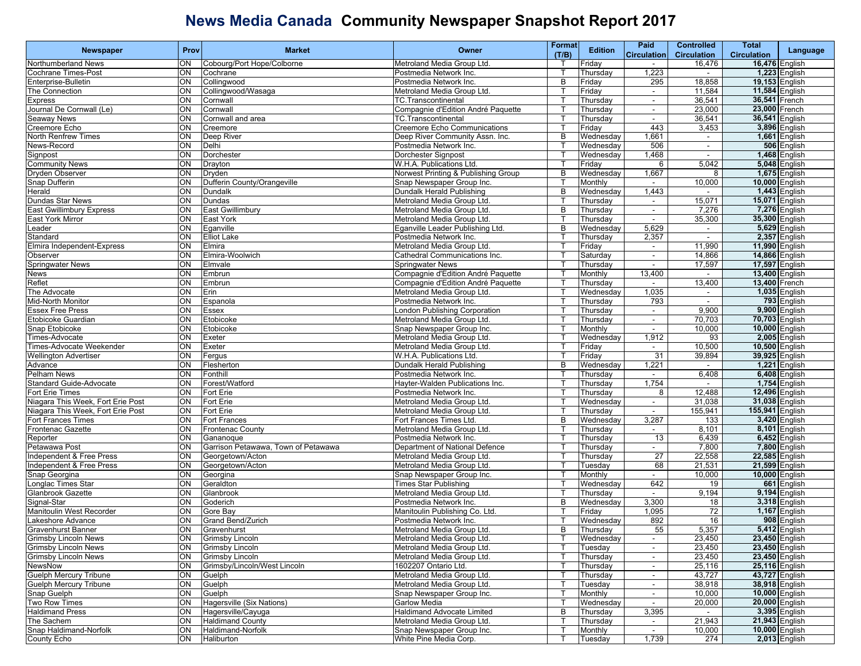| <b>Newspaper</b>                  | Prov      | <b>Market</b>                       | Owner                                | Format       | <b>Edition</b> | Paid               | <b>Controlled</b>  | Total              | Language             |
|-----------------------------------|-----------|-------------------------------------|--------------------------------------|--------------|----------------|--------------------|--------------------|--------------------|----------------------|
|                                   |           |                                     |                                      | (T/B)        |                | <b>Circulation</b> | <b>Circulation</b> | <b>Circulation</b> |                      |
| <b>Northumberland News</b>        | ON        | Cobourg/Port Hope/Colborne          | Metroland Media Group Ltd.           | $\mathsf{T}$ | Friday         |                    | 16,476             |                    | 16,476 English       |
| <b>Cochrane Times-Post</b>        | ON        | Cochrane                            | Postmedia Network Inc.               | Т            | Thursday       | 1,223              | $\sim$             |                    | 1,223 English        |
| Enterprise-Bulletin               | ON        | Collingwood                         | Postmedia Network Inc.               | B            | Friday         | 295                | 18,858             |                    | 19,153 English       |
| The Connection                    | ON        | Collingwood/Wasaga                  | Metroland Media Group Ltd.           |              | Friday         | $\sim$             | 11,584             | 11,584 English     |                      |
| <b>Express</b>                    | ON        | Cornwall                            | TC.Transcontinental                  | ा            | Thursday       | $\blacksquare$     | 36,541             | 36,541 French      |                      |
| Journal De Cornwall (Le)          | ON        | Cornwall                            | Compagnie d'Edition André Paquette   | $\mathsf{T}$ | Thursday       | $\blacksquare$     | 23,000             | 23,000 French      |                      |
| Seaway News                       | S         | Cornwall and area                   | TC.Transcontinental                  |              | Thursday       | $\sim$             | 36,541             | 36,541 English     |                      |
| Creemore Echo                     | ON        | Creemore                            | <b>Creemore Echo Communications</b>  | т            | Friday         | 443                | 3,453              |                    | 3,896 English        |
| <b>North Renfrew Times</b>        | ON        | Deep River                          | Deep River Community Assn. Inc.      | B            | Wednesday      | 1,661              | $\sim$             |                    | 1,661 English        |
| News-Record                       | ON        | Delhi                               | Postmedia Network Inc.               |              | Wednesday      | 506                | $\sim$             |                    | 506 English          |
| Signpost                          | ON        | Dorchester                          | Dorchester Signpost                  | ा            | Wednesday      | 1,468              | $\blacksquare$     |                    | 1,468 English        |
| <b>Community News</b>             | S         | Drayton                             | W.H.A. Publications Ltd.             | ा            | Friday         | 6                  | 5,042              |                    | 5,048 English        |
| Dryden Observer                   | ON        | Dryden                              | Norwest Printing & Publishing Group  | B            | Wednesdav      | 1,667              | 8                  |                    | 1,675 English        |
| Snap Dufferin                     | ON        | Dufferin County/Orangeville         | Snap Newspaper Group Inc.            |              | Monthly        | $\sim$             | 10,000             |                    | 10,000 English       |
| Herald                            | ON        | Dundalk                             | Dundalk Herald Publishing            | B            | Wednesday      | 1,443              |                    |                    | 1,443 English        |
| Dundas Star News                  | ON        | Dundas                              | Metroland Media Group Ltd.           | п            | Thursday       | $\blacksquare$     | 15,071             | 15,071 English     |                      |
| East Gwillimbury Express          | ON        | East Gwillimbury                    | Metroland Media Group Ltd.           | B            | Thursday       | $\sim$             | 7,276              |                    | 7,276 English        |
| East York Mirror                  | ON        | East York                           | Metroland Media Group Ltd.           | т            | Thursday       | $\sim$             | 35,300             |                    | 35,300 English       |
| Leader                            | ON        | Eganville                           | Eganville Leader Publishing Ltd.     | B            | Wednesday      | 5,629              | $\sim$             |                    | 5,629 English        |
| Standard                          | ON        | <b>Elliot Lake</b>                  | Postmedia Network Inc.               |              | Thursday       | 2,357              | $\sim$             |                    | 2,357 English        |
| Elmira Independent-Express        | ON        | Elmira                              | Metroland Media Group Ltd.           |              | Friday         | $\blacksquare$     | 11,990             | 11,990 English     |                      |
| Observer                          | ON        | Elmira-Woolwich                     | Cathedral Communications Inc.        | ा            | Saturday       | $\sim$             | 14,866             | 14,866 English     |                      |
| <b>Springwater News</b>           | ON        | Elmvale                             | <b>Springwater News</b>              | т            | Thursday       | $\sim$             | 17,597             | 17,597 English     |                      |
| News                              | ON        | Embrun                              | Compagnie d'Edition André Paquette   |              | Monthly        | 13,400             | $\sim$             | 13,400 English     |                      |
| Reflet                            | ON        | Embrun                              | Compagnie d'Edition André Paquette   | $\mathsf{T}$ | Thursday       |                    | 13,400             | 13,400 French      |                      |
| The Advocate                      | ON        |                                     |                                      | $\mathsf{T}$ | Wednesdav      |                    |                    |                    | 1,035 English        |
|                                   |           | Erin                                | Metroland Media Group Ltd.           |              |                | 1,035              | $\sim$             |                    |                      |
| Mid-North Monitor                 | ON        | Espanola                            | Postmedia Network Inc.               | Т            | Thursday       | 793                | $\sim$             |                    | 793 English          |
| <b>Essex Free Press</b>           | ON        | <b>Essex</b>                        | <b>London Publishing Corporation</b> | т            | Thursday       | $\sim$             | 9,900              |                    | 9,900 English        |
| Etobicoke Guardian                | ON        | Etobicoke                           | Metroland Media Group Ltd.           |              | Thursday       | $\sim$             | 70,703             | 70,703 English     |                      |
| Snap Etobicoke                    | ON        | Etobicoke                           | Snap Newspaper Group Inc.            |              | Monthly        | $\blacksquare$     | 10,000             | 10,000 English     |                      |
| Times-Advocate                    | ON        | Exeter                              | Metroland Media Group Ltd.           | ा            | Wednesday      | 1,912              | 93                 |                    | 2,005 English        |
| Times-Advocate Weekender          | S         | Exeter                              | Metroland Media Group Ltd.           | ा            | Friday         | $\sim$             | 10,500             | 10,500 English     |                      |
| <b>Wellington Advertiser</b>      | ON        | Fergus                              | W.H.A. Publications Ltd.             | т            | Friday         | 31                 | 39,894             |                    | 39,925 English       |
| Advance                           | ON        | Flesherton                          | Dundalk Herald Publishing            | B            | Wednesday      | 1,221              | $\sim$             |                    | $1,221$ English      |
| Pelham News                       | ON        | Fonthill                            | Postmedia Network Inc.               |              | Thursday       | $\blacksquare$     | 6,408              |                    | 6,408 English        |
| Standard Guide-Advocate           | ON        | Forest/Watford                      | Hayter-Walden Publications Inc.      | $\mathsf{T}$ | Thursday       | 1,754              | $\sim$             |                    | <b>1,754</b> English |
| Fort Erie Times                   | ON        | Fort Erie                           | Postmedia Network Inc.               | ा            | Thursday       | 8                  | 12,488             | 12,496 English     |                      |
| Niagara This Week, Fort Erie Post | ON        | Fort Erie                           | Metroland Media Group Ltd.           |              | Wednesday      | $\sim$             | 31,038             | 31,038 English     |                      |
| Niagara This Week, Fort Erie Post | ON        | Fort Erie                           | Metroland Media Group Ltd.           |              | Thursday       | $\sim$             | 155,941            | 155,941 English    |                      |
| <b>Fort Frances Times</b>         | ON        | <b>Fort Frances</b>                 | Fort Frances Times Ltd.              | B            | Wednesday      | 3,287              | 133                |                    | 3,420 English        |
| <b>Frontenac Gazette</b>          | ON        | <b>Frontenac County</b>             | Metroland Media Group Ltd.           |              | Thursday       | $\blacksquare$     | 8,101              |                    | 8,101 English        |
| Reporter                          | S         | Gananoque                           | Postmedia Network Inc.               | ा            | Thursday       | 13                 | 6,439              |                    | 6,452 English        |
| Petawawa Post                     | ON        | Garrison Petawawa, Town of Petawawa | Department of National Defence       | т            | Thursday       | $\sim$             | 7,800              |                    | 7,800 English        |
| Independent & Free Press          | ON        | Georgetown/Acton                    | Metroland Media Group Ltd.           |              | Thursday       | $\overline{27}$    | 22,558             | 22,585 English     |                      |
| Independent & Free Press          | ON        | Georgetown/Acton                    | Metroland Media Group Ltd.           | Т            | Tuesdav        | 68                 | 21,531             | 21,599 English     |                      |
| Snap Georgina                     | ON        | Georgina                            | Snap Newspaper Group Inc.            | $\mathsf{T}$ | Monthly        | $\sim$             | 10,000             | 10,000 English     |                      |
| Longlac Times Star                | ON        | Geraldton                           | <b>Times Star Publishing</b>         | $\top$       | Wednesday      | 642                | 19                 |                    | 661 English          |
| <b>Glanbrook Gazette</b>          | ON        | Glanbrook                           | Metroland Media Group Ltd.           | т            | Thursday       | $\sim$             | 9,194              |                    | 9,194 English        |
| Signal-Star                       | ON        | Goderich                            | Postmedia Network Inc.               | B            | Wednesday      | 3,300              | 18                 |                    | 3,318 English        |
| Manitoulin West Recorder          | ON        | Gore Bay                            | Manitoulin Publishing Co. Ltd.       |              | Friday         | 1,095              | 72                 |                    | 1,167 English        |
| Lakeshore Advance                 | ON        | <b>Grand Bend/Zurich</b>            | Postmedia Network Inc.               |              | Wednesday      | 892                | 16                 |                    | 908 English          |
| <b>Gravenhurst Banner</b>         | <b>ON</b> | Gravenhurst                         | Metroland Media Group Ltd.           | B            | Thursday       | 55                 | 5,357              |                    | 5,412 English        |
| Grimsby Lincoln News              | ON        | <b>Grimsby Lincoln</b>              | Metroland Media Group Ltd.           | $\mathsf{T}$ | Wednesday      | $\sim$             | 23,450             | 23,450 English     |                      |
| <b>Grimsby Lincoln News</b>       | ON        | Grimsby Lincoln                     | Metroland Media Group Ltd.           | Т            | Tuesday        | $\sim$             | 23,450             | 23,450 English     |                      |
| <b>Grimsby Lincoln News</b>       | ON        | Grimsby Lincoln                     | Metroland Media Group Ltd.           | Т            | Thursday       |                    | 23,450             | 23,450 English     |                      |
| NewsNow                           | ON        | Grimsby/Lincoln/West Lincoln        | 1602207 Ontario Ltd.                 | Т            | Thursday       | $\blacksquare$     | 25,116             |                    | 25,116 English       |
| Guelph Mercury Tribune            | ON        | Guelph                              | Metroland Media Group Ltd.           | Т            | Thursday       | $\sim$             | 43,727             | 43,727 English     |                      |
| <b>Guelph Mercury Tribune</b>     | ON        | Guelph                              | Metroland Media Group Ltd.           | т            | Tuesday        | $\sim$             | 38,918             | 38,918 English     |                      |
| Snap Guelph                       | Q         | Guelph                              | Snap Newspaper Group Inc.            |              | Monthly        | $\sim$             | 10,000             | 10,000 English     |                      |
| Two Row Times                     | ON        | Hagersville (Six Nations)           | <b>Garlow Media</b>                  |              | Wednesday      |                    | 20,000             | 20,000 English     |                      |
| <b>Haldimand Press</b>            | ON        | Hagersville/Cayuga                  | <b>Haldimand Advocate Limited</b>    | B            |                |                    |                    |                    |                      |
|                                   |           | <b>Haldimand County</b>             |                                      | Т            | Thursday       | 3,395              | $\sim$             | 21,943 English     | 3,395 English        |
| The Sachem                        | ON        |                                     | Metroland Media Group Ltd.           |              | Thursday       | $\sim$             | 21,943             |                    |                      |
| Snap Haldimand-Norfolk            | ON        | Haldimand-Norfolk                   | Snap Newspaper Group Inc.            | Т            | Monthly        | $\sim$             | 10,000             |                    | 10,000 English       |
| County Echo                       | ON        | Haliburton                          | White Pine Media Corp.               | $\top$       | Tuesday        | 1,739              | 274                |                    | 2,013 English        |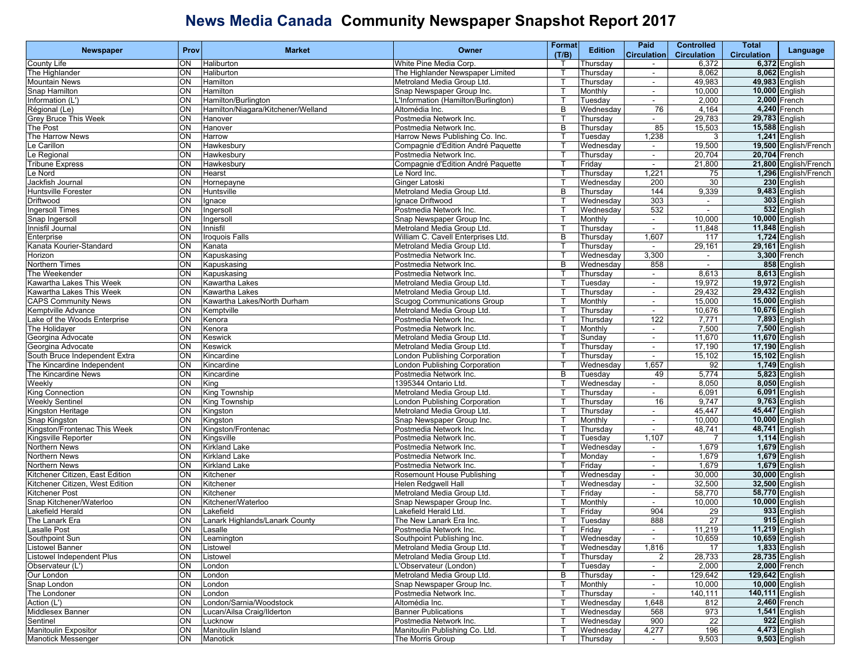|                                  |             |                                    |                                                   | <b>Format</b> |                | Paid                     | <b>Controlled</b>  | <b>Total</b>                     |                       |
|----------------------------------|-------------|------------------------------------|---------------------------------------------------|---------------|----------------|--------------------------|--------------------|----------------------------------|-----------------------|
| <b>Newspaper</b>                 | <b>Prov</b> | <b>Market</b>                      | Owner                                             | (T/B)         | <b>Edition</b> | <b>Circulation</b>       | <b>Circulation</b> | <b>Circulation</b>               | Language              |
| County Life                      | ON          | Haliburton                         | White Pine Media Corp.                            |               | Thursday       |                          | 6,372              |                                  | 6,372 English         |
| The Highlander                   | ON          | Haliburton                         | The Highlander Newspaper Limited                  | Т             | Thursday       | $\sim$                   | 8,062              |                                  | 8,062 English         |
| <b>Mountain News</b>             | ON          | Hamilton                           | Metroland Media Group Ltd.                        | т             | Thursday       | $\sim$                   | 49,983             |                                  | 49,983 English        |
| Snap Hamilton                    | ON          | Hamilton                           | Snap Newspaper Group Inc.                         | ı             | Monthly        | $\sim$                   | 10,000             | 10,000 English                   |                       |
| Information (L')                 | ON          | Hamilton/Burlington                |                                                   |               |                |                          | 2,000              |                                  |                       |
|                                  |             |                                    | Information (Hamilton/Burlington)                 |               | Tuesdav        |                          |                    |                                  | 2,000 French          |
| Régional (Le)                    | ON          | Hamilton/Niagara/Kitchener/Welland | Altomédia Inc.                                    | B             | Wednesday      | 76                       | 4,164              |                                  | $4,240$ French        |
| Grey Bruce This Week             | ON          | Hanover                            | Postmedia Network Inc.                            | Т             | Thursday       | $\sim$                   | 29,783             | 29,783 English                   |                       |
| The Post                         | ON          | Hanover                            | Postmedia Network Inc.                            | B             | Thursday       | 85                       | 15,503             | 15,588 English                   |                       |
| The Harrow News                  | ON          | Harrow                             | Harrow News Publishing Co. Inc.                   |               | Tuesdav        | 1,238                    | 3                  |                                  | 1,241 English         |
| Le Carillon                      | ON          | Hawkesbury                         | Compagnie d'Edition André Paquette                |               | Wednesday      | $\overline{\phantom{a}}$ | 19,500             |                                  | 19,500 English/French |
| Le Regional                      | ON          | Hawkesbury                         | Postmedia Network Inc.                            | т             | Thursday       | $\blacksquare$           | 20,704             | 20,704 French                    |                       |
| <b>Tribune Express</b>           | ON          | Hawkesbury                         | Compagnie d'Edition André Paquette                | Т             | Friday         | $\sim$                   | 21,800             |                                  | 21,800 English/French |
| Le Nord                          | ON          | Hearst                             | e Nord Inc.                                       | т             | Thursday       | 1,221                    | 75                 |                                  | 1,296 English/French  |
| Jackfish Journal                 | ON          | Hornepayne                         | Ginger Latoski                                    |               | Wednesday      | 200                      | 30                 |                                  | 230 English           |
| <b>Huntsville Forester</b>       | ON          | Huntsville                         | Metroland Media Group Ltd.                        | B             | Thursday       | 144                      | 9,339              |                                  | 9,483 English         |
| Driftwood                        | ON          | lgnace                             | Ignace Driftwood                                  | $\mathsf{T}$  | Wednesday      | 303                      | $\blacksquare$     |                                  | 303 English           |
| <b>Ingersoll Times</b>           | ON          | Ingersoll                          | Postmedia Network Inc.                            | Т             | Wednesday      | 532                      | $\sim$             |                                  | 532 English           |
|                                  |             |                                    |                                                   | П             |                |                          |                    |                                  |                       |
| Snap Ingersoll                   | ON          | Ingersol                           | Snap Newspaper Group Inc.                         |               | Monthly        | $\sim$                   | 10,000             | 10,000 English                   |                       |
| Innisfil Journal                 | ON          | Innisfil                           | Metroland Media Group Ltd.                        |               | Thursday       | $\blacksquare$           | 11,848             | 11,848 English                   |                       |
| Enterprise                       | ON          | Iroquois Falls                     | William C. Cavell Enterprises Ltd.                | B             | Thursdav       | 1,607                    | 117                |                                  | 1,724 English         |
| Kanata Kourier-Standard          | ON          | Kanata                             | Metroland Media Group Ltd.                        | т             | Thursday       | $\blacksquare$           | 29,161             | 29,161 English                   |                       |
| Horizon                          | ON          | Kapuskasing                        | Postmedia Network Inc.                            | т             | Wednesday      | 3,300                    | $\sim$             |                                  | 3,300 French          |
| Northern Times                   | ON          | Kapuskasing                        | Postmedia Network Inc.                            | B             | Wednesday      | 858                      | $\sim$             |                                  | 858 English           |
| The Weekender                    | ON          | Kapuskasing                        | Postmedia Network Inc.                            |               | Thursday       | $\sim$                   | 8,613              |                                  | 8,613 English         |
| Kawartha Lakes This Week         | ON          | <b>Kawartha Lakes</b>              | Metroland Media Group Ltd.                        | п             | Tuesday        | $\blacksquare$           | 19,972             | 19,972 English                   |                       |
| Kawartha Lakes This Week         | ON          | <b>Kawartha Lakes</b>              | Metroland Media Group Ltd.                        | т             | Thursday       | $\blacksquare$           | 29,432             | 29,432 English                   |                       |
| <b>CAPS Community News</b>       | ON          | Kawartha Lakes/North Durham        | Scugog Communications Group                       | т             | Monthly        | $\sim$                   | 15,000             | 15,000 English                   |                       |
| Kemptville Advance               | ON          | Kemptville                         | Metroland Media Group Ltd.                        | т             | Thursday       | $\sim$                   | 10,676             | 10,676 English                   |                       |
| ake of the Woods Enterprise.     | ON          | Kenora                             | Postmedia Network Inc.                            |               | Thursday       | 122                      | 7,771              |                                  | 7,893 English         |
| The Holidayer                    | ON          | Kenora                             | Postmedia Network Inc.                            | п             | Monthly        | $\overline{\phantom{a}}$ | 7,500              |                                  | 7,500 English         |
| Georgina Advocate                | ON          | <b>Keswick</b>                     | Metroland Media Group Ltd.                        | т             | Sunday         | $\blacksquare$           | 11,670             | 11,670 English                   |                       |
|                                  |             |                                    |                                                   |               |                |                          |                    |                                  |                       |
| Georgina Advocate                | ON          | Keswick                            | Metroland Media Group Ltd.                        | т             | Thursday       | $\sim$                   | 17,190             | 17,190 English                   |                       |
| South Bruce Independent Extra    | ON          | Kincardine                         | ondon Publishing Corporation                      | т             | Thursday       | $\sim$                   | 15,102             | 15,102 English                   |                       |
| The Kincardine Independent       | ON          | Kincardine                         | ondon Publishing Corporation                      |               | Wednesday      | 1,657                    | 92                 |                                  | 1,749 English         |
| The Kincardine News              | ON          | Kincardine                         | Postmedia Network Inc.                            | B             | Tuesdav        | 49                       | 5,774              |                                  | 5,823 English         |
| Weekly                           | ON          | King                               | 1395344 Ontario Ltd.                              | $\mathsf{T}$  | Wednesday      | ÷.                       | 8,050              |                                  | 8,050 English         |
| <b>King Connection</b>           | ON          | King Township                      | Metroland Media Group Ltd.                        | т             | Thursday       | $\sim$                   | 6,091              |                                  | 6,091 English         |
| <b>Weekly Sentinel</b>           | ON          | King Township                      | ondon Publishing Corporation                      | П             | Thursday       | 16                       | 9,747              |                                  | 9,763 English         |
| Kingston Heritage                | ON          | Kingston                           | Metroland Media Group Ltd.                        | п             | Thursday       | $\blacksquare$           | 45,447             | 45,447 English                   |                       |
| Snap Kingston                    | ON          | Kingston                           | Snap Newspaper Group Inc.                         | П             | Monthly        |                          | 10,000             | 10,000 English                   |                       |
| Kingston/Frontenac This Week     | ON          | Kingston/Frontenac                 | Postmedia Network Inc.                            | т             | Thursday       | $\blacksquare$           | 48,741             | 48,741 English                   |                       |
| Kingsville Reporter              | ON          | Kingsville                         | Postmedia Network Inc.                            | т             | Tuesday        | 1,107                    |                    |                                  | 1,114 English         |
| Northern News                    | ON          | <b>Kirkland Lake</b>               | Postmedia Network Inc.                            | П             | Wednesday      | $\sim$                   | 1,679              |                                  | 1,679 English         |
| Northern News                    | ON          | <b>Kirkland Lake</b>               | Postmedia Network Inc.                            | ı             | Monday         | $\sim$                   | 1,679              |                                  | 1,679 English         |
| Northern News                    | ON          | <b>Kirkland Lake</b>               | Postmedia Network Inc.                            | т             | Friday         | $\overline{\phantom{a}}$ | 1,679              |                                  | 1,679 English         |
| Kitchener Citizen. East Edition  | ON          | Kitchener                          | Rosemount House Publishing                        | $\mathsf T$   | Wednesday      | $\blacksquare$           | 30,000             | 30,000 English                   |                       |
|                                  | ON          | Kitchener                          |                                                   | т             | Wednesdav      | $\sim$                   |                    |                                  |                       |
| Kitchener Citizen, West Edition  | ON          | Kitchener                          | Helen Redgwell Hall<br>Metroland Media Group Ltd. | т             | Friday         |                          | 32,500             | 32,500 English<br>58,770 English |                       |
| Kitchener Post                   |             |                                    |                                                   |               |                | $\sim$                   | 58,770             |                                  |                       |
| Snap Kitchener/Waterloo          | ON          | Kitchener/Waterloo                 | Snap Newspaper Group Inc.                         |               | Monthly        | $\sim$                   | 10,000             | 10,000 English                   |                       |
| Lakefield Herald                 | ON          | Lakefield                          | Lakefield Herald Ltd.                             |               | Friday         | 904                      | 29                 |                                  | 933 English           |
| The Lanark Era                   | ON          | Lanark Highlands/Lanark County     | The New Lanark Era Inc.                           | т             | Tuesdav        | 888                      | 27                 |                                  | 915 English           |
| Lasalle Post                     | ON          | Lasalle                            | Postmedia Network Inc.                            |               | Friday         |                          | 11,219             | 11,219 English                   |                       |
| Southpoint Sun                   | ON          | Leamington                         | Southpoint Publishing Inc.                        | T             | Wednesday      | $\sim$                   | 10,659             | 10,659 English                   |                       |
| <b>Listowel Banner</b>           | ON          | Listowel                           | Metroland Media Group Ltd.                        | п             | Wednesday      | 1,816                    | 17                 |                                  | 1,833 English         |
| <b>Listowel Independent Plus</b> | ON          | Listowel                           | Metroland Media Group Ltd.                        | т             | Thursday       | 2                        | 28,733             | 28,735 English                   |                       |
| Observateur (L')                 | ON          | London                             | L'Observateur (London)                            | $\mathsf{T}$  | Tuesday        | $\blacksquare$           | 2,000              |                                  | 2,000 French          |
| Our London                       | ON          | London                             | Metroland Media Group Ltd.                        | B             | Thursday       | $\sim$                   | 129,642            | 129,642 English                  |                       |
| Snap London                      | ON          | London                             | Snap Newspaper Group Inc.                         | т             | Monthly        | $\sim$                   | 10,000             | 10,000 English                   |                       |
| The Londoner                     | ON          | London                             | Postmedia Network Inc.                            | $\mathbf T$   | Thursday       | $\sim$                   | 140,111            | 140,111 English                  |                       |
| Action (L')                      | ON          | London/Sarnia/Woodstock            | Altomédia Inc.                                    | П             | Wednesday      | 1,648                    | 812                |                                  | 2,460 French          |
| Middlesex Banner                 | ON          | Lucan/Ailsa Craig/Ilderton         | <b>Banner Publications</b>                        | т             | Wednesdav      | 568                      | 973                |                                  | 1,541 English         |
| Sentinel                         | ON          | Lucknow                            | Postmedia Network Inc.                            | т             | Wednesday      | 900                      |                    |                                  | 922 English           |
|                                  |             |                                    |                                                   |               |                |                          | 22                 |                                  |                       |
| <b>Manitoulin Expositor</b>      | ON          | Manitoulin Island                  | Manitoulin Publishing Co. Ltd.                    | $\mathsf{T}$  | Wednesday      | 4,277                    | 196                |                                  | 4,473 English         |
| Manotick Messenger               | ON          | Manotick                           | The Morris Group                                  | $\top$        | Thursday       | $\sim$                   | 9,503              |                                  | $9,503$ English       |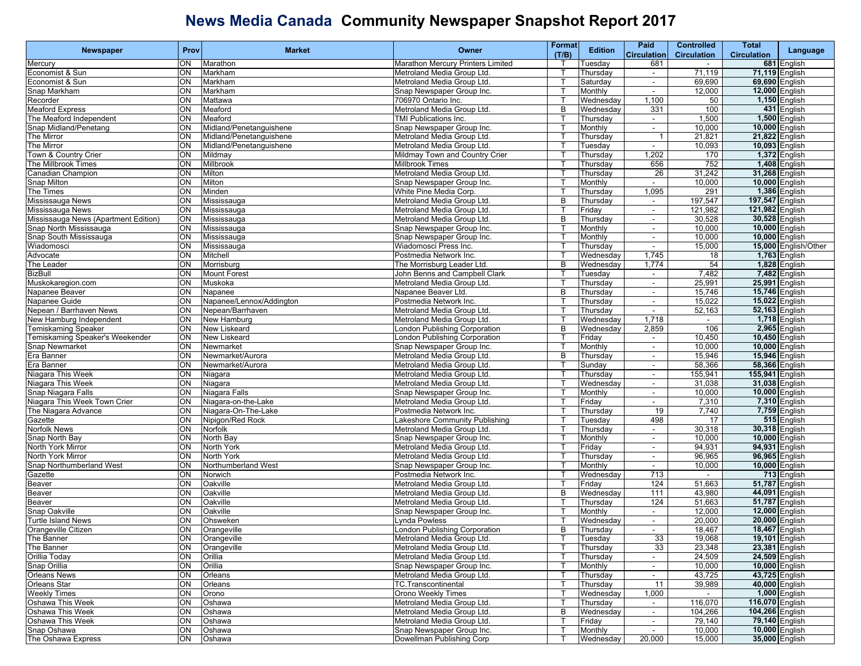| Newspaper<br>Language<br>(T/B)<br><b>Circulation</b><br><b>Circulation</b><br><b>Circulation</b><br>681 English<br>Mercury<br>ON<br>Marathon<br>Marathon Mercury Printers Limited<br>681<br>Tuesday<br>$\sim$<br>Economist & Sun<br>Markham<br>Metroland Media Group Ltd.<br>Thursday<br>71,119<br>71,119 English<br>ON<br>$\overline{\phantom{a}}$<br>69,690<br>69,690 English<br>ON<br>Economist & Sun<br>Markham<br>Metroland Media Group Ltd.<br>Saturday<br>$\sim$<br>12,000 English<br>Snap Markham<br>ON<br>Markham<br>Snap Newspaper Group Inc.<br>Monthly<br>12,000<br>$\sim$<br>1,100<br>1,150 English<br>Mattawa<br>706970 Ontario Inc.<br>Recorder<br>ON<br>Wednesday<br>50<br><b>Meaford Express</b><br>ON<br>Metroland Media Group Ltd.<br>B<br>331<br>100<br>431 English<br>Meaford<br>Wednesday<br>The Meaford Independent<br>Meaford<br>TMI Publications Inc.<br>Thursday<br>1,500<br>1,500 English<br>ΟN<br>$\overline{\phantom{a}}$<br>Snap Midland/Penetang<br>ON<br>Midland/Penetanquishene<br>Snap Newspaper Group Inc.<br>10,000<br>10,000 English<br>Monthly<br>$\blacksquare$<br>21,822 English<br>The Mirror<br>ON<br>Midland/Penetanguishene<br>Metroland Media Group Ltd.<br>21,821<br>Thursday<br>$\overline{1}$<br>10,093 English<br>The Mirror<br>Midland/Penetanguishene<br>Metroland Media Group Ltd.<br>10,093<br>ON<br>Tuesday<br>$\sim$<br>1,372 English<br>Town & Country Crier<br>Mildmay Town and Country Crier<br>1,202<br>ON<br>Mildmay<br>Thursday<br>170<br>The Millbrook Times<br>ON<br>Millbrook<br><b>Millbrook Times</b><br>656<br>752<br>1,408 English<br>Thursday<br>ON<br>Milton<br>26<br>31,242<br>31,268 English<br>Canadian Champion<br>Metroland Media Group Ltd.<br>Thursday<br>10,000 English<br>Snap Milton<br>ON<br>Milton<br>Snap Newspaper Group Inc.<br>10,000<br>Monthly<br>$\sim$<br>1,386 English<br>1,095<br>291<br>The Times<br>Minden<br>White Pine Media Corp.<br>ON<br>Thursday<br>197,547 English<br>Mississauga News<br>ON<br>Metroland Media Group Ltd.<br>B<br>197,547<br>Mississauga<br>Thursday<br>$\blacksquare$<br>Mississauga News<br>Mississauga<br>Metroland Media Group Ltd.<br>121,982<br>121,982 English<br>ON<br>Friday<br>$\blacksquare$<br>Mississauga News (Apartment Edition)<br>30,528 English<br>ON<br>Metroland Media Group Ltd.<br>30,528<br>Mississauga<br>B<br>Thursday<br>$\blacksquare$<br>10,000 English<br>Snap North Mississauga<br>ON<br>Mississauga<br>Snap Newspaper Group Inc.<br>10,000<br>Monthly<br>$\sim$<br>10,000 English<br>Snap South Mississauga<br>Mississauga<br>Snap Newspaper Group Inc.<br>10,000<br>ON<br>Monthly<br>$\sim$<br>Wiadomosci<br>ON<br>Mississauga<br>Wiadomosci Press Inc.<br>15,000 English/Other<br>Thursday<br>15,000<br>$\sim$<br>1,745<br>Advocate<br>ON<br>Mitchell<br>Postmedia Network Inc.<br>Wednesday<br><b>1,763</b> English<br>18<br>The Leader<br>ON<br>The Morrisburg Leader Ltd.<br>1,774<br>54<br>1,828 English<br>Morrisburg<br>B<br>Wednesday<br>7,482<br>7,482 English<br><b>BizBull</b><br>ON<br><b>Mount Forest</b><br>John Benns and Campbell Clark<br>Tuesday<br>$\sim$<br>25,991<br>25,991 English<br>Muskokaregion.com<br>Metroland Media Group Ltd.<br>ON<br>Muskoka<br>Thursday<br>$\blacksquare$<br>15,746 English<br>Napanee Beaver<br>ON<br>Napanee Beaver Ltd.<br>B<br>15,746<br>Napanee<br>Thursday<br>$\blacksquare$<br>Napanee Guide<br>Napanee/Lennox/Addington<br>Postmedia Network Inc.<br>15,022<br>15,022 English<br>ΟN<br>Thursday<br>$\blacksquare$<br>52,163 English<br>Nepean / Barrhaven News<br>ON<br>Nepean/Barrhaven<br>Metroland Media Group Ltd<br>52,163<br>Thursday<br>$\sim$<br>1,718<br>1,718 English<br>New Hamburg Independent<br>ON<br>New Hamburg<br>Metroland Media Group Ltd.<br>Wednesday<br>$\sim$<br>2,965 English<br>2,859<br>106<br><b>Temiskaming Speaker</b><br>New Liskeard<br>ondon Publishing Corporation<br>ON<br>B<br>Wednesday<br>10,450 English<br>Temiskaming Speaker's Weekender<br><b>New Liskeard</b><br>10,450<br>ON<br>London Publishing Corporation<br>Friday<br>$\blacksquare$<br>Snap Newmarket<br>Snap Newspaper Group Inc.<br>Monthly<br>10,000<br>10,000 English<br>ON<br>Newmarket<br>$\blacksquare$<br>Era Banner<br>15,946 English<br>ON<br>Metroland Media Group Ltd.<br>15,946<br>Newmarket/Aurora<br>B<br>Thursday<br>$\blacksquare$<br>58,366 English<br>Era Banner<br>ON<br>Newmarket/Aurora<br>Metroland Media Group Ltd.<br>58,366<br>Sunday<br>$\sim$<br>155,941 English<br>Niagara This Week<br>Metroland Media Group Ltd.<br>155,941<br>ON<br>Niagara<br>Thursday<br>$\overline{\phantom{a}}$<br>31,038 English<br>Niagara This Week<br>ON<br>31,038<br>Niagara<br>Metroland Media Group Ltd.<br>Wednesday<br>$\sim$<br>Snap Niagara Falls<br>ON<br>Niagara Falls<br>Snap Newspaper Group Inc.<br>Monthly<br>10,000<br>10,000 English<br>$\blacksquare$<br>Niagara This Week Town Crier<br>ON<br>Niagara-on-the-Lake<br>Metroland Media Group Ltd.<br>Friday<br>7,310 English<br>7,310<br>$\sim$<br>19<br>7,759 English<br>The Niagara Advance<br>ON<br>Niagara-On-The-Lake<br>Postmedia Network Inc.<br>7,740<br>Thursday<br>Nipigon/Red Rock<br>515 English<br>Gazette<br>akeshore Community Publishing<br>498<br>ON<br>Tuesday<br>17<br>30,318 English<br><b>Norfolk News</b><br>ON<br>30,318<br>Norfolk<br>Metroland Media Group Ltd.<br>Thursday<br>$\blacksquare$<br>Snap North Bay<br>ON<br>North Bay<br>Snap Newspaper Group Inc.<br>10,000<br>10,000 English<br>Monthly<br>$\blacksquare$<br>North York Mirror<br>ON<br>North York<br>94,931<br>94,931 English<br>Metroland Media Group Ltd.<br>Friday<br>$\blacksquare$<br>96,965 English<br>North York Mirror<br>ON<br>North York<br>Metroland Media Group Ltd.<br>96,965<br>Thursday<br>$\sim$<br>10,000 English<br>Snap Northumberland West<br>Northumberland West<br>Snap Newspaper Group Inc.<br>10,000<br>ON<br>Monthly<br>$\blacksquare$<br>Gazette<br>ON<br>713<br>713 English<br>Norwich<br>Postmedia Network Inc.<br>Wednesday<br>$\sim$<br>Beaver<br>ON<br>Oakville<br>Metroland Media Group Ltd.<br>124<br>51,663<br>51,787 English<br>Friday<br>Beaver<br>ON<br>Oakville<br>Metroland Media Group Ltd<br>111<br>43,980<br>44,091 English<br>B<br>Wednesday<br>124<br>51,787 English<br>Beaver<br>ON<br>Oakville<br>Metroland Media Group Ltd.<br>Thursday<br>51,663<br>Oakville<br>12,000<br>12,000 English<br>Snap Oakville<br>ON<br>Snap Newspaper Group Inc.<br>Monthly<br>$\sim$<br>Turtle Island News<br>20,000 English<br>ON<br>Ohsweken<br>Lynda Powless<br>Wednesday<br>20,000<br>$\sim$<br>Orangeville Citizen<br>18,467 English<br>B<br>18,467<br>ON Orangeville<br><b>London Publishing Corporation</b><br>Thursday<br>The Banner<br>ON<br>33<br>19,101 English<br>Orangeville<br>$\mathsf{T}$<br>19,068<br>Metroland Media Group Ltd.<br>Tuesday<br>The Banner<br>23,381 English<br>ON<br>Orangeville<br>Metroland Media Group Ltd.<br>33<br>Thursday<br>23,348<br>т<br>24,509 English<br>Orillia Today<br>Orillia<br>Metroland Media Group Ltd.<br>24,509<br>ON<br>Thursday<br>$\sim$<br>Snap Orillia<br>ON<br>Orillia<br>Snap Newspaper Group Inc.<br>10,000 English<br>Monthly<br>10,000<br>$\blacksquare$<br>Orleans<br>Metroland Media Group Ltd.<br>43,725<br>43,725 English<br>ON<br>Thursday<br>TC.Transcontinental<br>39,989<br>40,000 English<br>ON<br>Orleans<br>Thursday<br>11<br><b>Weekly Times</b><br>Orono Weekly Times<br>1,000<br><b>1,000 English</b><br>ON<br>Orono<br>Wednesday<br>$\sim$<br>Oshawa This Week<br>Metroland Media Group Ltd.<br>116,070<br>116,070 English<br>ON<br>Oshawa<br>Thursday<br>$\sim$<br>Oshawa This Week<br>Metroland Media Group Ltd.<br>104,266 English<br>ON<br>Oshawa<br>B<br>104,266<br>Wednesday<br>$\sim$<br>Oshawa This Week<br>Oshawa<br>Metroland Media Group Ltd.<br>79,140<br>79,140 English<br>ON<br>Friday<br>$\blacksquare$<br>Snap Oshawa<br>10,000 English<br>ON<br>Oshawa<br>Snap Newspaper Group Inc.<br>Monthly<br>10,000<br>Т<br>$\sim$<br>20,000<br>35,000 English<br>The Oshawa Express<br>Oshawa<br>Dowellman Publishing Corp<br>ON<br>Wednesday<br>15,000 |                     | Prov | <b>Market</b> | Owner | <b>Format</b> | <b>Edition</b> | Paid | <b>Controlled</b> | <b>Total</b> |  |
|-------------------------------------------------------------------------------------------------------------------------------------------------------------------------------------------------------------------------------------------------------------------------------------------------------------------------------------------------------------------------------------------------------------------------------------------------------------------------------------------------------------------------------------------------------------------------------------------------------------------------------------------------------------------------------------------------------------------------------------------------------------------------------------------------------------------------------------------------------------------------------------------------------------------------------------------------------------------------------------------------------------------------------------------------------------------------------------------------------------------------------------------------------------------------------------------------------------------------------------------------------------------------------------------------------------------------------------------------------------------------------------------------------------------------------------------------------------------------------------------------------------------------------------------------------------------------------------------------------------------------------------------------------------------------------------------------------------------------------------------------------------------------------------------------------------------------------------------------------------------------------------------------------------------------------------------------------------------------------------------------------------------------------------------------------------------------------------------------------------------------------------------------------------------------------------------------------------------------------------------------------------------------------------------------------------------------------------------------------------------------------------------------------------------------------------------------------------------------------------------------------------------------------------------------------------------------------------------------------------------------------------------------------------------------------------------------------------------------------------------------------------------------------------------------------------------------------------------------------------------------------------------------------------------------------------------------------------------------------------------------------------------------------------------------------------------------------------------------------------------------------------------------------------------------------------------------------------------------------------------------------------------------------------------------------------------------------------------------------------------------------------------------------------------------------------------------------------------------------------------------------------------------------------------------------------------------------------------------------------------------------------------------------------------------------------------------------------------------------------------------------------------------------------------------------------------------------------------------------------------------------------------------------------------------------------------------------------------------------------------------------------------------------------------------------------------------------------------------------------------------------------------------------------------------------------------------------------------------------------------------------------------------------------------------------------------------------------------------------------------------------------------------------------------------------------------------------------------------------------------------------------------------------------------------------------------------------------------------------------------------------------------------------------------------------------------------------------------------------------------------------------------------------------------------------------------------------------------------------------------------------------------------------------------------------------------------------------------------------------------------------------------------------------------------------------------------------------------------------------------------------------------------------------------------------------------------------------------------------------------------------------------------------------------------------------------------------------------------------------------------------------------------------------------------------------------------------------------------------------------------------------------------------------------------------------------------------------------------------------------------------------------------------------------------------------------------------------------------------------------------------------------------------------------------------------------------------------------------------------------------------------------------------------------------------------------------------------------------------------------------------------------------------------------------------------------------------------------------------------------------------------------------------------------------------------------------------------------------------------------------------------------------------------------------------------------------------------------------------------------------------------------------------------------------------------------------------------------------------------------------------------------------------------------------------------------------------------------------------------------------------------------------------------------------------------------------------------------------------------------------------------------------------------------------------------------------------------------------------------------------------------------------------------------------------------------------------------------------------------------------------------------------------------------------------------------------------------------------------------------------------------------------------------------------------------------------------------------------------------------------------------------------------------------------------------------------------------------------------------------------------------------------------------------------------------------------------------------------------------------------------------------------------------------------------------------------------------------------------------------------------------------------------------------------------------------------------------------------------------------------------------------------------------------------------------------------------------------------------------------------------------------------------------------------------------------------------------------------------------------------------------------------------------------------------------------------------------------------------------------------------------------------------------|---------------------|------|---------------|-------|---------------|----------------|------|-------------------|--------------|--|
|                                                                                                                                                                                                                                                                                                                                                                                                                                                                                                                                                                                                                                                                                                                                                                                                                                                                                                                                                                                                                                                                                                                                                                                                                                                                                                                                                                                                                                                                                                                                                                                                                                                                                                                                                                                                                                                                                                                                                                                                                                                                                                                                                                                                                                                                                                                                                                                                                                                                                                                                                                                                                                                                                                                                                                                                                                                                                                                                                                                                                                                                                                                                                                                                                                                                                                                                                                                                                                                                                                                                                                                                                                                                                                                                                                                                                                                                                                                                                                                                                                                                                                                                                                                                                                                                                                                                                                                                                                                                                                                                                                                                                                                                                                                                                                                                                                                                                                                                                                                                                                                                                                                                                                                                                                                                                                                                                                                                                                                                                                                                                                                                                                                                                                                                                                                                                                                                                                                                                                                                                                                                                                                                                                                                                                                                                                                                                                                                                                                                                                                                                                                                                                                                                                                                                                                                                                                                                                                                                                                                                                                                                                                                                                                                                                                                                                                                                                                                                                                                                                                                                                                                                                                                                                                                                                                                                                                                                                                                                                                                                                                                                                                                                             |                     |      |               |       |               |                |      |                   |              |  |
|                                                                                                                                                                                                                                                                                                                                                                                                                                                                                                                                                                                                                                                                                                                                                                                                                                                                                                                                                                                                                                                                                                                                                                                                                                                                                                                                                                                                                                                                                                                                                                                                                                                                                                                                                                                                                                                                                                                                                                                                                                                                                                                                                                                                                                                                                                                                                                                                                                                                                                                                                                                                                                                                                                                                                                                                                                                                                                                                                                                                                                                                                                                                                                                                                                                                                                                                                                                                                                                                                                                                                                                                                                                                                                                                                                                                                                                                                                                                                                                                                                                                                                                                                                                                                                                                                                                                                                                                                                                                                                                                                                                                                                                                                                                                                                                                                                                                                                                                                                                                                                                                                                                                                                                                                                                                                                                                                                                                                                                                                                                                                                                                                                                                                                                                                                                                                                                                                                                                                                                                                                                                                                                                                                                                                                                                                                                                                                                                                                                                                                                                                                                                                                                                                                                                                                                                                                                                                                                                                                                                                                                                                                                                                                                                                                                                                                                                                                                                                                                                                                                                                                                                                                                                                                                                                                                                                                                                                                                                                                                                                                                                                                                                                             |                     |      |               |       |               |                |      |                   |              |  |
|                                                                                                                                                                                                                                                                                                                                                                                                                                                                                                                                                                                                                                                                                                                                                                                                                                                                                                                                                                                                                                                                                                                                                                                                                                                                                                                                                                                                                                                                                                                                                                                                                                                                                                                                                                                                                                                                                                                                                                                                                                                                                                                                                                                                                                                                                                                                                                                                                                                                                                                                                                                                                                                                                                                                                                                                                                                                                                                                                                                                                                                                                                                                                                                                                                                                                                                                                                                                                                                                                                                                                                                                                                                                                                                                                                                                                                                                                                                                                                                                                                                                                                                                                                                                                                                                                                                                                                                                                                                                                                                                                                                                                                                                                                                                                                                                                                                                                                                                                                                                                                                                                                                                                                                                                                                                                                                                                                                                                                                                                                                                                                                                                                                                                                                                                                                                                                                                                                                                                                                                                                                                                                                                                                                                                                                                                                                                                                                                                                                                                                                                                                                                                                                                                                                                                                                                                                                                                                                                                                                                                                                                                                                                                                                                                                                                                                                                                                                                                                                                                                                                                                                                                                                                                                                                                                                                                                                                                                                                                                                                                                                                                                                                                             |                     |      |               |       |               |                |      |                   |              |  |
|                                                                                                                                                                                                                                                                                                                                                                                                                                                                                                                                                                                                                                                                                                                                                                                                                                                                                                                                                                                                                                                                                                                                                                                                                                                                                                                                                                                                                                                                                                                                                                                                                                                                                                                                                                                                                                                                                                                                                                                                                                                                                                                                                                                                                                                                                                                                                                                                                                                                                                                                                                                                                                                                                                                                                                                                                                                                                                                                                                                                                                                                                                                                                                                                                                                                                                                                                                                                                                                                                                                                                                                                                                                                                                                                                                                                                                                                                                                                                                                                                                                                                                                                                                                                                                                                                                                                                                                                                                                                                                                                                                                                                                                                                                                                                                                                                                                                                                                                                                                                                                                                                                                                                                                                                                                                                                                                                                                                                                                                                                                                                                                                                                                                                                                                                                                                                                                                                                                                                                                                                                                                                                                                                                                                                                                                                                                                                                                                                                                                                                                                                                                                                                                                                                                                                                                                                                                                                                                                                                                                                                                                                                                                                                                                                                                                                                                                                                                                                                                                                                                                                                                                                                                                                                                                                                                                                                                                                                                                                                                                                                                                                                                                                             |                     |      |               |       |               |                |      |                   |              |  |
|                                                                                                                                                                                                                                                                                                                                                                                                                                                                                                                                                                                                                                                                                                                                                                                                                                                                                                                                                                                                                                                                                                                                                                                                                                                                                                                                                                                                                                                                                                                                                                                                                                                                                                                                                                                                                                                                                                                                                                                                                                                                                                                                                                                                                                                                                                                                                                                                                                                                                                                                                                                                                                                                                                                                                                                                                                                                                                                                                                                                                                                                                                                                                                                                                                                                                                                                                                                                                                                                                                                                                                                                                                                                                                                                                                                                                                                                                                                                                                                                                                                                                                                                                                                                                                                                                                                                                                                                                                                                                                                                                                                                                                                                                                                                                                                                                                                                                                                                                                                                                                                                                                                                                                                                                                                                                                                                                                                                                                                                                                                                                                                                                                                                                                                                                                                                                                                                                                                                                                                                                                                                                                                                                                                                                                                                                                                                                                                                                                                                                                                                                                                                                                                                                                                                                                                                                                                                                                                                                                                                                                                                                                                                                                                                                                                                                                                                                                                                                                                                                                                                                                                                                                                                                                                                                                                                                                                                                                                                                                                                                                                                                                                                                             |                     |      |               |       |               |                |      |                   |              |  |
|                                                                                                                                                                                                                                                                                                                                                                                                                                                                                                                                                                                                                                                                                                                                                                                                                                                                                                                                                                                                                                                                                                                                                                                                                                                                                                                                                                                                                                                                                                                                                                                                                                                                                                                                                                                                                                                                                                                                                                                                                                                                                                                                                                                                                                                                                                                                                                                                                                                                                                                                                                                                                                                                                                                                                                                                                                                                                                                                                                                                                                                                                                                                                                                                                                                                                                                                                                                                                                                                                                                                                                                                                                                                                                                                                                                                                                                                                                                                                                                                                                                                                                                                                                                                                                                                                                                                                                                                                                                                                                                                                                                                                                                                                                                                                                                                                                                                                                                                                                                                                                                                                                                                                                                                                                                                                                                                                                                                                                                                                                                                                                                                                                                                                                                                                                                                                                                                                                                                                                                                                                                                                                                                                                                                                                                                                                                                                                                                                                                                                                                                                                                                                                                                                                                                                                                                                                                                                                                                                                                                                                                                                                                                                                                                                                                                                                                                                                                                                                                                                                                                                                                                                                                                                                                                                                                                                                                                                                                                                                                                                                                                                                                                                             |                     |      |               |       |               |                |      |                   |              |  |
|                                                                                                                                                                                                                                                                                                                                                                                                                                                                                                                                                                                                                                                                                                                                                                                                                                                                                                                                                                                                                                                                                                                                                                                                                                                                                                                                                                                                                                                                                                                                                                                                                                                                                                                                                                                                                                                                                                                                                                                                                                                                                                                                                                                                                                                                                                                                                                                                                                                                                                                                                                                                                                                                                                                                                                                                                                                                                                                                                                                                                                                                                                                                                                                                                                                                                                                                                                                                                                                                                                                                                                                                                                                                                                                                                                                                                                                                                                                                                                                                                                                                                                                                                                                                                                                                                                                                                                                                                                                                                                                                                                                                                                                                                                                                                                                                                                                                                                                                                                                                                                                                                                                                                                                                                                                                                                                                                                                                                                                                                                                                                                                                                                                                                                                                                                                                                                                                                                                                                                                                                                                                                                                                                                                                                                                                                                                                                                                                                                                                                                                                                                                                                                                                                                                                                                                                                                                                                                                                                                                                                                                                                                                                                                                                                                                                                                                                                                                                                                                                                                                                                                                                                                                                                                                                                                                                                                                                                                                                                                                                                                                                                                                                                             |                     |      |               |       |               |                |      |                   |              |  |
|                                                                                                                                                                                                                                                                                                                                                                                                                                                                                                                                                                                                                                                                                                                                                                                                                                                                                                                                                                                                                                                                                                                                                                                                                                                                                                                                                                                                                                                                                                                                                                                                                                                                                                                                                                                                                                                                                                                                                                                                                                                                                                                                                                                                                                                                                                                                                                                                                                                                                                                                                                                                                                                                                                                                                                                                                                                                                                                                                                                                                                                                                                                                                                                                                                                                                                                                                                                                                                                                                                                                                                                                                                                                                                                                                                                                                                                                                                                                                                                                                                                                                                                                                                                                                                                                                                                                                                                                                                                                                                                                                                                                                                                                                                                                                                                                                                                                                                                                                                                                                                                                                                                                                                                                                                                                                                                                                                                                                                                                                                                                                                                                                                                                                                                                                                                                                                                                                                                                                                                                                                                                                                                                                                                                                                                                                                                                                                                                                                                                                                                                                                                                                                                                                                                                                                                                                                                                                                                                                                                                                                                                                                                                                                                                                                                                                                                                                                                                                                                                                                                                                                                                                                                                                                                                                                                                                                                                                                                                                                                                                                                                                                                                                             |                     |      |               |       |               |                |      |                   |              |  |
|                                                                                                                                                                                                                                                                                                                                                                                                                                                                                                                                                                                                                                                                                                                                                                                                                                                                                                                                                                                                                                                                                                                                                                                                                                                                                                                                                                                                                                                                                                                                                                                                                                                                                                                                                                                                                                                                                                                                                                                                                                                                                                                                                                                                                                                                                                                                                                                                                                                                                                                                                                                                                                                                                                                                                                                                                                                                                                                                                                                                                                                                                                                                                                                                                                                                                                                                                                                                                                                                                                                                                                                                                                                                                                                                                                                                                                                                                                                                                                                                                                                                                                                                                                                                                                                                                                                                                                                                                                                                                                                                                                                                                                                                                                                                                                                                                                                                                                                                                                                                                                                                                                                                                                                                                                                                                                                                                                                                                                                                                                                                                                                                                                                                                                                                                                                                                                                                                                                                                                                                                                                                                                                                                                                                                                                                                                                                                                                                                                                                                                                                                                                                                                                                                                                                                                                                                                                                                                                                                                                                                                                                                                                                                                                                                                                                                                                                                                                                                                                                                                                                                                                                                                                                                                                                                                                                                                                                                                                                                                                                                                                                                                                                                             |                     |      |               |       |               |                |      |                   |              |  |
|                                                                                                                                                                                                                                                                                                                                                                                                                                                                                                                                                                                                                                                                                                                                                                                                                                                                                                                                                                                                                                                                                                                                                                                                                                                                                                                                                                                                                                                                                                                                                                                                                                                                                                                                                                                                                                                                                                                                                                                                                                                                                                                                                                                                                                                                                                                                                                                                                                                                                                                                                                                                                                                                                                                                                                                                                                                                                                                                                                                                                                                                                                                                                                                                                                                                                                                                                                                                                                                                                                                                                                                                                                                                                                                                                                                                                                                                                                                                                                                                                                                                                                                                                                                                                                                                                                                                                                                                                                                                                                                                                                                                                                                                                                                                                                                                                                                                                                                                                                                                                                                                                                                                                                                                                                                                                                                                                                                                                                                                                                                                                                                                                                                                                                                                                                                                                                                                                                                                                                                                                                                                                                                                                                                                                                                                                                                                                                                                                                                                                                                                                                                                                                                                                                                                                                                                                                                                                                                                                                                                                                                                                                                                                                                                                                                                                                                                                                                                                                                                                                                                                                                                                                                                                                                                                                                                                                                                                                                                                                                                                                                                                                                                                             |                     |      |               |       |               |                |      |                   |              |  |
|                                                                                                                                                                                                                                                                                                                                                                                                                                                                                                                                                                                                                                                                                                                                                                                                                                                                                                                                                                                                                                                                                                                                                                                                                                                                                                                                                                                                                                                                                                                                                                                                                                                                                                                                                                                                                                                                                                                                                                                                                                                                                                                                                                                                                                                                                                                                                                                                                                                                                                                                                                                                                                                                                                                                                                                                                                                                                                                                                                                                                                                                                                                                                                                                                                                                                                                                                                                                                                                                                                                                                                                                                                                                                                                                                                                                                                                                                                                                                                                                                                                                                                                                                                                                                                                                                                                                                                                                                                                                                                                                                                                                                                                                                                                                                                                                                                                                                                                                                                                                                                                                                                                                                                                                                                                                                                                                                                                                                                                                                                                                                                                                                                                                                                                                                                                                                                                                                                                                                                                                                                                                                                                                                                                                                                                                                                                                                                                                                                                                                                                                                                                                                                                                                                                                                                                                                                                                                                                                                                                                                                                                                                                                                                                                                                                                                                                                                                                                                                                                                                                                                                                                                                                                                                                                                                                                                                                                                                                                                                                                                                                                                                                                                             |                     |      |               |       |               |                |      |                   |              |  |
|                                                                                                                                                                                                                                                                                                                                                                                                                                                                                                                                                                                                                                                                                                                                                                                                                                                                                                                                                                                                                                                                                                                                                                                                                                                                                                                                                                                                                                                                                                                                                                                                                                                                                                                                                                                                                                                                                                                                                                                                                                                                                                                                                                                                                                                                                                                                                                                                                                                                                                                                                                                                                                                                                                                                                                                                                                                                                                                                                                                                                                                                                                                                                                                                                                                                                                                                                                                                                                                                                                                                                                                                                                                                                                                                                                                                                                                                                                                                                                                                                                                                                                                                                                                                                                                                                                                                                                                                                                                                                                                                                                                                                                                                                                                                                                                                                                                                                                                                                                                                                                                                                                                                                                                                                                                                                                                                                                                                                                                                                                                                                                                                                                                                                                                                                                                                                                                                                                                                                                                                                                                                                                                                                                                                                                                                                                                                                                                                                                                                                                                                                                                                                                                                                                                                                                                                                                                                                                                                                                                                                                                                                                                                                                                                                                                                                                                                                                                                                                                                                                                                                                                                                                                                                                                                                                                                                                                                                                                                                                                                                                                                                                                                                             |                     |      |               |       |               |                |      |                   |              |  |
|                                                                                                                                                                                                                                                                                                                                                                                                                                                                                                                                                                                                                                                                                                                                                                                                                                                                                                                                                                                                                                                                                                                                                                                                                                                                                                                                                                                                                                                                                                                                                                                                                                                                                                                                                                                                                                                                                                                                                                                                                                                                                                                                                                                                                                                                                                                                                                                                                                                                                                                                                                                                                                                                                                                                                                                                                                                                                                                                                                                                                                                                                                                                                                                                                                                                                                                                                                                                                                                                                                                                                                                                                                                                                                                                                                                                                                                                                                                                                                                                                                                                                                                                                                                                                                                                                                                                                                                                                                                                                                                                                                                                                                                                                                                                                                                                                                                                                                                                                                                                                                                                                                                                                                                                                                                                                                                                                                                                                                                                                                                                                                                                                                                                                                                                                                                                                                                                                                                                                                                                                                                                                                                                                                                                                                                                                                                                                                                                                                                                                                                                                                                                                                                                                                                                                                                                                                                                                                                                                                                                                                                                                                                                                                                                                                                                                                                                                                                                                                                                                                                                                                                                                                                                                                                                                                                                                                                                                                                                                                                                                                                                                                                                                             |                     |      |               |       |               |                |      |                   |              |  |
|                                                                                                                                                                                                                                                                                                                                                                                                                                                                                                                                                                                                                                                                                                                                                                                                                                                                                                                                                                                                                                                                                                                                                                                                                                                                                                                                                                                                                                                                                                                                                                                                                                                                                                                                                                                                                                                                                                                                                                                                                                                                                                                                                                                                                                                                                                                                                                                                                                                                                                                                                                                                                                                                                                                                                                                                                                                                                                                                                                                                                                                                                                                                                                                                                                                                                                                                                                                                                                                                                                                                                                                                                                                                                                                                                                                                                                                                                                                                                                                                                                                                                                                                                                                                                                                                                                                                                                                                                                                                                                                                                                                                                                                                                                                                                                                                                                                                                                                                                                                                                                                                                                                                                                                                                                                                                                                                                                                                                                                                                                                                                                                                                                                                                                                                                                                                                                                                                                                                                                                                                                                                                                                                                                                                                                                                                                                                                                                                                                                                                                                                                                                                                                                                                                                                                                                                                                                                                                                                                                                                                                                                                                                                                                                                                                                                                                                                                                                                                                                                                                                                                                                                                                                                                                                                                                                                                                                                                                                                                                                                                                                                                                                                                             |                     |      |               |       |               |                |      |                   |              |  |
|                                                                                                                                                                                                                                                                                                                                                                                                                                                                                                                                                                                                                                                                                                                                                                                                                                                                                                                                                                                                                                                                                                                                                                                                                                                                                                                                                                                                                                                                                                                                                                                                                                                                                                                                                                                                                                                                                                                                                                                                                                                                                                                                                                                                                                                                                                                                                                                                                                                                                                                                                                                                                                                                                                                                                                                                                                                                                                                                                                                                                                                                                                                                                                                                                                                                                                                                                                                                                                                                                                                                                                                                                                                                                                                                                                                                                                                                                                                                                                                                                                                                                                                                                                                                                                                                                                                                                                                                                                                                                                                                                                                                                                                                                                                                                                                                                                                                                                                                                                                                                                                                                                                                                                                                                                                                                                                                                                                                                                                                                                                                                                                                                                                                                                                                                                                                                                                                                                                                                                                                                                                                                                                                                                                                                                                                                                                                                                                                                                                                                                                                                                                                                                                                                                                                                                                                                                                                                                                                                                                                                                                                                                                                                                                                                                                                                                                                                                                                                                                                                                                                                                                                                                                                                                                                                                                                                                                                                                                                                                                                                                                                                                                                                             |                     |      |               |       |               |                |      |                   |              |  |
|                                                                                                                                                                                                                                                                                                                                                                                                                                                                                                                                                                                                                                                                                                                                                                                                                                                                                                                                                                                                                                                                                                                                                                                                                                                                                                                                                                                                                                                                                                                                                                                                                                                                                                                                                                                                                                                                                                                                                                                                                                                                                                                                                                                                                                                                                                                                                                                                                                                                                                                                                                                                                                                                                                                                                                                                                                                                                                                                                                                                                                                                                                                                                                                                                                                                                                                                                                                                                                                                                                                                                                                                                                                                                                                                                                                                                                                                                                                                                                                                                                                                                                                                                                                                                                                                                                                                                                                                                                                                                                                                                                                                                                                                                                                                                                                                                                                                                                                                                                                                                                                                                                                                                                                                                                                                                                                                                                                                                                                                                                                                                                                                                                                                                                                                                                                                                                                                                                                                                                                                                                                                                                                                                                                                                                                                                                                                                                                                                                                                                                                                                                                                                                                                                                                                                                                                                                                                                                                                                                                                                                                                                                                                                                                                                                                                                                                                                                                                                                                                                                                                                                                                                                                                                                                                                                                                                                                                                                                                                                                                                                                                                                                                                             |                     |      |               |       |               |                |      |                   |              |  |
|                                                                                                                                                                                                                                                                                                                                                                                                                                                                                                                                                                                                                                                                                                                                                                                                                                                                                                                                                                                                                                                                                                                                                                                                                                                                                                                                                                                                                                                                                                                                                                                                                                                                                                                                                                                                                                                                                                                                                                                                                                                                                                                                                                                                                                                                                                                                                                                                                                                                                                                                                                                                                                                                                                                                                                                                                                                                                                                                                                                                                                                                                                                                                                                                                                                                                                                                                                                                                                                                                                                                                                                                                                                                                                                                                                                                                                                                                                                                                                                                                                                                                                                                                                                                                                                                                                                                                                                                                                                                                                                                                                                                                                                                                                                                                                                                                                                                                                                                                                                                                                                                                                                                                                                                                                                                                                                                                                                                                                                                                                                                                                                                                                                                                                                                                                                                                                                                                                                                                                                                                                                                                                                                                                                                                                                                                                                                                                                                                                                                                                                                                                                                                                                                                                                                                                                                                                                                                                                                                                                                                                                                                                                                                                                                                                                                                                                                                                                                                                                                                                                                                                                                                                                                                                                                                                                                                                                                                                                                                                                                                                                                                                                                                             |                     |      |               |       |               |                |      |                   |              |  |
|                                                                                                                                                                                                                                                                                                                                                                                                                                                                                                                                                                                                                                                                                                                                                                                                                                                                                                                                                                                                                                                                                                                                                                                                                                                                                                                                                                                                                                                                                                                                                                                                                                                                                                                                                                                                                                                                                                                                                                                                                                                                                                                                                                                                                                                                                                                                                                                                                                                                                                                                                                                                                                                                                                                                                                                                                                                                                                                                                                                                                                                                                                                                                                                                                                                                                                                                                                                                                                                                                                                                                                                                                                                                                                                                                                                                                                                                                                                                                                                                                                                                                                                                                                                                                                                                                                                                                                                                                                                                                                                                                                                                                                                                                                                                                                                                                                                                                                                                                                                                                                                                                                                                                                                                                                                                                                                                                                                                                                                                                                                                                                                                                                                                                                                                                                                                                                                                                                                                                                                                                                                                                                                                                                                                                                                                                                                                                                                                                                                                                                                                                                                                                                                                                                                                                                                                                                                                                                                                                                                                                                                                                                                                                                                                                                                                                                                                                                                                                                                                                                                                                                                                                                                                                                                                                                                                                                                                                                                                                                                                                                                                                                                                                             |                     |      |               |       |               |                |      |                   |              |  |
|                                                                                                                                                                                                                                                                                                                                                                                                                                                                                                                                                                                                                                                                                                                                                                                                                                                                                                                                                                                                                                                                                                                                                                                                                                                                                                                                                                                                                                                                                                                                                                                                                                                                                                                                                                                                                                                                                                                                                                                                                                                                                                                                                                                                                                                                                                                                                                                                                                                                                                                                                                                                                                                                                                                                                                                                                                                                                                                                                                                                                                                                                                                                                                                                                                                                                                                                                                                                                                                                                                                                                                                                                                                                                                                                                                                                                                                                                                                                                                                                                                                                                                                                                                                                                                                                                                                                                                                                                                                                                                                                                                                                                                                                                                                                                                                                                                                                                                                                                                                                                                                                                                                                                                                                                                                                                                                                                                                                                                                                                                                                                                                                                                                                                                                                                                                                                                                                                                                                                                                                                                                                                                                                                                                                                                                                                                                                                                                                                                                                                                                                                                                                                                                                                                                                                                                                                                                                                                                                                                                                                                                                                                                                                                                                                                                                                                                                                                                                                                                                                                                                                                                                                                                                                                                                                                                                                                                                                                                                                                                                                                                                                                                                                             |                     |      |               |       |               |                |      |                   |              |  |
|                                                                                                                                                                                                                                                                                                                                                                                                                                                                                                                                                                                                                                                                                                                                                                                                                                                                                                                                                                                                                                                                                                                                                                                                                                                                                                                                                                                                                                                                                                                                                                                                                                                                                                                                                                                                                                                                                                                                                                                                                                                                                                                                                                                                                                                                                                                                                                                                                                                                                                                                                                                                                                                                                                                                                                                                                                                                                                                                                                                                                                                                                                                                                                                                                                                                                                                                                                                                                                                                                                                                                                                                                                                                                                                                                                                                                                                                                                                                                                                                                                                                                                                                                                                                                                                                                                                                                                                                                                                                                                                                                                                                                                                                                                                                                                                                                                                                                                                                                                                                                                                                                                                                                                                                                                                                                                                                                                                                                                                                                                                                                                                                                                                                                                                                                                                                                                                                                                                                                                                                                                                                                                                                                                                                                                                                                                                                                                                                                                                                                                                                                                                                                                                                                                                                                                                                                                                                                                                                                                                                                                                                                                                                                                                                                                                                                                                                                                                                                                                                                                                                                                                                                                                                                                                                                                                                                                                                                                                                                                                                                                                                                                                                                             |                     |      |               |       |               |                |      |                   |              |  |
|                                                                                                                                                                                                                                                                                                                                                                                                                                                                                                                                                                                                                                                                                                                                                                                                                                                                                                                                                                                                                                                                                                                                                                                                                                                                                                                                                                                                                                                                                                                                                                                                                                                                                                                                                                                                                                                                                                                                                                                                                                                                                                                                                                                                                                                                                                                                                                                                                                                                                                                                                                                                                                                                                                                                                                                                                                                                                                                                                                                                                                                                                                                                                                                                                                                                                                                                                                                                                                                                                                                                                                                                                                                                                                                                                                                                                                                                                                                                                                                                                                                                                                                                                                                                                                                                                                                                                                                                                                                                                                                                                                                                                                                                                                                                                                                                                                                                                                                                                                                                                                                                                                                                                                                                                                                                                                                                                                                                                                                                                                                                                                                                                                                                                                                                                                                                                                                                                                                                                                                                                                                                                                                                                                                                                                                                                                                                                                                                                                                                                                                                                                                                                                                                                                                                                                                                                                                                                                                                                                                                                                                                                                                                                                                                                                                                                                                                                                                                                                                                                                                                                                                                                                                                                                                                                                                                                                                                                                                                                                                                                                                                                                                                                             |                     |      |               |       |               |                |      |                   |              |  |
|                                                                                                                                                                                                                                                                                                                                                                                                                                                                                                                                                                                                                                                                                                                                                                                                                                                                                                                                                                                                                                                                                                                                                                                                                                                                                                                                                                                                                                                                                                                                                                                                                                                                                                                                                                                                                                                                                                                                                                                                                                                                                                                                                                                                                                                                                                                                                                                                                                                                                                                                                                                                                                                                                                                                                                                                                                                                                                                                                                                                                                                                                                                                                                                                                                                                                                                                                                                                                                                                                                                                                                                                                                                                                                                                                                                                                                                                                                                                                                                                                                                                                                                                                                                                                                                                                                                                                                                                                                                                                                                                                                                                                                                                                                                                                                                                                                                                                                                                                                                                                                                                                                                                                                                                                                                                                                                                                                                                                                                                                                                                                                                                                                                                                                                                                                                                                                                                                                                                                                                                                                                                                                                                                                                                                                                                                                                                                                                                                                                                                                                                                                                                                                                                                                                                                                                                                                                                                                                                                                                                                                                                                                                                                                                                                                                                                                                                                                                                                                                                                                                                                                                                                                                                                                                                                                                                                                                                                                                                                                                                                                                                                                                                                             |                     |      |               |       |               |                |      |                   |              |  |
|                                                                                                                                                                                                                                                                                                                                                                                                                                                                                                                                                                                                                                                                                                                                                                                                                                                                                                                                                                                                                                                                                                                                                                                                                                                                                                                                                                                                                                                                                                                                                                                                                                                                                                                                                                                                                                                                                                                                                                                                                                                                                                                                                                                                                                                                                                                                                                                                                                                                                                                                                                                                                                                                                                                                                                                                                                                                                                                                                                                                                                                                                                                                                                                                                                                                                                                                                                                                                                                                                                                                                                                                                                                                                                                                                                                                                                                                                                                                                                                                                                                                                                                                                                                                                                                                                                                                                                                                                                                                                                                                                                                                                                                                                                                                                                                                                                                                                                                                                                                                                                                                                                                                                                                                                                                                                                                                                                                                                                                                                                                                                                                                                                                                                                                                                                                                                                                                                                                                                                                                                                                                                                                                                                                                                                                                                                                                                                                                                                                                                                                                                                                                                                                                                                                                                                                                                                                                                                                                                                                                                                                                                                                                                                                                                                                                                                                                                                                                                                                                                                                                                                                                                                                                                                                                                                                                                                                                                                                                                                                                                                                                                                                                                             |                     |      |               |       |               |                |      |                   |              |  |
|                                                                                                                                                                                                                                                                                                                                                                                                                                                                                                                                                                                                                                                                                                                                                                                                                                                                                                                                                                                                                                                                                                                                                                                                                                                                                                                                                                                                                                                                                                                                                                                                                                                                                                                                                                                                                                                                                                                                                                                                                                                                                                                                                                                                                                                                                                                                                                                                                                                                                                                                                                                                                                                                                                                                                                                                                                                                                                                                                                                                                                                                                                                                                                                                                                                                                                                                                                                                                                                                                                                                                                                                                                                                                                                                                                                                                                                                                                                                                                                                                                                                                                                                                                                                                                                                                                                                                                                                                                                                                                                                                                                                                                                                                                                                                                                                                                                                                                                                                                                                                                                                                                                                                                                                                                                                                                                                                                                                                                                                                                                                                                                                                                                                                                                                                                                                                                                                                                                                                                                                                                                                                                                                                                                                                                                                                                                                                                                                                                                                                                                                                                                                                                                                                                                                                                                                                                                                                                                                                                                                                                                                                                                                                                                                                                                                                                                                                                                                                                                                                                                                                                                                                                                                                                                                                                                                                                                                                                                                                                                                                                                                                                                                                             |                     |      |               |       |               |                |      |                   |              |  |
|                                                                                                                                                                                                                                                                                                                                                                                                                                                                                                                                                                                                                                                                                                                                                                                                                                                                                                                                                                                                                                                                                                                                                                                                                                                                                                                                                                                                                                                                                                                                                                                                                                                                                                                                                                                                                                                                                                                                                                                                                                                                                                                                                                                                                                                                                                                                                                                                                                                                                                                                                                                                                                                                                                                                                                                                                                                                                                                                                                                                                                                                                                                                                                                                                                                                                                                                                                                                                                                                                                                                                                                                                                                                                                                                                                                                                                                                                                                                                                                                                                                                                                                                                                                                                                                                                                                                                                                                                                                                                                                                                                                                                                                                                                                                                                                                                                                                                                                                                                                                                                                                                                                                                                                                                                                                                                                                                                                                                                                                                                                                                                                                                                                                                                                                                                                                                                                                                                                                                                                                                                                                                                                                                                                                                                                                                                                                                                                                                                                                                                                                                                                                                                                                                                                                                                                                                                                                                                                                                                                                                                                                                                                                                                                                                                                                                                                                                                                                                                                                                                                                                                                                                                                                                                                                                                                                                                                                                                                                                                                                                                                                                                                                                             |                     |      |               |       |               |                |      |                   |              |  |
|                                                                                                                                                                                                                                                                                                                                                                                                                                                                                                                                                                                                                                                                                                                                                                                                                                                                                                                                                                                                                                                                                                                                                                                                                                                                                                                                                                                                                                                                                                                                                                                                                                                                                                                                                                                                                                                                                                                                                                                                                                                                                                                                                                                                                                                                                                                                                                                                                                                                                                                                                                                                                                                                                                                                                                                                                                                                                                                                                                                                                                                                                                                                                                                                                                                                                                                                                                                                                                                                                                                                                                                                                                                                                                                                                                                                                                                                                                                                                                                                                                                                                                                                                                                                                                                                                                                                                                                                                                                                                                                                                                                                                                                                                                                                                                                                                                                                                                                                                                                                                                                                                                                                                                                                                                                                                                                                                                                                                                                                                                                                                                                                                                                                                                                                                                                                                                                                                                                                                                                                                                                                                                                                                                                                                                                                                                                                                                                                                                                                                                                                                                                                                                                                                                                                                                                                                                                                                                                                                                                                                                                                                                                                                                                                                                                                                                                                                                                                                                                                                                                                                                                                                                                                                                                                                                                                                                                                                                                                                                                                                                                                                                                                                             |                     |      |               |       |               |                |      |                   |              |  |
|                                                                                                                                                                                                                                                                                                                                                                                                                                                                                                                                                                                                                                                                                                                                                                                                                                                                                                                                                                                                                                                                                                                                                                                                                                                                                                                                                                                                                                                                                                                                                                                                                                                                                                                                                                                                                                                                                                                                                                                                                                                                                                                                                                                                                                                                                                                                                                                                                                                                                                                                                                                                                                                                                                                                                                                                                                                                                                                                                                                                                                                                                                                                                                                                                                                                                                                                                                                                                                                                                                                                                                                                                                                                                                                                                                                                                                                                                                                                                                                                                                                                                                                                                                                                                                                                                                                                                                                                                                                                                                                                                                                                                                                                                                                                                                                                                                                                                                                                                                                                                                                                                                                                                                                                                                                                                                                                                                                                                                                                                                                                                                                                                                                                                                                                                                                                                                                                                                                                                                                                                                                                                                                                                                                                                                                                                                                                                                                                                                                                                                                                                                                                                                                                                                                                                                                                                                                                                                                                                                                                                                                                                                                                                                                                                                                                                                                                                                                                                                                                                                                                                                                                                                                                                                                                                                                                                                                                                                                                                                                                                                                                                                                                                             |                     |      |               |       |               |                |      |                   |              |  |
|                                                                                                                                                                                                                                                                                                                                                                                                                                                                                                                                                                                                                                                                                                                                                                                                                                                                                                                                                                                                                                                                                                                                                                                                                                                                                                                                                                                                                                                                                                                                                                                                                                                                                                                                                                                                                                                                                                                                                                                                                                                                                                                                                                                                                                                                                                                                                                                                                                                                                                                                                                                                                                                                                                                                                                                                                                                                                                                                                                                                                                                                                                                                                                                                                                                                                                                                                                                                                                                                                                                                                                                                                                                                                                                                                                                                                                                                                                                                                                                                                                                                                                                                                                                                                                                                                                                                                                                                                                                                                                                                                                                                                                                                                                                                                                                                                                                                                                                                                                                                                                                                                                                                                                                                                                                                                                                                                                                                                                                                                                                                                                                                                                                                                                                                                                                                                                                                                                                                                                                                                                                                                                                                                                                                                                                                                                                                                                                                                                                                                                                                                                                                                                                                                                                                                                                                                                                                                                                                                                                                                                                                                                                                                                                                                                                                                                                                                                                                                                                                                                                                                                                                                                                                                                                                                                                                                                                                                                                                                                                                                                                                                                                                                             |                     |      |               |       |               |                |      |                   |              |  |
|                                                                                                                                                                                                                                                                                                                                                                                                                                                                                                                                                                                                                                                                                                                                                                                                                                                                                                                                                                                                                                                                                                                                                                                                                                                                                                                                                                                                                                                                                                                                                                                                                                                                                                                                                                                                                                                                                                                                                                                                                                                                                                                                                                                                                                                                                                                                                                                                                                                                                                                                                                                                                                                                                                                                                                                                                                                                                                                                                                                                                                                                                                                                                                                                                                                                                                                                                                                                                                                                                                                                                                                                                                                                                                                                                                                                                                                                                                                                                                                                                                                                                                                                                                                                                                                                                                                                                                                                                                                                                                                                                                                                                                                                                                                                                                                                                                                                                                                                                                                                                                                                                                                                                                                                                                                                                                                                                                                                                                                                                                                                                                                                                                                                                                                                                                                                                                                                                                                                                                                                                                                                                                                                                                                                                                                                                                                                                                                                                                                                                                                                                                                                                                                                                                                                                                                                                                                                                                                                                                                                                                                                                                                                                                                                                                                                                                                                                                                                                                                                                                                                                                                                                                                                                                                                                                                                                                                                                                                                                                                                                                                                                                                                                             |                     |      |               |       |               |                |      |                   |              |  |
|                                                                                                                                                                                                                                                                                                                                                                                                                                                                                                                                                                                                                                                                                                                                                                                                                                                                                                                                                                                                                                                                                                                                                                                                                                                                                                                                                                                                                                                                                                                                                                                                                                                                                                                                                                                                                                                                                                                                                                                                                                                                                                                                                                                                                                                                                                                                                                                                                                                                                                                                                                                                                                                                                                                                                                                                                                                                                                                                                                                                                                                                                                                                                                                                                                                                                                                                                                                                                                                                                                                                                                                                                                                                                                                                                                                                                                                                                                                                                                                                                                                                                                                                                                                                                                                                                                                                                                                                                                                                                                                                                                                                                                                                                                                                                                                                                                                                                                                                                                                                                                                                                                                                                                                                                                                                                                                                                                                                                                                                                                                                                                                                                                                                                                                                                                                                                                                                                                                                                                                                                                                                                                                                                                                                                                                                                                                                                                                                                                                                                                                                                                                                                                                                                                                                                                                                                                                                                                                                                                                                                                                                                                                                                                                                                                                                                                                                                                                                                                                                                                                                                                                                                                                                                                                                                                                                                                                                                                                                                                                                                                                                                                                                                             |                     |      |               |       |               |                |      |                   |              |  |
|                                                                                                                                                                                                                                                                                                                                                                                                                                                                                                                                                                                                                                                                                                                                                                                                                                                                                                                                                                                                                                                                                                                                                                                                                                                                                                                                                                                                                                                                                                                                                                                                                                                                                                                                                                                                                                                                                                                                                                                                                                                                                                                                                                                                                                                                                                                                                                                                                                                                                                                                                                                                                                                                                                                                                                                                                                                                                                                                                                                                                                                                                                                                                                                                                                                                                                                                                                                                                                                                                                                                                                                                                                                                                                                                                                                                                                                                                                                                                                                                                                                                                                                                                                                                                                                                                                                                                                                                                                                                                                                                                                                                                                                                                                                                                                                                                                                                                                                                                                                                                                                                                                                                                                                                                                                                                                                                                                                                                                                                                                                                                                                                                                                                                                                                                                                                                                                                                                                                                                                                                                                                                                                                                                                                                                                                                                                                                                                                                                                                                                                                                                                                                                                                                                                                                                                                                                                                                                                                                                                                                                                                                                                                                                                                                                                                                                                                                                                                                                                                                                                                                                                                                                                                                                                                                                                                                                                                                                                                                                                                                                                                                                                                                             |                     |      |               |       |               |                |      |                   |              |  |
|                                                                                                                                                                                                                                                                                                                                                                                                                                                                                                                                                                                                                                                                                                                                                                                                                                                                                                                                                                                                                                                                                                                                                                                                                                                                                                                                                                                                                                                                                                                                                                                                                                                                                                                                                                                                                                                                                                                                                                                                                                                                                                                                                                                                                                                                                                                                                                                                                                                                                                                                                                                                                                                                                                                                                                                                                                                                                                                                                                                                                                                                                                                                                                                                                                                                                                                                                                                                                                                                                                                                                                                                                                                                                                                                                                                                                                                                                                                                                                                                                                                                                                                                                                                                                                                                                                                                                                                                                                                                                                                                                                                                                                                                                                                                                                                                                                                                                                                                                                                                                                                                                                                                                                                                                                                                                                                                                                                                                                                                                                                                                                                                                                                                                                                                                                                                                                                                                                                                                                                                                                                                                                                                                                                                                                                                                                                                                                                                                                                                                                                                                                                                                                                                                                                                                                                                                                                                                                                                                                                                                                                                                                                                                                                                                                                                                                                                                                                                                                                                                                                                                                                                                                                                                                                                                                                                                                                                                                                                                                                                                                                                                                                                                             |                     |      |               |       |               |                |      |                   |              |  |
|                                                                                                                                                                                                                                                                                                                                                                                                                                                                                                                                                                                                                                                                                                                                                                                                                                                                                                                                                                                                                                                                                                                                                                                                                                                                                                                                                                                                                                                                                                                                                                                                                                                                                                                                                                                                                                                                                                                                                                                                                                                                                                                                                                                                                                                                                                                                                                                                                                                                                                                                                                                                                                                                                                                                                                                                                                                                                                                                                                                                                                                                                                                                                                                                                                                                                                                                                                                                                                                                                                                                                                                                                                                                                                                                                                                                                                                                                                                                                                                                                                                                                                                                                                                                                                                                                                                                                                                                                                                                                                                                                                                                                                                                                                                                                                                                                                                                                                                                                                                                                                                                                                                                                                                                                                                                                                                                                                                                                                                                                                                                                                                                                                                                                                                                                                                                                                                                                                                                                                                                                                                                                                                                                                                                                                                                                                                                                                                                                                                                                                                                                                                                                                                                                                                                                                                                                                                                                                                                                                                                                                                                                                                                                                                                                                                                                                                                                                                                                                                                                                                                                                                                                                                                                                                                                                                                                                                                                                                                                                                                                                                                                                                                                             |                     |      |               |       |               |                |      |                   |              |  |
|                                                                                                                                                                                                                                                                                                                                                                                                                                                                                                                                                                                                                                                                                                                                                                                                                                                                                                                                                                                                                                                                                                                                                                                                                                                                                                                                                                                                                                                                                                                                                                                                                                                                                                                                                                                                                                                                                                                                                                                                                                                                                                                                                                                                                                                                                                                                                                                                                                                                                                                                                                                                                                                                                                                                                                                                                                                                                                                                                                                                                                                                                                                                                                                                                                                                                                                                                                                                                                                                                                                                                                                                                                                                                                                                                                                                                                                                                                                                                                                                                                                                                                                                                                                                                                                                                                                                                                                                                                                                                                                                                                                                                                                                                                                                                                                                                                                                                                                                                                                                                                                                                                                                                                                                                                                                                                                                                                                                                                                                                                                                                                                                                                                                                                                                                                                                                                                                                                                                                                                                                                                                                                                                                                                                                                                                                                                                                                                                                                                                                                                                                                                                                                                                                                                                                                                                                                                                                                                                                                                                                                                                                                                                                                                                                                                                                                                                                                                                                                                                                                                                                                                                                                                                                                                                                                                                                                                                                                                                                                                                                                                                                                                                                             |                     |      |               |       |               |                |      |                   |              |  |
|                                                                                                                                                                                                                                                                                                                                                                                                                                                                                                                                                                                                                                                                                                                                                                                                                                                                                                                                                                                                                                                                                                                                                                                                                                                                                                                                                                                                                                                                                                                                                                                                                                                                                                                                                                                                                                                                                                                                                                                                                                                                                                                                                                                                                                                                                                                                                                                                                                                                                                                                                                                                                                                                                                                                                                                                                                                                                                                                                                                                                                                                                                                                                                                                                                                                                                                                                                                                                                                                                                                                                                                                                                                                                                                                                                                                                                                                                                                                                                                                                                                                                                                                                                                                                                                                                                                                                                                                                                                                                                                                                                                                                                                                                                                                                                                                                                                                                                                                                                                                                                                                                                                                                                                                                                                                                                                                                                                                                                                                                                                                                                                                                                                                                                                                                                                                                                                                                                                                                                                                                                                                                                                                                                                                                                                                                                                                                                                                                                                                                                                                                                                                                                                                                                                                                                                                                                                                                                                                                                                                                                                                                                                                                                                                                                                                                                                                                                                                                                                                                                                                                                                                                                                                                                                                                                                                                                                                                                                                                                                                                                                                                                                                                             |                     |      |               |       |               |                |      |                   |              |  |
|                                                                                                                                                                                                                                                                                                                                                                                                                                                                                                                                                                                                                                                                                                                                                                                                                                                                                                                                                                                                                                                                                                                                                                                                                                                                                                                                                                                                                                                                                                                                                                                                                                                                                                                                                                                                                                                                                                                                                                                                                                                                                                                                                                                                                                                                                                                                                                                                                                                                                                                                                                                                                                                                                                                                                                                                                                                                                                                                                                                                                                                                                                                                                                                                                                                                                                                                                                                                                                                                                                                                                                                                                                                                                                                                                                                                                                                                                                                                                                                                                                                                                                                                                                                                                                                                                                                                                                                                                                                                                                                                                                                                                                                                                                                                                                                                                                                                                                                                                                                                                                                                                                                                                                                                                                                                                                                                                                                                                                                                                                                                                                                                                                                                                                                                                                                                                                                                                                                                                                                                                                                                                                                                                                                                                                                                                                                                                                                                                                                                                                                                                                                                                                                                                                                                                                                                                                                                                                                                                                                                                                                                                                                                                                                                                                                                                                                                                                                                                                                                                                                                                                                                                                                                                                                                                                                                                                                                                                                                                                                                                                                                                                                                                             |                     |      |               |       |               |                |      |                   |              |  |
|                                                                                                                                                                                                                                                                                                                                                                                                                                                                                                                                                                                                                                                                                                                                                                                                                                                                                                                                                                                                                                                                                                                                                                                                                                                                                                                                                                                                                                                                                                                                                                                                                                                                                                                                                                                                                                                                                                                                                                                                                                                                                                                                                                                                                                                                                                                                                                                                                                                                                                                                                                                                                                                                                                                                                                                                                                                                                                                                                                                                                                                                                                                                                                                                                                                                                                                                                                                                                                                                                                                                                                                                                                                                                                                                                                                                                                                                                                                                                                                                                                                                                                                                                                                                                                                                                                                                                                                                                                                                                                                                                                                                                                                                                                                                                                                                                                                                                                                                                                                                                                                                                                                                                                                                                                                                                                                                                                                                                                                                                                                                                                                                                                                                                                                                                                                                                                                                                                                                                                                                                                                                                                                                                                                                                                                                                                                                                                                                                                                                                                                                                                                                                                                                                                                                                                                                                                                                                                                                                                                                                                                                                                                                                                                                                                                                                                                                                                                                                                                                                                                                                                                                                                                                                                                                                                                                                                                                                                                                                                                                                                                                                                                                                             |                     |      |               |       |               |                |      |                   |              |  |
|                                                                                                                                                                                                                                                                                                                                                                                                                                                                                                                                                                                                                                                                                                                                                                                                                                                                                                                                                                                                                                                                                                                                                                                                                                                                                                                                                                                                                                                                                                                                                                                                                                                                                                                                                                                                                                                                                                                                                                                                                                                                                                                                                                                                                                                                                                                                                                                                                                                                                                                                                                                                                                                                                                                                                                                                                                                                                                                                                                                                                                                                                                                                                                                                                                                                                                                                                                                                                                                                                                                                                                                                                                                                                                                                                                                                                                                                                                                                                                                                                                                                                                                                                                                                                                                                                                                                                                                                                                                                                                                                                                                                                                                                                                                                                                                                                                                                                                                                                                                                                                                                                                                                                                                                                                                                                                                                                                                                                                                                                                                                                                                                                                                                                                                                                                                                                                                                                                                                                                                                                                                                                                                                                                                                                                                                                                                                                                                                                                                                                                                                                                                                                                                                                                                                                                                                                                                                                                                                                                                                                                                                                                                                                                                                                                                                                                                                                                                                                                                                                                                                                                                                                                                                                                                                                                                                                                                                                                                                                                                                                                                                                                                                                             |                     |      |               |       |               |                |      |                   |              |  |
|                                                                                                                                                                                                                                                                                                                                                                                                                                                                                                                                                                                                                                                                                                                                                                                                                                                                                                                                                                                                                                                                                                                                                                                                                                                                                                                                                                                                                                                                                                                                                                                                                                                                                                                                                                                                                                                                                                                                                                                                                                                                                                                                                                                                                                                                                                                                                                                                                                                                                                                                                                                                                                                                                                                                                                                                                                                                                                                                                                                                                                                                                                                                                                                                                                                                                                                                                                                                                                                                                                                                                                                                                                                                                                                                                                                                                                                                                                                                                                                                                                                                                                                                                                                                                                                                                                                                                                                                                                                                                                                                                                                                                                                                                                                                                                                                                                                                                                                                                                                                                                                                                                                                                                                                                                                                                                                                                                                                                                                                                                                                                                                                                                                                                                                                                                                                                                                                                                                                                                                                                                                                                                                                                                                                                                                                                                                                                                                                                                                                                                                                                                                                                                                                                                                                                                                                                                                                                                                                                                                                                                                                                                                                                                                                                                                                                                                                                                                                                                                                                                                                                                                                                                                                                                                                                                                                                                                                                                                                                                                                                                                                                                                                                             |                     |      |               |       |               |                |      |                   |              |  |
|                                                                                                                                                                                                                                                                                                                                                                                                                                                                                                                                                                                                                                                                                                                                                                                                                                                                                                                                                                                                                                                                                                                                                                                                                                                                                                                                                                                                                                                                                                                                                                                                                                                                                                                                                                                                                                                                                                                                                                                                                                                                                                                                                                                                                                                                                                                                                                                                                                                                                                                                                                                                                                                                                                                                                                                                                                                                                                                                                                                                                                                                                                                                                                                                                                                                                                                                                                                                                                                                                                                                                                                                                                                                                                                                                                                                                                                                                                                                                                                                                                                                                                                                                                                                                                                                                                                                                                                                                                                                                                                                                                                                                                                                                                                                                                                                                                                                                                                                                                                                                                                                                                                                                                                                                                                                                                                                                                                                                                                                                                                                                                                                                                                                                                                                                                                                                                                                                                                                                                                                                                                                                                                                                                                                                                                                                                                                                                                                                                                                                                                                                                                                                                                                                                                                                                                                                                                                                                                                                                                                                                                                                                                                                                                                                                                                                                                                                                                                                                                                                                                                                                                                                                                                                                                                                                                                                                                                                                                                                                                                                                                                                                                                                             |                     |      |               |       |               |                |      |                   |              |  |
|                                                                                                                                                                                                                                                                                                                                                                                                                                                                                                                                                                                                                                                                                                                                                                                                                                                                                                                                                                                                                                                                                                                                                                                                                                                                                                                                                                                                                                                                                                                                                                                                                                                                                                                                                                                                                                                                                                                                                                                                                                                                                                                                                                                                                                                                                                                                                                                                                                                                                                                                                                                                                                                                                                                                                                                                                                                                                                                                                                                                                                                                                                                                                                                                                                                                                                                                                                                                                                                                                                                                                                                                                                                                                                                                                                                                                                                                                                                                                                                                                                                                                                                                                                                                                                                                                                                                                                                                                                                                                                                                                                                                                                                                                                                                                                                                                                                                                                                                                                                                                                                                                                                                                                                                                                                                                                                                                                                                                                                                                                                                                                                                                                                                                                                                                                                                                                                                                                                                                                                                                                                                                                                                                                                                                                                                                                                                                                                                                                                                                                                                                                                                                                                                                                                                                                                                                                                                                                                                                                                                                                                                                                                                                                                                                                                                                                                                                                                                                                                                                                                                                                                                                                                                                                                                                                                                                                                                                                                                                                                                                                                                                                                                                             |                     |      |               |       |               |                |      |                   |              |  |
|                                                                                                                                                                                                                                                                                                                                                                                                                                                                                                                                                                                                                                                                                                                                                                                                                                                                                                                                                                                                                                                                                                                                                                                                                                                                                                                                                                                                                                                                                                                                                                                                                                                                                                                                                                                                                                                                                                                                                                                                                                                                                                                                                                                                                                                                                                                                                                                                                                                                                                                                                                                                                                                                                                                                                                                                                                                                                                                                                                                                                                                                                                                                                                                                                                                                                                                                                                                                                                                                                                                                                                                                                                                                                                                                                                                                                                                                                                                                                                                                                                                                                                                                                                                                                                                                                                                                                                                                                                                                                                                                                                                                                                                                                                                                                                                                                                                                                                                                                                                                                                                                                                                                                                                                                                                                                                                                                                                                                                                                                                                                                                                                                                                                                                                                                                                                                                                                                                                                                                                                                                                                                                                                                                                                                                                                                                                                                                                                                                                                                                                                                                                                                                                                                                                                                                                                                                                                                                                                                                                                                                                                                                                                                                                                                                                                                                                                                                                                                                                                                                                                                                                                                                                                                                                                                                                                                                                                                                                                                                                                                                                                                                                                                             |                     |      |               |       |               |                |      |                   |              |  |
|                                                                                                                                                                                                                                                                                                                                                                                                                                                                                                                                                                                                                                                                                                                                                                                                                                                                                                                                                                                                                                                                                                                                                                                                                                                                                                                                                                                                                                                                                                                                                                                                                                                                                                                                                                                                                                                                                                                                                                                                                                                                                                                                                                                                                                                                                                                                                                                                                                                                                                                                                                                                                                                                                                                                                                                                                                                                                                                                                                                                                                                                                                                                                                                                                                                                                                                                                                                                                                                                                                                                                                                                                                                                                                                                                                                                                                                                                                                                                                                                                                                                                                                                                                                                                                                                                                                                                                                                                                                                                                                                                                                                                                                                                                                                                                                                                                                                                                                                                                                                                                                                                                                                                                                                                                                                                                                                                                                                                                                                                                                                                                                                                                                                                                                                                                                                                                                                                                                                                                                                                                                                                                                                                                                                                                                                                                                                                                                                                                                                                                                                                                                                                                                                                                                                                                                                                                                                                                                                                                                                                                                                                                                                                                                                                                                                                                                                                                                                                                                                                                                                                                                                                                                                                                                                                                                                                                                                                                                                                                                                                                                                                                                                                             |                     |      |               |       |               |                |      |                   |              |  |
|                                                                                                                                                                                                                                                                                                                                                                                                                                                                                                                                                                                                                                                                                                                                                                                                                                                                                                                                                                                                                                                                                                                                                                                                                                                                                                                                                                                                                                                                                                                                                                                                                                                                                                                                                                                                                                                                                                                                                                                                                                                                                                                                                                                                                                                                                                                                                                                                                                                                                                                                                                                                                                                                                                                                                                                                                                                                                                                                                                                                                                                                                                                                                                                                                                                                                                                                                                                                                                                                                                                                                                                                                                                                                                                                                                                                                                                                                                                                                                                                                                                                                                                                                                                                                                                                                                                                                                                                                                                                                                                                                                                                                                                                                                                                                                                                                                                                                                                                                                                                                                                                                                                                                                                                                                                                                                                                                                                                                                                                                                                                                                                                                                                                                                                                                                                                                                                                                                                                                                                                                                                                                                                                                                                                                                                                                                                                                                                                                                                                                                                                                                                                                                                                                                                                                                                                                                                                                                                                                                                                                                                                                                                                                                                                                                                                                                                                                                                                                                                                                                                                                                                                                                                                                                                                                                                                                                                                                                                                                                                                                                                                                                                                                             |                     |      |               |       |               |                |      |                   |              |  |
|                                                                                                                                                                                                                                                                                                                                                                                                                                                                                                                                                                                                                                                                                                                                                                                                                                                                                                                                                                                                                                                                                                                                                                                                                                                                                                                                                                                                                                                                                                                                                                                                                                                                                                                                                                                                                                                                                                                                                                                                                                                                                                                                                                                                                                                                                                                                                                                                                                                                                                                                                                                                                                                                                                                                                                                                                                                                                                                                                                                                                                                                                                                                                                                                                                                                                                                                                                                                                                                                                                                                                                                                                                                                                                                                                                                                                                                                                                                                                                                                                                                                                                                                                                                                                                                                                                                                                                                                                                                                                                                                                                                                                                                                                                                                                                                                                                                                                                                                                                                                                                                                                                                                                                                                                                                                                                                                                                                                                                                                                                                                                                                                                                                                                                                                                                                                                                                                                                                                                                                                                                                                                                                                                                                                                                                                                                                                                                                                                                                                                                                                                                                                                                                                                                                                                                                                                                                                                                                                                                                                                                                                                                                                                                                                                                                                                                                                                                                                                                                                                                                                                                                                                                                                                                                                                                                                                                                                                                                                                                                                                                                                                                                                                             |                     |      |               |       |               |                |      |                   |              |  |
|                                                                                                                                                                                                                                                                                                                                                                                                                                                                                                                                                                                                                                                                                                                                                                                                                                                                                                                                                                                                                                                                                                                                                                                                                                                                                                                                                                                                                                                                                                                                                                                                                                                                                                                                                                                                                                                                                                                                                                                                                                                                                                                                                                                                                                                                                                                                                                                                                                                                                                                                                                                                                                                                                                                                                                                                                                                                                                                                                                                                                                                                                                                                                                                                                                                                                                                                                                                                                                                                                                                                                                                                                                                                                                                                                                                                                                                                                                                                                                                                                                                                                                                                                                                                                                                                                                                                                                                                                                                                                                                                                                                                                                                                                                                                                                                                                                                                                                                                                                                                                                                                                                                                                                                                                                                                                                                                                                                                                                                                                                                                                                                                                                                                                                                                                                                                                                                                                                                                                                                                                                                                                                                                                                                                                                                                                                                                                                                                                                                                                                                                                                                                                                                                                                                                                                                                                                                                                                                                                                                                                                                                                                                                                                                                                                                                                                                                                                                                                                                                                                                                                                                                                                                                                                                                                                                                                                                                                                                                                                                                                                                                                                                                                             |                     |      |               |       |               |                |      |                   |              |  |
|                                                                                                                                                                                                                                                                                                                                                                                                                                                                                                                                                                                                                                                                                                                                                                                                                                                                                                                                                                                                                                                                                                                                                                                                                                                                                                                                                                                                                                                                                                                                                                                                                                                                                                                                                                                                                                                                                                                                                                                                                                                                                                                                                                                                                                                                                                                                                                                                                                                                                                                                                                                                                                                                                                                                                                                                                                                                                                                                                                                                                                                                                                                                                                                                                                                                                                                                                                                                                                                                                                                                                                                                                                                                                                                                                                                                                                                                                                                                                                                                                                                                                                                                                                                                                                                                                                                                                                                                                                                                                                                                                                                                                                                                                                                                                                                                                                                                                                                                                                                                                                                                                                                                                                                                                                                                                                                                                                                                                                                                                                                                                                                                                                                                                                                                                                                                                                                                                                                                                                                                                                                                                                                                                                                                                                                                                                                                                                                                                                                                                                                                                                                                                                                                                                                                                                                                                                                                                                                                                                                                                                                                                                                                                                                                                                                                                                                                                                                                                                                                                                                                                                                                                                                                                                                                                                                                                                                                                                                                                                                                                                                                                                                                                             |                     |      |               |       |               |                |      |                   |              |  |
|                                                                                                                                                                                                                                                                                                                                                                                                                                                                                                                                                                                                                                                                                                                                                                                                                                                                                                                                                                                                                                                                                                                                                                                                                                                                                                                                                                                                                                                                                                                                                                                                                                                                                                                                                                                                                                                                                                                                                                                                                                                                                                                                                                                                                                                                                                                                                                                                                                                                                                                                                                                                                                                                                                                                                                                                                                                                                                                                                                                                                                                                                                                                                                                                                                                                                                                                                                                                                                                                                                                                                                                                                                                                                                                                                                                                                                                                                                                                                                                                                                                                                                                                                                                                                                                                                                                                                                                                                                                                                                                                                                                                                                                                                                                                                                                                                                                                                                                                                                                                                                                                                                                                                                                                                                                                                                                                                                                                                                                                                                                                                                                                                                                                                                                                                                                                                                                                                                                                                                                                                                                                                                                                                                                                                                                                                                                                                                                                                                                                                                                                                                                                                                                                                                                                                                                                                                                                                                                                                                                                                                                                                                                                                                                                                                                                                                                                                                                                                                                                                                                                                                                                                                                                                                                                                                                                                                                                                                                                                                                                                                                                                                                                                             |                     |      |               |       |               |                |      |                   |              |  |
|                                                                                                                                                                                                                                                                                                                                                                                                                                                                                                                                                                                                                                                                                                                                                                                                                                                                                                                                                                                                                                                                                                                                                                                                                                                                                                                                                                                                                                                                                                                                                                                                                                                                                                                                                                                                                                                                                                                                                                                                                                                                                                                                                                                                                                                                                                                                                                                                                                                                                                                                                                                                                                                                                                                                                                                                                                                                                                                                                                                                                                                                                                                                                                                                                                                                                                                                                                                                                                                                                                                                                                                                                                                                                                                                                                                                                                                                                                                                                                                                                                                                                                                                                                                                                                                                                                                                                                                                                                                                                                                                                                                                                                                                                                                                                                                                                                                                                                                                                                                                                                                                                                                                                                                                                                                                                                                                                                                                                                                                                                                                                                                                                                                                                                                                                                                                                                                                                                                                                                                                                                                                                                                                                                                                                                                                                                                                                                                                                                                                                                                                                                                                                                                                                                                                                                                                                                                                                                                                                                                                                                                                                                                                                                                                                                                                                                                                                                                                                                                                                                                                                                                                                                                                                                                                                                                                                                                                                                                                                                                                                                                                                                                                                             |                     |      |               |       |               |                |      |                   |              |  |
|                                                                                                                                                                                                                                                                                                                                                                                                                                                                                                                                                                                                                                                                                                                                                                                                                                                                                                                                                                                                                                                                                                                                                                                                                                                                                                                                                                                                                                                                                                                                                                                                                                                                                                                                                                                                                                                                                                                                                                                                                                                                                                                                                                                                                                                                                                                                                                                                                                                                                                                                                                                                                                                                                                                                                                                                                                                                                                                                                                                                                                                                                                                                                                                                                                                                                                                                                                                                                                                                                                                                                                                                                                                                                                                                                                                                                                                                                                                                                                                                                                                                                                                                                                                                                                                                                                                                                                                                                                                                                                                                                                                                                                                                                                                                                                                                                                                                                                                                                                                                                                                                                                                                                                                                                                                                                                                                                                                                                                                                                                                                                                                                                                                                                                                                                                                                                                                                                                                                                                                                                                                                                                                                                                                                                                                                                                                                                                                                                                                                                                                                                                                                                                                                                                                                                                                                                                                                                                                                                                                                                                                                                                                                                                                                                                                                                                                                                                                                                                                                                                                                                                                                                                                                                                                                                                                                                                                                                                                                                                                                                                                                                                                                                             |                     |      |               |       |               |                |      |                   |              |  |
|                                                                                                                                                                                                                                                                                                                                                                                                                                                                                                                                                                                                                                                                                                                                                                                                                                                                                                                                                                                                                                                                                                                                                                                                                                                                                                                                                                                                                                                                                                                                                                                                                                                                                                                                                                                                                                                                                                                                                                                                                                                                                                                                                                                                                                                                                                                                                                                                                                                                                                                                                                                                                                                                                                                                                                                                                                                                                                                                                                                                                                                                                                                                                                                                                                                                                                                                                                                                                                                                                                                                                                                                                                                                                                                                                                                                                                                                                                                                                                                                                                                                                                                                                                                                                                                                                                                                                                                                                                                                                                                                                                                                                                                                                                                                                                                                                                                                                                                                                                                                                                                                                                                                                                                                                                                                                                                                                                                                                                                                                                                                                                                                                                                                                                                                                                                                                                                                                                                                                                                                                                                                                                                                                                                                                                                                                                                                                                                                                                                                                                                                                                                                                                                                                                                                                                                                                                                                                                                                                                                                                                                                                                                                                                                                                                                                                                                                                                                                                                                                                                                                                                                                                                                                                                                                                                                                                                                                                                                                                                                                                                                                                                                                                             |                     |      |               |       |               |                |      |                   |              |  |
|                                                                                                                                                                                                                                                                                                                                                                                                                                                                                                                                                                                                                                                                                                                                                                                                                                                                                                                                                                                                                                                                                                                                                                                                                                                                                                                                                                                                                                                                                                                                                                                                                                                                                                                                                                                                                                                                                                                                                                                                                                                                                                                                                                                                                                                                                                                                                                                                                                                                                                                                                                                                                                                                                                                                                                                                                                                                                                                                                                                                                                                                                                                                                                                                                                                                                                                                                                                                                                                                                                                                                                                                                                                                                                                                                                                                                                                                                                                                                                                                                                                                                                                                                                                                                                                                                                                                                                                                                                                                                                                                                                                                                                                                                                                                                                                                                                                                                                                                                                                                                                                                                                                                                                                                                                                                                                                                                                                                                                                                                                                                                                                                                                                                                                                                                                                                                                                                                                                                                                                                                                                                                                                                                                                                                                                                                                                                                                                                                                                                                                                                                                                                                                                                                                                                                                                                                                                                                                                                                                                                                                                                                                                                                                                                                                                                                                                                                                                                                                                                                                                                                                                                                                                                                                                                                                                                                                                                                                                                                                                                                                                                                                                                                             |                     |      |               |       |               |                |      |                   |              |  |
|                                                                                                                                                                                                                                                                                                                                                                                                                                                                                                                                                                                                                                                                                                                                                                                                                                                                                                                                                                                                                                                                                                                                                                                                                                                                                                                                                                                                                                                                                                                                                                                                                                                                                                                                                                                                                                                                                                                                                                                                                                                                                                                                                                                                                                                                                                                                                                                                                                                                                                                                                                                                                                                                                                                                                                                                                                                                                                                                                                                                                                                                                                                                                                                                                                                                                                                                                                                                                                                                                                                                                                                                                                                                                                                                                                                                                                                                                                                                                                                                                                                                                                                                                                                                                                                                                                                                                                                                                                                                                                                                                                                                                                                                                                                                                                                                                                                                                                                                                                                                                                                                                                                                                                                                                                                                                                                                                                                                                                                                                                                                                                                                                                                                                                                                                                                                                                                                                                                                                                                                                                                                                                                                                                                                                                                                                                                                                                                                                                                                                                                                                                                                                                                                                                                                                                                                                                                                                                                                                                                                                                                                                                                                                                                                                                                                                                                                                                                                                                                                                                                                                                                                                                                                                                                                                                                                                                                                                                                                                                                                                                                                                                                                                             |                     |      |               |       |               |                |      |                   |              |  |
|                                                                                                                                                                                                                                                                                                                                                                                                                                                                                                                                                                                                                                                                                                                                                                                                                                                                                                                                                                                                                                                                                                                                                                                                                                                                                                                                                                                                                                                                                                                                                                                                                                                                                                                                                                                                                                                                                                                                                                                                                                                                                                                                                                                                                                                                                                                                                                                                                                                                                                                                                                                                                                                                                                                                                                                                                                                                                                                                                                                                                                                                                                                                                                                                                                                                                                                                                                                                                                                                                                                                                                                                                                                                                                                                                                                                                                                                                                                                                                                                                                                                                                                                                                                                                                                                                                                                                                                                                                                                                                                                                                                                                                                                                                                                                                                                                                                                                                                                                                                                                                                                                                                                                                                                                                                                                                                                                                                                                                                                                                                                                                                                                                                                                                                                                                                                                                                                                                                                                                                                                                                                                                                                                                                                                                                                                                                                                                                                                                                                                                                                                                                                                                                                                                                                                                                                                                                                                                                                                                                                                                                                                                                                                                                                                                                                                                                                                                                                                                                                                                                                                                                                                                                                                                                                                                                                                                                                                                                                                                                                                                                                                                                                                             |                     |      |               |       |               |                |      |                   |              |  |
|                                                                                                                                                                                                                                                                                                                                                                                                                                                                                                                                                                                                                                                                                                                                                                                                                                                                                                                                                                                                                                                                                                                                                                                                                                                                                                                                                                                                                                                                                                                                                                                                                                                                                                                                                                                                                                                                                                                                                                                                                                                                                                                                                                                                                                                                                                                                                                                                                                                                                                                                                                                                                                                                                                                                                                                                                                                                                                                                                                                                                                                                                                                                                                                                                                                                                                                                                                                                                                                                                                                                                                                                                                                                                                                                                                                                                                                                                                                                                                                                                                                                                                                                                                                                                                                                                                                                                                                                                                                                                                                                                                                                                                                                                                                                                                                                                                                                                                                                                                                                                                                                                                                                                                                                                                                                                                                                                                                                                                                                                                                                                                                                                                                                                                                                                                                                                                                                                                                                                                                                                                                                                                                                                                                                                                                                                                                                                                                                                                                                                                                                                                                                                                                                                                                                                                                                                                                                                                                                                                                                                                                                                                                                                                                                                                                                                                                                                                                                                                                                                                                                                                                                                                                                                                                                                                                                                                                                                                                                                                                                                                                                                                                                                             |                     |      |               |       |               |                |      |                   |              |  |
|                                                                                                                                                                                                                                                                                                                                                                                                                                                                                                                                                                                                                                                                                                                                                                                                                                                                                                                                                                                                                                                                                                                                                                                                                                                                                                                                                                                                                                                                                                                                                                                                                                                                                                                                                                                                                                                                                                                                                                                                                                                                                                                                                                                                                                                                                                                                                                                                                                                                                                                                                                                                                                                                                                                                                                                                                                                                                                                                                                                                                                                                                                                                                                                                                                                                                                                                                                                                                                                                                                                                                                                                                                                                                                                                                                                                                                                                                                                                                                                                                                                                                                                                                                                                                                                                                                                                                                                                                                                                                                                                                                                                                                                                                                                                                                                                                                                                                                                                                                                                                                                                                                                                                                                                                                                                                                                                                                                                                                                                                                                                                                                                                                                                                                                                                                                                                                                                                                                                                                                                                                                                                                                                                                                                                                                                                                                                                                                                                                                                                                                                                                                                                                                                                                                                                                                                                                                                                                                                                                                                                                                                                                                                                                                                                                                                                                                                                                                                                                                                                                                                                                                                                                                                                                                                                                                                                                                                                                                                                                                                                                                                                                                                                             |                     |      |               |       |               |                |      |                   |              |  |
|                                                                                                                                                                                                                                                                                                                                                                                                                                                                                                                                                                                                                                                                                                                                                                                                                                                                                                                                                                                                                                                                                                                                                                                                                                                                                                                                                                                                                                                                                                                                                                                                                                                                                                                                                                                                                                                                                                                                                                                                                                                                                                                                                                                                                                                                                                                                                                                                                                                                                                                                                                                                                                                                                                                                                                                                                                                                                                                                                                                                                                                                                                                                                                                                                                                                                                                                                                                                                                                                                                                                                                                                                                                                                                                                                                                                                                                                                                                                                                                                                                                                                                                                                                                                                                                                                                                                                                                                                                                                                                                                                                                                                                                                                                                                                                                                                                                                                                                                                                                                                                                                                                                                                                                                                                                                                                                                                                                                                                                                                                                                                                                                                                                                                                                                                                                                                                                                                                                                                                                                                                                                                                                                                                                                                                                                                                                                                                                                                                                                                                                                                                                                                                                                                                                                                                                                                                                                                                                                                                                                                                                                                                                                                                                                                                                                                                                                                                                                                                                                                                                                                                                                                                                                                                                                                                                                                                                                                                                                                                                                                                                                                                                                                             |                     |      |               |       |               |                |      |                   |              |  |
|                                                                                                                                                                                                                                                                                                                                                                                                                                                                                                                                                                                                                                                                                                                                                                                                                                                                                                                                                                                                                                                                                                                                                                                                                                                                                                                                                                                                                                                                                                                                                                                                                                                                                                                                                                                                                                                                                                                                                                                                                                                                                                                                                                                                                                                                                                                                                                                                                                                                                                                                                                                                                                                                                                                                                                                                                                                                                                                                                                                                                                                                                                                                                                                                                                                                                                                                                                                                                                                                                                                                                                                                                                                                                                                                                                                                                                                                                                                                                                                                                                                                                                                                                                                                                                                                                                                                                                                                                                                                                                                                                                                                                                                                                                                                                                                                                                                                                                                                                                                                                                                                                                                                                                                                                                                                                                                                                                                                                                                                                                                                                                                                                                                                                                                                                                                                                                                                                                                                                                                                                                                                                                                                                                                                                                                                                                                                                                                                                                                                                                                                                                                                                                                                                                                                                                                                                                                                                                                                                                                                                                                                                                                                                                                                                                                                                                                                                                                                                                                                                                                                                                                                                                                                                                                                                                                                                                                                                                                                                                                                                                                                                                                                                             |                     |      |               |       |               |                |      |                   |              |  |
|                                                                                                                                                                                                                                                                                                                                                                                                                                                                                                                                                                                                                                                                                                                                                                                                                                                                                                                                                                                                                                                                                                                                                                                                                                                                                                                                                                                                                                                                                                                                                                                                                                                                                                                                                                                                                                                                                                                                                                                                                                                                                                                                                                                                                                                                                                                                                                                                                                                                                                                                                                                                                                                                                                                                                                                                                                                                                                                                                                                                                                                                                                                                                                                                                                                                                                                                                                                                                                                                                                                                                                                                                                                                                                                                                                                                                                                                                                                                                                                                                                                                                                                                                                                                                                                                                                                                                                                                                                                                                                                                                                                                                                                                                                                                                                                                                                                                                                                                                                                                                                                                                                                                                                                                                                                                                                                                                                                                                                                                                                                                                                                                                                                                                                                                                                                                                                                                                                                                                                                                                                                                                                                                                                                                                                                                                                                                                                                                                                                                                                                                                                                                                                                                                                                                                                                                                                                                                                                                                                                                                                                                                                                                                                                                                                                                                                                                                                                                                                                                                                                                                                                                                                                                                                                                                                                                                                                                                                                                                                                                                                                                                                                                                             |                     |      |               |       |               |                |      |                   |              |  |
|                                                                                                                                                                                                                                                                                                                                                                                                                                                                                                                                                                                                                                                                                                                                                                                                                                                                                                                                                                                                                                                                                                                                                                                                                                                                                                                                                                                                                                                                                                                                                                                                                                                                                                                                                                                                                                                                                                                                                                                                                                                                                                                                                                                                                                                                                                                                                                                                                                                                                                                                                                                                                                                                                                                                                                                                                                                                                                                                                                                                                                                                                                                                                                                                                                                                                                                                                                                                                                                                                                                                                                                                                                                                                                                                                                                                                                                                                                                                                                                                                                                                                                                                                                                                                                                                                                                                                                                                                                                                                                                                                                                                                                                                                                                                                                                                                                                                                                                                                                                                                                                                                                                                                                                                                                                                                                                                                                                                                                                                                                                                                                                                                                                                                                                                                                                                                                                                                                                                                                                                                                                                                                                                                                                                                                                                                                                                                                                                                                                                                                                                                                                                                                                                                                                                                                                                                                                                                                                                                                                                                                                                                                                                                                                                                                                                                                                                                                                                                                                                                                                                                                                                                                                                                                                                                                                                                                                                                                                                                                                                                                                                                                                                                             | <b>Orleans News</b> |      |               |       |               |                |      |                   |              |  |
|                                                                                                                                                                                                                                                                                                                                                                                                                                                                                                                                                                                                                                                                                                                                                                                                                                                                                                                                                                                                                                                                                                                                                                                                                                                                                                                                                                                                                                                                                                                                                                                                                                                                                                                                                                                                                                                                                                                                                                                                                                                                                                                                                                                                                                                                                                                                                                                                                                                                                                                                                                                                                                                                                                                                                                                                                                                                                                                                                                                                                                                                                                                                                                                                                                                                                                                                                                                                                                                                                                                                                                                                                                                                                                                                                                                                                                                                                                                                                                                                                                                                                                                                                                                                                                                                                                                                                                                                                                                                                                                                                                                                                                                                                                                                                                                                                                                                                                                                                                                                                                                                                                                                                                                                                                                                                                                                                                                                                                                                                                                                                                                                                                                                                                                                                                                                                                                                                                                                                                                                                                                                                                                                                                                                                                                                                                                                                                                                                                                                                                                                                                                                                                                                                                                                                                                                                                                                                                                                                                                                                                                                                                                                                                                                                                                                                                                                                                                                                                                                                                                                                                                                                                                                                                                                                                                                                                                                                                                                                                                                                                                                                                                                                             | <b>Orleans Star</b> |      |               |       |               |                |      |                   |              |  |
|                                                                                                                                                                                                                                                                                                                                                                                                                                                                                                                                                                                                                                                                                                                                                                                                                                                                                                                                                                                                                                                                                                                                                                                                                                                                                                                                                                                                                                                                                                                                                                                                                                                                                                                                                                                                                                                                                                                                                                                                                                                                                                                                                                                                                                                                                                                                                                                                                                                                                                                                                                                                                                                                                                                                                                                                                                                                                                                                                                                                                                                                                                                                                                                                                                                                                                                                                                                                                                                                                                                                                                                                                                                                                                                                                                                                                                                                                                                                                                                                                                                                                                                                                                                                                                                                                                                                                                                                                                                                                                                                                                                                                                                                                                                                                                                                                                                                                                                                                                                                                                                                                                                                                                                                                                                                                                                                                                                                                                                                                                                                                                                                                                                                                                                                                                                                                                                                                                                                                                                                                                                                                                                                                                                                                                                                                                                                                                                                                                                                                                                                                                                                                                                                                                                                                                                                                                                                                                                                                                                                                                                                                                                                                                                                                                                                                                                                                                                                                                                                                                                                                                                                                                                                                                                                                                                                                                                                                                                                                                                                                                                                                                                                                             |                     |      |               |       |               |                |      |                   |              |  |
|                                                                                                                                                                                                                                                                                                                                                                                                                                                                                                                                                                                                                                                                                                                                                                                                                                                                                                                                                                                                                                                                                                                                                                                                                                                                                                                                                                                                                                                                                                                                                                                                                                                                                                                                                                                                                                                                                                                                                                                                                                                                                                                                                                                                                                                                                                                                                                                                                                                                                                                                                                                                                                                                                                                                                                                                                                                                                                                                                                                                                                                                                                                                                                                                                                                                                                                                                                                                                                                                                                                                                                                                                                                                                                                                                                                                                                                                                                                                                                                                                                                                                                                                                                                                                                                                                                                                                                                                                                                                                                                                                                                                                                                                                                                                                                                                                                                                                                                                                                                                                                                                                                                                                                                                                                                                                                                                                                                                                                                                                                                                                                                                                                                                                                                                                                                                                                                                                                                                                                                                                                                                                                                                                                                                                                                                                                                                                                                                                                                                                                                                                                                                                                                                                                                                                                                                                                                                                                                                                                                                                                                                                                                                                                                                                                                                                                                                                                                                                                                                                                                                                                                                                                                                                                                                                                                                                                                                                                                                                                                                                                                                                                                                                             |                     |      |               |       |               |                |      |                   |              |  |
|                                                                                                                                                                                                                                                                                                                                                                                                                                                                                                                                                                                                                                                                                                                                                                                                                                                                                                                                                                                                                                                                                                                                                                                                                                                                                                                                                                                                                                                                                                                                                                                                                                                                                                                                                                                                                                                                                                                                                                                                                                                                                                                                                                                                                                                                                                                                                                                                                                                                                                                                                                                                                                                                                                                                                                                                                                                                                                                                                                                                                                                                                                                                                                                                                                                                                                                                                                                                                                                                                                                                                                                                                                                                                                                                                                                                                                                                                                                                                                                                                                                                                                                                                                                                                                                                                                                                                                                                                                                                                                                                                                                                                                                                                                                                                                                                                                                                                                                                                                                                                                                                                                                                                                                                                                                                                                                                                                                                                                                                                                                                                                                                                                                                                                                                                                                                                                                                                                                                                                                                                                                                                                                                                                                                                                                                                                                                                                                                                                                                                                                                                                                                                                                                                                                                                                                                                                                                                                                                                                                                                                                                                                                                                                                                                                                                                                                                                                                                                                                                                                                                                                                                                                                                                                                                                                                                                                                                                                                                                                                                                                                                                                                                                             |                     |      |               |       |               |                |      |                   |              |  |
|                                                                                                                                                                                                                                                                                                                                                                                                                                                                                                                                                                                                                                                                                                                                                                                                                                                                                                                                                                                                                                                                                                                                                                                                                                                                                                                                                                                                                                                                                                                                                                                                                                                                                                                                                                                                                                                                                                                                                                                                                                                                                                                                                                                                                                                                                                                                                                                                                                                                                                                                                                                                                                                                                                                                                                                                                                                                                                                                                                                                                                                                                                                                                                                                                                                                                                                                                                                                                                                                                                                                                                                                                                                                                                                                                                                                                                                                                                                                                                                                                                                                                                                                                                                                                                                                                                                                                                                                                                                                                                                                                                                                                                                                                                                                                                                                                                                                                                                                                                                                                                                                                                                                                                                                                                                                                                                                                                                                                                                                                                                                                                                                                                                                                                                                                                                                                                                                                                                                                                                                                                                                                                                                                                                                                                                                                                                                                                                                                                                                                                                                                                                                                                                                                                                                                                                                                                                                                                                                                                                                                                                                                                                                                                                                                                                                                                                                                                                                                                                                                                                                                                                                                                                                                                                                                                                                                                                                                                                                                                                                                                                                                                                                                             |                     |      |               |       |               |                |      |                   |              |  |
|                                                                                                                                                                                                                                                                                                                                                                                                                                                                                                                                                                                                                                                                                                                                                                                                                                                                                                                                                                                                                                                                                                                                                                                                                                                                                                                                                                                                                                                                                                                                                                                                                                                                                                                                                                                                                                                                                                                                                                                                                                                                                                                                                                                                                                                                                                                                                                                                                                                                                                                                                                                                                                                                                                                                                                                                                                                                                                                                                                                                                                                                                                                                                                                                                                                                                                                                                                                                                                                                                                                                                                                                                                                                                                                                                                                                                                                                                                                                                                                                                                                                                                                                                                                                                                                                                                                                                                                                                                                                                                                                                                                                                                                                                                                                                                                                                                                                                                                                                                                                                                                                                                                                                                                                                                                                                                                                                                                                                                                                                                                                                                                                                                                                                                                                                                                                                                                                                                                                                                                                                                                                                                                                                                                                                                                                                                                                                                                                                                                                                                                                                                                                                                                                                                                                                                                                                                                                                                                                                                                                                                                                                                                                                                                                                                                                                                                                                                                                                                                                                                                                                                                                                                                                                                                                                                                                                                                                                                                                                                                                                                                                                                                                                             |                     |      |               |       |               |                |      |                   |              |  |
|                                                                                                                                                                                                                                                                                                                                                                                                                                                                                                                                                                                                                                                                                                                                                                                                                                                                                                                                                                                                                                                                                                                                                                                                                                                                                                                                                                                                                                                                                                                                                                                                                                                                                                                                                                                                                                                                                                                                                                                                                                                                                                                                                                                                                                                                                                                                                                                                                                                                                                                                                                                                                                                                                                                                                                                                                                                                                                                                                                                                                                                                                                                                                                                                                                                                                                                                                                                                                                                                                                                                                                                                                                                                                                                                                                                                                                                                                                                                                                                                                                                                                                                                                                                                                                                                                                                                                                                                                                                                                                                                                                                                                                                                                                                                                                                                                                                                                                                                                                                                                                                                                                                                                                                                                                                                                                                                                                                                                                                                                                                                                                                                                                                                                                                                                                                                                                                                                                                                                                                                                                                                                                                                                                                                                                                                                                                                                                                                                                                                                                                                                                                                                                                                                                                                                                                                                                                                                                                                                                                                                                                                                                                                                                                                                                                                                                                                                                                                                                                                                                                                                                                                                                                                                                                                                                                                                                                                                                                                                                                                                                                                                                                                                             |                     |      |               |       |               |                |      |                   |              |  |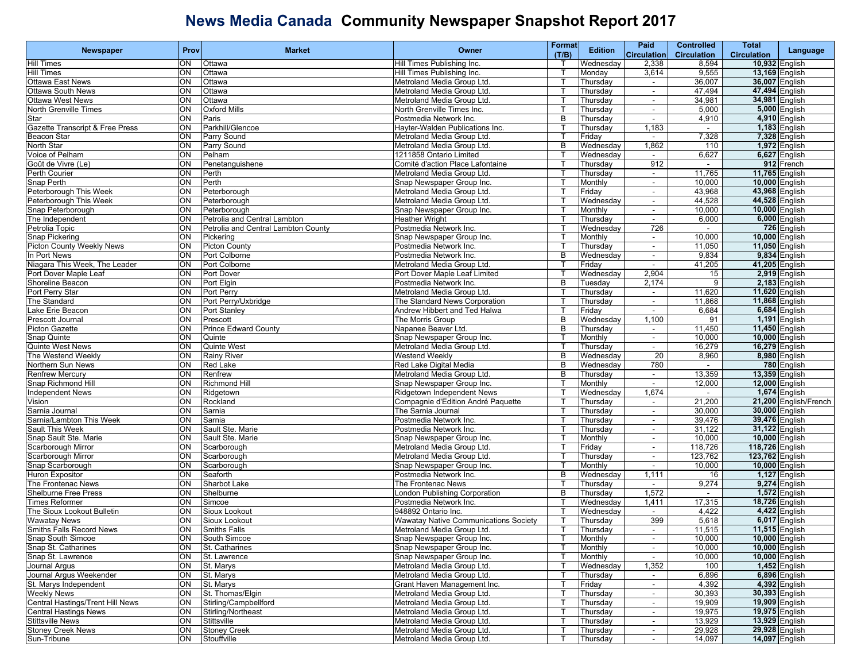| <b>Newspaper</b>                 | Prov     | <b>Market</b>                       | Owner                                                    | Format       | <b>Edition</b>         | Paid                     | <b>Controlled</b>  | Total                 | Language                       |
|----------------------------------|----------|-------------------------------------|----------------------------------------------------------|--------------|------------------------|--------------------------|--------------------|-----------------------|--------------------------------|
|                                  |          |                                     |                                                          | (T/B)        |                        | <b>Circulation</b>       | <b>Circulation</b> | <b>Circulation</b>    |                                |
| <b>Hill Times</b>                | ON       | Ottawa                              | Hill Times Publishing Inc.                               |              | Wednesday              | 2,338                    | 8,594              | 10,932 English        |                                |
| <b>Hill Times</b>                | ON       | Ottawa                              | Hill Times Publishing Inc.                               |              | Monday                 | 3,614                    | 9,555              | 13,169 English        |                                |
| <b>Ottawa East News</b>          | ON       | Ottawa                              | Metroland Media Group Ltd.                               |              | Thursday               | $\sim$                   | 36,007             | 36,007 English        |                                |
| <b>Ottawa South News</b>         | ON       | Ottawa                              | Metroland Media Group Ltd.                               | т            | Thursday               | $\sim$                   | 47,494             | 47,494 English        |                                |
| <b>Ottawa West News</b>          | ON       | Ottawa                              | Metroland Media Group Ltd.                               |              | Thursday               | $\overline{\phantom{a}}$ | 34,981             | 34,981 English        |                                |
| North Grenville Times            | ON       | <b>Oxford Mills</b>                 | North Grenville Times Inc.                               |              | Thursday               | $\blacksquare$           | 5,000              |                       | 5,000 English                  |
| Star                             | ON       | Paris                               | Postmedia Network Inc.                                   | B<br>ਾ       | Thursday               |                          | 4,910              |                       | 4,910 English                  |
| Gazette Transcript & Free Press  | ON       | Parkhill/Glencoe                    | Hayter-Walden Publications Inc.                          | т            | Thursday               | 1,183                    | $\sim$<br>7,328    |                       | 1,183 English<br>7,328 English |
| Beacon Star<br>North Star        | ON<br>ON | Parry Sound<br>Parry Sound          | Metroland Media Group Ltd.<br>Metroland Media Group Ltd. | B            | Friday                 | $\sim$<br>1,862          | 110                |                       | 1,972 English                  |
| Voice of Pelham                  | ON       | Pelham                              | 1211858 Ontario Limited                                  |              | Wednesday<br>Wednesday | $\blacksquare$           | 6,627              |                       | 6,627 English                  |
| Goût de Vivre (Le)               | ON       | Penetanguishene                     | Comité d'action Place Lafontaine                         |              | Thursday               | 912                      |                    |                       | 912 French                     |
| Perth Courier                    | ON       | Perth                               | Metroland Media Group Ltd.                               |              | Thursday               | $\sim$                   | 11,765             | 11,765 English        |                                |
| Snap Perth                       | ON       | Perth                               | Snap Newspaper Group Inc.                                | т            | Monthly                | $\sim$                   | 10,000             | 10,000 English        |                                |
| Peterborough This Week           | ON       | Peterborough                        | Metroland Media Group Ltd.                               |              | Friday                 | $\sim$                   | 43,968             | 43,968 English        |                                |
| Peterborough This Week           | ON       | Peterborough                        | Metroland Media Group Ltd.                               |              | Wednesday              | $\blacksquare$           | 44,528             | 44,528 English        |                                |
| Snap Peterborough                | ON       | Peterborough                        | Snap Newspaper Group Inc.                                |              | Monthly                | $\blacksquare$           | 10,000             | 10,000 English        |                                |
| The Independent                  | ON       | Petrolia and Central Lambton        | <b>Heather Wright</b>                                    |              | Thursday               | $\blacksquare$           | 6,000              |                       | 6,000 English                  |
| Petrolia Topic                   | ON       | Petrolia and Central Lambton County | Postmedia Network Inc.                                   | т            | Wednesday              | 726                      | $\sim$             |                       | 726 English                    |
| Snap Pickering                   | ON       | Pickering                           | Snap Newspaper Group Inc.                                |              | Monthly                | $\sim$                   | 10,000             |                       | 10,000 English                 |
| <b>Picton County Weekly News</b> | ON       | <b>Picton County</b>                | Postmedia Network Inc.                                   |              | Thursday               | $\blacksquare$           | 11,050             | 11,050 English        |                                |
| In Port News                     | ON       | Port Colborne                       | Postmedia Network Inc.                                   | B            | Wednesday              | $\blacksquare$           | 9,834              |                       | 9,834 English                  |
| Niagara This Week, The Leader    | ON       | Port Colborne                       | Metroland Media Group Ltd.                               | ा            | Friday                 | $\sim$                   | 41,205             | 41,205 English        |                                |
| Port Dover Maple Leaf            | ON       | Port Dover                          | Port Dover Maple Leaf Limited                            | т            | Wednesday              | 2,904                    | 15                 |                       | 2,919 English                  |
| Shoreline Beacon                 | ON       | Port Elgin                          | Postmedia Network Inc.                                   | в            | Tuesday                | 2,174                    | 9                  |                       | 2,183 English                  |
| Port Perry Star                  | ON       | Port Perry                          | Metroland Media Group Ltd.                               |              | Thursday               | $\blacksquare$           | 11,620             | 11,620 English        |                                |
| The Standard                     | ON       | Port Perry/Uxbridge                 | The Standard News Corporation                            |              | Thursday               | $\overline{\phantom{a}}$ | 11,868             | 11,868 English        |                                |
| Lake Erie Beacon                 | ON       | Port Stanley                        | Andrew Hibbert and Ted Halwa                             |              | Friday                 | $\sim$                   | 6,684              |                       | 6,684 English                  |
| Prescott Journal                 | ON       | Prescott                            | The Morris Group                                         | B            | Wednesday              | 1,100                    | 91                 |                       | 1,191 English                  |
| Picton Gazette                   | ON       | <b>Prince Edward County</b>         | Napanee Beaver Ltd.                                      | В            | Thursday               | $\sim$                   | 11,450             | <b>11,450 English</b> |                                |
| Snap Quinte                      | ON       | Quinte                              | Snap Newspaper Group Inc.                                |              | Monthly                | $\blacksquare$           | 10,000             | 10,000 English        |                                |
| <b>Quinte West News</b>          | ON       | <b>Quinte West</b>                  | Metroland Media Group Ltd.                               |              | Thursday               | $\blacksquare$           | 16,279             | 16,279 English        |                                |
| The Westend Weekly               | ON       | <b>Rainy River</b>                  | <b>Westend Weekly</b>                                    | B            | Wednesday              | 20                       | 8,960              |                       | 8,980 English                  |
| Northern Sun News                | ON       | <b>Red Lake</b>                     | Red Lake Digital Media                                   | B            | Wednesday              | 780                      | $\sim$             |                       | 780 English                    |
| <b>Renfrew Mercury</b>           | ON       | Renfrew                             | Metroland Media Group Ltd.                               | В            | Thursday               | $\blacksquare$           | 13,359             | 13,359 English        |                                |
| Snap Richmond Hill               | ON       | Richmond Hill                       | Snap Newspaper Group Inc.                                |              | Monthly                | $\blacksquare$           | 12,000             | 12,000 English        |                                |
| <b>Independent News</b>          | ON       | Ridgetown                           | Ridgetown Independent News                               |              | Wednesday              | 1,674                    |                    |                       | 1,674 English                  |
| Vision                           | ON       | Rockland                            | Compagnie d'Edition André Paquette                       | ा            | Thursday               | $\blacksquare$           | 21,200             |                       | 21,200 English/French          |
| Sarnia Journal                   | ON       | Sarnia                              | The Sarnia Journal                                       | Т            | Thursday               | $\sim$                   | 30,000             | 30,000 English        |                                |
| Sarnia/Lambton This Week         | ON       | Sarnia                              | Postmedia Network Inc.                                   |              | Thursday               | $\sim$                   | 39,476             | 39,476 English        |                                |
| Sault This Week                  | ON       | Sault Ste. Marie                    | Postmedia Network Inc.                                   |              | Thursday               | $\blacksquare$           | 31,122             | 31,122 English        |                                |
| Snap Sault Ste. Marie            | ON       | Sault Ste. Marie                    | Snap Newspaper Group Inc.                                |              | Monthly                | $\blacksquare$           | 10,000             | 10,000 English        |                                |
| Scarborough Mirror               | ON       | Scarborough                         | Metroland Media Group Ltd.                               | т            | Friday                 | $\sim$                   | 118,726            | 118,726 English       |                                |
| Scarborough Mirror               | ON       | Scarborough                         | Metroland Media Group Ltd.                               | Т            | Thursday               | $\sim$                   | 123,762            | 123,762 English       |                                |
| Snap Scarborough                 | ON       | Scarborough                         | Snap Newspaper Group Inc.                                |              | Monthly                | $\sim$                   | 10,000             | 10,000 English        |                                |
| <b>Huron Expositor</b>           | ON       | Seaforth                            | Postmedia Network Inc.                                   | B            | Wednesday              | 1,111                    | 16                 |                       | 1,127 English                  |
| The Frontenac News               | ON       | Sharbot Lake                        | The Frontenac News                                       |              | Thursday               | $\blacksquare$           | 9,274              |                       | 9,274 English                  |
| <b>Shelburne Free Press</b>      | ON       | Shelburne                           | London Publishing Corporation                            | B            | Thursday               | 1,572                    | $\sim$             |                       | 1,572 English                  |
| <b>Times Reformer</b>            | ON       | Simcoe                              | Postmedia Network Inc.                                   | т            | Wednesday              | 1,411                    | 17,315             | 18,726 English        |                                |
| The Sioux Lookout Bulletin       | ON       | Sioux Lookout                       | 948892 Ontario Inc.                                      |              | Wednesday              | $\overline{\phantom{a}}$ | 4,422              |                       | 4,422 English                  |
| <b>Wawatay News</b>              | ON       | Sioux Lookout                       | <b>Wawatay Native Communications Society</b>             |              | Thursday               | 399                      | 5,618              |                       | 6,017 English                  |
| Smiths Falls Record News         |          | ON Smiths Falls                     | Metroland Media Group Ltd.                               | T.           | Thursday               |                          | 11,515             | 11,515 English        |                                |
| Snap South Simcoe                | ON       | South Simcoe                        | Snap Newspaper Group Inc.                                | $\mathsf{T}$ | Monthly                | $\sim$                   | 10,000             | 10,000 English        |                                |
| Snap St. Catharines              | ON       | St. Catharines                      | Snap Newspaper Group Inc.                                | $\mathsf{T}$ | Monthly                | $\sim$                   | 10,000             |                       | 10,000 English                 |
| Snap St. Lawrence                | ON       | St. Lawrence                        | Snap Newspaper Group Inc.                                |              | Monthly                | $\sim$                   | 10,000             |                       | 10,000 English                 |
| Journal Argus                    | ON       | St. Marys                           | Metroland Media Group Ltd.                               |              | Wednesday              | 1,352                    | 100                |                       | 1,452 English                  |
| Journal Argus Weekender          | ON       | St. Marys                           | Metroland Media Group Ltd.                               |              | Thursday               |                          | 6,896              |                       | 6,896 English                  |
| St. Marys Independent            | ON       | St. Marys                           | Grant Haven Management Inc.                              | $\top$       | Friday                 | $\sim$                   | 4,392              |                       | 4,392 English                  |
| <b>Weekly News</b>               | ON       | St. Thomas/Elgin                    | Metroland Media Group Ltd.                               | Т            | Thursday               | $\sim$                   | 30,393             | 30,393 English        |                                |
| Central Hastings/Trent Hill News | ON       | Stirling/Campbellford               | Metroland Media Group Ltd.                               |              | Thursday               | $\sim$                   | 19,909             | 19,909 English        |                                |
| <b>Central Hastings News</b>     | ON       | Stirling/Northeast                  | Metroland Media Group Ltd.                               |              | Thursday               | $\blacksquare$           | 19,975             | 19,975 English        |                                |
| <b>Stittsville News</b>          | ON       | Stittsville                         | Metroland Media Group Ltd.                               |              | Thursday               | $\blacksquare$           | 13,929             | 13,929 English        |                                |
| <b>Stoney Creek News</b>         | ON       | <b>Stoney Creek</b>                 | Metroland Media Group Ltd.                               | Т            | Thursday               | $\sim$                   | 29,928             | 29,928 English        |                                |
| Sun-Tribune                      | ON       | Stouffville                         | Metroland Media Group Ltd.                               | T            | Thursday               | $\sim$                   | 14,097             | 14,097 English        |                                |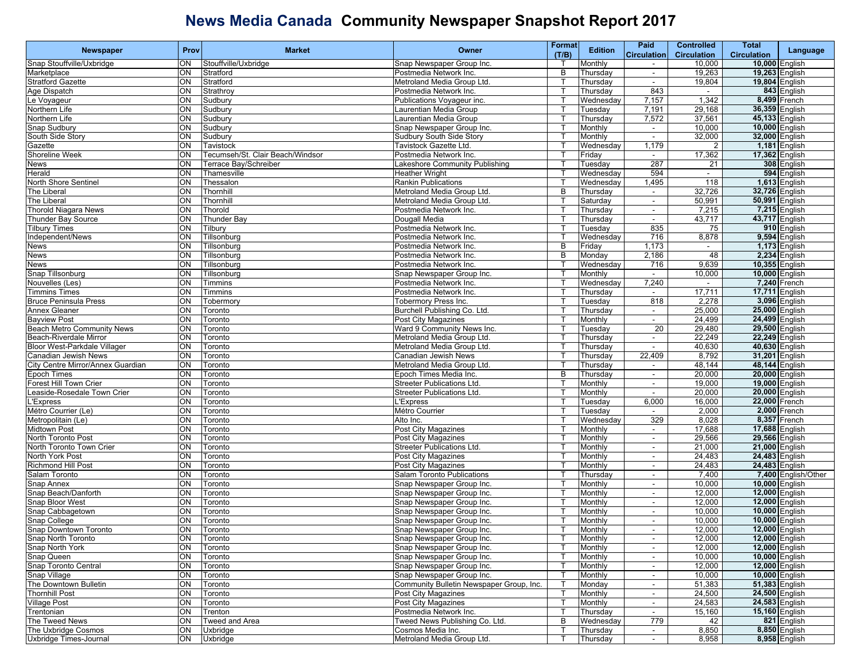|                                   | Prov     | <b>Market</b>                    | <b>Owner</b>                                           | <b>Format</b> | <b>Edition</b> | Paid                     | <b>Controlled</b>  | <b>Total</b>       |                     |
|-----------------------------------|----------|----------------------------------|--------------------------------------------------------|---------------|----------------|--------------------------|--------------------|--------------------|---------------------|
| <b>Newspaper</b>                  |          |                                  |                                                        | (T/B)         |                | <b>Circulation</b>       | <b>Circulation</b> | <b>Circulation</b> | Language            |
| Snap Stouffville/Uxbridge         | ON       | Stouffville/Uxbridge             | Snap Newspaper Group Inc.                              |               | Monthly        | $\sim$                   | 10,000             | 10,000 English     |                     |
| Marketplace                       | ON       | Stratford                        | Postmedia Network Inc.                                 | B             | Thursday       | $\overline{\phantom{a}}$ | 19,263             | 19,263 English     |                     |
| <b>Stratford Gazette</b>          | ON       | Stratford                        | Metroland Media Group Ltd.                             | $\top$        | Thursday       | $\sim$                   | 19,804             | 19,804 English     |                     |
| Age Dispatch                      | ON       | Strathroy                        | Postmedia Network Inc.                                 | т             | Thursday       | 843                      | $\sim$             |                    | 843 English         |
| Le Voyageur                       | ON       | Sudbury                          | Publications Voyageur inc.                             |               | Wednesday      | 7,157                    | 1,342              |                    | 8,499 French        |
| Northern Life                     | ON       | Sudbury                          | aurentian Media Group                                  |               | Tuesday        | 7,191                    | 29,168             | 36,359 English     |                     |
| Northern Life                     | ON       | Sudbury                          | Laurentian Media Group                                 |               | Thursday       | 7,572                    | 37,561             | 45,133 English     |                     |
| Snap Sudbury                      | ON       | Sudbury                          | Snap Newspaper Group Inc.                              | $\top$        | Monthly        | $\sim$                   | 10,000             | 10,000 English     |                     |
| South Side Story                  | ON       | Sudbury                          | Sudbury South Side Story                               | т             | Monthly        | $\sim$                   | 32,000             | 32,000 English     |                     |
| Gazette                           | ON       | Tavistock                        | Tavistock Gazette Ltd.                                 |               | Wednesday      | 1,179                    | 2                  |                    | 1,181 English       |
| Shoreline Week                    | ON       | Tecumseh/St. Clair Beach/Windsor | Postmedia Network Inc.                                 |               | Friday         | $\blacksquare$           | 17,362             | 17,362 English     |                     |
| News                              | ON       | Terrace Bay/Schreiber            | Lakeshore Community Publishing                         |               | Tuesdav        | 287                      | 21                 |                    | 308 English         |
| Herald                            | ON       | Thamesville                      | <b>Heather Wright</b>                                  |               | Wednesday      | 594                      | $\sim$             |                    | 594 English         |
| North Shore Sentinel              | ON       | Thessalon                        | Rankin Publications                                    | т             | Wednesday      | 1,495                    | 118                |                    | 1,613 English       |
| The Liberal                       | ON       | Thornhill                        | Metroland Media Group Ltd.                             | В             | Thursday       | $\overline{\phantom{a}}$ | 32,726             | 32,726 English     |                     |
| The Liberal                       | S        | Thornhill                        | Metroland Media Group Ltd.                             |               | Saturday       | $\blacksquare$           | 50,991             | 50,991 English     |                     |
| <b>Thorold Niagara News</b>       | ON       | Thorold                          | Postmedia Network Inc.                                 | т             | Thursday       | $\blacksquare$           | 7,215              |                    | 7,215 English       |
| Thunder Bay Source                | ON       | <b>Thunder Bay</b>               | Dougall Media                                          | т             | Thursday       | $\sim$                   | 43,717             | 43,717 English     |                     |
| <b>Tilbury Times</b>              | ON       | Tilbury                          | Postmedia Network Inc.                                 | т             | Tuesday        | 835                      | 75                 |                    | 910 English         |
| Independent/News                  | ON       | Tillsonburg                      | Postmedia Network Inc.                                 |               | Wednesday      | 716                      | 8,878              |                    | 9,594 English       |
| <b>News</b>                       | ON       | Tillsonburg                      | Postmedia Network Inc.                                 | B             | Friday         | 1,173                    | $\sim$             |                    | 1,173 English       |
| News                              | ON       | Tillsonburg                      | Postmedia Network Inc.                                 | B             | Monday         | 2,186                    | 48                 |                    | 2,234 English       |
| News                              | ON       | Tillsonburg                      | Postmedia Network Inc.                                 | т             | Wednesday      | 716                      | 9,639              | 10,355 English     |                     |
| Snap Tillsonburg                  | ON       | Tillsonburg                      | Snap Newspaper Group Inc.                              | т             | Monthly        | $\sim$                   | 10,000             | 10,000 English     |                     |
| Nouvelles (Les)                   | ON       | Timmins                          | Postmedia Network Inc.                                 |               | Wednesday      | 7,240                    | $\sim$             | 7,240 French       |                     |
| <b>Timmins Times</b>              | S        | Timmins                          | Postmedia Network Inc.                                 |               | Thursday       | $\blacksquare$           | 17,711             | 17,711 English     |                     |
| <b>Bruce Peninsula Press</b>      | ON       | Tobermory                        | Tobermory Press Inc.                                   |               | Tuesday        | 818                      | 2,278              |                    | 3,096 English       |
| Annex Gleaner                     | ON       | Toronto                          | Burchell Publishing Co. Ltd.                           |               | Thursday       | $\sim$                   | 25,000             | 25,000 English     |                     |
| <b>Bayview Post</b>               | ON       | Toronto                          | <b>Post City Magazines</b>                             | т             | Monthly        | $\sim$                   | 24,499             | 24,499 English     |                     |
| <b>Beach Metro Community News</b> | ON       | Toronto                          | Ward 9 Community News Inc.                             |               | Tuesday        | $\overline{20}$          | 29,480             | 29,500 English     |                     |
| Beach-Riverdale Mirror            | ON       | Toronto                          | Metroland Media Group Ltd.                             |               | Thursda∖       | $\overline{\phantom{a}}$ | 22,249             | 22,249 English     |                     |
| Bloor West-Parkdale Villager      | ON       | Toronto                          | Metroland Media Group Ltd.                             |               | Thursday       |                          | 40,630             | 40,630 English     |                     |
| Canadian Jewish News              | ON       | Toronto                          | Canadian Jewish News                                   | т             | Thursday       | 22,409                   | 8,792              | 31,201 English     |                     |
| City Centre Mirror/Annex Guardian | ON       | Toronto                          | Metroland Media Group Ltd.                             |               | Thursday       | $\sim$                   | 48,144             | 48,144 English     |                     |
| Epoch Times                       | ON       | Toronto                          | Epoch Times Media Inc.                                 | в             | Thursday       | $\overline{\phantom{a}}$ | 20,000             | 20,000 English     |                     |
| Forest Hill Town Crier            | S        | Toronto                          | <b>Streeter Publications Ltd.</b>                      |               | Monthly        | $\blacksquare$           | 19,000             | 19,000 English     |                     |
| Leaside-Rosedale Town Crier       | ON       | Toronto                          | <b>Streeter Publications Ltd.</b>                      | т             | Monthly        |                          | 20,000             | 20,000 English     |                     |
| 'Express                          | ON       | Toronto                          | 'Express                                               | т             | Tuesday        | 6,000                    | 16,000             | 22,000 French      |                     |
| Métro Courrier (Le)               | ON       | Toronto                          | Métro Courrier                                         | т             | Tuesday        | $\sim$                   | 2,000              | 2,000 French       |                     |
| Metropolitain (Le)                | ON       | Toronto                          | Alto Inc.                                              |               | Wednesday      | 329                      | 8,028              | 8,357 French       |                     |
| Midtown Post                      | ON       | Toronto                          | Post City Magazines                                    |               | Monthly        | $\overline{\phantom{a}}$ | 17,688             | 17,688 English     |                     |
| North Toronto Post                | ON       | Toronto                          | Post City Magazines                                    |               | Monthly        | $\blacksquare$           | 29,566             | 29,566 English     |                     |
| North Toronto Town Crier          | ON       | Toronto                          | <b>Streeter Publications Ltd.</b>                      | т             | Monthly        | $\sim$                   | 21,000             | 21,000 English     |                     |
| North York Post                   | ON       | Toronto                          | Post City Magazines                                    | Т             | Monthly        | $\sim$                   | 24,483             | 24,483 English     |                     |
| <b>Richmond Hill Post</b>         | ON       | Toronto                          | Post City Magazines                                    |               | Monthly        | $\sim$                   | 24,483             | 24,483 English     |                     |
| Salam Toronto                     | ON       | Toronto                          | <b>Salam Toronto Publications</b>                      |               | Thursday       | $\sim$                   | 7,400              |                    | 7,400 English/Other |
| Snap Annex                        | ON       | Toronto                          | Snap Newspaper Group Inc.                              |               | Monthly        | $\blacksquare$           | 10,000             | 10,000 English     |                     |
| Snap Beach/Danforth               | ON       | Toronto                          | Snap Newspaper Group Inc.                              | т             | Monthly        | $\blacksquare$           | 12,000             | 12,000 English     |                     |
| Snap Bloor West                   | ON       | Toronto                          | Snap Newspaper Group Inc.                              | т             | Monthly        | $\sim$                   | 12,000             | 12,000 English     |                     |
| Snap Cabbagetown                  | ON       | Toronto                          | Snap Newspaper Group Inc.                              |               | Monthly        | $\overline{\phantom{a}}$ | 10,000             | 10,000 English     |                     |
| Snap College                      | ON       | Toronto                          | Snap Newspaper Group Inc.                              |               | Monthly        | $\sim$                   | 10,000             | 10,000 English     |                     |
| Snap Downtown Toronto             | ON       | Toronto                          | Snap Newspaper Group Inc.                              | $\mathsf{T}$  |                |                          | 12,000             | 12,000 English     |                     |
| Snap North Toronto                | ON       |                                  |                                                        | T             | Monthly        |                          | 12,000             | 12,000 English     |                     |
| Snap North York                   |          | Toronto                          | Snap Newspaper Group Inc.                              |               | Monthly        | $\sim$                   |                    | 12,000 English     |                     |
| Snap Queen                        | ON<br>ON | Toronto                          | Snap Newspaper Group Inc.<br>Snap Newspaper Group Inc. | Т             | Monthly        | $\sim$                   | 12,000<br>10,000   | 10,000 English     |                     |
| Snap Toronto Central              | S        | Toronto                          | Snap Newspaper Group Inc.                              |               | Monthly        | $\sim$                   |                    | 12,000 English     |                     |
|                                   |          | Toronto                          |                                                        |               | Monthly        | $\sim$                   | 12,000             |                    |                     |
| Snap Village                      | ON       | Toronto                          | Snap Newspaper Group Inc.                              |               | Monthly        |                          | 10,000             | 10,000 English     |                     |
| The Downtown Bulletin             | ON       | Toronto                          | Community Bulletin Newspaper Group, Inc.               | $\mathsf{T}$  | Monday         | $\sim$                   | 51,383             | 51,383 English     |                     |
| <b>Thornhill Post</b>             | ON       | Toronto                          | Post City Magazines                                    | $\mathsf{T}$  | Monthly        | $\sim$                   | 24,500             | 24,500 English     |                     |
| <b>Village Post</b>               | ON       | Toronto                          | Post City Magazines                                    |               | Monthly        | $\sim$                   | 24,583             | 24,583 English     |                     |
| Trentonian                        | ON       | Trenton                          | Postmedia Network Inc.                                 |               | Thursday       | $\sim$                   | 15,160             | 15,160 English     |                     |
| The Tweed News                    | ON       | Tweed and Area                   | Tweed News Publishing Co. Ltd.                         | в             | Wednesday      | 779                      | 42                 |                    | 821 English         |
| The Uxbridge Cosmos               | ON       | Uxbridge                         | Cosmos Media Inc.                                      | Т             | Thursday       | $\sim$                   | 8,850              |                    | 8,850 English       |
| Uxbridge Times-Journal            | ON       | Uxbridge                         | Metroland Media Group Ltd.                             | $\mathsf{T}$  | Thursday       | $\sim$                   | 8,958              |                    | 8,958 English       |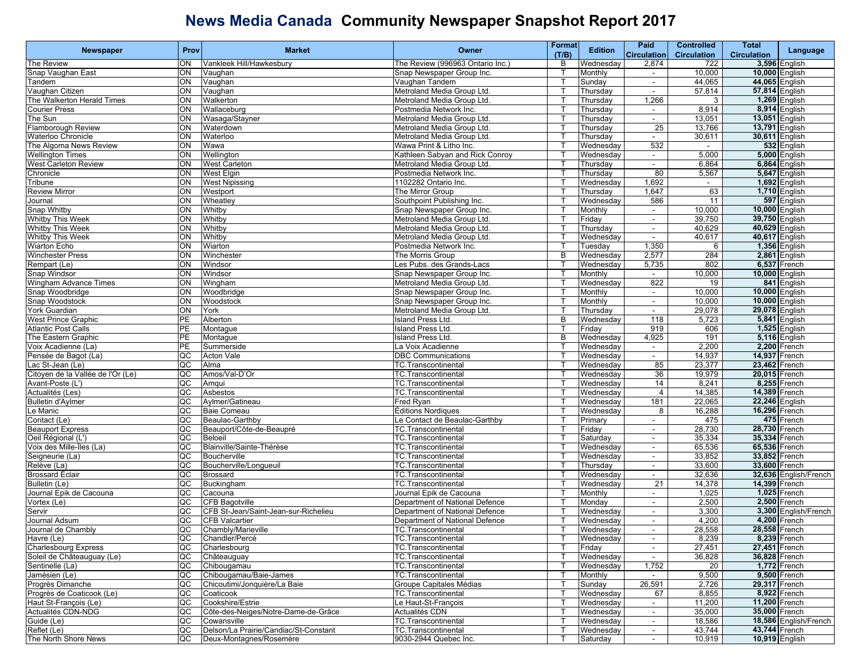|                                   |           |                                       |                                  | <b>Format</b> |                | <b>Paid</b>              | <b>Controlled</b>        | <b>Total</b>       |                       |
|-----------------------------------|-----------|---------------------------------------|----------------------------------|---------------|----------------|--------------------------|--------------------------|--------------------|-----------------------|
| <b>Newspaper</b>                  | Prov      | <b>Market</b>                         | Owner                            | (T/B)         | <b>Edition</b> | <b>Circulation</b>       | <b>Circulation</b>       | <b>Circulation</b> | Language              |
| The Review                        | ON        | Vankleek Hill/Hawkesbury              | The Review (996963 Ontario Inc.) | B             | Wednesday      | 2,874                    | 722                      |                    | 3,596 English         |
| Snap Vaughan East                 | ON        | Vaughan                               | Snap Newspaper Group Inc.        |               | Monthly        | $\blacksquare$           | 10,000                   |                    | 10,000 English        |
| Tandem                            | ON        | Vaughan                               | Vaughan Tandem                   |               | Sunday         | $\sim$                   | 44,065                   | 44,065 English     |                       |
| Vaughan Citizen                   | ON        | Vaughan                               | Metroland Media Group Ltd.       |               | Thursday       | $\blacksquare$           | 57,814                   |                    | 57,814 English        |
| The Walkerton Herald Times        | ON        | Walkerton                             | Metroland Media Group Ltd.       |               | Thursday       | 1,266                    | 3                        |                    | 1,269 English         |
| <b>Courier Press</b>              | <b>ON</b> | Wallaceburg                           | Postmedia Network Inc.           |               |                |                          |                          |                    | 8,914 English         |
|                                   |           |                                       |                                  |               | Thursday       | $\overline{\phantom{a}}$ | 8,914                    |                    |                       |
| The Sun                           | ON        | Wasaga/Stayner                        | Metroland Media Group Ltd.       |               | Thursday       | $\sim$                   | 13,051                   |                    | 13,051 English        |
| Flamborough Review                | ON        | Waterdown                             | Metroland Media Group Ltd.       |               | Thursday       | 25                       | 13,766                   | 13,791 English     |                       |
| Waterloo Chronicle                | ON        | Waterloo                              | Metroland Media Group Ltd.       |               | Thursday       | $\sim$                   | 30,611                   | 30,611 English     |                       |
| The Algoma News Review            | ON        | Wawa                                  | Wawa Print & Litho Inc.          |               | Wednesday      | 532                      | $\overline{\phantom{a}}$ |                    | 532 English           |
| <b>Wellington Times</b>           | ON        | Wellington                            | Kathleen Sabyan and Rick Conroy  |               | Wednesday      | $\blacksquare$           | 5,000                    |                    | 5,000 English         |
| <b>West Carleton Review</b>       | ON        | <b>West Carleton</b>                  | Metroland Media Group Ltd.       |               | Thursday       | $\sim$                   | 6,864                    |                    | 6,864 English         |
| Chronicle                         | ON        | <b>West Elgin</b>                     | Postmedia Network Inc.           |               | Thursday       | 80                       | 5,567                    |                    | 5,647 English         |
| Tribune                           | ON        | <b>West Nipissing</b>                 | 1102282 Ontario Inc.             |               | Wednesday      | 1,692                    | $\sim$                   |                    | 1,692 English         |
| <b>Review Mirror</b>              | ON        | Westport                              | The Mirror Group                 |               | Thursday       | 1,647                    | 63                       |                    | 1,710 English         |
| Journal                           | <b>ON</b> | Wheatley                              | Southpoint Publishing Inc.       |               | Wednesday      | 586                      | 11                       |                    | 597 English           |
| <b>Snap Whitby</b>                | ON        | Whitby                                | Snap Newspaper Group Inc.        |               | Monthly        | $\sim$                   | 10,000                   | 10,000 English     |                       |
| <b>Whitby This Week</b>           | ON        | Whitby                                | Metroland Media Group Ltd.       |               | Friday         | $\sim$                   | 39,750                   | 39,750 English     |                       |
| <b>Whitby This Week</b>           | ON        | Whitby                                | Metroland Media Group Ltd.       |               | Thursday       | $\blacksquare$           | 40,629                   | 40,629 English     |                       |
| <b>Whitby This Week</b>           | ON        | Whitby                                | Metroland Media Group Ltd.       |               | Wednesday      | $\sim$                   | 40,617                   | 40,617 English     |                       |
|                                   |           |                                       |                                  |               |                |                          |                          |                    |                       |
| <b>Wiarton Echo</b>               | ON        | Wiarton                               | Postmedia Network Inc.           |               | Tuesday        | 1,350                    | 6                        |                    | 1,356 English         |
| <b>Winchester Press</b>           | S         | Winchester                            | The Morris Group                 | B             | Wednesdav      | 2,577                    | 284                      |                    | 2,861 English         |
| Rempart (Le)                      | ON        | Windsor                               | Les Pubs. des Grands-Lacs        |               | Wednesday      | 5,735                    | 802                      |                    | 6,537 French          |
| Snap Windsor                      | ON        | Windsor                               | Snap Newspaper Group Inc.        |               | Monthly        | $\sim$                   | 10,000                   | 10,000 English     |                       |
| Wingham Advance Times             | ON        | Wingham                               | Metroland Media Group Ltd.       |               | Wednesday      | 822                      | 19                       |                    | 841 English           |
| Snap Woodbridge                   | <b>ON</b> | Woodbridge                            | Snap Newspaper Group Inc.        |               | Monthly        | $\overline{\phantom{a}}$ | 10,000                   | 10,000 English     |                       |
| Snap Woodstock                    | ON        | Woodstock                             | Snap Newspaper Group Inc.        |               | Monthly        | $\sim$                   | 10,000                   | 10,000 English     |                       |
| York Guardian                     | ON        | York                                  | Metroland Media Group Ltd.       |               | Thursday       | $\sim$                   | 29,078                   | 29,078 English     |                       |
| West Prince Graphic               | PE        | Alberton                              | Island Press Ltd.                | B             | Wednesday      | 118                      | 5,723                    |                    | 5,841 English         |
| <b>Atlantic Post Calls</b>        | <b>PE</b> | Montague                              | <b>Island Press Ltd.</b>         |               | Friday         | 919                      | 606                      |                    | 1,525 English         |
| The Eastern Graphic               | PE        | Montague                              | <b>Island Press Ltd.</b>         | B             | Wednesday      | 4,925                    | 191                      |                    | 5,116 English         |
| Voix Acadienne (La)               | PE        | Summerside                            | La Voix Acadienne                |               | Wednesday      | $\sim$                   | 2,200                    |                    | 2,200 French          |
| Pensée de Bagot (La)              | QC        | <b>Acton Vale</b>                     | <b>DBC Communications</b>        |               | Wednesday      | $\sim$                   | 14,937                   | 14,937 French      |                       |
| Lac St-Jean (Le)                  | QC        | Alma                                  | TC.Transcontinental              |               | Wednesday      | 85                       | 23,377                   | 23,462 French      |                       |
|                                   | <b>QC</b> |                                       |                                  |               |                | 36                       |                          | 20,015 French      |                       |
| Citoyen de la Vallée de l'Or (Le) |           | Amos/Val-D'Or                         | TC.Transcontinental              |               | Wednesday      |                          | 19,979                   |                    |                       |
| Avant-Poste (L')                  | Q         | Amqui                                 | <b>TC.Transcontinental</b>       |               | Wednesday      | 14                       | 8,241                    |                    | 8,255 French          |
| Actualités (Les)                  | <b>QC</b> | Asbestos                              | TC.Transcontinental              |               | Wednesday      | $\overline{4}$           | 14,385                   | 14,389 French      |                       |
| <b>Bulletin d'Aylmer</b>          | QC        | Aylmer/Gatineau                       | Fred Ryan                        |               | Wednesday      | 181                      | 22,065                   | 22,246 English     |                       |
| Le Manic                          | QC        | <b>Baie Comeau</b>                    | Éditions Nordiques               |               | Wednesday      | 8                        | 16,288                   | 16,296 French      |                       |
| Contact (Le)                      | <b>QC</b> | Beaulac-Garthby                       | Le Contact de Beaulac-Garthby    |               | Primary        | $\overline{\phantom{a}}$ | 475                      |                    | 475 French            |
| <b>Beauport Express</b>           | QC        | Beauport/Côte-de-Beaupré              | <b>TC.Transcontinental</b>       |               | Friday         | $\overline{\phantom{a}}$ | 28,730                   | 28,730 French      |                       |
| Oeil Régional (L')                | QC        | Beloeil                               | TC.Transcontinental              |               | Saturday       | $\sim$                   | 35,334                   | 35,334 French      |                       |
| Voix des Mille-Îles (La)          | QC        | Blainville/Sainte-Thérèse             | TC.Transcontinental              |               | Wednesday      | $\sim$                   | 65,536                   | 65,536 French      |                       |
| Seigneurie (La)                   | QC        | <b>Boucherville</b>                   | TC.Transcontinental              |               | Wednesday      | $\sim$                   | 33,852                   | 33,852 French      |                       |
| Relève (La)                       | <b>QC</b> | Boucherville/Longueuil                | TC.Transcontinental              |               | Thursday       | $\sim$                   | 33,600                   | 33,600 French      |                       |
| <b>Brossard Éclair</b>            | QC        | <b>Brossard</b>                       | <b>TC.Transcontinental</b>       |               | Wednesday      | $\overline{\phantom{a}}$ | 32,636                   |                    | 32,636 English/French |
| Bulletin (Le)                     | <b>QC</b> | Buckingham                            | TC.Transcontinental              |               | Wednesday      | 21                       | 14,378                   | 14,399 French      |                       |
| Journal Epik de Cacouna           | QC        | Cacouna                               | Journal Epik de Cacouna          |               | Monthly        | $\sim$                   | 1,025                    |                    | 1,025 French          |
| Vortex (Le)                       | QC        | <b>CFB Bagotville</b>                 | Department of National Defence   |               | Monday         | $\blacksquare$           | 2,500                    |                    | 2,500 French          |
| Servir                            | QC        | CFB St-Jean/Saint-Jean-sur-Richelieu  | Department of National Defence   |               | Wednesday      | $\sim$                   | 3,300                    |                    | 3,300 English/French  |
|                                   |           |                                       |                                  |               |                |                          |                          |                    |                       |
| Journal Adsum                     | QC        | <b>CFB Valcartier</b>                 | Department of National Defence   |               | Wednesday      | $\blacksquare$           | 4,200                    |                    | 4,200 French          |
| Journal de Chambly                | QC        | Chambly/Marieville                    | TC.Transcontinental              | т             | Wednesday      |                          | 28,558                   | 28,558 French      |                       |
| Havre (Le)                        | QC        | Chandler/Percé                        | TC.Transcontinental              | $\mathsf{T}$  | Wednesday      | $\sim$                   | 8,239                    |                    | 8,239 French          |
| <b>Charlesbourg Express</b>       | QC        | Charlesbourg                          | TC.Transcontinental              |               | Friday         | $\sim$                   | 27,451                   | 27,451 French      |                       |
| Soleil de Châteauguay (Le)        | <b>QC</b> | Châteauguay                           | TC.Transcontinental              |               | Wednesday      | $\sim$                   | 36,828                   | 36,828 French      |                       |
| Sentinelle (La)                   | QC        | Chibougamau                           | TC.Transcontinental              |               | Wednesday      | 1,752                    | 20                       |                    | 1,772 French          |
| Jamésien (Le)                     | QC        | Chibougamau/Baie-James                | TC.Transcontinental              |               | Monthly        | $\sim$                   | 9,500                    |                    | 9,500 French          |
| Progrès Dimanche                  | QC        | Chicoutimi/Jonquière/La Baie          | Groupe Capitales Médias          |               | Sunday         | 26,591                   | 2,726                    | 29,317 French      |                       |
| Progrès de Coaticook (Le)         | QC        | Coaticook                             | TC.Transcontinental              |               | Wednesday      | 67                       | 8,855                    |                    | 8,922 French          |
| Haut St-François (Le)             | QC        | Cookshire/Estrie                      | Le Haut-St-François              |               | Wednesday      | $\sim$                   | 11,200                   | 11,200 French      |                       |
| Actualités CDN-NDG                | QC        | Côte-des-Neiges/Notre-Dame-de-Grâce   | Actualités CDN                   |               | Wednesday      | $\blacksquare$           | 35,000                   | 35,000 French      |                       |
| Guide (Le)                        | QC        | Cowansville                           | <b>TC.Transcontinental</b>       |               | Wednesday      | $\sim$                   | 18,586                   |                    | 18,586 English/French |
| Reflet (Le)                       | QC        | Delson/La Prairie/Candiac/St-Constant | TC.Transcontinental              |               | Wednesday      | $\sim$                   | 43,744                   | 43,744 French      |                       |
| The North Shore News              | QC        | Deux-Montagnes/Rosemère               | 9030-2944 Quebec Inc.            |               | Saturday       | $\sim$                   | 10,919                   |                    | 10,919 English        |
|                                   |           |                                       |                                  |               |                |                          |                          |                    |                       |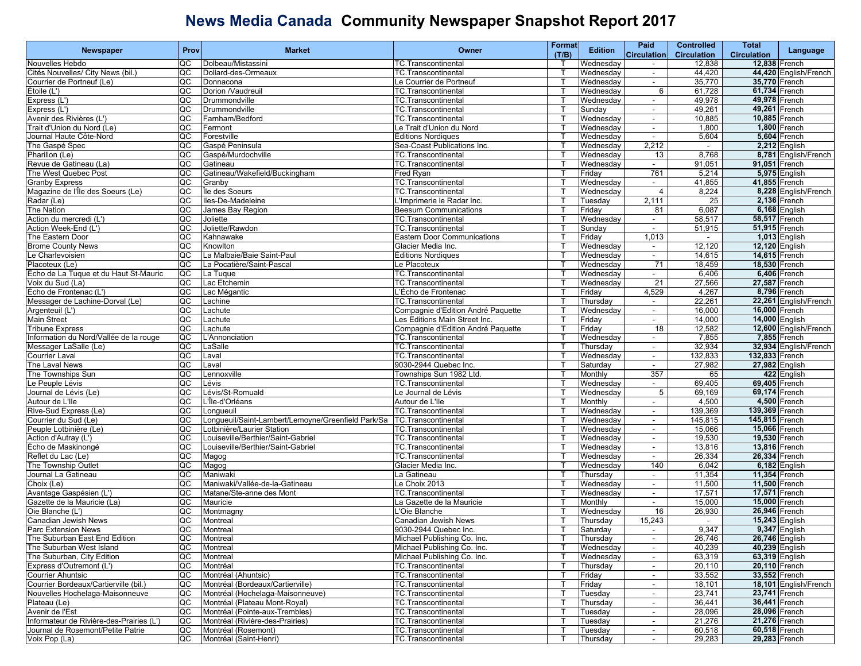|                                          | Prov                   | <b>Market</b>                                      | Owner                              | Format       | <b>Edition</b> | Paid                     | <b>Controlled</b>  | Total                 |                       |
|------------------------------------------|------------------------|----------------------------------------------------|------------------------------------|--------------|----------------|--------------------------|--------------------|-----------------------|-----------------------|
| Newspaper                                |                        |                                                    |                                    | (T/B)        |                | <b>Circulation</b>       | <b>Circulation</b> | <b>Circulation</b>    | Language              |
| Nouvelles Hebdo                          | QC                     | Dolbeau/Mistassini                                 | TC.Transcontinental                |              | Wednesday      |                          | 12,838             | 12,838 French         |                       |
| Cités Nouvelles/ City News (bil.)        | QC                     | Dollard-des-Ormeaux                                | TC.Transcontinental                | Т            | Wednesday      | $\sim$                   | 44,420             |                       | 44,420 English/French |
| Courrier de Portneuf (Le)                | QC                     | Donnacona                                          | Le Courrier de Portneuf            | т            | Wednesday      | $\sim$                   | 35,770             | 35,770 French         |                       |
| Étoile (L')                              | QC                     | Dorion /Vaudreuil                                  | TC.Transcontinental                | П            | Wednesday      | 6                        | 61,728             | 61,734 French         |                       |
| Express (L')                             | QC                     | Drummondville                                      | <b>TC.Transcontinental</b>         | $\top$       | Wednesday      |                          | 49,978             | 49,978 French         |                       |
| Express (L')                             | QC                     | Drummondville                                      | TC.Transcontinental                | $\mathsf{T}$ | Sunday         | $\blacksquare$           | 49,261             | 49,261 French         |                       |
|                                          | QC                     | Farnham/Bedford                                    | TC.Transcontinental                | т            |                |                          | 10,885             |                       |                       |
| Avenir des Rivières (L')                 |                        |                                                    |                                    |              | Wednesday      | $\sim$                   |                    | 10,885 French         |                       |
| Trait d'Union du Nord (Le)               | QC                     | Fermont                                            | e Trait d'Union du Nord.           | т            | Wednesday      | $\sim$                   | 1,800              |                       | 1,800 French          |
| Journal Haute Côte-Nord                  | QC                     | Forestville                                        | Éditions Nordiques                 |              | Wednesday      | $\sim$                   | 5,604              |                       | 5,604 French          |
| The Gaspé Spec                           | QC                     | Gaspé Peninsula                                    | Sea-Coast Publications Inc.        | $\mathbf T$  | Wednesday      | 2,212                    |                    |                       | 2,212 English         |
| Pharillon (Le)                           | QC                     | Gaspé/Murdochville                                 | TC.Transcontinental                | т            | Wednesdav      | 13                       | 8,768              |                       | 8,781 English/French  |
| Revue de Gatineau (La)                   | QC                     | Gatineau                                           | <b>TC.Transcontinental</b>         | т            | Wednesday      | $\sim$                   | 91,051             | 91,051 French         |                       |
| The West Quebec Post                     | QC                     | Gatineau/Wakefield/Buckingham                      | Fred Ryan                          | т            | Friday         | 761                      | 5,214              |                       | 5,975 English         |
| <b>Granby Express</b>                    | QC                     | Granby                                             | TC.Transcontinental                | ı            | Wednesday      | $\sim$                   | 41,855             | 41,855 French         |                       |
| Magazine de l'Île des Soeurs (Le)        | QC                     | Île des Soeurs                                     | TC.Transcontinental                | $\top$       | Wednesday      | 4                        | 8,224              |                       | 8,228 English/French  |
| Radar (Le)                               | QC                     | Iles-De-Madeleine                                  | Imprimerie le Radar Inc.           | $\top$       | Tuesday        | 2,111                    | 25                 |                       | 2,136 French          |
| The Nation                               | QC                     | James Bay Region                                   | <b>Beesum Communications</b>       | т            | Friday         | 81                       | 6,087              |                       | 6,168 English         |
| Action du mercredi (L')                  | QC                     | Joliette                                           | TC.Transcontinental                | т            | Wednesday      | $\sim$                   | 58,517             | 58,517 French         |                       |
| Action Week-End (L')                     | QC                     | Joliette/Rawdon                                    | TC.Transcontinental                |              | Sunday         | $\blacksquare$           | 51,915             | 51,915 French         |                       |
| The Eastern Door                         | QC                     | Kahnawake                                          | <b>Eastern Door Communications</b> |              | Friday         | 1,013                    |                    |                       | <b>1,013</b> English  |
| <b>Brome County News</b>                 | QC                     | Knowlton                                           | Glacier Media Inc.                 | т            | Wednesday      | $\blacksquare$           | 12,120             | 12,120 English        |                       |
|                                          |                        | La Malbaie/Baie Saint-Paul                         |                                    | т            |                |                          |                    |                       |                       |
| Le Charlevoisien                         | QC                     |                                                    | Éditions Nordiques                 |              | Wednesday      | $\sim$                   | 14,615             | 14,615 French         |                       |
| Placoteux (Le)                           | QC                     | La Pocatière/Saint-Pascal                          | e Placoteux                        | т            | Wednesday      | 71                       | 18,459             | 18,530 French         |                       |
| Écho de La Tuque et du Haut St-Mauric    | QC                     | La Tuque                                           | <b>TC.Transcontinental</b>         | ı            | Wednesday      | $\sim$                   | 6,406              |                       | 6,406 French          |
| Voix du Sud (La)                         | QC                     | Lac Etchemin                                       | TC.Transcontinental                | $\top$       | Wednesday      | 21                       | 27,566             | 27,587 French         |                       |
| Écho de Frontenac (L')                   | QC                     | Lac Mégantic                                       | .'Écho de Frontenac                | $\mathsf{T}$ | Friday         | 4,529                    | 4,267              |                       | 8,796 French          |
| Messager de Lachine-Dorval (Le)          | QC                     | Lachine                                            | TC.Transcontinental                | т            | Thursday       | $\sim$                   | 22,261             |                       | 22,261 English/French |
| Argenteuil (L')                          | QC                     | Lachute                                            | Compagnie d'Edition André Paquette | т            | Wednesday      | $\sim$                   | 16,000             | 16,000 French         |                       |
| Main Street                              | QC                     | Lachute                                            | Les Editions Main Street Inc.      |              | Friday         | $\blacksquare$           | 14,000             | 14,000 English        |                       |
| <b>Tribune Express</b>                   | QC                     | Lachute                                            | Compagnie d'Edition André Paquette |              | Friday         | 18                       | 12,582             |                       | 12,600 English/French |
| Information du Nord/Vallée de la rouge   | QC                     | L'Annonciation                                     | <b>TC.Transcontinental</b>         | т            | Wednesday      | $\overline{\phantom{a}}$ | 7,855              |                       | 7,855 French          |
| Messager LaSalle (Le)                    | QC                     | LaSalle                                            | TC.Transcontinental                | т            | Thursday       | $\sim$                   | 32,934             |                       | 32,934 English/French |
| <b>Courrier Laval</b>                    | QC                     | Laval                                              | <b>TC.Transcontinental</b>         | т            | Wednesday      | $\sim$                   | 132,833            | 132,833 French        |                       |
| The Laval News                           | QC                     | Laval                                              | 9030-2944 Quebec Inc.              | П            | Saturday       | $\sim$                   | 27,982             | 27,982 English        |                       |
| The Townships Sun                        | QC                     | Lennoxville                                        | Townships Sun 1982 Ltd.            | $\top$       | Monthly        | 357                      | 65                 |                       | 422 English           |
| Le Peuple Lévis                          | QC                     | Lévis                                              | TC.Transcontinental                | $\mathsf{T}$ | Wednesday      | ÷.                       | 69,405             | 69,405 French         |                       |
| Journal de Lévis (Le)                    | QC                     | Lévis/St-Romuald                                   | Le Journal de Lévis                | Т            | Wednesday      | $5\phantom{.0}$          | 69,169             | 69,174 French         |                       |
|                                          |                        |                                                    |                                    | т            |                |                          |                    |                       | 4,500 French          |
| Autour de L'Ile                          | QC                     | L'Île-d'Orléans                                    | Autour de L'Ile                    | $\mathbf T$  | Monthly        | $\sim$                   | 4,500              |                       |                       |
| Rive-Sud Express (Le)                    | QC                     | Longueuil                                          | TC.Transcontinental                |              | Wednesday      | $\sim$                   | 139,369            | 139,369 French        |                       |
| Courrier du Sud (Le)                     | QC                     | Longueuil/Saint-Lambert/Lemoyne/Greenfield Park/Sa | TC.Transcontinental                |              | Wednesday      | $\sim$                   | 145,815            | 145,815 French        |                       |
| Peuple Lotbinière (Le)                   | QC                     | Lotbinière/Laurier Station                         | TC.Transcontinental                | т            | Wednesday      | $\blacksquare$           | 15,066             | 15,066 French         |                       |
| Action d'Autray (L')                     | $\overline{\text{cc}}$ | Louiseville/Berthier/Saint-Gabriel                 | TC.Transcontinental                | т            | Wednesday      | $\sim$                   | 19,530             | 19,530 French         |                       |
| Écho de Maskinongé                       | QC                     | Louiseville/Berthier/Saint-Gabriel                 | TC.Transcontinental                | т            | Wednesday      | $\sim$                   | 13,816             | 13,816 French         |                       |
| Reflet du Lac (Le)                       | QC                     | Magog                                              | TC.Transcontinental                | П            | Wednesday      | $\sim$                   | 26,334             | 26,334 French         |                       |
| The Township Outlet                      | QC                     | Magog                                              | Glacier Media Inc.                 | $\top$       | Wednesday      | 140                      | 6,042              |                       | 6,182 English         |
| Journal La Gatineau                      | QC                     | Maniwaki                                           | La Gatineau                        | $\mathsf{T}$ | Thursday       | $\blacksquare$           | 11,354             | 11,354 French         |                       |
| Choix (Le)                               | QC                     | Maniwaki/Vallée-de-la-Gatineau                     | Le Choix 2013                      | Т            | Wednesday      | $\sim$                   | 11,500             | 11,500 French         |                       |
| Avantage Gaspésien (L')                  | QC                     | Matane/Ste-anne des Mont                           | TC.Transcontinental                | т            | Wednesday      | $\sim$                   | 17,571             | 17,571 French         |                       |
| Gazette de la Mauricie (La)              | QC                     | Mauricie                                           | La Gazette de la Mauricie          | п            | Monthly        | $\blacksquare$           | 15,000             | 15,000 French         |                       |
| Oie Blanche (L')                         | QC                     | Montmagny                                          | Oie Blanche                        |              | Wednesdav      | 16                       | 26,930             | 26,946 French         |                       |
| Canadian Jewish News                     | QC                     | Montreal                                           | Canadian Jewish News               | Т            | Thursday       | 15,243                   | $\sim$             | <b>15,243</b> English |                       |
| Parc Extension News                      | QC                     | Montreal                                           | 9030-2944 Quebec Inc.              | т            | Saturday       |                          | 9,347              |                       | 9,347 English         |
| The Suburban East End Edition            | QC                     | Montreal                                           | Michael Publishing Co. Inc.        | T            | Thursday       |                          | 26,746             | 26,746 English        |                       |
| The Suburban West Island                 | QC                     | Montreal                                           | Michael Publishing Co. Inc.        |              | Wednesday      | $\sim$                   | 40,239             | 40,239 English        |                       |
| The Suburban, City Edition               | QC                     | Montreal                                           | Michael Publishing Co. Inc.        | т            | Wednesdav      |                          | 63,319             | 63,319 English        |                       |
|                                          |                        |                                                    | TC.Transcontinental                |              |                |                          |                    | 20,110 French         |                       |
| Express d'Outremont (L')                 | QC                     | Montréal                                           |                                    | $\mathsf{T}$ | Thursday       | $\blacksquare$           | 20,110             |                       |                       |
| Courrier Ahuntsic                        | QC                     | Montréal (Ahuntsic)                                | TC.Transcontinental                | Т            | Friday         | $\sim$                   | 33,552             | 33,552 French         |                       |
| Courrier Bordeaux/Cartierville (bil.)    | QC                     | Montréal (Bordeaux/Cartierville)                   | TC.Transcontinental                | т            | Friday         | $\sim$                   | 18,101             |                       | 18,101 English/French |
| Nouvelles Hochelaga-Maisonneuve          | QC                     | Montréal (Hochelaga-Maisonneuve)                   | TC.Transcontinental                | П            | Tuesday        | $\sim$                   | 23,741             | 23,741 French         |                       |
| Plateau (Le)                             | QC                     | Montréal (Plateau Mont-Royal)                      | TC.Transcontinental                |              | Thursdav       |                          | 36,441             | 36,441 French         |                       |
| Avenir de l'Est                          | QC                     | Montréal (Pointe-aux-Trembles)                     | TC.Transcontinental                | т            | Tuesdav        | $\blacksquare$           | 28,096             | 28,096 French         |                       |
| Informateur de Rivière-des-Prairies (L') | QC                     | Montréal (Rivière-des-Prairies)                    | TC.Transcontinental                | т            | Tuesday        | $\sim$                   | 21,276             | 21,276 French         |                       |
| Journal de Rosemont/Petite Patrie        | QC                     | Montréal (Rosemont)                                | TC.Transcontinental                | т            | Tuesday        | $\sim$                   | 60,518             | 60,518 French         |                       |
| Voix Pop (La)                            |                        | QC Montréal (Saint-Henri)                          | TC.Transcontinental                | $\top$       | Thursday       | $\sim$                   | 29,283             | 29,283 French         |                       |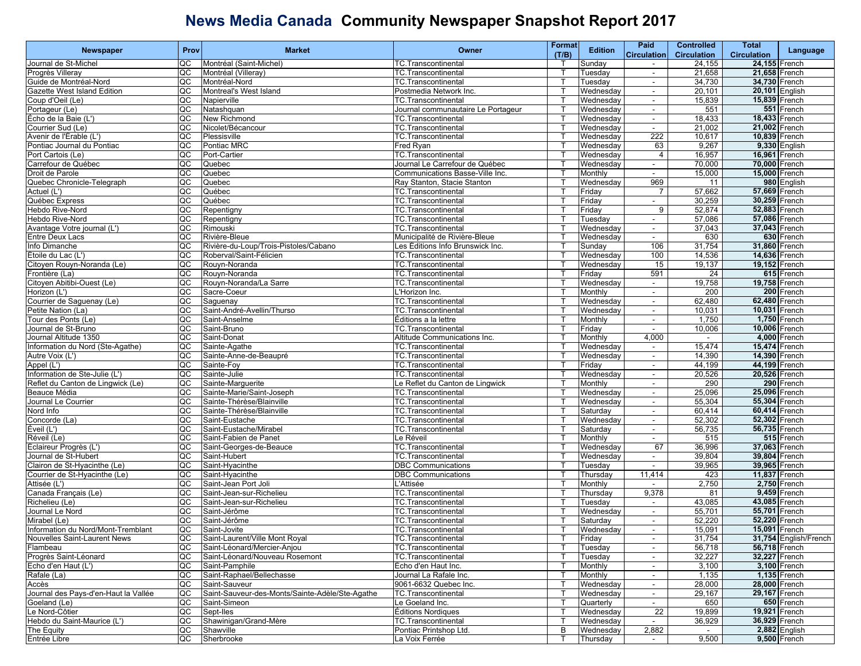| <b>Newspaper</b>                     | Prov | <b>Market</b>                                   | <b>Owner</b>                       | <b>Format</b> | <b>Edition</b> | Paid                     | <b>Controlled</b>  | <b>Total</b>       | Language              |
|--------------------------------------|------|-------------------------------------------------|------------------------------------|---------------|----------------|--------------------------|--------------------|--------------------|-----------------------|
|                                      |      |                                                 |                                    | (T/B)         |                | <b>Circulation</b>       | <b>Circulation</b> | <b>Circulation</b> |                       |
| Journal de St-Michel                 | QC   | Montréal (Saint-Michel)                         | <b>TC.Transcontinental</b>         |               | Sunday         | $\sim$                   | 24,155             | 24,155 French      |                       |
| Progrès Villeray                     | QC   | Montréal (Villeray)                             | <b>TC.Transcontinental</b>         |               | Tuesday        | $\overline{\phantom{a}}$ | 21,658             | 21,658 French      |                       |
| Guide de Montréal-Nord               | QC   | Montréal-Nord                                   | TC.Transcontinental                |               | Tuesday        | $\sim$                   | 34,730             | 34,730 French      |                       |
| Gazette West Island Edition          | QC   | Montreal's West Island                          | Postmedia Network Inc.             |               | Wednesday      | $\sim$                   | 20,101             |                    | 20,101 English        |
| Coup d'Oeil (Le)                     | QC   | Napierville                                     | <b>TC.Transcontinental</b>         |               | Wednesday      | $\sim$                   | 15,839             | 15,839 French      |                       |
| Portageur (Le)                       | g    | Natashquan                                      | Journal communautaire Le Portageur |               | Wednesday      | $\overline{\phantom{a}}$ | 551                |                    | 551 French            |
| Écho de la Baie (L')                 | QC   | New Richmond                                    | TC.Transcontinental                |               | Wednesday      | $\blacksquare$           | 18,433             | 18,433 French      |                       |
| Courrier Sud (Le)                    | QC   | Nicolet/Bécancour                               | <b>TC.Transcontinental</b>         |               | Wednesday      | $\sim$                   | 21,002             | 21,002 French      |                       |
| Avenir de l'Érable (L')              | QC   | Plessisville                                    | TC.Transcontinental                |               | Wednesday      | 222                      | 10,617             | 10,839 French      |                       |
| Pontiac Journal du Pontiac           | QC   | Pontiac MRC                                     | Fred Ryan                          |               | Wednesday      | 63                       | 9,267              |                    | 9,330 English         |
| Port Cartois (Le)                    | QC   | Port-Cartier                                    | <b>TC.Transcontinental</b>         |               | Wednesday      | 4                        | 16,957             | 16,961 French      |                       |
| Carrefour de Québec                  | QC   | Quebec                                          | Journal Le Carrefour de Québec     |               | Wednesday      | $\overline{\phantom{a}}$ | 70.000             | 70,000 French      |                       |
| Droit de Parole                      | QC   | Quebec                                          | Communications Basse-Ville Inc.    |               | Monthly        | $\sim$                   | 15,000             | 15,000 French      |                       |
| Quebec Chronicle-Telegraph           | QC   | Quebec                                          | Ray Stanton, Stacie Stanton        | Т             | Wednesday      | 969                      | 11                 |                    | 980 English           |
| Actuel (L')                          | QC   | Québec                                          | TC.Transcontinental                |               | Friday         | 7                        | 57,662             | 57,669 French      |                       |
| Québec Express                       | QC   | Québec                                          | <b>TC.Transcontinental</b>         |               | Friday         | $\sim$                   | 30,259             | 30,259 French      |                       |
| Hebdo Rive-Nord                      | QC   | Repentigny                                      | TC.Transcontinental                |               | Friday         | 9                        | 52,874             | 52,883 French      |                       |
| Hebdo Rive-Nord                      | QC   | Repentigny                                      | <b>TC.Transcontinental</b>         |               | Tuesday        | $\sim$                   | 57,086             | 57,086 French      |                       |
| Avantage Votre journal (L')          | QC   | Rimouski                                        | TC.Transcontinental                |               | Wednesday      | $\sim$                   | 37,043             | 37,043 French      |                       |
| Entre Deux Lacs                      | QC   | Rivière-Bleue                                   | Municipalité de Rivière-Bleue      |               | Wednesday      | $\sim$                   | 630                |                    | 630 French            |
| nfo Dimanche                         | QC   | Rivière-du-Loup/Trois-Pistoles/Cabano           | Les Éditions Info Brunswick Inc.   |               | Sunday         | 106                      | 31,754             | 31,860 French      |                       |
| Étoile du Lac (L')                   | QC   | Roberval/Saint-Félicien                         | TC.Transcontinental                |               | Wednesday      | 100                      | 14,536             | 14,636 French      |                       |
| Citoven Rouvn-Noranda (Le)           | QC   | Rouyn-Noranda                                   | <b>TC.Transcontinental</b>         |               | Wednesday      | 15                       | 19,137             | 19,152 French      |                       |
| Frontière (La)                       | QC   | Rouyn-Noranda                                   | TC.Transcontinental                | Т             | Friday         | 591                      | 24                 |                    | 615 French            |
| Citoyen Abitibi-Ouest (Le)           | QC   | Rouyn-Noranda/La Sarre                          | <b>TC.Transcontinental</b>         |               | Wednesday      | $\sim$                   | 19,758             | 19,758 French      |                       |
| Horizon (L')                         | g    | Sacre-Coeur                                     | L'Horizon Inc.                     |               | Monthly        | $\blacksquare$           | 200                |                    | 200 French            |
| Courrier de Saguenay (Le)            | QC   | Saguenay                                        | TC.Transcontinental                |               | Wednesday      | $\blacksquare$           | 62,480             | 62.480 French      |                       |
| Petite Nation (La)                   | QC   | Saint-André-Avellin/Thurso                      | TC.Transcontinental                |               | Wednesday      | $\sim$                   | 10,031             | 10,031 French      |                       |
| Tour des Ponts (Le)                  | QC   | Saint-Anselme                                   | Éditions a la lettre               | Т             | Monthly        | $\sim$                   | 1,750              |                    | 1,750 French          |
| Journal de St-Bruno                  | QC   | Saint-Bruno                                     | <b>TC.Transcontinental</b>         |               | Friday         | $\sim$                   | 10,006             | 10,006 French      |                       |
| Journal Altitude 1350                | g    | Saint-Donat                                     | Altitude Communications Inc.       |               | Monthly        | 4,000                    | $\blacksquare$     |                    | 4,000 French          |
| Information du Nord (Ste-Agathe)     | QC   | Sainte-Agathe                                   | <b>TC.Transcontinental</b>         |               | Wednesday      | $\overline{\phantom{a}}$ | 15,474             | 15,474 French      |                       |
| Autre Voix (L')                      | QC   | Sainte-Anne-de-Beaupré                          | TC.Transcontinental                |               | Wednesday      | $\sim$                   | 14,390             | 14,390 French      |                       |
| Appel (L')                           | QC   | Sainte-Foy                                      | <b>TC.Transcontinental</b>         |               | Friday         | $\sim$                   | 44,199             | 44,199 French      |                       |
| nformation de Ste-Julie (L')         | QC   | Sainte-Julie                                    | TC.Transcontinental                |               | Wednesday      | $\sim$                   | 20,526             | 20,526 French      |                       |
| Reflet du Canton de Lingwick (Le)    | QC   | Sainte-Marguerite                               | Le Reflet du Canton de Lingwick    |               | Monthly        | $\sim$                   | 290                |                    | 290 French            |
| Beauce Média                         | QC   | Sainte-Marie/Saint-Joseph                       | TC.Transcontinental                |               | Wednesday      | $\blacksquare$           | 25,096             | 25,096 French      |                       |
| Journal Le Courrier                  | QC   | Sainte-Thérèse/Blainville                       | <b>TC.Transcontinental</b>         |               | Wednesday      | $\blacksquare$           | 55,304             | 55,304 French      |                       |
| Nord Info                            | QC   | Sainte-Thérèse/Blainville                       | TC.Transcontinental                | Т             | Saturday       | $\sim$                   | 60,414             | 60,414 French      |                       |
| Concorde (La)                        | QC   | Saint-Eustache                                  | TC.Transcontinental                |               | Wednesday      | $\sim$                   | 52,302             | 52,302 French      |                       |
| Éveil (L')                           | g    | Saint-Eustache/Mirabel                          | TC.Transcontinental                |               | Saturday       | $\sim$                   | 56,735             | 56,735 French      |                       |
| Réveil (Le)                          | QC   | Saint-Fabien de Panet                           | Le Réveil                          |               | Monthly        | $\blacksquare$           | 515                |                    | 515 French            |
| Éclaireur Progrès (L')               | QC   | Saint-Georges-de-Beauce                         | TC.Transcontinental                |               | Wednesday      | 67                       | 36,996             | 37,063 French      |                       |
| Journal de St-Hubert                 | QC   | Saint-Hubert                                    | <b>TC.Transcontinental</b>         |               | Wednesday      | $\sim$                   | 39,804             | 39,804 French      |                       |
| Clairon de St-Hyacinthe (Le)         | QC   | Saint-Hyacinthe                                 | <b>DBC Communications</b>          |               | Tuesday        | $\sim$                   | 39,965             | 39,965 French      |                       |
| Courrier de St-Hyacinthe (Le)        | QC   | Saint-Hyacinthe                                 | <b>DBC Communications</b>          |               | Thursday       | 11,414                   | 423                | 11,837 French      |                       |
| Attisée (L')                         | QC   | Saint-Jean Port Joli                            | L'Attisée                          |               | Monthly        |                          | 2,750              |                    | 2,750 French          |
| Canada Français (Le)                 | QC   | Saint-Jean-sur-Richelieu                        | <b>TC.Transcontinental</b>         |               | Thursday       | 9,378                    | 81                 |                    | 9,459 French          |
| Richelieu (Le)                       | QC   | Saint-Jean-sur-Richelieu                        | TC.Transcontinental                |               | Tuesday        | $\sim$                   | 43,085             | 43,085 French      |                       |
| Journal Le Nord                      | QC   | Saint-Jérôme                                    | TC.Transcontinental                |               | Wednesday      | $\sim$                   | 55,701             | 55,701 French      |                       |
| Mirabel (Le)                         | g    | Saint-Jérôme                                    | TC.Transcontinental                |               | Saturdav       | $\sim$                   | 52,220             | 52,220 French      |                       |
| Information du Nord/Mont-Tremblant   | QC   | Saint-Jovite                                    | TC.Transcontinental                | T.            | Wednesday      |                          | 15,091             |                    | 15,091 French         |
| Nouvelles Saint-Laurent News         | QC   | Saint-Laurent/Ville Mont Royal                  | TC. Transcontinental               | $\mathsf{T}$  | Friday         | $\sim$                   | 31,754             |                    | 31,754 English/French |
| Flambeau                             | QC   | Saint-Léonard/Mercier-Anjou                     | TC.Transcontinental                | $\mathsf{T}$  | Tuesday        | $\sim$                   | 56,718             |                    | 56,718 French         |
| Progrès Saint-Léonard                | QC   | Saint-Léonard/Nouveau Rosemont                  | TC.Transcontinental                |               | Tuesday        | $\sim$                   | 32,227             | 32,227 French      |                       |
| Echo d'en Haut (L')                  | g    | Saint-Pamphile                                  | Écho d'en Haut Inc.                |               | Monthly        | $\sim$                   | 3,100              |                    | 3,100 French          |
| Rafale (La)                          | g    | Saint-Raphael/Bellechasse                       | Journal La Rafale Inc.             |               | Monthly        | $\blacksquare$           | 1,135              |                    | 1,135 French          |
| Accès                                | g    | Saint-Sauveur                                   | 9061-6632 Quebec Inc.              |               | Wednesday      | $\sim$                   | 28,000             | 28,000 French      |                       |
| Journal des Pays-d'en-Haut la Vallée | g    | Saint-Sauveur-des-Monts/Sainte-Adèle/Ste-Agathe | TC.Transcontinental                |               | Wednesday      | $\sim$                   | 29,167             | 29,167 French      |                       |
| Goeland (Le)                         | QC   | Saint-Simeon                                    | Le Goeland Inc.                    |               | Quarterly      | $\sim$                   | 650                |                    | 650 French            |
| Le Nord-Côtier                       | g    | Sept-Iles                                       | Éditions Nordiques                 |               | Wednesday      | $\overline{22}$          | 19,899             | 19,921 French      |                       |
| Hebdo du Saint-Maurice (L')          | QC   | Shawinigan/Grand-Mère                           | TC.Transcontinental                |               | Wednesdav      |                          | 36,929             |                    | 36.929 French         |
| The Equity                           | g    | Shawville                                       | Pontiac Printshop Ltd.             | B             | Wednesday      | 2,882                    |                    |                    | 2,882 English         |
| Entrée Libre                         | QC   | Sherbrooke                                      | La Voix Ferrée                     | т             | Thursday       | $\sim$                   | 9,500              |                    | 9,500 French          |
|                                      |      |                                                 |                                    |               |                |                          |                    |                    |                       |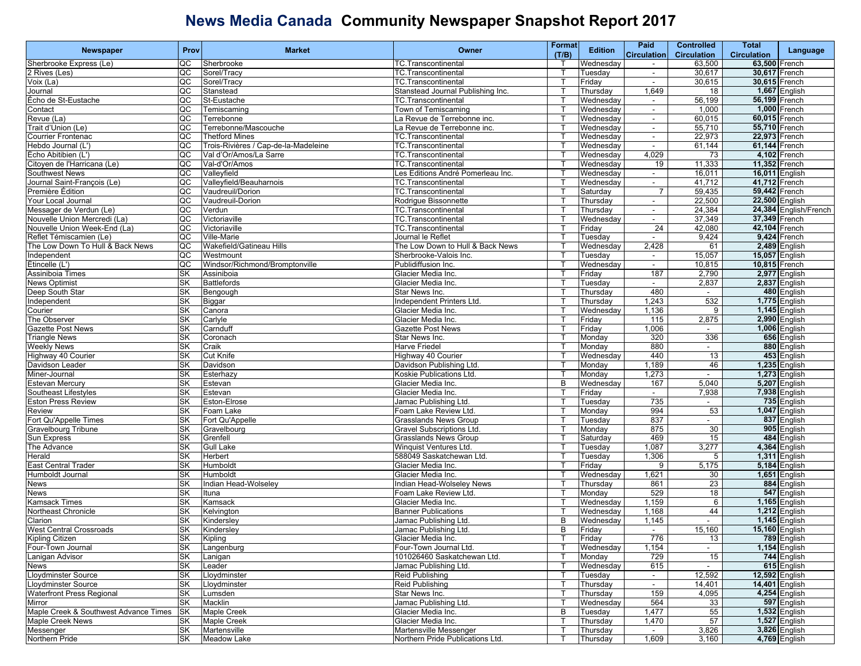|                                       |           |                                      |                                                | Format       |                | Paid                     | <b>Controlled</b>                  | Total              |                       |
|---------------------------------------|-----------|--------------------------------------|------------------------------------------------|--------------|----------------|--------------------------|------------------------------------|--------------------|-----------------------|
| <b>Newspaper</b>                      | Prov      | <b>Market</b>                        | Owner                                          | (T/B)        | <b>Edition</b> | <b>Circulation</b>       | <b>Circulation</b>                 | <b>Circulation</b> | Language              |
| Sherbrooke Express (Le)               | QC        | Sherbrooke                           | <b>TC.Transcontinental</b>                     |              | Wednesday      | $\sim$                   | 63,500                             | 63,500 French      |                       |
| 2 Rives (Les)                         | QC        | Sorel/Tracy                          | TC.Transcontinental                            | т            | Tuesday        | $\overline{\phantom{a}}$ | 30,617                             | 30.617 French      |                       |
| Voix (La)                             | <b>QC</b> | Sorel/Tracy                          | TC.Transcontinental                            | т            | Friday         | $\sim$                   | 30,615                             | 30,615 French      |                       |
| Journal                               | QC        | Stanstead                            | Stanstead Journal Publishing Inc.              |              | Thursday       | 1,649                    | 18                                 | 1,667 English      |                       |
| Écho de St-Eustache                   | QC        | St-Eustache                          | TC.Transcontinental                            |              | Wednesday      | $\overline{\phantom{a}}$ | 56,199                             | 56,199 French      |                       |
|                                       | g         | Temiscaming                          | Town of Temiscaming                            |              | Wednesdav      | $\blacksquare$           | 1,000                              | 1,000 French       |                       |
| Contact                               |           | Terrebonne                           |                                                |              |                | $\blacksquare$           | 60,015                             | 60,015 French      |                       |
| Revue (La)                            | QC<br>QC  |                                      | La Revue de Terrebonne inc.                    | т            | Wednesday      |                          |                                    |                    |                       |
| Trait d'Union (Le)                    |           | Terrebonne/Mascouche                 | La Revue de Terrebonne inc.                    |              | Wednesday      | $\sim$                   | 55,710                             | 55,710 French      |                       |
| <b>Courrier Frontenac</b>             | QC        | <b>Thetford Mines</b>                | <b>TC.Transcontinental</b>                     | т            | Wednesday      | $\sim$                   | 22,973                             | 22,973 French      |                       |
| Hebdo Journal (L')                    | QC        | Trois-Rivières / Cap-de-la-Madeleine | TC.Transcontinental                            |              | Wednesday      | $\sim$                   | 61,144                             | 61,144 French      |                       |
| Écho Abitibien (L')                   | QC        | Val d'Or/Amos/La Sarre               | TC.Transcontinental                            |              | Wednesday      | 4,029                    | 73                                 | 4,102 French       |                       |
| Citoyen de l'Harricana (Le)           | QC        | Val-d'Or/Amos                        | TC.Transcontinental                            | т            | Wednesday      | 19                       | 11,333                             | 11,352 French      |                       |
| <b>Southwest News</b>                 | QC        | Valleyfield                          | Les Editions André Pomerleau Inc.              | т            | Wednesday      | $\blacksquare$           | 16,011                             | 16,011 English     |                       |
| Journal Saint-François (Le)           | QC        | Valleyfield/Beauharnois              | <b>TC.Transcontinental</b>                     | Т            | Wednesdav      | $\sim$                   | 41,712                             | 41,712 French      |                       |
| Première Édition                      | QC        | Vaudreuil/Dorion                     | TC.Transcontinental                            |              | Saturday       | -7                       | 59,435                             | 59,442 French      |                       |
| Your Local Journal                    | g         | Vaudreuil-Dorion                     | Rodrigue Bissonnette                           |              | Thursday       | $\overline{\phantom{a}}$ | 22,500                             | 22,500 English     |                       |
| Messager de Verdun (Le)               | QC        | Verdun                               | TC.Transcontinental                            |              | Thursday       | $\blacksquare$           | 24,384                             |                    | 24,384 English/French |
| Nouvelle Union Mercredi (La)          | QC        | Victoriaville                        | TC.Transcontinental                            | т            | Wednesday      | $\sim$                   | 37,349                             | 37,349 French      |                       |
| Nouvelle Union Week-End (La)          | QC        | Victoriaville                        | TC.Transcontinental                            | т            | Friday         | 24                       | 42,080                             | 42,104 French      |                       |
| Reflet Témiscamien (Le)               | QC        | Ville-Marie                          | Journal le Reflet                              |              | Tuesday        | $\sim$                   | 9,424                              | 9,424 French       |                       |
| The Low Down To Hull & Back News      | QC        | Wakefield/Gatineau Hills             | The Low Down to Hull & Back News               |              | Wednesday      | 2,428                    | 61                                 | 2,489 English      |                       |
| Independent                           | QC        | Westmount                            | Sherbrooke-Valois Inc.                         | т            | Tuesdav        | $\overline{\phantom{a}}$ | 15,057                             | 15,057 English     |                       |
| Étincelle (L')                        | QC        | Windsor/Richmond/Bromptonville       | Publidiffusion Inc.                            | т            | Wednesday      | $\blacksquare$           | 10,815                             | 10,815 French      |                       |
| Assiniboia Times                      | <b>SK</b> | Assiniboia                           | Glacier Media Inc.                             | Т            | Friday         | 187                      | 2,790                              | 2,977 English      |                       |
| <b>News Optimist</b>                  | SK        | <b>Battlefords</b>                   | Glacier Media Inc.                             |              | Tuesday        | $\sim$                   | 2,837                              | 2,837 English      |                       |
| Deep South Star                       | <b>SK</b> |                                      | Star News Inc.                                 |              |                | 480                      |                                    |                    | 480 English           |
|                                       |           | Bengough                             |                                                |              | Thursday       |                          | $\blacksquare$                     |                    |                       |
| Independent                           | <b>SK</b> | Biggar                               | Independent Printers Ltd.                      |              | Thursdav       | 1,243                    | 532                                | 1,775 English      |                       |
| Courier                               | <b>SK</b> | Canora                               | Glacier Media Inc.                             | т            | Wednesday      | 1,136                    | 9                                  | 1,145 English      |                       |
| The Observer                          | <b>SK</b> | Carlyle                              | Glacier Media Inc.                             | т            | Friday         | 115                      | 2,875                              |                    | 2,990 English         |
| Gazette Post News                     | <b>SK</b> | Carnduff                             | Gazette Post News                              |              | Friday         | 1,006                    | $\overline{a}$                     |                    | 1,006 English         |
| <b>Triangle News</b>                  | <b>SK</b> | Coronach                             | Star News Inc.                                 |              | Monday         | 320                      | 336                                |                    | 656 English           |
| <b>Weekly News</b>                    | <b>SK</b> | Craik                                | Harve Friedel                                  | т            | Monday         | 880                      | $\overline{\phantom{a}}$           |                    | 880 English           |
| Highway 40 Courier                    | <b>SK</b> | <b>Cut Knife</b>                     | Highway 40 Courier                             | т            | Wednesday      | 440                      | 13                                 |                    | 453 English           |
| Davidson Leader                       | <b>SK</b> | Davidson                             | Davidson Publishing Ltd.                       | т            | Monday         | 1,189                    | 46                                 | 1,235 English      |                       |
| Miner-Journal                         | <b>SK</b> | Esterhazy                            | Koskie Publications Ltd.                       |              | Monday         | 1,273                    | $\overline{\phantom{a}}$           | 1,273 English      |                       |
| <b>Estevan Mercury</b>                | <b>SK</b> | Estevan                              | Glacier Media Inc.                             | B            | Wednesday      | 167                      | 5,040                              | 5,207 English      |                       |
| Southeast Lifestyles                  | <b>SK</b> | Estevan                              | Glacier Media Inc.                             |              | Friday         | $\blacksquare$           | 7,938                              |                    | 7,938 English         |
| <b>Eston Press Review</b>             | <b>SK</b> | Eston-Elrose                         | Jamac Publishing Ltd.                          |              | Tuesday        | 735                      | $\blacksquare$                     |                    | 735 English           |
| Review                                | <b>SK</b> | Foam Lake                            | Foam Lake Review Ltd.                          | т            | Monday         | 994                      | 53                                 |                    | 1,047 English         |
| Fort Qu'Appelle Times                 | <b>SK</b> | Fort Qu'Appelle                      | <b>Grasslands News Group</b>                   |              | Tuesday        | 837                      | $\overline{\phantom{a}}$           |                    | 837 English           |
| <b>Gravelbourg Tribune</b>            | <b>SK</b> | Gravelbourg                          | Gravel Subscriptions Ltd.                      |              | Monday         | 875                      | 30                                 |                    | 905 English           |
| <b>Sun Express</b>                    | <b>SK</b> | Grenfell                             | <b>Grasslands News Group</b>                   | т            | Saturday       | 469                      | 15                                 |                    | 484 English           |
| The Advance                           | <b>SK</b> | <b>Gull Lake</b>                     | Winquist Ventures Ltd.                         | т            | Tuesday        | 1,087                    | 3,277                              | 4,364 English      |                       |
| Herald                                | <b>SK</b> | Herbert                              | 588049 Saskatchewan Ltd.                       | Т            | Tuesday        | 1,306                    | 5                                  |                    | 1,311 English         |
| <b>East Central Trader</b>            | SK        | Humboldt                             | Glacier Media Inc.                             |              | Friday         | 9                        | 5,175                              | 5,184 English      |                       |
| Humboldt Journal                      | <b>SK</b> | Humboldt                             | Glacier Media Inc.                             |              | Wednesday      | 1,621                    | 30                                 | 1,651 English      |                       |
| News                                  | <b>SK</b> | Indian Head-Wolseley                 | Indian Head-Wolseley News                      |              | Thursday       | 861                      | 23                                 |                    | 884 English           |
| <b>News</b>                           | <b>SK</b> | Ituna                                | Foam Lake Review Ltd                           | т            | Monday         | 529                      | 18                                 |                    | 547 English           |
| Kamsack Times                         | <b>SK</b> | Kamsack                              | Glacier Media Inc.                             | т            | Wednesday      | 1,159                    | 6                                  |                    | 1,165 English         |
| Northeast Chronicle                   | <b>SK</b> |                                      | <b>Banner Publications</b>                     |              | Wednesday      | 1,168                    | 44                                 | 1,212 English      |                       |
|                                       | <b>SK</b> | Kelvington                           |                                                | B            | Wednesday      | 1,145                    |                                    |                    | 1,145 English         |
| Clarion                               | SK        | Kindersley                           | Jamac Publishing Ltd.<br>Jamac Publishing Ltd. |              |                |                          | $\overline{\phantom{a}}$<br>15,160 | 15,160 English     |                       |
| <b>West Central Crossroads</b>        |           | Kindersley                           |                                                | B            | Friday         |                          |                                    |                    |                       |
| <b>Kipling Citizen</b>                | <b>SK</b> | Kipling                              | Glacier Media Inc.                             | T            | Friday         | 776                      | 13                                 |                    | 789 English           |
| Four-Town Journal                     | <b>SK</b> | Langenburg                           | Four-Town Journal Ltd.                         | $\mathsf{T}$ | Wednesday      | 1,154                    | $\sim$                             |                    | 1,154 English         |
| Lanigan Advisor                       | <b>SK</b> | Lanigan                              | 101026460 Saskatchewan Ltd.                    |              | Monday         | 729                      | 15                                 |                    | 744 English           |
| News                                  | SK        | Leader                               | Jamac Publishing Ltd.                          |              | Wednesday      | 615                      | $\sim$                             |                    | 615 English           |
| Lloydminster Source                   | SK        | Lloydminster                         | Reid Publishing                                |              | Tuesday        | $\sim$                   | 12,592                             | 12,592 English     |                       |
| <b>Lloydminster Source</b>            | <b>SK</b> | Lloydminster                         | Reid Publishing                                | т            | Thursday       | $\sim$                   | 14,401                             | 14,401 English     |                       |
| <b>Waterfront Press Regional</b>      | <b>SK</b> | Lumsden                              | Star News Inc.                                 | Т            | Thursday       | 159                      | 4,095                              |                    | 4,254 English         |
| Mirror                                | <b>SK</b> | Macklin                              | Jamac Publishing Ltd.                          |              | Wednesday      | 564                      | 33                                 |                    | 597 English           |
| Maple Creek & Southwest Advance Times | <b>SK</b> | <b>Maple Creek</b>                   | Glacier Media Inc.                             | В            | Tuesday        | 1,477                    | 55                                 |                    | 1,532 English         |
| Maple Creek News                      | SK        | <b>Maple Creek</b>                   | Glacier Media Inc.                             | Т            | Thursday       | 1,470                    | 57                                 |                    | 1,527 English         |
| Messenger                             | SK        | Martensville                         | Martensville Messenger                         | $\mathsf{T}$ | Thursday       | $\sim$                   | 3,826                              |                    | 3,826 English         |
| Northern Pride                        | <b>SK</b> | <b>Meadow Lake</b>                   | Northern Pride Publications Ltd.               | $\mathsf{T}$ | Thursday       | 1,609                    | 3,160                              |                    | 4,769 English         |